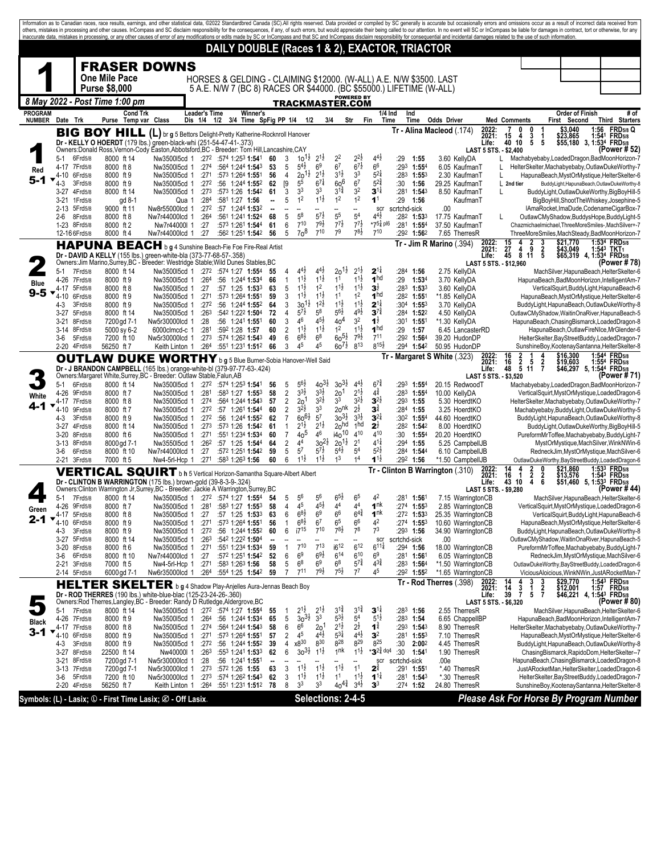|                |               |                         |                                                                                                                                                         |                                      |                          |                                                                      |                                |                                  |                                          |                                          |                                           |                                          |                                         |              |                                                           | Information as to Canadian races, race results, earnings, and other statistical data, @2022 Standardbred Canada (SC).All rights reserved. Data provided or compiled by SC generally is accurate but occasionally errors and om<br>others, mistakes in processing and other causes. InCompass and SC disclaim responsibility for the consequences, if any, of such errors, but would appreciate their being called to our attention. In no event will SC or InCom<br>inaccurate data, mistakes in processing, or any other causes of error of any modifications or edits made by SC or InCompass and that SC and InCompass disclaim responsibility for consequential and incidental damages related |                         |                                                                            |                                |                        |       |                                                                                                 |
|----------------|---------------|-------------------------|---------------------------------------------------------------------------------------------------------------------------------------------------------|--------------------------------------|--------------------------|----------------------------------------------------------------------|--------------------------------|----------------------------------|------------------------------------------|------------------------------------------|-------------------------------------------|------------------------------------------|-----------------------------------------|--------------|-----------------------------------------------------------|----------------------------------------------------------------------------------------------------------------------------------------------------------------------------------------------------------------------------------------------------------------------------------------------------------------------------------------------------------------------------------------------------------------------------------------------------------------------------------------------------------------------------------------------------------------------------------------------------------------------------------------------------------------------------------------------------|-------------------------|----------------------------------------------------------------------------|--------------------------------|------------------------|-------|-------------------------------------------------------------------------------------------------|
|                |               |                         |                                                                                                                                                         |                                      |                          | DAILY DOUBLE (Races 1 & 2), EXACTOR, TRIACTOR                        |                                |                                  |                                          |                                          |                                           |                                          |                                         |              |                                                           |                                                                                                                                                                                                                                                                                                                                                                                                                                                                                                                                                                                                                                                                                                    |                         |                                                                            |                                |                        |       |                                                                                                 |
|                |               |                         | <b>FRASER DOWNS</b>                                                                                                                                     |                                      |                          |                                                                      |                                |                                  |                                          |                                          |                                           |                                          |                                         |              |                                                           |                                                                                                                                                                                                                                                                                                                                                                                                                                                                                                                                                                                                                                                                                                    |                         |                                                                            |                                |                        |       |                                                                                                 |
|                |               |                         | <b>One Mile Pace</b>                                                                                                                                    |                                      |                          |                                                                      |                                |                                  |                                          |                                          |                                           |                                          |                                         |              |                                                           | HORSES & GELDING - CLAIMING \$12000. (W-ALL) A.E. N/W \$3500. LAST                                                                                                                                                                                                                                                                                                                                                                                                                                                                                                                                                                                                                                 |                         |                                                                            |                                |                        |       |                                                                                                 |
|                |               |                         | <b>Purse \$8,000</b>                                                                                                                                    |                                      |                          | 5 A.E. N/W 7 (BC 8) RACES OR \$44000. (BC \$55000.) LIFETIME (W-ALL) |                                |                                  |                                          |                                          |                                           | <b>POWERED BY</b>                        |                                         |              |                                                           |                                                                                                                                                                                                                                                                                                                                                                                                                                                                                                                                                                                                                                                                                                    |                         |                                                                            |                                |                        |       |                                                                                                 |
| <b>PROGRAM</b> |               |                         | 8 May 2022 - Post Time 1:00 pm<br><b>Cond Trk</b>                                                                                                       |                                      | <b>Leader's Time</b>     | <b>Winner's</b>                                                      |                                |                                  |                                          |                                          | TRACKMASTER.COM                           |                                          | $1/4$ Ind                               | Ind          |                                                           |                                                                                                                                                                                                                                                                                                                                                                                                                                                                                                                                                                                                                                                                                                    |                         |                                                                            |                                | <b>Order of Finish</b> |       | # of                                                                                            |
| <b>NUMBER</b>  |               | Date Trk                | Purse Temp var Class                                                                                                                                    |                                      |                          | Dis 1/4 1/2 3/4 Time SpFig PP 1/4 1/2                                |                                |                                  |                                          | 3/4                                      |                                           | Str                                      | Time<br>Fin                             |              | Time                                                      | <b>Odds Driver</b>                                                                                                                                                                                                                                                                                                                                                                                                                                                                                                                                                                                                                                                                                 | 2022:                   | <b>Med Comments</b><br>0                                                   | 0                              | First Second           | 1:56  | Third Starters<br><b>FRD5/8 Q</b>                                                               |
|                |               |                         | <b>BIG BOY HILL (L)</b> br g 5 Bettors Delight-Pretty Katherine-Rocknroll Hanover<br>Dr - KELLY O HOERDT (179 lbs.) green-black-whi (251-54-47-41-.373) |                                      |                          |                                                                      |                                |                                  |                                          |                                          |                                           |                                          |                                         |              |                                                           | Tr - Alina Macleod (.174)                                                                                                                                                                                                                                                                                                                                                                                                                                                                                                                                                                                                                                                                          | 2021:<br>Life:          | 15<br>4<br>40<br>10                                                        | 3<br>-1<br>5<br>5              | \$3,040<br>\$23,865    | 1:541 | <b>FRD5/8</b><br>\$55,180 3, 1:534 FRD5/8                                                       |
|                | 5-1           | 6Frd5/8                 | Owners:Donald Ross,Vernon-Cody Easton,Abbotsford,BC - Breeder: Tom Hill,Lancashire,CAY<br>8000 ft 14                                                    | Nw350015cd 1                         |                          | $:27^2$ :574 1:253 1:541                                             | 60                             | 3                                | $10^{11}$                                | $2^{1\frac{1}{2}}$                       | 2 <sup>2</sup>                            | $2^{2\frac{1}{2}}$                       | $4^{4}$                                 | :29          | 1:55                                                      | 3.60 KellyDA                                                                                                                                                                                                                                                                                                                                                                                                                                                                                                                                                                                                                                                                                       | LAST 5 STS. - \$2,400   | L.                                                                         |                                |                        |       | (Power # 52<br>Machabyebaby,LoadedDragon,BadMoonHorizon-7                                       |
| Red            |               | 4-17 7Frd5/8            | 8000 ft 8                                                                                                                                               | Nw350015cd 1                         | :274                     | :564 1:244 1:543                                                     | 53                             | 5<br>4                           | $5^{4}$                                  | 6 <sup>9</sup><br>$2^{1\frac{1}{2}}$     | 6 <sup>7</sup><br>$3^{1\frac{1}{2}}$      | $6^{7\frac{1}{2}}$<br>3 <sup>3</sup>     | 6 <sup>6</sup><br>$5^{2}$               | :293         | $1:55^{4}$                                                | 6.05 KaufmanT                                                                                                                                                                                                                                                                                                                                                                                                                                                                                                                                                                                                                                                                                      |                         | L                                                                          |                                |                        |       | HelterSkelter, Machabyebaby, OutlawDukeWorthy-7                                                 |
| 5-1            | 4-10<br>4-3   | 6Frd5/8<br>3Frd5/8      | 8000 ft 9<br>8000 ft 9                                                                                                                                  | Nw350015cd 1<br>Nw350015cd 1         | :271<br>:272             | :573 1:264 1:551<br>:56 1:244 1:552                                  | 56<br>62                       | [9]                              | $20^{11}$<br>55                          | $6^{7}$                                  | 60 <sup>6</sup>                           | 6 <sup>7</sup>                           | $5^{24}$                                | :283<br>:30  | 1:553<br>1:56                                             | 2.30 KaufmanT<br>29.25 KaufmanT                                                                                                                                                                                                                                                                                                                                                                                                                                                                                                                                                                                                                                                                    |                         | Г<br>L 2nd tier                                                            |                                |                        |       | HapunaBeach, MystOrMystique, HelterSkelter-6<br>BuddyLight, HapunaBeach, OutlawDukeWorthy-8     |
|                | 3-27<br>3-21  | 4Frd5/8<br>1 Frd 5/8    | 8000 ft 14<br>gd 8-1                                                                                                                                    | Nw350015cd 1<br>Qua 1                | :273<br>:284             | :573 1:26 1:542<br>:581 1:27 1:56                                    | 61                             | 3<br>5                           | 3 <sup>3</sup><br>1 <sup>2</sup>         | 3 <sup>3</sup><br>$1^{1\frac{1}{2}}$     | $3^{1\frac{3}{4}}$<br>1 <sup>2</sup>      | 3 <sup>2</sup><br>1 <sup>2</sup>         | $3^{11}$<br>1 <sup>1</sup>              | :281<br>:29  | $1:54^3$<br>1:56                                          | 8.50 KaufmanT<br>KaufmanT                                                                                                                                                                                                                                                                                                                                                                                                                                                                                                                                                                                                                                                                          |                         | L                                                                          |                                |                        |       | BuddyLight,OutlawDukeWorthy,BigBoyHill-5<br>BigBoyHill, ShootTheWhiskey, Josephine-5            |
|                | 2-13<br>2-6   | 5Frd5/8<br>8Frd5/8      | 9000 ft 11<br>8000 ft 8                                                                                                                                 | Nw8r55000lcd 1<br>Nw7r44000lcd 1     | :272<br>:264             | :57 1:244 1:532<br>:561 1:241 1:524                                  | $\overline{\phantom{a}}$<br>68 | 5                                | $5^8$                                    | $5^{7}$ <sub>2</sub>                     | 5 <sup>5</sup>                            | --<br>5 <sup>4</sup>                     | $rac{\text{scr}}{44\frac{1}{2}}$        | scrtchd-sick | $:28^2$ 1:533                                             | .00<br>17.75 KaufmanT                                                                                                                                                                                                                                                                                                                                                                                                                                                                                                                                                                                                                                                                              |                         |                                                                            |                                |                        |       | IAmaRocket, ImaDude, CodenameCigarBox-7                                                         |
|                |               | 1-23 8Frd5/8            | 8000 ft 2                                                                                                                                               | Nw7r44000l 1                         | :27                      | :573 1:261 1:544                                                     | 61                             | 6                                | 710                                      | $79\frac{1}{2}$                          | $7^{7}$                                   | $7^{7}\frac{1}{2}$                       | $*75\frac{1}{4}$ pl6                    |              | :281 1:554                                                | 37.50 KaufmanT                                                                                                                                                                                                                                                                                                                                                                                                                                                                                                                                                                                                                                                                                     |                         |                                                                            |                                |                        |       | OutlawCMyShadow,BuddysHope,BuddyLight-5<br>Chazmichaelmichael, ThreeMoreSmiles-, MachSilver+-7  |
|                |               | 12-16 6 Frd 5/8         | 8000 ft 4                                                                                                                                               | Nw7r44000lcd 1                       | :27                      | :562 1:251 1:542                                                     | 56                             | 5                                | 70 <sup>8</sup>                          | $7^{10}$                                 | 7 <sup>9</sup>                            | $7^{8}\frac{1}{2}$                       | $7^{10}$                                |              | $:29^2$ 1:56 <sup>2</sup>                                 | 7.65 TherresR<br>Tr - Jim R Marino (.394)                                                                                                                                                                                                                                                                                                                                                                                                                                                                                                                                                                                                                                                          | 2022:                   | 15<br>4                                                                    | 2<br>3                         | \$21.770               |       | ThreeMoreSmiles,MachSteady,BadMoonHorizon-7<br>1:534 FRD <sub>5/8</sub>                         |
|                |               |                         | <b>HAPUNA BEACH</b> b g 4 Sunshine Beach-Fie Foe Fire-Real Artist<br>Dr - DAVID A KELLY (155 lbs.) green-white-bla (373-77-68-57-.358)                  |                                      |                          |                                                                      |                                |                                  |                                          |                                          |                                           |                                          |                                         |              |                                                           |                                                                                                                                                                                                                                                                                                                                                                                                                                                                                                                                                                                                                                                                                                    | 2021:<br>Life:          | $\frac{27}{45}$<br>$\begin{smallmatrix} 4 & 9 \\ 8 & 11 \end{smallmatrix}$ | $\frac{2}{5}$                  | \$43,049               |       | 1:543 TKT1<br>\$65,319 4, 1:534 FRD5/8                                                          |
|                | 5-1           | 7Frd5/8                 | Owners:Jim Marino,Surrey,BC - Breeder: Westridge Stable;Wild Dunes Stables,BC<br>8000 ft 14                                                             | Nw3500l5cd 1 :272 :574 1:27 1:554    |                          |                                                                      | 55                             | $\overline{4}$                   | $4^{4}$ <sub>2</sub>                     | $4^{4}$                                  | $20^{11}$                                 | $2^{1\frac{1}{2}}$                       | $2^{11}$                                |              | :284 1:56                                                 | 2.75 KellyDA                                                                                                                                                                                                                                                                                                                                                                                                                                                                                                                                                                                                                                                                                       |                         | LAST 5 STS. - \$12,960                                                     |                                |                        |       | (Power # 78)<br>MachSilver, HapunaBeach, HelterSkelter-6                                        |
| Blue           |               | 4-26 7Frd5/8            | 8000 ft 9                                                                                                                                               | Nw350015cd 1                         | :264                     | :56 1:244 1:534                                                      | 66                             | $\mathbf{1}$                     | $1^{11}$<br>$1^{1\frac{1}{2}}$           | $1^{1\frac{1}{2}}$<br>1 <sup>2</sup>     | 1 <sup>1</sup><br>$1^{1\frac{1}{2}}$      | $11\frac{1}{2}$<br>$1^{1\frac{1}{2}}$    | 1 <sup>hd</sup><br>$3^{\frac{1}{2}}$    | :29          | 1:534                                                     | 3.70 KellyDA                                                                                                                                                                                                                                                                                                                                                                                                                                                                                                                                                                                                                                                                                       |                         |                                                                            |                                |                        |       | HapunaBeach, BadMoonHorizon, IntelligentAm-7                                                    |
| 9-5            | 4-17<br>4-10  | 5Frd5/8<br>6Frd5/8      | 8000 ft 8<br>8000 ft 9                                                                                                                                  | Nw350015cd 1<br>Nw350015cd 1         | :27<br>:271              | :57 1:25 1:533<br>:573 1:264 1:551                                   | 63<br>59                       | 5<br>3                           | $1^{1\frac{1}{2}}$                       | $1^{1\frac{1}{2}}$                       | 1 <sup>1</sup>                            | 1 <sup>2</sup>                           | 1 <sup>hd</sup>                         |              | $:28^3$ 1:53 $^3$<br>$:28^2$ 1:551                        | 3.60 KellyDA<br>*1.85 KellyDA                                                                                                                                                                                                                                                                                                                                                                                                                                                                                                                                                                                                                                                                      |                         |                                                                            |                                |                        |       | VerticalSquirt,BuddyLight,HapunaBeach-6<br>HapunaBeach, MystOrMystique, HelterSkelter-6         |
|                | 4-3<br>3-27   | 3Frd5/8<br>5Frd5/8      | 8000 ft 9<br>8000 ft 14                                                                                                                                 | Nw350015cd 1<br>Nw350015cd 1         | :272<br>:263             | $:56$ 1:244 1:552<br>:542 1:222 1:504                                | 64<br>72                       | 3<br>4                           | $30^{11}$<br>$5^{7}$                     | $1^{2}\frac{1}{2}$<br>5 <sup>8</sup>     | $1^{1\frac{1}{2}}$<br>56½                 | $1^{1\frac{1}{2}}$<br>$4^{9}\frac{1}{2}$ | $2^{1\frac{1}{4}}$<br>$3^{74}$          |              | $:30^4$ 1:553<br>:284 1:522                               | 3.70 KellyDA<br>4.50 KellyDA                                                                                                                                                                                                                                                                                                                                                                                                                                                                                                                                                                                                                                                                       |                         |                                                                            |                                |                        |       | BuddyLight, HapunaBeach, OutlawDukeWorthy-8<br>OutlawCMyShadow,WaitinOnaRiver,HapunaBeach-5     |
|                | $3 - 21$      | 8Frd5/8                 | 7200 gd 7-1                                                                                                                                             | Nw5r30000lcd 1                       | :28                      | :56 1:241 1:551                                                      | 60                             | 3                                | 46<br>$11\frac{1}{2}$                    | $4^{5}\frac{1}{2}$<br>$11\frac{1}{2}$    | 40 <sup>4</sup><br>1 <sup>2</sup>         | 3 <sup>2</sup><br>$11\frac{1}{2}$        | $1^{\frac{1}{2}}$<br>1 <sup>hd</sup>    |              | :301 1:551                                                | *1.30 KellyDA                                                                                                                                                                                                                                                                                                                                                                                                                                                                                                                                                                                                                                                                                      |                         |                                                                            |                                |                        |       | HapunaBeach, ChasingBismarck, LoadedDragon-8                                                    |
|                | 3-6           | 3-14 8Frd5/8<br>5Frd5/8 | 5000 sy 6-2<br>7200 ft 10                                                                                                                               | 6000clmcd-c 1<br>Nw5r30000lcd 1      | :281<br>:273             | :592 1:28 1:57<br>:574 1:262 1:543                                   | 60<br>49                       | $\overline{2}$<br>6              | $6^{8}\frac{1}{2}$                       | 6 <sup>8</sup>                           | $60^{51}$                                 | $7^{9}\frac{1}{2}$                       | 7 <sup>11</sup>                         | :29<br>:292  | 1:57<br>1:564                                             | 6.45 LancasterRD<br>39.20 HudonDP                                                                                                                                                                                                                                                                                                                                                                                                                                                                                                                                                                                                                                                                  |                         |                                                                            |                                |                        |       | HapunaBeach, OutlawFireNIce, MrGlender-6<br>HelterSkelter,BayStreetBuddy,LoadedDragon-7         |
|                |               | 2-20 4Frd5/8            | 56250 ft 7                                                                                                                                              | Keith Linton 1                       | :264                     | :551 1:231 1:512                                                     | 66                             | 3                                | 45                                       | 45                                       | $60^{7\frac{1}{2}}$                       | $8^{13}$                                 | $8^{15\frac{1}{2}}$                     |              | :294 1:542                                                | 50.95 HudonDP<br>Tr - Margaret S White (.323)                                                                                                                                                                                                                                                                                                                                                                                                                                                                                                                                                                                                                                                      |                         | 16                                                                         |                                |                        |       | SunshineBoy, Kootenay Santanna, Helter Skelter-8<br>1:544 FRD <sub>5/8</sub>                    |
|                |               |                         | OUTLAW DUKE WORTHY bg 5 Blue Burner-Sobia Hanover-Well Said<br>Dr - J BRANDON CAMPBELL (165 lbs.) orange-white-bl (379-97-77-63-.424)                   |                                      |                          |                                                                      |                                |                                  |                                          |                                          |                                           |                                          |                                         |              |                                                           |                                                                                                                                                                                                                                                                                                                                                                                                                                                                                                                                                                                                                                                                                                    | 2022:<br>2021:<br>Life: | $\frac{2}{2}$<br>16<br>5 11<br>48                                          | 5<br>$\frac{2}{7}$             | \$16,300<br>\$19,603   |       | 1:554 FRD5/8<br>\$46,297 5, 1:54 FRD5/8                                                         |
|                | 5-1           | 6Frd5/8                 | Owners: Margaret White, Surrey, BC - Breeder: Outlaw Stable, Falun, AB<br>8000 ft 14                                                                    | Nw350015cd 1 :272                    |                          | :574 1:25 <sup>3</sup> 1:541                                         | 56                             | 5                                | $5^{6}$                                  | $40^{31}$                                | $30^{31}$                                 | $4^{4}$ <sub>2</sub>                     | $6^{7}$                                 | :293         | $1:55^{4}$                                                | 20.15 RedwoodT                                                                                                                                                                                                                                                                                                                                                                                                                                                                                                                                                                                                                                                                                     |                         | LAST 5 STS. - \$3,520                                                      |                                |                        |       | (Power # 71)<br>Machabyebaby, Loaded Dragon, Bad Moon Horizon-7                                 |
| White          | 4-26          | 9Frd5/8                 | 8000 ft 7                                                                                                                                               | Nw350015cd 1                         | :281                     | $:58^3$ 1:27 1:55 <sup>3</sup>                                       | 58<br>57                       | $\overline{2}$<br>$\overline{c}$ | $3^{3}\frac{1}{2}$<br>2 <sub>0</sub> 1   | $3^{3}\frac{1}{2}$<br>$3^{2}\frac{1}{2}$ | 20 <sup>1</sup><br>3 <sup>3</sup>         | $2^{1\frac{1}{2}}$<br>$3^{2}\frac{1}{2}$ | $4^{3}$<br>$3^{2}$                      |              | :283 1:554<br>$:293$ 1:55                                 | 10.00 KellyDA                                                                                                                                                                                                                                                                                                                                                                                                                                                                                                                                                                                                                                                                                      |                         |                                                                            |                                |                        |       | VerticalSquirt, MystOrMystique, LoadedDragon-6                                                  |
| 4-1            | 4-10          | 4-17 7Frd5/8<br>9Frd5/8 | 8000 ft 8<br>8000 ft 7                                                                                                                                  | Nw350015cd 1<br>Nw350015cd 1         | :274<br>:272             | :564 1:244 1:543<br>:57 1:261 1:544                                  | 60                             | $\overline{2}$                   | $3^{2}\frac{1}{2}$                       | 3 <sup>3</sup>                           | 20 <sup>nk</sup>                          | $2^{\frac{1}{2}}$                        | $3^{\frac{3}{4}}$                       |              | :284 1:55                                                 | 5.30 HoerdtKO<br>3.25 HoerdtKO                                                                                                                                                                                                                                                                                                                                                                                                                                                                                                                                                                                                                                                                     |                         |                                                                            |                                |                        |       | HelterSkelter, Machabyebaby, OutlawDukeWorthy-7<br>Machabyebaby, BuddyLight, OutlawDukeWorthy-5 |
|                | 4-3<br>$3-27$ | 3Frd5/8<br>4Frd5/8      | 8000 ft 9<br>8000 ft 14                                                                                                                                 | Nw350015cd 1<br>Nw350015cd 1         | :272<br>:273             | :56 1:244 1:552<br>:573 1:26 1:542                                   | 62<br>61                       | $\overline{7}$<br>$\mathbf{1}$   | $60^{61}$<br>$2^{1\frac{1}{2}}$          | 5 <sup>7</sup><br>$2^{1\frac{1}{2}}$     | $30^{31}$<br>20hd                         | $3^{3}\frac{1}{2}$<br>1 <sub>hd</sub>    | $3^{2\frac{1}{4}}$<br>$2^{\frac{1}{2}}$ |              | :30 <sup>2</sup> 1:55 <sup>4</sup><br>:282 1:542          | 44.60 HoerdtKO<br>8.00 HoerdtKO                                                                                                                                                                                                                                                                                                                                                                                                                                                                                                                                                                                                                                                                    |                         |                                                                            |                                |                        |       | BuddyLight, HapunaBeach, OutlawDukeWorthy-8<br>BuddyLight,OutlawDukeWorthy,BigBoyHill-5         |
|                | 3-20          | 8Frd5/8                 | 8000 ft 6                                                                                                                                               | Nw350015cd 1                         | :271                     | :551 1:234 1:534                                                     | 60                             | $\overline{7}$                   | 40 <sup>5</sup>                          | 46<br>$30^{21}$                          | i4 <sub>0</sub> 10                        | 410                                      | 410<br>$4^{11}$                         | :30          | 1:554                                                     | 20.20 HoerdtKO                                                                                                                                                                                                                                                                                                                                                                                                                                                                                                                                                                                                                                                                                     |                         |                                                                            |                                |                        |       | PureformMrToffee,Machabyebaby,BuddyLight-7                                                      |
|                | 3-13<br>3-6   | 8Frd5/8<br>6Frd5/8      | 8000 gd 7-1<br>8000 ft 10                                                                                                                               | Nw355015cd 1<br>Nw7r44000lcd 1       | :262<br>:27              | :57 1:25 1:544<br>:572 1:251 1:542                                   | 64<br>59                       | $\overline{c}$<br>5              | 44<br>5 <sup>7</sup>                     | $5^{7}$ <sub>2</sub>                     | $20^{1\frac{1}{2}}$<br>$5^{4\frac{1}{2}}$ | 2 <sup>1</sup><br>5 <sup>4</sup>         | $5^{21}$                                |              | $:294$ 1:55<br>:28 <sup>4</sup> 1: <b>54</b> <sup>4</sup> | 5.25 CampbellJB<br>6.10 CampbellJB                                                                                                                                                                                                                                                                                                                                                                                                                                                                                                                                                                                                                                                                 |                         |                                                                            |                                |                        |       | MystOrMystique, MachSilver, WinkNWin-6<br>RedneckJim, MystOrMystique, MachSilver-6              |
|                | 2-21          | 3Frd5/8                 | 7000 ft 5<br><b>VERTICAL SQUIRT</b> b h 5 Vertical Horizon-Samantha Square-Albert Albert                                                                | Nw4-5rl-Hcp 1                        | :271                     | :583 1:263 1:56                                                      | 60                             | 6                                | $1^{1\frac{1}{2}}$                       | $1^{1\frac{1}{2}}$                       | 1 <sup>3</sup>                            | 1 <sup>4</sup>                           | $1^{1\frac{1}{2}}$                      | :292         | 1:56                                                      | *1.50 CampbellJB<br>Tr - Clinton B Warrington (.310)                                                                                                                                                                                                                                                                                                                                                                                                                                                                                                                                                                                                                                               | 2022:                   | 14<br>4                                                                    | 2<br>0                         | \$21,860               |       | OutlawDukeWorthy,BayStreetBuddy,LoadedDragon-6<br>1:533 FRD <sub>5/8</sub>                      |
|                |               |                         | Dr - CLINTON B WARRINGTON (175 lbs.) brown-gold (39-8-3-9-.324)                                                                                         |                                      |                          |                                                                      |                                |                                  |                                          |                                          |                                           |                                          |                                         |              |                                                           |                                                                                                                                                                                                                                                                                                                                                                                                                                                                                                                                                                                                                                                                                                    | 2021:<br>Life:          | $\frac{16}{43}$<br>1<br>10                                                 | $\frac{2}{4}$<br>$\frac{2}{6}$ | \$13,576               |       | 1:543 FRD5/8<br>\$51,460 5, 1:53 <sup>3</sup> FRD <sub>5/8</sub>                                |
|                | 5-1           | 7Frd5/8                 | Owners:Clinton Warrington Jr,Surrey,BC - Breeder: Jackie A Warrington,Surrey,BC<br>8000 ft 14                                                           | Nw3500l5cd 1 :272 :574 1:27 1:554 54 |                          |                                                                      |                                | 5                                | 56                                       |                                          |                                           |                                          | 42                                      | :281         | 1:561                                                     | 7.15 WarringtonCB                                                                                                                                                                                                                                                                                                                                                                                                                                                                                                                                                                                                                                                                                  |                         | LAST 5 STS. - \$9,280                                                      |                                |                        |       | (Power #44)<br>MachSilver, HapunaBeach, HelterSkelter-6                                         |
| Green          | 4-26          | 9Frd5/8                 | 8000 ft 7                                                                                                                                               | Nw350015cd 1                         | :281                     | :583 1:27 1:553                                                      | 58                             | 4<br>$\,6\,$                     | $4^5\,$<br>$68\frac{1}{2}$               | $4^{5}\frac{1}{2}$<br>6 <sup>9</sup>     | $4^4\,$<br>6 <sup>6</sup>                 | 44<br>$6^{4^{3}_{4}}$                    | 1 <sup>nk</sup><br>1 <sup>nk</sup>      |              | :274 1:553                                                | 2.85 WarringtonCB                                                                                                                                                                                                                                                                                                                                                                                                                                                                                                                                                                                                                                                                                  |                         |                                                                            |                                |                        |       | VerticalSquirt, MystOrMystique, LoadedDragon-6                                                  |
| 2-1            | 4-17<br>4-10  | 5Frd5/8<br>6Frd5/8      | 8000 ft 8<br>8000 ft 9                                                                                                                                  | Nw3500l5cd 1<br>Nw3500l5cd 1         | :27<br>:271              | :57 1:25 1:533<br>:573 1:264 1:551                                   | 63<br>56                       | $\mathbf{1}$                     | $6^{8}\frac{1}{2}$                       | 6 <sup>7</sup>                           | $6^5\,$                                   | 66                                       | 4 <sup>2</sup>                          |              | :272 1:533<br>$:274$ 1:553                                | 25.35 WarringtonCB<br>10.60 WarringtonCB                                                                                                                                                                                                                                                                                                                                                                                                                                                                                                                                                                                                                                                           |                         |                                                                            |                                |                        |       | VerticalSquirt,BuddyLight,HapunaBeach-6<br>HapunaBeach, MystOrMystique, HelterSkelter-6         |
|                | 4-3<br>3-27   | 3Frd5/8<br>5Frd5/8      | 8000 ft 9<br>8000 ft 14                                                                                                                                 | Nw350015cd 1<br>Nw350015cd 1         | :272<br>:26 <sup>3</sup> | :56 1:244 1:552<br>:542 1:222 1:504                                  | 60                             | 6                                | i7 <sup>15</sup>                         | 710                                      | $78\frac{1}{2}$                           | 7 <sup>8</sup>                           | 7 <sup>3</sup><br>scr                   | scrtchd-sick | :293 1:56                                                 | 34.90 WarringtonCB<br>.00                                                                                                                                                                                                                                                                                                                                                                                                                                                                                                                                                                                                                                                                          |                         |                                                                            |                                |                        |       | BuddyLight, HapunaBeach, OutlawDukeWorthy-8<br>OutlawCMyShadow,WaitinOnaRiver,HapunaBeach-5     |
|                | 3-20          | 8Frd5/8                 | 8000 ft 6                                                                                                                                               | Nw3500I5cd 1                         | :271                     | :551 1:234 1:534                                                     | 59                             | $\mathbf{1}$                     | 710<br>6 <sup>9</sup>                    | 713<br>$6^{9}2$                          | i6 <sup>12</sup><br>$6^{14}$              | 612<br>610                               | $6^{11\frac{1}{4}}$<br>6 <sup>9</sup>   |              | :294 1:56                                                 | 18.00 WarringtonCB                                                                                                                                                                                                                                                                                                                                                                                                                                                                                                                                                                                                                                                                                 |                         |                                                                            |                                |                        |       | PureformMrToffee,Machabyebaby,BuddyLight-7                                                      |
|                | 3-6<br>2-21   | 6Frd5/8<br>3Frd5/8      | 8000 ft 10<br>7000 ft 5                                                                                                                                 | Nw7r44000lcd 1<br>Nw4-5rl-Hcp 1      | :27<br>:271              | :572 1:251 1:542<br>:583 1:263 1:56                                  | 52<br>58                       | 6<br>5                           | 6 <sup>8</sup>                           | 6 <sup>9</sup>                           | 6 <sup>8</sup>                            | $5^{7\frac{3}{4}}$                       | $4^{3}\frac{3}{4}$                      |              | :28 <sup>1</sup> 1:561<br>:283 1:564                      | 6.05 WarringtonCB<br>*1.50 WarringtonCB                                                                                                                                                                                                                                                                                                                                                                                                                                                                                                                                                                                                                                                            |                         |                                                                            |                                |                        |       | RedneckJim, MystOrMystique, MachSilver-6<br>OutlawDukeWorthy,BayStreetBuddy,LoadedDragon-6      |
|                |               | 2-14 5Frd5/8            | 6000 gd 7-1                                                                                                                                             | Nw6r35000lcd 1                       | :264                     | :554 1:25 1:542                                                      | -59                            | $\overline{7}$                   | $7^{11}$                                 | $7^{9}\frac{1}{2}$                       | $7^{5}\frac{1}{2}$                        | $7^7$                                    | 45                                      |              | :292 1:552                                                | *1.65 WarringtonCB<br>Tr - Rod Therres (.398)                                                                                                                                                                                                                                                                                                                                                                                                                                                                                                                                                                                                                                                      |                         |                                                                            | 3                              | \$29,770               |       | ViciousAloicious, WinkNWin, JustARocketMan-7<br>1:543 FRD5/8                                    |
|                |               |                         | HELTER SKELTER bg 4 Shadow Play-Anjelles Aura-Jennas Beach Boy<br>Dr - ROD THERRES (190 lbs.) white-blue-blac (125-23-24-26-.360)                       |                                      |                          |                                                                      |                                |                                  |                                          |                                          |                                           |                                          |                                         |              |                                                           |                                                                                                                                                                                                                                                                                                                                                                                                                                                                                                                                                                                                                                                                                                    | 2022:<br>2021:<br>Life: | $\frac{14}{14}$<br>3<br>39<br>$\overline{7}$                               | 1<br>$\frac{2}{7}$<br>5        | \$12,001               |       | 1:57 FRD5/8<br>\$46,221 4, 1:54 <sup>3</sup> FRD <sub>5/8</sub>                                 |
|                | 5-1           | 7Frd5/8                 | Owners:Rod Therres,Langley,BC - Breeder: Randy D Rutledge,Aldergrove,BC<br>8000 ft 14                                                                   | Nw350015cd 1 :272 :574 1:27 1:554    |                          |                                                                      | 55                             | 1                                | $2^{1\frac{1}{2}}$                       | $2^{1\frac{1}{2}}$                       | $3^{1\frac{3}{4}}$                        | $3^{1\frac{3}{4}}$                       | $3^{11}$                                |              | :283 1:56                                                 | 2.55 TherresR                                                                                                                                                                                                                                                                                                                                                                                                                                                                                                                                                                                                                                                                                      |                         | LAST 5 STS. - \$6,320                                                      |                                |                        |       | (Power # 80)<br>MachSilver, HapunaBeach, HelterSkelter-6                                        |
| <b>Black</b>   | 4-26          | 7Frd5/8                 | 8000 ft 9                                                                                                                                               | Nw350015cd 1                         | :264                     | :56 1:244 1:534                                                      | 65<br>58                       | 5<br>6                           | $30^{31}$<br>6 <sup>6</sup>              | 3 <sup>3</sup><br>2 <sup>0</sup>         | $5^{31}$<br>$2^{1\frac{1}{2}}$            | 5 <sup>4</sup><br>$2^{1/2}$              | $5^{1\frac{1}{2}}$<br>$1^{\frac{3}{4}}$ |              | $:283$ 1:54<br>:293 1:543                                 | 6.65 ChappelIBP<br>8.90 TherresR                                                                                                                                                                                                                                                                                                                                                                                                                                                                                                                                                                                                                                                                   |                         |                                                                            |                                |                        |       | HapunaBeach,BadMoonHorizon,IntelligentAm-7                                                      |
| 3-1            | 4-10          | 4-17 7Frd5/8<br>6Frd5/8 | 8000 ft 8<br>8000 ft 9                                                                                                                                  | Nw350015cd 1<br>Nw350015cd 1         | :274<br>:271             | :564 1:244 1:543<br>:573 1:264 1:551                                 | 57                             | $\overline{c}$                   | 45                                       | $4^{4}\frac{1}{2}$                       | $5^{31}$                                  | $4^{4}\frac{1}{2}$                       | 3 <sup>2</sup>                          | :281         | $1:55^{3}$                                                | 7.10 TherresR                                                                                                                                                                                                                                                                                                                                                                                                                                                                                                                                                                                                                                                                                      |                         |                                                                            |                                |                        |       | HelterSkelter, Machabyebaby, OutlawDukeWorthy-7<br>HapunaBeach, MystOrMystique, HelterSkelter-6 |
|                | 4-3<br>3-27   | 3Frd5/8<br>8Frd5/8      | 8000 ft 9<br>22500 ft 14                                                                                                                                | Nw350015cd 1<br>Nw40000I 1           | :272<br>:26 <sup>3</sup> | :56 1:244 1:552<br>:553 1:241 1:533                                  | 39<br>62                       | 4<br>$\boldsymbol{6}$            | x830<br>$30^{31}$                        | 830<br>$1^{1\frac{1}{2}}$                | 828<br>1 <sup>nk</sup>                    | 829<br>$1^{1\frac{1}{2}}$                | 825<br>$*3^{2\frac{3}{4} \text{ d}q4}$  | :30          | 2:002<br>:30 $1:54^{\circ}$                               | 4.45 TherresR<br>1.90 TherresR                                                                                                                                                                                                                                                                                                                                                                                                                                                                                                                                                                                                                                                                     |                         |                                                                            |                                |                        |       | BuddyLight, HapunaBeach, OutlawDukeWorthy-8<br>ChasingBismarck, RapidoDom, HelterSkelter--7     |
|                | 3-21          | 8Frd5/8                 | 7200 gd 7-1                                                                                                                                             | Nw5r30000lcd 1                       | :28                      | :56 1:241 1:551                                                      | ⊷                              |                                  |                                          |                                          | $1^{1\frac{1}{2}}$                        |                                          | $2^{\frac{SC}{4}}$                      | scrtchd-sick |                                                           | .00e                                                                                                                                                                                                                                                                                                                                                                                                                                                                                                                                                                                                                                                                                               |                         |                                                                            |                                |                        |       | HapunaBeach, ChasingBismarck, LoadedDragon-8                                                    |
|                | 3-13<br>3-6   | 7Frd5/8<br>5Frd5/8      | 7200 gd 7-1<br>7200 ft 10                                                                                                                               | Nw5r30000lcd 1<br>Nw5r30000lcd 1     | :273<br>:273             | :572 1:26 1:55<br>:574 1:26 <sup>2</sup> 1:54 <sup>3</sup>           | 63<br>62                       | 3<br>3                           | $1^{1\frac{1}{2}}$<br>$1^{1\frac{1}{2}}$ | $1^{1\frac{1}{2}}$<br>$1^{1\frac{1}{2}}$ | 1 <sup>1</sup>                            | 1 <sup>1</sup><br>$1^{1\frac{1}{2}}$     | $1^{11}$                                |              | :291 <b>1:55</b> 1<br>$:281$ 1:543                        | *.40 TherresR<br>*.30 TherresR                                                                                                                                                                                                                                                                                                                                                                                                                                                                                                                                                                                                                                                                     |                         |                                                                            |                                |                        |       | JustARocketMan, HelterSkelter, LoadedDragon-6<br>HelterSkelter, BayStreetBuddy, LoadedDragon-7  |
|                | $2 - 20$      | 4Frd5/8                 | 56250 ft 7                                                                                                                                              | Keith Linton 1                       | :264                     | :551 1:231 1:512 78                                                  |                                | 8                                | 3 <sup>3</sup>                           | 3 <sup>3</sup>                           | $40^{4^3}$                                | $3^{41}$                                 | 3 <sup>3</sup>                          |              | $:274$ 1:52                                               | 24.80 TherresR                                                                                                                                                                                                                                                                                                                                                                                                                                                                                                                                                                                                                                                                                     |                         |                                                                            |                                |                        |       | SunshineBoy, Kootenay Santanna, Helter Skelter-8                                                |
|                |               |                         | Symbols: (L) - Lasix; 10 - First Time Lasix; 20 - Off Lasix.                                                                                            |                                      |                          |                                                                      |                                |                                  |                                          |                                          | Selections: 2-4-5                         |                                          |                                         |              |                                                           |                                                                                                                                                                                                                                                                                                                                                                                                                                                                                                                                                                                                                                                                                                    |                         |                                                                            |                                |                        |       | <b>Please Ask For Horse By Program Number</b>                                                   |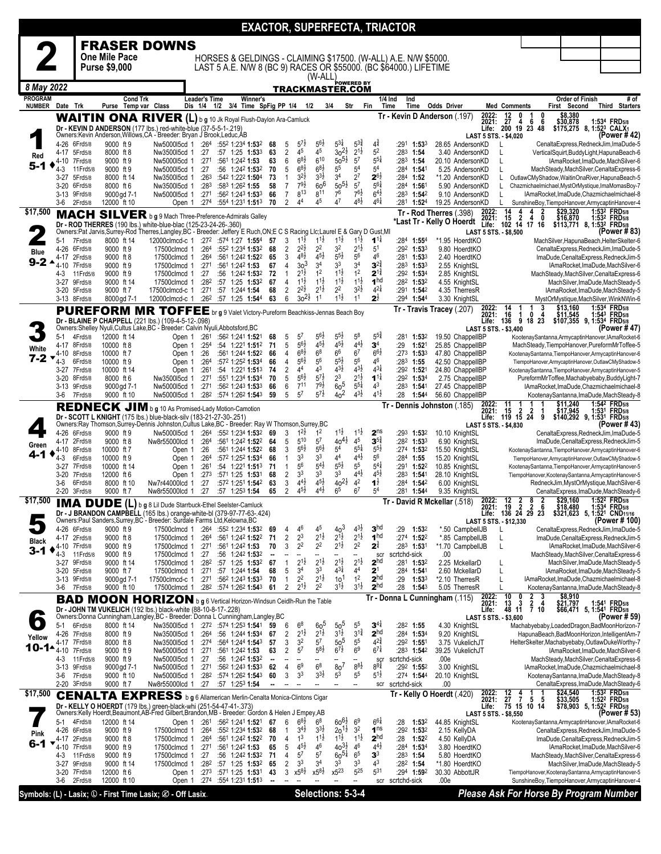|                                   |                              |                       |                                         |                                                                                                                                                                                                             |                                     |                                                               |                                                        |                      |                                                           |                                            |                                             |                                      |                                          | <b>EXACTOR, SUPERFECTA, TRIACTOR</b>                                                                                                |                                                             |                                                        |                                        |                                                                                                            |
|-----------------------------------|------------------------------|-----------------------|-----------------------------------------|-------------------------------------------------------------------------------------------------------------------------------------------------------------------------------------------------------------|-------------------------------------|---------------------------------------------------------------|--------------------------------------------------------|----------------------|-----------------------------------------------------------|--------------------------------------------|---------------------------------------------|--------------------------------------|------------------------------------------|-------------------------------------------------------------------------------------------------------------------------------------|-------------------------------------------------------------|--------------------------------------------------------|----------------------------------------|------------------------------------------------------------------------------------------------------------|
|                                   |                              |                       |                                         | <b>FRASER DOWNS</b>                                                                                                                                                                                         |                                     |                                                               |                                                        |                      |                                                           |                                            |                                             |                                      |                                          |                                                                                                                                     |                                                             |                                                        |                                        |                                                                                                            |
|                                   |                              |                       | One Mile Pace<br><b>Purse \$9,000</b>   |                                                                                                                                                                                                             |                                     |                                                               |                                                        |                      |                                                           |                                            |                                             |                                      |                                          | HORSES & GELDINGS - CLAIMING \$17500. (W-ALL) A.E. N/W \$5000.<br>LAST 5 A.E. N/W 8 (BC 9) RACES OR \$55000. (BC \$64000.) LIFETIME |                                                             |                                                        |                                        |                                                                                                            |
|                                   |                              |                       |                                         |                                                                                                                                                                                                             |                                     |                                                               |                                                        |                      |                                                           | (W-ALL)                                    |                                             |                                      |                                          |                                                                                                                                     |                                                             |                                                        |                                        |                                                                                                            |
| 8 May 2022                        |                              |                       |                                         |                                                                                                                                                                                                             |                                     |                                                               |                                                        |                      |                                                           |                                            | TRACKMASTER.COM                             | ÞOWERED BY                           |                                          |                                                                                                                                     |                                                             |                                                        |                                        |                                                                                                            |
| <b>PROGRAM</b><br>NUMBER Date Trk |                              |                       | <b>Cond Trk</b><br>Purse Temp var Class |                                                                                                                                                                                                             | <b>Leader's Time</b><br>Dis 1/4 1/2 |                                                               | Winner's<br>3/4 Time SpFig PP 1/4 1/2                  |                      |                                                           |                                            | 3/4                                         | Str                                  | Fin                                      | 1/4 Ind<br>Ind<br>Time<br>Time                                                                                                      | <b>Odds Driver</b>                                          | Med Comments                                           | <b>Order of Finish</b><br>First Second | # of<br>Third Starters                                                                                     |
|                                   |                              |                       |                                         | WAITIN ONA RIVER (L) b g 10 Jk Royal Flush-Daylon Ara-Camluck<br>Dr - KEVIN D ANDERSON (177 lbs.) red-white-blue (37-5-5-1-.219)<br>Owners: Kevin Anderson, Willows, CA - Breeder: Bryan J Brook, Leduc, AB |                                     |                                                               |                                                        |                      |                                                           |                                            |                                             |                                      |                                          | Tr - Kevin D Anderson (.197)                                                                                                        | <b>LAST 5 STS. - \$4,020</b>                                | 2022: 12 0 1 0<br>2021: 27 4 6 6<br>Life: 200 19 23 48 |                                        | \$8,380<br>\$30,878 1:534 FRD5/8<br>\$175,275 8, 1:523 CALX1<br>(Power # 42)                               |
|                                   | 4-26 6Frd5/8                 |                       | 9000 ft 9                               | Nw500015cd 1 :264                                                                                                                                                                                           |                                     | :552 1:234 1:532                                              |                                                        | 68                   | $5^{7}$<br>5                                              | $5^{6}\frac{1}{2}$                         | $5^{3\frac{1}{4}}$                          | $5^{3*}$                             | 41                                       | :291<br>$1:53^{3}$                                                                                                                  | 28.65 AndersonKD                                            | L                                                      |                                        | CenaltaExpress, RedneckJim, ImaDude-5                                                                      |
| Red                               | 4-17 5Frd5/8<br>4-10 7Frd5/8 |                       | 8000 ft 8<br>9000 ft 9                  | Nw350015cd 1<br>Nw5000I5cd 1                                                                                                                                                                                | :27<br>:271                         | :561 1:242 1:53                                               | $:57$ 1:25 1:53 <sup>3</sup>                           | 63<br>63             | 45<br>2<br>$6^{8}$ <sub>2</sub><br>6                      | 4 <sup>5</sup><br>$6^{10}$                 | $30^{21}$<br>$50^{51}$                      | $2^{1\frac{1}{2}}$<br>$5^7$          | 5 <sup>2</sup><br>$5^{5\frac{1}{4}}$     | $:283$ 1:54<br>$:28^3$ 1:54                                                                                                         | 3.40 AndersonKD<br>20.10 AndersonKD                         | L<br>L                                                 |                                        | VerticalSquirt,BuddyLight,HapunaBeach-6<br>IAmaRocket, ImaDude, MachSilver-6                               |
| $5 - 1$                           | 4-3<br>3-27                  | 11 Frd 5/8<br>5Frd5/8 | 9000 ft 9<br>8000 ft 14                 | Nw500015cd 1<br>Nw350015cd 1                                                                                                                                                                                | :27<br>:26 <sup>3</sup>             | :542 1:222 1:504                                              | :56 1:242 1:532                                        | 70<br>73             | $6^{8}\frac{1}{2}$<br>5<br>$3^{21}$<br>$\mathbf{1}$       | $6^{8\frac{1}{2}}$<br>$3^{3}\frac{1}{2}$   | $5^5\,$<br>3 <sup>4</sup>                   | 5 <sup>4</sup><br>$2^7$              | 5 <sup>4</sup><br>$2^{6}\frac{1}{2}$     | $:284$ 1:54<br>$:284$ 1:52                                                                                                          | 5.25 AndersonKD<br>*1.20 AndersonKD                         | L<br>L                                                 |                                        | MachSteady, MachSilver, Cenalta Express-6<br>OutlawCMyShadow,WaitinOnaRiver,HapunaBeach-5                  |
|                                   | 3-20 6Frd5/8                 |                       | 8000 ft 6                               | Nw350015cd 1                                                                                                                                                                                                | :283                                | :583 1:262 1:55                                               |                                                        | 58                   | $79\frac{1}{2}$<br>$\overline{7}$                         | 60 <sup>6</sup>                            | $50^{51}$                                   | 5 <sup>7</sup>                       | $56\frac{1}{4}$                          | :284 1:561                                                                                                                          | 5.90 AndersonKD                                             | L                                                      |                                        | Chazmichaelmichael, MystOrMystique, ImaMomasBoy-7                                                          |
|                                   | 3-13 9Frd5/8<br>3-6          | 2Frd5/8               | 9000 gd 7-1<br>12000 ft 10              | Nw500015cd 1<br>Open 1                                                                                                                                                                                      | :274                                | :271:5621:2431:533<br>:554 1:231 1:513                        |                                                        | 66<br>70             | 813<br>7<br>44<br>$\overline{2}$                          | 811<br>45                                  | 7 <sup>6</sup><br>4 <sup>7</sup>            | $76\frac{1}{2}$<br>$4^{81}$          | $6^{4}$<br>$4^{6}\frac{1}{4}$            | :283 1:542<br>$:28^1$ 1:524                                                                                                         | 9.10 AndersonKD<br>19.25 AndersonKD                         | L                                                      |                                        | IAmaRocket, ImaDude, Chazmichaelmichael-8<br>SunshineBoy, TiempoHanover, ArmycaptinHanover-4               |
| \$17,500                          |                              |                       |                                         | MACH SILVER b g 9 Mach Three-Preference-Admirals Galley                                                                                                                                                     |                                     |                                                               |                                                        |                      |                                                           |                                            |                                             |                                      |                                          |                                                                                                                                     | 2022:<br>Tr - Rod Therres (.398)<br>2021:                   | $\frac{14}{15}$<br>$\frac{4}{2}$<br>4<br>0             | \$29,320<br>\$16,870                   | 1:532 FRD5/8<br>1:532 FRD5/8                                                                               |
|                                   |                              |                       |                                         | Dr - ROD THERRES (190 lbs.) white-blue-blac (125-23-24-26-.360)<br>Owners:Pat Jarvis,Surrey-Rod Therres,Langley,BC - Breeder: Jeffery E Ruch,ON;E C S Racing Llc;Laurel E & Gary D Gust,MI                  |                                     |                                                               |                                                        |                      |                                                           |                                            |                                             |                                      |                                          |                                                                                                                                     | *Last Tr - Kelly O Hoerdt<br>Life:<br>LAST 5 STS. - \$8,500 | 102 14 17 16                                           |                                        | \$113,771 8, 1:53 <sup>2</sup> FRD <sub>5/8</sub><br>(Power # 83)                                          |
|                                   | $5-1$                        | 7Frd5/8               | 8000 ft 14                              | 12000clmcd-c 1                                                                                                                                                                                              |                                     | $:27^2$ :574 1:27 1:554                                       |                                                        | 57                   | 3<br>$1^{1}\frac{1}{2}$                                   | $1^{1\frac{1}{2}}$                         | $1^{1}\frac{1}{2}$                          | $1^{1}\frac{1}{2}$                   | $1^{11}$                                 | $: 284$ 1:554                                                                                                                       | *1.95 HoerdtKO                                              |                                                        |                                        | MachSilver, HapunaBeach, HelterSkelter-6                                                                   |
| Blue                              | 4-26 6Frd5/8<br>4-17         | 2Frd5/8               | 9000 ft 9<br>9000 ft 8                  | 17500clmcd 1<br>17500clmcd 1                                                                                                                                                                                | :264                                | $:264$ $:552$ 1:234 1:532                                     | :561 1:242 1:522                                       | 68<br>65             | $2^{2}\frac{1}{2}$<br>2<br>$4^{8}\frac{1}{2}$<br>3        | 2 <sup>2</sup><br>$4^{5}\frac{1}{2}$       | 3 <sup>2</sup><br>55}                       | $2^{1\frac{1}{2}}$<br>$5^6$          | 5 <sup>1</sup><br>46                     | :292 1:533<br>$:28^1$ 1:53 <sup>3</sup>                                                                                             | 9.80 HoerdtKO<br>2.40 HoerdtKO                              |                                                        |                                        | CenaltaExpress, RedneckJim, ImaDude-5<br>ImaDude,CenaltaExpress,RedneckJim-5                               |
| $9 - 24$                          | 4-10                         | 7Frd5/8               | 9000 ft 9<br>9000 ft 9                  | 17500clmcd 1<br>17500clmcd 1                                                                                                                                                                                | :271<br>:27                         | :561 1:242 1:53                                               | :56 1:242 1:532                                        | 67<br>72             | 3 <sup>3</sup><br>4<br>2 <sup>1</sup> ż<br>$\mathbf{1}$   | 34<br>1 <sup>2</sup>                       | 33<br>$1^{1\frac{1}{2}}$                    | 3 <sup>4</sup><br>1 <sup>2</sup>     | $3^{2\frac{3}{4}}$<br>$2^{1\frac{3}{4}}$ | :283 1:533<br>:292 1:534                                                                                                            | 2.55 KnightSL                                               |                                                        |                                        | IAmaRocket,ImaDude,MachSilver-6                                                                            |
|                                   | 4-3<br>3-27                  | 11 Frd 5/8<br>9Frd5/8 | 9000 ft 14                              | 17500clmcd 1                                                                                                                                                                                                | :282                                | :57 1:25 1:53 <sup>2</sup>                                    |                                                        | 67                   | $1^{11}$<br>4                                             | $1^{1\frac{1}{2}}$                         | $1^{1}\frac{1}{2}$                          | $1^{1\frac{1}{2}}$                   | 1 <sup>hd</sup>                          | $:28^2$ 1:53 <sup>2</sup>                                                                                                           | 2.85 KnightSL<br>4.55 KnightSL                              |                                                        |                                        | MachSteady, MachSilver, Cenalta Express-6<br>MachSilver, ImaDude, MachSteady-5                             |
|                                   | 3-20 5Frd5/8<br>3-13 8Frd5/8 |                       | 9000 ft 7<br>8000 gd 7-1                | 17500clmcd-c 1<br>12000clmcd-c 1                                                                                                                                                                            | :271                                | :57 1:244 1:54<br>:26 <sup>2</sup> :57 1:25 1:54 <sup>4</sup> |                                                        | 68<br>63             | $2^{2}\frac{1}{2}$<br>$\overline{2}$<br>$30^{21}$<br>6    | $2^{1\frac{1}{2}}$<br>1 <sup>1</sup>       | $2^2$<br>$1^{1\frac{1}{2}}$                 | $3^{21}$<br>1 <sup>1</sup>           | $4^{21}$<br>$2^{\frac{1}{2}}$            | :291 1:542<br>:294 1:544                                                                                                            | 4.35 TherresR<br>3.30 KnightSL                              |                                                        |                                        | IAmaRocket, ImaDude, MachSteady-5<br>MystOrMystique, MachSilver, WinkNWin-6                                |
|                                   |                              |                       | <b>PUREFORM MR</b>                      | TOFFEE br g 9 Valet Victory-Pureform Beachkiss-Jennas Beach Boy                                                                                                                                             |                                     |                                                               |                                                        |                      |                                                           |                                            |                                             |                                      |                                          |                                                                                                                                     | 2022:<br>2021:<br>Tr - Travis Tracey (.207)                 | $\frac{14}{16}$<br>0<br>1<br>-4                        | \$13,160                               | 1:534 FRD5/8                                                                                               |
|                                   |                              |                       |                                         | Dr - BLAINE P CHAPPELL (221 lbs.) (109-4-5-12-.098)<br>Owners: Shelley Nyuli, Cultus Lake, BC - Breeder: Calvin Nyuli, Abbotsford, BC                                                                       |                                     |                                                               |                                                        |                      |                                                           |                                            |                                             |                                      |                                          |                                                                                                                                     | Life:<br>LAST 5 STS. - \$3,400                              | 136<br>9 18 23                                         |                                        | $$11,545$ 1:543 FRD <sub>5/8</sub><br>\$107,355 9, 1:53 <sup>4</sup> FRD <sub>5/8</sub><br>(Power # 47)    |
|                                   | $5-1$                        | 4Frd5/8               | 12000 ft 14                             | Open 1                                                                                                                                                                                                      | :261                                | :562 1:241 1:521                                              |                                                        | 68                   | $5^7$<br>5                                                | $5^{6}\frac{1}{2}$                         | $5^{5}\frac{1}{2}$                          | $5^8$                                | $5^{5\frac{3}{4}}$                       | :281 1:532                                                                                                                          | 19.50 ChappelIBP                                            |                                                        |                                        | KootenaySantanna,ArmycaptinHanover,IAmaRocket-6                                                            |
| White                             | 4-17<br>4-10                 | 8Frd5/8<br>8Frd5/8    | 10000 ft 8<br>10000 ft 7                | Open 1<br>Open 1                                                                                                                                                                                            | :254<br>:26                         |                                                               | :54 1:221 1:512<br>:561 1:244 <b>1:52</b> <sup>2</sup> | 71<br>66             | $5^{6}$<br>5<br>$68\frac{1}{2}$<br>4                      | $4^{51}$<br>$6^8$                          | $4^{5}\frac{1}{2}$<br>6 <sup>6</sup>        | $4^{4}$<br>6 <sup>7</sup>            | 3 <sup>4</sup><br>$66\frac{1}{2}$        | :29<br>1:52 <sup>1</sup><br>$:27^3$ 1:53 <sup>3</sup>                                                                               | 25.85 ChappelIBP<br>47.80 ChappelIBP                        |                                                        |                                        | MachSteady, TiempoHanover, PureformMrToffee-5<br>KootenaySantanna,TiempoHanover,ArmycaptinHanover-6        |
| $7 - 2$                           | 4-3                          | 6Frd5/8               | 10000 ft 9                              | Open 1                                                                                                                                                                                                      | :264                                | :572 1:252 1:534                                              |                                                        | 66                   | $5^{6}$<br>4<br>44                                        | $5^6$<br>4 <sup>3</sup>                    | $5^{5\frac{1}{2}}$<br>$4^{3}\frac{1}{2}$    | $5^6$<br>$4^{3}\frac{1}{2}$          | 46<br>$4^{3}\frac{1}{4}$                 | $:28^3$ 1:55                                                                                                                        | 42.50 ChappelIBP                                            |                                                        |                                        | TiempoHanover,ArmycaptinHanover,OutlawCMyShadow-5                                                          |
|                                   | 3-27 7Frd5/8<br>3-20         | 8Frd5/8               | 10000 ft 14<br>8000 ft 6                | Open 1<br>Nw350015cd 1                                                                                                                                                                                      | :261<br>:271                        | :551 1:234 1:534                                              | $:54$ 1:22 <sup>1</sup> 1:51 <sup>3</sup>              | 74<br>70             | 2<br>$56\frac{1}{2}$<br>5                                 | $5^{7\frac{1}{2}}$                         | 2 <sup>3</sup>                              | $2^{1\frac{1}{2}}$                   | $1^{11}$                                 | :292 1:521<br>:292 1:534                                                                                                            | 24.80 ChappelIBP<br>2.75 ChappelIBP                         |                                                        |                                        | KootenaySantanna,TiempoHanover,ArmycaptinHanover-5<br>PureformMrToffee,Machabyebaby,BuddyLight-7           |
|                                   | 3-13 9Frd5/8<br>3-6          | 7Frd5/8               | 9000 gd 7-1<br>9000 ft 10               | Nw500015cd 1<br>Nw500015cd 1                                                                                                                                                                                | :271                                | :282 :574 1:262 1:543                                         | :562 1:243 1:533                                       | 66<br>59             | $7^{11}$<br>6<br>5 <sup>7</sup><br>5                      | $7^{9}\frac{1}{2}$<br>$5^{7\frac{1}{2}}$   | 60 <sup>5</sup><br>40 <sup>2</sup>          | $5^{51}$<br>$4^{3}\frac{1}{2}$       | 4 <sup>3</sup><br>$4^{1\frac{1}{2}}$     | :28 <sup>3</sup> 1:54 <sup>1</sup><br>:28<br>1:54 <sup>4</sup>                                                                      | 27.45 ChappelIBP<br>56.60 ChappelIBP                        |                                                        |                                        | IAmaRocket, ImaDude, Chazmichaelmichael-8<br>KootenaySantanna, ImaDude, MachSteady-8                       |
|                                   |                              |                       |                                         | REDNECK JIM b g 10 As Promised-Lady Motion-Camotion                                                                                                                                                         |                                     |                                                               |                                                        |                      |                                                           |                                            |                                             |                                      |                                          | Tr - Dennis Johnston (.185)                                                                                                         | 2022:<br>2021:                                              | 11<br>$\boldsymbol{2}$<br>15<br>2                      | \$11,240<br>\$17,945                   | 1:542 FRD5/8<br>1:531 FRD5/8                                                                               |
|                                   |                              |                       |                                         | Dr - SCOTT L KNIGHT (175 lbs.) blue-black-silv (183-21-27-30-.251)<br>Owners:Ray Thomson,Surrey-Dennis Johnston,Cultus Lake,BC - Breeder: Ray W Thomson,Surrey,BC                                           |                                     |                                                               |                                                        |                      |                                                           |                                            |                                             |                                      |                                          |                                                                                                                                     |                                                             | Life: 119 15 24 9                                      |                                        | \$140,292 9, 1:531 FRD5/8<br>(Power # 43)                                                                  |
|                                   | 4-26 6Frd5/8                 |                       | 9000 ft 9                               | Nw5000l5cd 1                                                                                                                                                                                                |                                     | :264 :552 1:234 1:532 69                                      |                                                        |                      | $1^{2}\frac{1}{2}$<br>3                                   | 1 <sup>2</sup>                             | $1^{1\frac{1}{2}}$                          | $1^{1\frac{1}{2}}$                   | 2 <sup>ns</sup>                          | :293 1:532                                                                                                                          | LAST 5 STS. - \$4,830<br>10.10 KnightSL                     |                                                        |                                        | CenaltaExpress, RedneckJim, ImaDude-5                                                                      |
| Green                             | 4-17<br>4-10                 | 2Frd5/8<br>8Frd5/8    | 9000 ft 8<br>10000 ft 7                 | Nw8r55000lcd 1<br>Open 1                                                                                                                                                                                    | :264<br>:26                         |                                                               | :561 1:242 1:522<br>:561 1:244 <b>1:52</b> 2           | 64<br>68             | 510<br>5<br>$5^{6}\frac{1}{2}$<br>3                       | $5^7$<br>$56\frac{1}{2}$                   | $40^{41}$<br>5 <sup>4</sup>                 | $4^{\scriptstyle 5}$<br>$5^{51}$     | $3^{5^3}$<br>$5^{5}\frac{1}{2}$          | :282 1:533<br>:274 1:532                                                                                                            | 6.90 KnightSL<br>15.50 KnightSL                             |                                                        |                                        | ImaDude,CenaltaExpress,RedneckJim-5<br>KootenaySantanna,TiempoHanover,ArmycaptinHanover-6                  |
| 4-1                               | $4 - 3$                      | 6Frd5/8               | 10000 ft 9                              | Open 1                                                                                                                                                                                                      | :264                                | :572 1:252 1:534                                              |                                                        | 66                   | 3 <sup>3</sup><br>1<br>56                                 | 3 <sup>3</sup><br>$5^{4}$                  | 44<br>$5^{51}$                              | $4^{4}$ <sub>2</sub><br>55           | $5^6$<br>$5^{4}$                         | $:284$ 1:55                                                                                                                         | 15.20 KnightSL                                              |                                                        |                                        | TiempoHanover,ArmycaptinHanover,OutlawCMyShadow-5                                                          |
|                                   | 3-27 7Frd5/8<br>$3-20$       | 7Frd5/8               | 10000 ft 14<br>12000 ft 6               | Open 1<br>Open 1                                                                                                                                                                                            | :261<br>:273                        | :54 1:221 1:513 71<br>:571 1:25 1:531                         |                                                        | 68                   | $\mathbf{1}$<br>3 <sup>3</sup><br>2                       | 3 <sup>3</sup>                             | 3 <sup>3</sup>                              | $4^{41}$                             | $4^{5}\frac{1}{2}$                       | :291 1:522<br>$:283$ 1:541                                                                                                          | 10.85 KnightSL<br>28.10 KnightSL                            |                                                        |                                        | KootenaySantanna,TiempoHanover,ArmycaptinHanover-5<br>TiempoHanover, KootenaySantanna, ArmycaptinHanover-5 |
|                                   | 3-6<br>2-20 3Frd5/8          | 6Frd5/8               | 8000 ft 10<br>9000 ft 7                 | Nw7r44000lcd 1<br>Nw8r55000lcd 1                                                                                                                                                                            | :27<br>:27                          | $:57$ 1:25 <sup>3</sup> 1:54                                  | :572 1:251 1:542                                       | 63<br>65             | $4^{4}$<br>3<br>$4^{51}$<br>2                             | $4^{51}$<br>$4^{4\frac{1}{2}}$             | $40^{21}$<br>6 <sup>5</sup>                 | 4 <sup>2</sup><br>6 <sup>7</sup>     | $1^{\frac{1}{2}}$<br>5 <sup>4</sup>      | :284 1:542<br>:281 1:544                                                                                                            | 6.00 KnightSL<br>9.35 KnightSL                              |                                                        |                                        | RedneckJim, MystOrMystique, MachSilver-6<br>CenaltaExpress,ImaDude,MachSteady-6                            |
| \$17,500                          | <b>IMA</b>                   |                       | DUDE(L)                                 | g 8 Lil Dude Starrbuck-Ethel Seelster-Camluck                                                                                                                                                               |                                     |                                                               |                                                        |                      |                                                           |                                            |                                             |                                      |                                          |                                                                                                                                     | 2022:<br>Tr - David R Mckellar (.518)                       | $\overline{2}$<br>12<br>$\frac{2}{2}$<br>8<br>19       | \$29,160                               | 1:522 FRD <sub>5/8</sub>                                                                                   |
|                                   | 4-26 6Frd5/8                 |                       | 9000 ft 9                               | Dr - J BRANDON CAMPBELL (165 lbs.) orange-white-bl (379-97-77-63-424)<br>Owners:Paul Sanders,Surrey,BC - Breeder: Surdale Farms Ltd,Kelowna,BC<br>17500clmcd 1 :264 :552 1:234 1:532                        |                                     |                                                               |                                                        |                      | 46<br>4                                                   | 45                                         | $40^{3}$                                    | $4^{3}\frac{1}{2}$                   | 3 <sup>hd</sup>                          | :29<br>1:532                                                                                                                        | 202 I.<br>LAST 5 STS. - \$12,330<br>*.50 CampbellJB         | Life: 136 24 29 23                                     | 10,400 ق                               | $1.537$ $\sim$ FRD5/8<br>\$321,623 5, 1:521 CND11/16<br>(Power # 100)                                      |
| Black                             | 4-17 2Frd5/8                 |                       | 9000 ft 8                               | 17500clmcd 1                                                                                                                                                                                                | :264                                | :561 1:242 1:522                                              |                                                        | 69<br>71             | $2^3$<br>2                                                | $2^{1\frac{1}{2}}$                         | $2^{1\frac{1}{2}}$                          | $2^{1\frac{1}{2}}$                   | 1 <sup>hd</sup>                          | :274 1:522                                                                                                                          | *.85 CampbellJB                                             | L                                                      |                                        | CenaltaExpress,RedneckJim,ImaDude-5<br>ImaDude,CenaltaExpress,RedneckJim-5                                 |
| $3 - 1$                           | 4-10 7Frd5/8<br>$4 - 3$      | 11 Frd 5/8            | 9000 ft 9<br>9000 ft 9                  | 17500clmcd 1<br>17500clmcd 1                                                                                                                                                                                | :271<br>:27                         | :561 1:242 1:53                                               | :56 1:242 1:532                                        | 70<br>⋅.             | 2 <sup>2</sup><br>3                                       | 2 <sup>2</sup>                             | $2^{1\frac{1}{2}}$                          | 2 <sup>2</sup><br>--                 | $2^{\frac{3}{4}}$<br>scr                 | :283 1:531<br>scrtchd-sick                                                                                                          | *1.70 CampbellJB<br>.00                                     | L                                                      |                                        | IAmaRocket, ImaDude, MachSilver-6<br>MachSteady, MachSilver, Cenalta Express-6                             |
|                                   | 3-27 9Frd5/8<br>3-20 5Frd5/8 |                       | 9000 ft 14                              | 17500clmcd 1<br>17500clmcd 1                                                                                                                                                                                | :282                                | :57 1:25 1:532                                                |                                                        | 67<br>68             | $2^{1\frac{1}{2}}$<br>$\mathbf{1}$<br>3 <sup>4</sup><br>5 | $2^{1\frac{1}{2}}$<br>33                   | $2^{1\frac{1}{2}}$<br>$4^{3\frac{1}{4}}$    | $2^{1\frac{1}{2}}$<br>4 <sup>4</sup> | 2 <sup>hd</sup><br>2 <sup>1</sup>        | :281 1:532<br>:284 1:541                                                                                                            | 2.25 MckellarD<br>2.60 MckellarD                            | L                                                      |                                        | MachSilver, ImaDude, MachSteady-5<br>IAmaRocket, ImaDude, MachSteady-5                                     |
|                                   | 3-13 9Frd5/8                 |                       | 9000 ft 7<br>9000gd 7-1                 | 17500clmcd-c 1                                                                                                                                                                                              | :271<br>:271                        | :57 1:244 1:54<br>:562 1:243 1:533                            |                                                        | 70                   | 2 <sup>2</sup><br>$\mathbf{1}$                            | $2^{1\frac{1}{2}}$                         | 10 <sup>1</sup>                             | 1 <sup>2</sup>                       | 2 <sup>hd</sup>                          | :29<br>1:533                                                                                                                        | *2.10 TherresR                                              |                                                        |                                        | IAmaRocket,ImaDude,Chazmichaelmichael-8                                                                    |
|                                   | 3-6                          | 7Frd5/8               | 9000 ft 10                              | 17500clmcd 1                                                                                                                                                                                                |                                     | :282 :574 1:262 1:543 61                                      |                                                        |                      | $2^{1\frac{1}{2}}$<br>2                                   | 2 <sup>2</sup>                             | $3^{1}\frac{1}{2}$                          | $3^{1\frac{1}{2}}$                   | 2 <sup>hd</sup>                          | :28<br>1:54 <sup>3</sup>                                                                                                            | 5.05 TherresR<br>2022:<br>Tr - Donna L Cunningham (115)     | 10<br>2<br>0<br>3                                      | \$8,910                                | KootenaySantanna, ImaDude, MachSteady-8                                                                    |
|                                   |                              |                       |                                         | <b>BAD MOON HORIZON</b> b g 6 Vertical Horizon-Windsun Ceidlh-Run the Table<br>Dr - JOHN TM VUKELICH (192 lbs.) black-white (88-10-8-17-.228)                                                               |                                     |                                                               |                                                        |                      |                                                           |                                            |                                             |                                      |                                          |                                                                                                                                     | 2021:<br>Life:                                              | 13<br>$\frac{2}{7}$ $\frac{4}{10}$<br>3<br>48 11       |                                        | \$21,797 1:541 FRD5/8<br>\$66,471 5, 1:541 FRD5/8                                                          |
|                                   | $5-1$                        | 6Frd5/8               | 8000 ft 14                              | Owners:Donna Cunningham,Langley,BC - Breeder: Donna L Cunningham,Langley,BC<br>Nw3500l5cd 1 :272 :574 1:253 1:541                                                                                           |                                     |                                                               |                                                        | 59                   | 6<br>6 <sup>8</sup>                                       | 60 <sup>5</sup>                            | $50^{5}$                                    | 5 <sup>5</sup>                       | $3^{4}$                                  | $:282$ 1:55                                                                                                                         | LAST 5 STS. - \$3,600<br>4.30 KnightSL                      |                                                        |                                        | (Power # 59)<br>Machabyebaby,LoadedDragon,BadMoonHorizon-7                                                 |
| Yellow                            | 4-26 7Frd5/8                 |                       | 8000 ft 9                               | Nw350015cd 1                                                                                                                                                                                                | :264                                | :56 1:244 1:534                                               |                                                        | 67                   | 2<br>$2^{1}$<br>3 <sup>2</sup>                            | $2^{1\frac{1}{2}}$<br>$5^7$                | $3^{11}$                                    | $3^{1\frac{3}{4}}$<br>5 <sup>5</sup> | 2 <sup>hd</sup><br>$4^{2^{3}_{4}}$       | :284 1:534                                                                                                                          | 9.20 KnightSL                                               |                                                        |                                        | HapunaBeach,BadMoonHorizon,IntelligentAm-7                                                                 |
| 10-1-                             | 4-17<br>$4 - 10$             | 7Frd5/8<br>7Frd5/8    | 8000 ft 8<br>9000 ft 9                  | Nw350015cd 1<br>Nw500015cd 1                                                                                                                                                                                | :274<br>:271                        | :561 1:242 1:53                                               | :564 1:244 1:543                                       | 57<br>63             | 3<br>57<br>2                                              | $5^{8\frac{1}{2}}$                         | 50 <sup>5</sup><br>$6^{7\frac{1}{2}}$       | 6 <sup>9</sup>                       | $6^{7\frac{1}{4}}$                       | $:29^2$ 1:551<br>:283 1:542                                                                                                         | 3.75 VukelichJT<br>39.25 VukelichJT                         |                                                        |                                        | HelterSkelter, Machabyebaby, OutlawDukeWorthy-7<br>IAmaRocket, ImaDude, MachSilver-6                       |
|                                   | 4-3<br>3-13 9Frd5/8          | 11 Frd 5/8            | 9000 ft 9<br>9000 gd 7-1                | Nw5000I5cd 1<br>Nw500015cd 1                                                                                                                                                                                | :27<br>:271                         | :562 1:243 <b>1:53</b> 3                                      | :56 1:242 1:532                                        | $\blacksquare$<br>62 | --<br>6 <sup>9</sup><br>4                                 | $\overline{\phantom{a}}$<br>6 <sup>8</sup> | $\overline{\phantom{a}}$<br>80 <sup>7</sup> | Ξ.<br>$8^{8}\frac{1}{2}$             | scr<br>$8^{8}\frac{3}{4}$                | scrtchd-sick<br>:292 1:552                                                                                                          | .00e<br>3.00 KnightSL                                       |                                                        |                                        | MachSteady, MachSilver, Cenalta Express-6<br>IAmaRocket, ImaDude, Chazmichaelmichael-8                     |
|                                   | 3-6                          | 7Frd5/8               | 9000 ft 10                              | Nw5000I5cd 1                                                                                                                                                                                                | :282                                | :574 1:26 <sup>2</sup> <b>1:54</b> 3                          |                                                        | 60                   | 3 <sup>3</sup><br>3                                       | $3^{3}\frac{1}{2}$                         | 5 <sup>3</sup>                              | 5 <sup>5</sup>                       | $5^{1\frac{1}{2}}$                       | $:274$ 1:544                                                                                                                        | 20.10 KnightSL                                              |                                                        |                                        | KootenaySantanna, ImaDude, MachSteady-8                                                                    |
| \$17,500                          | 2-20 3Frd5/8                 |                       | 9000 ft 7                               | Nw8r55000lcd 1 :27<br><b>CENALTA EXPRESS</b> b g 6 Allamerican Merlin-Cenalta Monica-Clintons Cigar                                                                                                         |                                     | :57 1:253 1:54                                                |                                                        |                      |                                                           |                                            |                                             | --                                   | scr                                      | scrtchd-sick                                                                                                                        | .00<br>Tr - Kelly O Hoerdt (420)                            |                                                        |                                        | CenaltaExpress,ImaDude,MachSteady-6<br>1:53 <sup>2</sup> FRD <sub>5/8</sub>                                |
|                                   |                              |                       |                                         | Dr - KELLY O HOERDT (179 lbs.) green-black-whi (251-54-47-41-.373)                                                                                                                                          |                                     |                                                               |                                                        |                      |                                                           |                                            |                                             |                                      |                                          |                                                                                                                                     | 2022:<br>2021:<br>Life:                                     |                                                        | \$24,540<br>\$33,505                   | 1:52 <sup>2</sup> FRD <sub>5/8</sub><br>\$78,903 5, 1:52 <sup>2</sup> FRD5/8                               |
|                                   | 5-1                          | 4Frd5/8               | 12000 ft 14                             | Owners:Kelly Hoerdt, Beaumont, AB-Fred Gilbert, Brandon, MB - Breeder: Gordon & Helen J Empey, AB<br>Open 1                                                                                                 |                                     | $:261$ $:562$ 1:241 <b>1:52</b> 1                             |                                                        | 67                   | 6<br>$68\frac{1}{2}$                                      | $6^8$                                      | $60^{61}$                                   | 6 <sup>9</sup>                       | $6^{6}$                                  | :28<br>1:532                                                                                                                        | LAST 5 STS. - \$8,550<br>44.85 KnightSL                     |                                                        |                                        | (Power # 53)<br>KootenaySantanna,ArmycaptinHanover,IAmaRocket-6                                            |
| Pink                              | 4-26 6Frd5/8                 |                       | 9000 ft 9                               | 17500clmcd 1                                                                                                                                                                                                |                                     | :264 :552 1:234 1:532 68                                      |                                                        |                      | $34$ <sub>2</sub><br>$\mathbf{1}$                         | $3^{3}\frac{1}{2}$                         | $20^{11}$                                   | 3 <sup>2</sup>                       | 1 <sup>ns</sup>                          | :292 1:532                                                                                                                          | 2.15 KellyDA                                                |                                                        |                                        | CenaltaExpress, RedneckJim, ImaDude-5                                                                      |
| 6-1                               | 4-17<br>4-10                 | 2Frd5/8<br>7Frd5/8    | 9000 ft 8<br>9000 ft 9                  | 17500clmcd 1<br>17500clmcd 1                                                                                                                                                                                | :264<br>:271                        | :561 1:242 1:522<br>:561 1:242 1:53                           |                                                        | 70<br>65             | 1 <sup>3</sup><br>4<br>$4^{5}\frac{1}{2}$<br>5            | $1^{1\frac{1}{2}}$<br>46                   | $1^{1\frac{1}{2}}$<br>$40^{31}$             | $1^{1\frac{1}{2}}$<br>46             | 2 <sup>hd</sup><br>$4^{4}$               | :28<br>1:52 <sup>2</sup><br>:284 1:534                                                                                              | 4.50 KellyDA<br>3.80 HoerdtKO                               |                                                        |                                        | ImaDude,CenaltaExpress,RedneckJim-5<br>IAmaRocket, ImaDude, MachSilver-6                                   |
|                                   | 4-3<br>3-27 9Frd5/8          | 11 Frd 5/8            | 9000 ft 9<br>9000 ft 14                 | 17500clmcd 1<br>17500clmcd 1                                                                                                                                                                                | :27<br>:282                         | :57 1:25 1:53 <sup>2</sup>                                    | :56 1:242 1:532                                        | -71<br>65            | $5^7$<br>4<br>3 <sup>3</sup><br>2                         | 5 <sup>7</sup><br>3 <sup>4</sup>           | $60^{51}$<br>3 <sup>3</sup>                 | 6 <sup>5</sup><br>3 <sup>3</sup>     | $\mathbf{3}^3$<br>4 <sup>3</sup>         | :283 1:54<br>:28 <sup>2</sup> 1:54                                                                                                  | 5.80 HoerdtKO<br>*1.80 HoerdtKO                             |                                                        |                                        | MachSteady, MachSilver, Cenalta Express-6<br>MachSilver, ImaDude, MachSteady-5                             |
|                                   | 3-20 7Frd5/8                 |                       | 12000 ft 6                              | Open 1                                                                                                                                                                                                      |                                     | :273 :571 1:25 1:531                                          |                                                        | 43                   | $x5^{8}$ <sub>2</sub><br>3                                | $x5^{8}\frac{1}{2}$                        | $x5^{23}$                                   | 525                                  | 531                                      | :294 1:592                                                                                                                          | 30.30 AbbottJR                                              |                                                        |                                        | TiempoHanover, KootenaySantanna, ArmycaptinHanover-5                                                       |
|                                   | 3-6                          | 2Frd5/8               | 12000 ft 10                             | Open 1                                                                                                                                                                                                      |                                     | $:274$ $:554$ 1:231 1:513                                     |                                                        | ⊷                    |                                                           |                                            |                                             |                                      | scr                                      | scrtchd-sick                                                                                                                        | .00e                                                        |                                                        |                                        | SunshineBoy, TiempoHanover, ArmycaptinHanover-4                                                            |
|                                   |                              |                       |                                         | Symbols: (L) - Lasix; 1 - First Time Lasix; 2 - Off Lasix.                                                                                                                                                  |                                     |                                                               |                                                        |                      |                                                           |                                            | Selections: 5-3-4                           |                                      |                                          |                                                                                                                                     |                                                             | <b>Please Ask For Horse By Program Number</b>          |                                        |                                                                                                            |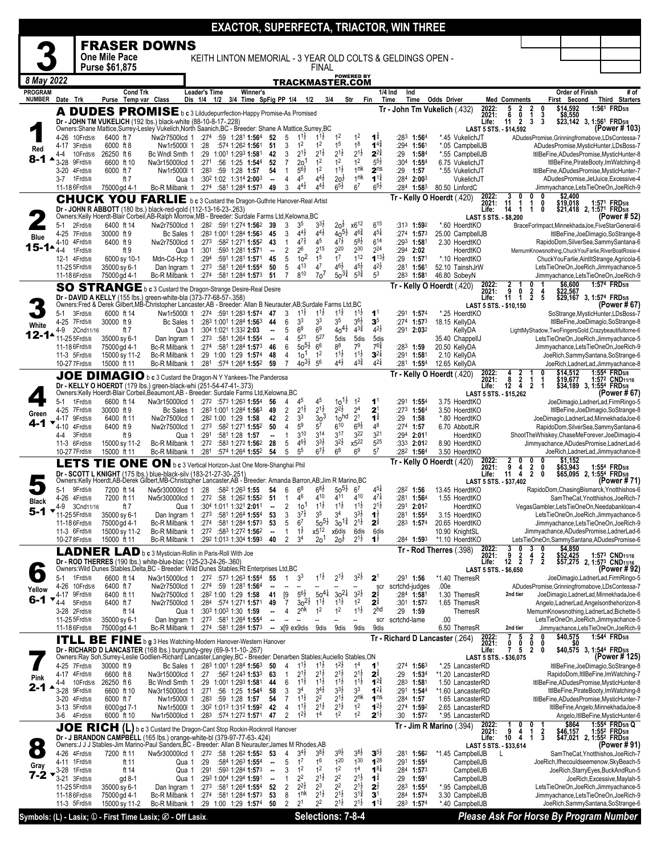|                                 |                                  |                      |                               |                 |                                                                                                                                                                                           |                                      |                                                                                    |          |                                |                                  |                                            |                                       |                                          |                                               |                                           | <b>EXACTOR, SUPERFECTA, TRIACTOR, WIN THREE</b>            |                    |                                       |                         |                                                              |                                             |                                                                                              |                                                                    |
|---------------------------------|----------------------------------|----------------------|-------------------------------|-----------------|-------------------------------------------------------------------------------------------------------------------------------------------------------------------------------------------|--------------------------------------|------------------------------------------------------------------------------------|----------|--------------------------------|----------------------------------|--------------------------------------------|---------------------------------------|------------------------------------------|-----------------------------------------------|-------------------------------------------|------------------------------------------------------------|--------------------|---------------------------------------|-------------------------|--------------------------------------------------------------|---------------------------------------------|----------------------------------------------------------------------------------------------|--------------------------------------------------------------------|
|                                 |                                  |                      |                               |                 | <b>FRASER DOWNS</b>                                                                                                                                                                       |                                      |                                                                                    |          |                                |                                  |                                            |                                       |                                          |                                               |                                           |                                                            |                    |                                       |                         |                                                              |                                             |                                                                                              |                                                                    |
|                                 |                                  |                      | One Mile Pace                 |                 |                                                                                                                                                                                           |                                      |                                                                                    |          |                                |                                  |                                            |                                       |                                          |                                               |                                           | KEITH LINTON MEMORIAL - 3 YEAR OLD COLTS & GELDINGS OPEN - |                    |                                       |                         |                                                              |                                             |                                                                                              |                                                                    |
|                                 |                                  |                      | Purse \$61,875                |                 |                                                                                                                                                                                           |                                      |                                                                                    |          |                                |                                  |                                            | FINAL                                 |                                          |                                               |                                           |                                                            |                    |                                       |                         |                                                              |                                             |                                                                                              |                                                                    |
| 8 May 2022                      |                                  |                      |                               |                 |                                                                                                                                                                                           |                                      |                                                                                    |          |                                |                                  |                                            |                                       | TRACKMASTER.COM                          | <b>POWERED BY</b>                             |                                           |                                                            |                    |                                       |                         |                                                              |                                             |                                                                                              |                                                                    |
| <b>PROGRAM</b><br><b>NUMBER</b> | Date Trk                         |                      |                               | <b>Cond Trk</b> | Purse Temp var Class                                                                                                                                                                      | <b>Leader's Time</b><br>Dis 1/4 1/2  |                                                                                    | Winner's | 3/4 Time SpFig PP 1/4 1/2      |                                  |                                            | 3/4                                   |                                          | Str<br>Fin                                    |                                           | 1/4 Ind<br>Ind<br>Time<br>Time                             | <b>Odds Driver</b> |                                       |                         | <b>Med Comments</b>                                          |                                             | <b>Order of Finish</b><br>First Second                                                       | # of<br>Third Starters                                             |
|                                 |                                  |                      |                               |                 | A DUDES PROMISE b c 3 Lildudepurrfection-Happy Promise-As Promised                                                                                                                        |                                      |                                                                                    |          |                                |                                  |                                            |                                       |                                          |                                               |                                           | Tr - John Tm Vukelich (432)                                |                    |                                       | 2022:                   | 5<br>2                                                       | $\frac{2}{1}$<br>0                          | \$14,592                                                                                     | 1:561 FRD5/8                                                       |
|                                 |                                  |                      |                               |                 | Dr - JOHN TM VUKELICH (192 lbs.) black-white (88-10-8-17-.228)                                                                                                                            |                                      |                                                                                    |          |                                |                                  |                                            |                                       |                                          |                                               |                                           |                                                            |                    |                                       | 2021:<br>Life:          | 6<br>0<br>$\overline{2}$<br>11                               | 3<br>3<br>3                                 | \$8,550<br>\$23,142 3, 1:56 <sup>1</sup> FRD <sub>5/8</sub>                                  |                                                                    |
|                                 | 4-26                             | 10Frd5/8             | 6400 ft 7                     |                 | Owners:Shane Mattice,Surrey-Lesley Vukelich,North Saanich,BC - Breeder: Shane A Mattice,Surrey,BC<br>Nw2r7500lcd 1                                                                        | :274                                 | :59 1:281 1:564                                                                    |          | 52                             | 5                                | $1^{11}$                                   | $1^{1}\frac{1}{2}$                    | 1 <sup>2</sup>                           | 1 <sup>2</sup>                                | $\mathbf{1}^{\frac{3}{4}}$                | :283<br>1:564                                              |                    | *.45 VukelichJT                       |                         | LAST 5 STS. - \$14,592                                       |                                             | ADudesPromise, Grinningfromabove, LDsContessa-7                                              | (Power # 103)                                                      |
| Red                             | 4-17 3Frd5/8                     |                      | 6000 ft 8                     |                 | Nw1r5000l 1                                                                                                                                                                               | :28                                  | :574 1:262 1:561                                                                   |          | 51                             | 3                                | 1 <sup>2</sup>                             | 1 <sup>2</sup>                        | 1 <sup>5</sup>                           | 1 <sup>8</sup>                                | $1^{4}$                                   | :294 1:561                                                 |                    | *.05 CampbellJB                       |                         |                                                              |                                             | ADudesPromise, MysticHunter, LDsBoss-7                                                       |                                                                    |
| 8-1                             | 4-4<br>3-28                      | 10Frd5/8<br>9Frd5/8  | 26250 ft 6<br>6600 ft 10      |                 | Bc Wndl Smth 1<br>Nw3r15000lcd 1                                                                                                                                                          | :271                                 | :29 1:001 1:293 1:581<br>:56 1:25 1:544                                            |          | 42<br>52                       | 3<br>$\overline{7}$              | $2^{1\frac{1}{2}}$<br>2 <sub>o</sub>       | $2^{1\frac{1}{2}}$<br>1 <sup>2</sup>  | $2^{1\frac{1}{2}}$<br>1 <sup>2</sup>     | $2^{1\frac{1}{2}}$<br>1 <sup>2</sup>          | $2^{24}$<br>$5^{5}$                       | :29<br>1:584<br>:304 1:554                                 |                    | *.55 CampbellJB<br>6.75 VukelichJT    |                         |                                                              |                                             | ItllBeFine, ADudesPromise, MysticHunter-8                                                    | ItllBeFine, PirateBooty, ImWatching-8                              |
|                                 | 3-20                             | 4Frd5/8              | 6000 ft 7                     |                 | Nw1r5000l 1                                                                                                                                                                               |                                      | $:28^3$ :59 1:28 1:57                                                              |          | 54                             | $\mathbf{1}$                     | $5^{6}$                                    | 1 <sup>2</sup>                        | $1^{1\frac{1}{2}}$                       | 1 <sup>nk</sup>                               | 2 <sup>ns</sup>                           | :29<br>1:57                                                |                    | *.55 VukelichJT                       |                         |                                                              |                                             | ItllBeFine, ADudesPromise, MysticHunter-7                                                    |                                                                    |
|                                 | 3-7 1 Frd 5/8<br>11-18 6 Frd 5/8 |                      | 75000 gd 4-1                  | ft 7            | Qua 1<br>Bc-R Milbank 1                                                                                                                                                                   |                                      | :30 <sup>2</sup> 1:02 1:314 <b>2:00</b> 3<br>:274 :581 1:284 1:573                 |          | $\overline{\phantom{a}}$<br>49 | $\overline{4}$<br>3              | $4^5\,$<br>$4^{4}$ <sub>2</sub>            | $4^{4}\frac{1}{2}$<br>$4^{4}$         | 20 <sup>1</sup><br>$6^{5\frac{1}{2}}$    | 1 <sup>nk</sup><br>6 <sup>7</sup>             | $1^{1\frac{3}{4}}$<br>$6^{5}\frac{1}{2}$  | $:284$ 2:003<br>:284<br>1:583                              |                    | VukelichJT<br>80.50 LinfordC          |                         |                                                              |                                             | ADudesPromise, JetJuice, Excessive-4<br>Jimmyachance,LetsTieOneOn,JoeRich-9                  |                                                                    |
|                                 |                                  |                      |                               |                 | <b>CHUCK YOU FARLIE</b> b c 3 Custard the Dragon-Guthrie Hanover-Real Artist                                                                                                              |                                      |                                                                                    |          |                                |                                  |                                            |                                       |                                          |                                               |                                           | Tr - Kelly O Hoerdt (.420)                                 |                    |                                       | 2022:<br>2021:          | 3<br>0<br>1                                                  | 0<br>0<br>1<br>0                            | \$2,400                                                                                      |                                                                    |
|                                 |                                  |                      |                               |                 | Dr - JOHN R ABBOTT (180 lbs.) black-red-gold (112-13-16-23-.263)                                                                                                                          |                                      |                                                                                    |          |                                |                                  |                                            |                                       |                                          |                                               |                                           |                                                            |                    |                                       | Life:                   | 11<br>14<br>-1                                               | 1<br>0                                      | \$19,018<br>\$21,418 2, 1:571 FRD5/8                                                         | 1:571 FRD5/8                                                       |
|                                 | 5-1                              | 2Frd5/8              | 6400 ft 14                    |                 | Owners:Kelly Hoerdt-Blair Corbeil, AB-Ralph Morrow, MB - Breeder: Surdale Farms Ltd, Kelowna, BC<br>Nw2r7500lcd 1 :28 <sup>2</sup> :591 1:274 <b>1:56</b> <sup>2</sup> 39                 |                                      |                                                                                    |          |                                | 3                                | 3 <sup>5</sup>                             | $3^{3}\frac{1}{2}$                    | $20\frac{1}{2}$                          | x6 <sup>12</sup>                              | $6^{15}$                                  | :313 1:592                                                 |                    | *.60 HoerdtKO                         |                         | LAST 5 STS. - \$8,200                                        |                                             | BraceForImpact,MinnekhadaJoe,FiveStarGeneral-6                                               | (Power # 52)                                                       |
| <b>Blue</b>                     | 4-25 7Frd5/8                     |                      | 30000 ft 9                    |                 | Bc Sales 1                                                                                                                                                                                |                                      | :283 1:001 1:284 1:563                                                             |          | 45                             | 3                                | $4^{4}$ <sub>2</sub><br>$4^{7}\frac{1}{2}$ | $4^{4}\frac{1}{2}$<br>45              | $40^{51}$<br>$4^{7\frac{1}{2}}$          | $4^{6}\frac{3}{4}$                            | $4^{51}$                                  | :274 1:573                                                 |                    | 25.00 CampbellJB                      |                         |                                                              |                                             |                                                                                              | ItllBeFine,JoeDimagio,SoStrange-8                                  |
| $15 - 14$                       | 4-10<br>4-4                      | 4Frd5/8<br>1Frd5/8   | 6400 ft 9                     | ft 9            | Nw2r7500lcd 1<br>Qua 1                                                                                                                                                                    | :301                                 | :273 :582 1:271 <b>1:55</b> 2<br>:593 1:281 1:571                                  |          | 43<br>$\overline{\phantom{a}}$ | $\mathbf{1}$<br>2                | 26                                         | $2^{15}$                              | 220                                      | $5^{8\frac{1}{2}}$<br>230                     | $6^{14}$<br>224                           | $:29^3$ 1:581<br>$:294$ 2:02                               |                    | 2.30 HoerdtKO<br>HoerdtKO             |                         |                                                              |                                             | RapidoDom, SilverSea, Sammy Santana-6<br>MemumKnowsnothing, ChuckYouFarlie, RiverBoatRosie-4 |                                                                    |
|                                 | 12-1 4Frd5/8                     |                      | 6000 sy 10-1                  |                 | Mdn-Cd-Hcp 1                                                                                                                                                                              | :294                                 | :591 1:281 <b>1:57</b> 1                                                           |          | 45                             | 5<br>5                           | 10 <sup>2</sup><br>413                     | 1 <sup>5</sup><br>4 <sup>7</sup>      | 1 <sup>7</sup><br>$4^{6}\frac{1}{2}$     | 1 <sup>12</sup><br>$4^{51}$                   | $1^{13\frac{1}{2}}$<br>$4^{2}\frac{1}{2}$ | :29<br>1:57                                                |                    | *.10 HoerdtKO                         |                         |                                                              |                                             | ChuckYouFarlie, AintItStrange, Agricola-6                                                    |                                                                    |
|                                 | 11-25 5Frd5/8<br>11-18 6 Frd 5/8 |                      | 35000 sy 6-1<br>75000 gd 4-1  |                 | Dan Ingram 1<br>Bc-R Milbank 1                                                                                                                                                            | :273<br>:274                         | :581 1:264 1:554<br>:581 1:284 <b>1:57</b> 3                                       |          | 50<br>51                       | $\overline{7}$                   | 810                                        | 70 <sup>7</sup>                       | $50^{3\frac{3}{4}}$                      | $5^{3\frac{3}{4}}$                            | 5 <sup>3</sup>                            | :281<br>1:561<br>:283<br>1:581                             |                    | 52.10 TainshJrW<br>46.80 SobeyN       |                         |                                                              |                                             | LetsTieOneOn,JoeRich,Jimmyachance-5<br>Jimmyachance,LetsTieOneOn,JoeRich-9                   |                                                                    |
|                                 |                                  |                      |                               |                 | SO STRANGE b c 3 Custard the Dragon-Strange Desire-Real Desire                                                                                                                            |                                      |                                                                                    |          |                                |                                  |                                            |                                       |                                          |                                               |                                           | Tr - Kelly O Hoerdt (.420)                                 |                    |                                       | 2022:<br>2021:          | 2<br>9<br>0                                                  | 0<br>4                                      | \$6,600<br>\$22,567                                                                          | 1:574 FRD5/8                                                       |
|                                 |                                  |                      |                               |                 | Dr - DAVID A KELLY (155 lbs.) green-white-bla (373-77-68-57-.358)<br>Owners:Fred & Derek Gilbert, MB-Christopher Lancaster, AB - Breeder: Allan B Neurauter, AB; Surdale Farms Ltd, BC    |                                      |                                                                                    |          |                                |                                  |                                            |                                       |                                          |                                               |                                           |                                                            |                    |                                       | Life:                   | 11<br>1<br>LAST 5 STS. - \$10,150                            | $\frac{2}{2}$<br>5                          | \$29,167 3, 1:574 FRD5/8                                                                     | (Power # 67)                                                       |
|                                 | 5-1                              | 3Frd5/8              | 6000 ft 14                    |                 | Nw1r5000l 1                                                                                                                                                                               |                                      | :274 :591 1:283 1:574                                                              |          | 47                             | 3                                | $1^{11}$                                   | $1^{1\frac{1}{2}}$                    | $1^{1}\frac{1}{2}$                       | $1^{1\frac{1}{2}}$                            | 1 <sup>1</sup>                            | :291<br>1:57 <sup>4</sup>                                  |                    | *.25 HoerdtKO                         |                         |                                                              |                                             | SoStrange, MysticHunter, LDsBoss-7                                                           |                                                                    |
| White                           | 4-25 7Frd5/8<br>$4-9$            | 2Cnd11/16            | 30000 ft 9                    | ft 7            | Bc Sales 1<br>Qua 1                                                                                                                                                                       |                                      | :283 1:001 1:284 1:563<br>:304 1:021 1:332 2:03                                    |          | 44                             | 6<br>5                           | 3 <sup>3</sup><br>6 <sup>8</sup>           | 3 <sup>3</sup><br>6 <sup>9</sup>      | 3 <sup>5</sup><br>$40^{41}$              | 36}<br>$4^{3}\frac{3}{4}$                     | $\mathbf{3}^5$<br>$4^{2}\frac{1}{2}$      | $:274$ 1:573<br>$:291$ 2:032                               |                    | 18.15 KellvDA<br>KellyDA              |                         |                                                              |                                             | LightMyShadow,TwoFingersGold,Crazybeautifultome-6                                            | ItllBeFine,JoeDimagio,SoStrange-8                                  |
| $12 - 14$                       | 11-25 5Frd5/8                    |                      | 35000 sy 6-1                  |                 | Dan Ingram 1                                                                                                                                                                              |                                      | :273 :581 1:264 1:554                                                              |          | $\overline{\phantom{a}}$       | $\overline{4}$                   | 521                                        | 527                                   | 5dis                                     | 5dis                                          | 5dis                                      |                                                            |                    | 35.40 ChappellJ                       |                         |                                                              |                                             | LetsTieOneOn,JoeRich,Jimmyachance-5                                                          |                                                                    |
|                                 | 11-18 6 Frd 5/8<br>11-3 5Frd5/8  |                      | 75000 gd 4-1<br>15000 sy 11-2 |                 | Bc-R Milbank 1<br>Bc-R Milbank 1                                                                                                                                                          | :274                                 | :58 <sup>1</sup> 1:28 <sup>4</sup> <b>1:57</b> <sup>3</sup><br>:29 1:00 1:29 1:574 |          | 46<br>48                       | 6<br>$\overline{4}$              | $50^{51}$<br>10 <sup>1</sup>               | 6 <sup>6</sup><br>1 <sup>2</sup>      | 88<br>$11\frac{1}{2}$                    | 7 <sup>9</sup><br>$1^{1\frac{1}{2}}$          | $7^{6}\frac{3}{4}$<br>$3^{21}$            | :283<br>1:59<br>:291<br>1:581                              |                    | 20.50 KellyDA<br>2.10 KellyDA         |                         |                                                              |                                             | Jimmyachance,LetsTieOneOn,JoeRich-9<br>JoeRich, Sammy Santana, SoStrange-6                   |                                                                    |
|                                 | 10-27 7 Frd5/8                   |                      | 15000 ft 11                   |                 | Bc-R Milbank 1                                                                                                                                                                            |                                      | :281 :574 1:264 1:552                                                              |          | 59                             | $\overline{7}$                   | $40^{31}$                                  | 5 <sup>6</sup>                        | $4^{4}$ <sub>2</sub>                     | $4^{3}\frac{3}{4}$                            | $4^{21}$                                  | :281<br>$1:55^{4}$                                         |                    | 12.65 KellyDA                         |                         |                                                              |                                             | JoeRich,LadnerLad,Jimmyachance-8                                                             |                                                                    |
|                                 |                                  |                      |                               |                 | JOE DIMAGIO b c 3 Custard the Dragon-N Y Yankees-The Panderosa                                                                                                                            |                                      |                                                                                    |          |                                |                                  |                                            |                                       |                                          |                                               |                                           | Tr - Kelly O Hoerdt (.420)                                 |                    |                                       | 2022:<br>2021:          | $\frac{2}{2}$<br>$\begin{array}{c} 4 \\ 8 \\ 12 \end{array}$ | -1                                          | \$14,512<br>\$19,677                                                                         | 1:554 FRD <sub>5/8</sub><br>1:572 CND <sub>11/16</sub>             |
|                                 |                                  |                      |                               |                 | Dr - KELLY O HOERDT (179 lbs.) green-black-whi (251-54-47-41-.373)<br>Owners:Kelly Hoerdt-Blair Corbeil, Beaumont, AB - Breeder: Surdale Farms Ltd, Kelowna, BC                           |                                      |                                                                                    |          |                                |                                  |                                            |                                       |                                          |                                               |                                           |                                                            |                    |                                       | Life:                   | LAST 5 STS. - \$15,262                                       | $\dot{2}$<br>-1                             | \$34,189 3, 1:554 FRD5/8                                                                     | (Power # 67)                                                       |
|                                 | 5-1                              | 1Frd5/8              | 6600 ft 14                    |                 | Nw3r15000lcd 1                                                                                                                                                                            |                                      | $:27^2$ $:57^3$ 1:26 <sup>3</sup> 1:55 <sup>4</sup>                                |          | 56                             | 4                                | 45                                         | 45                                    | $10^{11}$                                | 1 <sup>2</sup>                                | $\mathbf{1}^1$                            | :291<br>$1:55^{4}$                                         |                    | 3.75 HoerdtKO                         |                         |                                                              |                                             |                                                                                              | JoeDimagio,LadnerLad,FirmRingo-5                                   |
| Green                           | 4-25 7Frd5/8<br>4-17             | 9Frd5/8              | 30000 ft 9<br>6400 ft 11      |                 | Bc Sales 1<br>Nw2r7500lcd 1                                                                                                                                                               |                                      | :283 1:001 1:284 1:563<br>:28 <sup>2</sup> 1:00 1:29 <b>1:58</b>                   |          | 49<br>42                       | $\overline{2}$<br>$\overline{2}$ | $2^{1\frac{1}{2}}$<br>3 <sup>3</sup>       | $2^{1\frac{1}{2}}$<br>30 <sup>3</sup> | $2^{2}$<br>10 <sup>hd</sup>              | 2 <sup>4</sup><br>$\overline{2}$ <sup>1</sup> | 2 <sup>1</sup><br>$1^{\frac{3}{4}}$       | :273 1:564<br>:29<br>1:58                                  |                    | 3.50 HoerdtKO<br>*.80 HoerdtKO        |                         |                                                              |                                             | JoeDimagio,LadnerLad,MinnekhadaJoe-6                                                         | ItllBeFine,JoeDimagio,SoStrange-8                                  |
| 4-1                             | 4-10                             | 4Frd5/8              | 6400 ft 9                     |                 | Nw2r7500lcd 1                                                                                                                                                                             |                                      | :273 :582 1:271 1:552                                                              |          | 50                             | 4                                | 5 <sup>9</sup>                             | 5 <sup>7</sup>                        | 610                                      | $69\frac{1}{2}$                               | 48                                        | :274 1:57                                                  |                    | 6.70 AbbottJR                         |                         |                                                              |                                             | RapidoDom, SilverSea, Sammy Santana-6                                                        |                                                                    |
|                                 | 4-4<br>11-3 6Frd5/8              | 3Frd5/8              | 15000 sy 11-2                 | ft 9            | Qua 1<br>Bc-R Milbank 1                                                                                                                                                                   | :291                                 | :581 1:28 1:57<br>:272 :583 1:272 1:562                                            |          | <br>28                         | $\mathbf{1}$<br>5                | $3^{10}$<br>$46\frac{1}{2}$                | 3 <sup>14</sup><br>$3^{3}\frac{1}{2}$ | 3 <sup>17</sup><br>$3^{21}$              | 3 <sup>22</sup><br>x522                       | 3 <sup>21</sup><br>525                    | :294<br>2:011<br>:333 2:012                                |                    | HoerdtKO<br>8.90 HoerdtKO             |                         |                                                              |                                             | ShootTheWhiskey,ChaseMeForever,JoeDimagio-4<br>Jimmvachance.ADudesPromise.LadnerLad-6        |                                                                    |
|                                 | 10-27 7 Frd 5/8                  |                      | 15000 ft 11                   |                 | Bc-R Milbank 1                                                                                                                                                                            |                                      | :281 :574 1:264 1:552                                                              |          | 54                             | 5                                | 5 <sup>5</sup>                             | $6^{7\frac{1}{2}}$                    | 6 <sup>8</sup>                           | 6 <sup>9</sup>                                | $5^7$                                     | :282<br>1:564                                              |                    | 3.50 HoerdtKO                         |                         |                                                              |                                             | JoeRich,LadnerLad,Jimmyachance-8                                                             |                                                                    |
|                                 |                                  |                      |                               |                 | LETS TIE ONE ON b c 3 Vertical Horizon-Just One More-Shanghai Phil                                                                                                                        |                                      |                                                                                    |          |                                |                                  |                                            |                                       |                                          |                                               |                                           | Tr - Kelly O Hoerdt (.420)                                 |                    |                                       | 2022:<br>2021:          | 2<br>9<br>4                                                  | 2<br>0                                      | \$1,152<br>\$63,943                                                                          | 1:554 FRD5/8                                                       |
|                                 |                                  |                      |                               |                 | Dr - SCOTT L KNIGHT (175 lbs.) blue-black-silv (183-21-27-30-.251)<br>Owners: Kelly Hoerdt, AB-Derek Gilbert, MB-Christopher Lancaster, AB - Breeder: Amanda Barron, AB; Jim R Marino, BC |                                      |                                                                                    |          |                                |                                  |                                            |                                       |                                          |                                               |                                           |                                                            |                    |                                       | Life:                   | 11<br>4<br>LAST 5 STS. - \$37,402                            | $\overline{\mathbf{2}}$<br>0                | \$65,095 2, 1:554 FRD5/8                                                                     | (Power # 71)                                                       |
|                                 | 5-1                              | 9Frd5/8              | 7200 ft 14                    |                 | Nw5r30000lcd 1 :28 :582 1:263 1:55<br>Nw5r30000lcd 1 :272 :58 1:262 1:552 51                                                                                                              |                                      |                                                                                    |          | 54                             | 6                                | 68<br>4 <sup>6</sup>                       | $68\frac{1}{2}$<br>410                | $50^{51}$<br>4 <sup>11</sup>             | 6 <sup>7</sup><br>410                         | $4^{51}$<br>$47\frac{1}{4}$               | :282 1:56                                                  |                    | 13.45 HoerdtKO                        |                         |                                                              |                                             | RapidoDom, Chasing Bismarck, Ynotthishos-6                                                   |                                                                    |
| <b>Black</b>                    | 4-26<br>4-9                      | 4Frd5/8<br>3Cnd11/16 | 7200 ft 11                    | ft 7            |                                                                                                                                                                                           | Qua 1 :304 1:011 1:321 2:011         |                                                                                    |          |                                | $\mathbf{1}$                     | 2 $10^1$ $1^{11}$                          |                                       | $1^{1\frac{1}{2}}$                       | $1^{1\frac{1}{2}}$                            | $2^{1\frac{1}{2}}$                        | $:28^1$ 1:56 <sup>4</sup><br>:291 2:012                    |                    | 1.55 HoerdtKO<br>HoerdtKO             |                         |                                                              |                                             | VegasGambler,LetsTieOneOn,Needabankloan-4                                                    | SamTheCat, Ynotthishos, JoeRich-7                                  |
| 5-1<br>▼                        | 11-25 5Frd5/8                    |                      | 35000 sy 6-1                  |                 | Dan Ingram 1<br>Bc-R Milbank 1                                                                                                                                                            |                                      | $:273$ $:581$ 1:264 1:554                                                          |          | - 53                           | 3<br>5                           | $3^{7}\frac{1}{2}$<br>6 <sup>7</sup>       | 3 <sup>5</sup><br>$50^{51}$           | 3 <sup>4</sup><br>$30^{13}$              | 33}<br>$2^{1\frac{1}{2}}$                     | $1^{\frac{1}{2}}$<br>$2^{\frac{3}{4}}$    | :281 1:554                                                 |                    | 3.15 HoerdtKO                         |                         |                                                              |                                             | LetsTieOneOn,JoeRich,Jimmyachance-5                                                          |                                                                    |
|                                 | 11-18 6 Frd 5/8<br>11-3 6Frd5/8  |                      | 75000 gd 4-1<br>15000 sy 11-2 |                 | Bc-R Milbank 1                                                                                                                                                                            |                                      | $:274$ $:581$ 1:284 1:573<br>$:272$ $:583$ 1:272 1:562                             |          | 53<br>$\blacksquare$           | 1                                | $1\overline{2}$                            | x512                                  | x6dis                                    | 6dis                                          | 6dis                                      | $:28^3$ 1:574                                              |                    | 20.65 HoerdtKO<br>10.90 KnightSL      |                         |                                                              |                                             | Jimmyachance,LetsTieOneOn,JoeRich-9<br>Jimmyachance, ADudesPromise, LadnerLad-6              |                                                                    |
|                                 | 10-27 8 Frd 5/8                  |                      | 15000 ft 11                   |                 | Bc-R Milbank 1                                                                                                                                                                            |                                      | :292 1:013 1:304 1:593                                                             |          | 40                             | 2                                | 3 <sup>4</sup>                             | 20 <sup>1</sup>                       | 20 <sup>1</sup>                          | $2^{1\frac{1}{2}}$                            | $1^{\frac{1}{2}}$                         | $:284$ 1:593                                               |                    | *1.10 HoerdtKO                        |                         | 0                                                            |                                             | LetsTieOneOn,SammySantana,ADudesPromise-6                                                    |                                                                    |
|                                 |                                  |                      |                               |                 | LADNER LAD b c 3 Mystician-Rollin in Paris-Roll With Joe                                                                                                                                  |                                      |                                                                                    |          |                                |                                  |                                            |                                       |                                          |                                               |                                           | Tr - Rod Therres (.398)                                    |                    |                                       | 2022:<br>2021:          | 2<br>9                                                       | 3<br>$\frac{4}{7}$<br>2<br>$\boldsymbol{2}$ | \$4,850<br>\$52,425                                                                          | 1:573 CND <sub>11/16</sub>                                         |
|                                 |                                  |                      |                               |                 | Dr - ROD THERRES (190 lbs.) white-blue-blac (125-23-24-26-.360)<br>Owners: Wild Dunes Stables, Delta, BC - Breeder: Wild Dunes Stables; Rt Enterprises Ltd, BC                            |                                      |                                                                                    |          |                                |                                  |                                            |                                       |                                          |                                               |                                           |                                                            |                    |                                       | Life:                   | $12 \quad 2$<br>LAST 5 STS. - \$6,650                        |                                             |                                                                                              | \$57,275 2, 1:57 <sup>3</sup> CND <sub>11/16</sub><br>(Power # 92) |
|                                 | 5-1<br>4-26 10Frd5/8             | 1 Frd 5/8            | 6600 ft 14<br>6400 ft 7       |                 | Nw3r15000lcd 1 :272 :573 1:263 1:554<br>Nw2r7500lcd 1                                                                                                                                     |                                      | $:274$ :59 1:28 <sup>1</sup> 1:56 <sup>4</sup>                                     |          | 55                             |                                  | 3 <sup>3</sup>                             | $1^{1\frac{1}{2}}$                    | $2^{1\frac{1}{2}}$                       | $3^{2}\frac{1}{2}$                            | 2 <sup>1</sup><br>scr                     | :291 1:56<br>scrtchd-judges                                | .00e               | *1.40 TherresR                        |                         |                                                              |                                             | JoeDimagio,LadnerLad,FirmRingo-5<br>ADudesPromise, Grinningfromabove, LDsContessa-7          |                                                                    |
| Yellow<br>6-1                   | 4-17 9Frd5/8                     |                      | 6400 ft 11                    |                 | Nw2r7500lcd 1                                                                                                                                                                             |                                      | :282 1:00 1:29 1:58                                                                |          | 41                             | $[9]$                            | $5^{6}$                                    | $50^{41}$                             | $30^{21}$                                | $3^{2}\frac{1}{2}$                            | $2^{\frac{3}{4}}$                         | :284 1:581                                                 |                    | 1.30 TherresR                         |                         | 2nd tier                                                     |                                             | JoeDimagio,LadnerLad,MinnekhadaJoe-6                                                         |                                                                    |
|                                 | 4-4<br>3-28 2Frd5/8              | 5Frd5/8              | 6400 ft 7                     | ft 14           | Nw2r7500lcd 1<br>Qua 1                                                                                                                                                                    |                                      | $:284$ :574 1:271 1:571<br>:30 <sup>3</sup> 1:00 <sup>3</sup> 1:30 1:59            |          | 49<br>--                       | $\overline{7}$<br>4              | $30^{21}$<br>2 <sup>nk</sup>               | $1^{1\frac{1}{2}}$<br>1 <sup>2</sup>  | $1^{1}\frac{1}{2}$<br>$1^2$              | 1 <sup>2</sup><br>$1^{1\frac{1}{2}}$          | $2^{\frac{3}{4}}$<br>2 <sub>hd</sub>      | $:301$ 1:572<br>:29 1:59                                   |                    | 1.65 TherresR<br>TherresR             |                         |                                                              |                                             | Angelo,LadnerLad,Angelsonthehorizon-8<br>MemumKnowsnothing, LadnerLad, Bichette-5            |                                                                    |
|                                 | 11-25 5 Frd 5/8                  |                      | 35000 sy 6-1                  |                 | Dan Ingram 1                                                                                                                                                                              |                                      | $:27^3$ :58 <sup>1</sup> 1:26 <sup>4</sup> 1:55 <sup>4</sup>                       |          | −−                             |                                  |                                            |                                       |                                          | --                                            | scr                                       | scrtchd-lame                                               | .00                |                                       |                         |                                                              |                                             | LetsTieOneOn,JoeRich,Jimmyachance-5                                                          |                                                                    |
|                                 | 11-18 6 Frd 5/8                  |                      | 75000 gd 4-1                  |                 | Bc-R Milbank 1                                                                                                                                                                            |                                      | :274 :581 1:284 1:573                                                              |          |                                |                                  | x[9 ex9dis                                 | 9dis                                  | 9dis                                     | 9dis                                          | 9dis                                      | Tr - Richard D Lancaster (.264)                            |                    | 6.50 TherresR                         |                         | 2nd tier<br>5                                                | 2<br>0                                      | Jimmyachance,LetsTieOneOn,JoeRich-9<br>\$40,575                                              | 1:544 FRD <sub>5/8</sub>                                           |
|                                 |                                  |                      |                               |                 | <b>ITLL BE FINE</b> b g 3 Hes Watching-Modern Hanover-Western Hanover<br>Dr - RICHARD D LANCASTER (168 lbs.) burgundy-grey (69-9-11-10-.267)                                              |                                      |                                                                                    |          |                                |                                  |                                            |                                       |                                          |                                               |                                           |                                                            |                    |                                       | 2022:<br>2021:<br>Life: | 0<br>0<br>7<br>5                                             | 0<br>$\mathbf{2}$<br>0                      | \$40,575 3, 1:544 FRD5/8                                                                     |                                                                    |
|                                 |                                  |                      |                               |                 | Owners:Ray Soh,Surrey-Leslie Godlien-Richard Lancaster,Langley,BC - Breeder: Denarben Stables;Auciello Stables,ON                                                                         |                                      |                                                                                    |          |                                |                                  |                                            |                                       |                                          |                                               |                                           |                                                            |                    |                                       |                         | LAST 5 STS. - \$36,075                                       |                                             |                                                                                              | (Power # 125)                                                      |
|                                 | 4-25 7Frd5/8<br>4-17 4Frd5/8     |                      | 30000 ft 9<br>6600 ft 8       |                 | Nw3r15000lcd 1                                                                                                                                                                            | Bc Sales 1 :283 1:001 1:284 1:563 50 | $:27$ $:562$ 1:243 1:533                                                           |          | 63                             | 4<br>$\mathbf{1}$                | $1^{11}$<br>$2^{1}$                        | $1^{1}$<br>$2^{1}\frac{1}{2}$         | $1^{2}z$<br>$2^{1}$                      | 1 <sup>4</sup><br>$2^{1\frac{1}{2}}$          | $\mathbf{1}^1$<br>$2^{\frac{3}{4}}$       | $:27^4$ 1:56 <sup>3</sup><br>:29<br>1:534                  |                    | *.25 LancasterRD<br>*1.20 LancasterRD |                         |                                                              |                                             | RapidoDom,ItllBeFine,ImWatching-7                                                            | ItllBeFine,JoeDimagio,SoStrange-8                                  |
| Pink<br>2-1                     | 4-4<br>3-28                      | 10Frd5/8<br>9Frd5/8  | 26250 ft 6                    |                 | Bc Wndl Smth 1                                                                                                                                                                            |                                      | :29 1:001 1:293 1:581                                                              |          | 44                             | 6<br>3                           | $1^{11}$<br>34                             | $1^{11}$<br>$34$ <sub>2</sub>         | $1^{1}\frac{1}{2}$<br>$3^{3}\frac{1}{2}$ | $1^{1\frac{1}{2}}$<br>3 <sup>3</sup>          | $1^{27}$<br>$1^{2}$                       | $:28^3$ 1:58                                               |                    | 1.50 LancasterRD                      |                         |                                                              |                                             | ItllBeFine, ADudesPromise, MysticHunter-8                                                    |                                                                    |
|                                 | 3-20                             | 4Frd5/8              | 6600 ft 10<br>6000 ft 7       |                 | Nw3r15000lcd 1<br>Nw1r5000l 1                                                                                                                                                             |                                      | :271 :56 1:25 1:544<br>$:28^3$ :59 1:28 1:57                                       |          | 58<br>54                       | $\overline{7}$                   | $1^{1\frac{1}{2}}$                         | 2 <sup>2</sup>                        | $2^{1\frac{1}{2}}$                       | 2 <sup>nk</sup>                               | 1 <sup>ns</sup>                           | :291 1:544<br>$:284$ 1:57                                  |                    | *1.60 LancasterRD<br>1.65 LancasterRD |                         |                                                              |                                             | ItllBeFine, ADudesPromise, MysticHunter-7                                                    | ItllBeFine, PirateBooty, ImWatching-8                              |
|                                 | 3-13 5Frd5/8                     |                      | 6000 gd 7-1                   |                 | Nw1r5000I 1                                                                                                                                                                               |                                      | :302 1:013 1:312 1:592                                                             |          | 42                             | 4<br>$\overline{2}$              | $11\frac{1}{2}$<br>$1^{2}\frac{1}{2}$      | $2^{1\frac{1}{2}}$<br>1 <sup>4</sup>  | $2^{1\frac{1}{2}}$<br>1 <sup>2</sup>     | 1 <sup>2</sup><br>1 <sup>2</sup>              | $1^{2}$<br>$2^{1\frac{1}{2}}$             | :274 1:592                                                 |                    | 2.65 LancasterRD                      |                         |                                                              |                                             |                                                                                              | ItllBeFine, Angelo, MinnekhadaJoe-8                                |
|                                 | 3-6                              | 4Frd5/8              | 6000 ft 10                    |                 | Nw1r5000lcd 1<br>JOE RICH (L) b c 3 Custard the Dragon-Cant Stop Rockin-Rocknroll Hanover                                                                                                 |                                      | $:28^3$ $:57^4$ 1:27 <sup>2</sup> 1:57 <sup>1</sup>                                |          | 47                             |                                  |                                            |                                       |                                          |                                               |                                           | :30<br>1:57 <sup>2</sup><br>$Tr - Jim R$ Marino $(.394)$   |                    | *.95 LancasterRD                      | 2022:                   | 0                                                            | 0                                           | \$864                                                                                        | Angelo, ItllBeFine, MysticHunter-6<br>1:554 FRD5/8 Q               |
|                                 |                                  |                      |                               |                 | Dr - J BRANDON CAMPBELL (165 lbs.) orange-white-bl (379-97-77-63-.424)                                                                                                                    |                                      |                                                                                    |          |                                |                                  |                                            |                                       |                                          |                                               |                                           |                                                            |                    |                                       | 2021:<br>Life:          | 9<br>4<br>10                                                 | 2<br>1<br>3<br>41                           | \$46,157<br>\$47,021 2, 1:55 <sup>2</sup> FRD5/8                                             | 1:55 <sup>2</sup> FRD <sub>5/8</sub>                               |
|                                 | 4-26 4Frd5/8                     |                      | 7200 ft 11                    |                 | Owners: J J J Stables-Jim Marino-Paul Sanders, BC - Breeder: Allan B Neurauter; James M Rhodes, AB<br>Nw5r30000lcd 1                                                                      |                                      | $:27^2$ :58 1:26 <sup>2</sup> 1:55 <sup>2</sup> 53                                 |          |                                | $\overline{4}$                   | $3^{4}z$                                   | $3^{8}\frac{1}{2}$                    | $3^{9}$ <sub>2</sub>                     | $3^{8}\frac{1}{2}$                            | $3^{5}{}_{2}$                             | $:281$ 1:56 <sup>2</sup>                                   |                    | *1.45 CampbellJB                      |                         | LAST 5 STS. - \$33,614<br>L                                  |                                             |                                                                                              | (Power # 91)<br>SamTheCat, Ynotthishos, JoeRich-7                  |
| Gray                            | 4-11 1 Frd <sub>5</sub> /8       |                      |                               | ft 11           | Qua 1                                                                                                                                                                                     | :29                                  | :584 1:263 1:554                                                                   |          |                                | 5                                | $1^7$                                      | 1 <sup>6</sup>                        | $1^{20}$                                 | $1^{30}$                                      | $1^{28}$                                  | :291<br>1:554                                              |                    | CampbellJB                            |                         |                                                              |                                             | JoeRich, Ifhecouldseemenow, SkyBeach-5                                                       |                                                                    |
| 7-2                             | 3-28 1 Frd 5/8<br>3-21 3Frd5/8   |                      |                               | ft 14<br>gd 8-1 | Qua 1<br>Qua 1                                                                                                                                                                            |                                      | :291:5931:2841:573<br>:293 1:004 1:294 1:591                                       |          | $\overline{\phantom{a}}$       | 3<br>1                           | 1 <sup>2</sup><br>2 <sup>2</sup>           | 1 <sup>2</sup><br>$2^{1\frac{1}{2}}$  | 1 <sup>2</sup><br>2 <sup>2</sup>         | 1 <sup>4</sup><br>$2^{1\frac{1}{2}}$          | $1^{8}$<br>$1^{\frac{3}{4}}$              | $:284$ 1:573<br>:29<br>1:591                               |                    | CampbellJB<br>CampbellJB              |                         |                                                              |                                             |                                                                                              | JoeRich,StarryEyes,BuckAndRun-5<br>JoeRich, Excessive, Maylah-5    |
|                                 | 11-25 5 Frd 5/8                  |                      | 35000 sy 6-1                  |                 | Dan Ingram 1                                                                                                                                                                              |                                      | $:273$ $:581$ 1:264 1:554                                                          |          | 52                             | $\overline{2}$                   | $2^{2}\frac{1}{2}$                         | $2^3$                                 | $2^2$                                    | $2^{1\frac{1}{2}}$                            | $2\frac{1}{2}$                            | $: 28^3$ 1:554                                             |                    | *.95 CampbellJB                       |                         |                                                              |                                             | LetsTieOneOn,JoeRich,Jimmyachance-5                                                          |                                                                    |
|                                 | 11-18 6 Frd 5/8<br>11-3 5Frd5/8  |                      | 75000 gd 4-1<br>15000 sy 11-2 |                 | Bc-R Milbank 1<br>Bc-R Milbank 1                                                                                                                                                          |                                      | :274 :581 1:284 1:573<br>:29 1:00 1:29 1:574                                       |          | -53<br>50                      | 8<br>$\overline{2}$              | 1 <sup>nk</sup><br>$2^1$                   | $2^{1\frac{1}{2}}$<br>2 <sup>2</sup>  | $2^{1\frac{1}{2}}$<br>$2^{1\frac{1}{2}}$ | $3^{1\frac{3}{4}}$<br>$2^{1\frac{1}{2}}$      | 3 <sup>1</sup><br>$1^{12}$                | :284 1:574<br>:283 1:574                                   |                    | 3.30 CampbellJB<br>*.40 CampbellJB    |                         |                                                              |                                             | Jimmyachance,LetsTieOneOn,JoeRich-9<br>JoeRich, Sammy Santana, SoStrange-6                   |                                                                    |
|                                 |                                  |                      |                               |                 | Symbols: (L) - Lasix; ① - First Time Lasix; ② - Off Lasix.                                                                                                                                |                                      |                                                                                    |          |                                |                                  |                                            |                                       | Selections: 7-8-4                        |                                               |                                           |                                                            |                    |                                       |                         |                                                              |                                             | Please Ask For Horse By Program Number                                                       |                                                                    |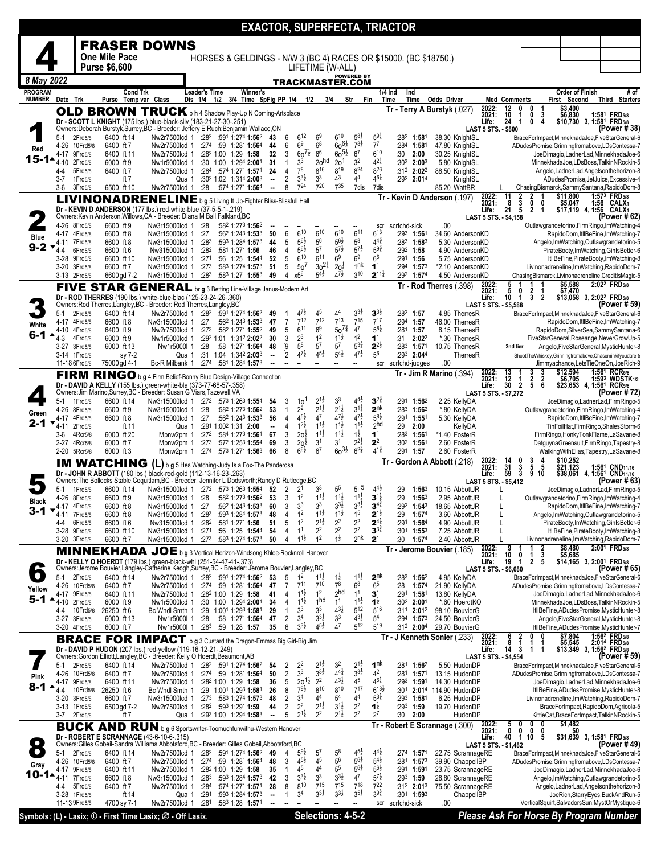| <b>FRASER DOWNS</b><br><b>One Mile Pace</b><br>HORSES & GELDINGS - N/W 3 (BC 4) RACES OR \$15000. (BC \$18750.)<br><b>Purse \$6,600</b><br>LIFETIME (W-ALL)<br><b>POWERED BY</b><br>8 May 2022<br>TRACKMASTER.COM<br><b>PROGRAM</b><br>Cond Trk<br><b>Leader's Time</b><br>Winner's<br>1/4 Ind<br>Ind<br><b>Order of Finish</b><br>NUMBER Date Trk<br>Purse Temp var Class<br>Dis 1/4 1/2 3/4 Time SpFig PP 1/4 1/2<br>First Second<br>3/4<br>Str<br>Fin<br>Time<br>Time<br><b>Odds Driver</b><br><b>Med Comments</b><br>\$3,400<br>2022:<br>12<br>0<br>1<br>Tr - Terry A Burstyk (.027)<br>0<br><b>OLD BROWN TRUCK</b> b h 4 Shadow Play-Up N Coming-Artsplace<br>10<br>\$6,830<br>2021:<br>0<br>3<br>1<br>Dr - SCOTT L KNIGHT (175 lbs.) blue-black-silv (183-21-27-30-.251)<br>24<br>Life:<br>$\mathbf{1}$<br>0<br>4<br>Owners: Deborah Burstyk, Surrey, BC - Breeder: Jeffery E Ruch; Benjamin Wallace, ON<br><b>LAST 5 STS. - \$800</b><br>$6^{10}$<br>$5^{8}$ <sub>2</sub><br>$5^{9}4$<br>$6^{12}$<br>6 <sup>9</sup><br>2Frd5/8<br>6400 ft 14<br>Nw2r7500lcd 1 :28 <sup>2</sup> :591 1:274 <b>1:56</b> <sup>2</sup><br>6<br>:28 <sup>2</sup> 1:581<br>38.30 KnightSL<br>$5-1$<br>43<br>BraceForImpact,MinnekhadaJoe,FiveStarGeneral-6<br>$60^{61}$<br>6 <sup>9</sup><br>$78\frac{1}{2}$<br>$7^7$<br>6 <sup>8</sup><br>:274 :59 1:281 1:564<br>6<br>:284 1:581<br>4-26<br>10Frd5/8<br>6400 ft 7<br>47.80 KnightSL<br>Nw2r7500lcd 1<br>44<br>ADudesPromise, Grinningfromabove, LDsContessa-7<br>Red<br>$60^{7\frac{1}{2}}$<br>6 <sup>6</sup><br>$60^{51}$<br>6 <sup>7</sup><br>$6^{10}$<br>Nw2r7500lcd 1<br>:282 1:00 1:29 1:58<br>32<br>3<br>:30<br>30.25 KnightSL<br>4-17<br>9Frd5/8<br>6400 ft 11<br>2:00<br>JoeDimagio,LadnerLad,MinnekhadaJoe-6<br>15-1▲<br>$4^{21}$<br>3 <sup>2</sup><br>3 <sup>3</sup><br>20 <sup>hd</sup><br>20 <sup>1</sup><br>$4 - 10$<br>2Frd5/8<br>:30 1:00 1:294 2:001<br>31<br>$\mathbf{1}$<br>:303 2:003<br>MinnekhadaJoe.LDsBoss.TalkinNRockin-5<br>6000 ft 9<br>Nw1r5000lcd 1<br>5.80 KnightSL<br>7 <sup>8</sup><br>$8^{19}$<br>$8^{24}$<br>826<br>816<br>5Frd5/8<br>6400 ft 7<br>Nw2r7500lcd 1<br>$:284$ :574 1:271 1:571<br>24<br>4<br>:312 2:022<br>88.50 KnightSL<br>Angelo,LadnerLad,Angelsonthehorizon-8<br>$4 - 4$<br>$4^{61}$<br>$3^{31}$<br>3 <sup>3</sup><br>43<br>44<br>2<br>1Frd5/8<br>ft 7<br>:30 <sup>2</sup> 1:02 1:314 <b>2:00</b> 3<br>$:29^2$ 2:014<br>$3 - 7$<br>Qua 1<br>KnightSL<br>$\blacksquare$<br>720<br>724<br>735<br>8<br>7dis<br>3-6<br>3Frd5/8<br>6500 ft 10<br>Nw2r7500lcd 1<br>:28<br>:574 1:271 <b>1:56</b> 4<br>$\overline{\phantom{a}}$<br>7dis<br>85.20 WattBR<br>ChasingBismarck,SammySantana,RapidoDom-8<br>\$11,800<br>11<br>2022:<br>2021:<br>$\frac{2}{3}$<br>$\frac{2}{0}$<br>Tr - Kevin D Anderson (.197)<br>LIVINONADRENELINE b g 5 Living It Up-Fighter Bliss-Blissfull Hall<br>8<br>0<br>\$5,047<br>$\ddot{2}$<br>Dr - KEVIN D ANDERSON (177 lbs.) red-white-blue (37-5-5-1-.219)<br>21<br>5<br>\$17,119 4, 1:56 CALX<br>Life:<br>$\overline{1}$<br>Owners: Kevin Anderson, Willows, CA - Breeder: Diana M Ball, Falkland, BC<br>LAST 5 STS. - \$4,158<br>.00<br>4-26 8Frd5/8<br>6600 ft 9<br>Nw3r15000lcd 1<br>:28<br>:582 1:273 1:562<br>scrtchd-sick<br>Outlawgrandetorino, Firm Ringo, Im Watching-4<br>scr<br>611<br>$6^{13}$<br>6<br>610<br>610<br>610<br>:293 1:561<br>4-17 4Frd5/8<br>6600 ft 8<br>Nw3r15000lcd 1<br>:27<br>:562 1:243 1:533<br>50<br>34.60 AndersonKD<br>Blue<br>$4^{4^{3}_{4}}$<br>$5^{6}\frac{1}{2}$<br>$5^8$<br>$5^{6}$<br>56<br>5<br>4-11 7Frd5/8<br>:283<br>:593 1:284 1:573<br>$:28^3$ 1:58 <sup>3</sup><br>5.30 AndersonKD<br>Angelo, ImWatching, Outlawgrandetorino-5<br>6600 ft 8<br>Nw3r15000lcd 1<br>44<br>$9 - 2$<br>$5^{7\frac{1}{2}}$<br>$5^{6}$<br>5 <sup>7</sup><br>$5^{7}$<br>$59\frac{3}{4}$<br>:282<br>:292 1:58<br>4-4<br>6Frd5/8<br>6600 ft 6<br>Nw315000lcd 1<br>:581 1:271 1:56<br>46<br>4<br>4.90 AndersonKD<br>PirateBooty,ImWatching,GinIsBetter-6<br>6 <sup>9</sup><br>$6^{10}$<br>$6^{11}$<br>6 <sup>9</sup><br>$6^6$<br>5<br>9Frd5/8<br>6600 ft 10<br>Nw3r15000lcd 1<br>:271<br>:56 1:25 1:544<br>52<br>$:29^1$ 1:56<br>5.75 AndersonKD<br>3-28<br>$30^{21}$<br>1 <sup>nk</sup><br>50 <sup>7</sup><br>1 <sup>1</sup><br>Nw3r15000lcd 1<br>:273<br>:583 1:274 1:573<br>5<br>$20\frac{1}{2}$<br>:294 1:573<br>*2.10 AndersonKD<br>3-20 3Frd5/8<br>6600 ft 7<br>51<br>Livinonadreneline, ImWatching, RapidoDom-7<br>$5^{4}$<br>$3^{10}$<br>$2^{11\frac{1}{4}}$<br>x5 <sup>6</sup><br>$4^{7}\frac{1}{2}$<br>3-13 2Frd5/8<br>6600 gd 7-2<br>:283 :583 1:27 1:553<br>49<br>4<br>$:29^2$ 1:574<br>ChasingBismarck,Livinonadreneline,CreditIsMagic-5<br>Nw3r15000lcd 1<br>4.50 AndersonKD<br>\$5,588<br>5<br>5<br>2022:<br>Tr - Rod Therres (.398)<br>FIVE STAR GENERAL br g 3 Betting Line-Village Janus-Modern Art<br>2021:<br>$\frac{2}{3}$<br>\$7,470<br>0<br>10<br>$\overline{\mathbf{2}}$<br>Dr - ROD THERRES (190 lbs.) white-blue-blac (125-23-24-26-.360)<br>$\mathbf{1}$<br>Life:<br>Owners:Rod Therres,Langley,BC - Breeder: Rod Therres,Langley,BC<br>LAST 5 STS. - \$5,588<br>$3^{3}\frac{1}{2}$<br>$3^{3}$<br>Nw2r7500lcd 1 :282 :591 1:274 1:562 49<br>$47\frac{1}{2}$<br>45<br>44<br>:282 1:57<br>2Frd5/8<br>6400 ft 14<br>4.85 TherresR<br>5-1<br>BraceForImpact,MinnekhadaJoe,FiveStarGeneral-6<br>-1<br>$7^{15}$<br>712<br>$7^{13}$<br>$7^{12}$<br>$7^{17}$<br>:562 1:243 1:533<br>7<br>:294 1:57<br>46.00 TherresR<br>4-17 4Frd5/8<br>6600 ft 8<br>Nw3r15000lcd 1<br>:27<br>47<br>White<br>$50^{7\frac{3}{4}}$<br>4 <sup>7</sup><br>$5^{8}2$<br>$6^{11}$<br>6 <sup>9</sup><br>5<br>6400 ft 9<br>:273 :582 1:271 <b>1:55</b> 2<br>49<br>:281 1:57<br>RapidoDom, SilverSea, Sammy Santana-6<br>4-10<br>4Frd5/8<br>Nw2r7500lcd 1<br>8.15 TherresR<br>6-1 ▲<br>1 <sup>2</sup><br>$2^3$<br>$1^{1}\frac{1}{2}$<br>1 <sup>2</sup><br>:292 1:01 1:312 2:022<br>1 <sup>1</sup><br>$4-3$<br>4Frd5/8<br>6000 ft 9<br>30<br>3<br>2:022<br>*.30 TherresR<br>FiveStarGeneral,Roseange,NeverGrowUp-5<br>Nw1r5000lcd 1<br>:31<br>$5^{3}\frac{3}{4}$<br>5 <sup>8</sup><br>5 <sup>7</sup><br>57<br>$2^{2\frac{1}{2}}$<br>[9]<br>:28<br>48<br>:283 1:571<br>3-27 3Frd5/8<br>6000 ft 13<br>Nw1r5000l 1<br>:58 1:271 1:564<br>10.75 TherresR<br>Angelo, FiveStarGeneral, MysticHunter-8<br>2nd tier<br>$4^{7}\frac{1}{2}$<br>$4^{5}\frac{1}{2}$<br>$5^{4}$ <sub>2</sub><br>$4^{7}\frac{1}{2}$<br>5 <sup>6</sup><br>:31 1:04 1:342 2:033<br>2<br>3-14 1Frd5/8<br>:29 <sup>3</sup> 2:04 <sup>4</sup><br>sy 7-2<br>Qua 1<br>TherresR<br>ShootTheWhiskey,Grinningfromabove,Chaseminkifyoudare-5<br> |                                                                  |
|--------------------------------------------------------------------------------------------------------------------------------------------------------------------------------------------------------------------------------------------------------------------------------------------------------------------------------------------------------------------------------------------------------------------------------------------------------------------------------------------------------------------------------------------------------------------------------------------------------------------------------------------------------------------------------------------------------------------------------------------------------------------------------------------------------------------------------------------------------------------------------------------------------------------------------------------------------------------------------------------------------------------------------------------------------------------------------------------------------------------------------------------------------------------------------------------------------------------------------------------------------------------------------------------------------------------------------------------------------------------------------------------------------------------------------------------------------------------------------------------------------------------------------------------------------------------------------------------------------------------------------------------------------------------------------------------------------------------------------------------------------------------------------------------------------------------------------------------------------------------------------------------------------------------------------------------------------------------------------------------------------------------------------------------------------------------------------------------------------------------------------------------------------------------------------------------------------------------------------------------------------------------------------------------------------------------------------------------------------------------------------------------------------------------------------------------------------------------------------------------------------------------------------------------------------------------------------------------------------------------------------------------------------------------------------------------------------------------------------------------------------------------------------------------------------------------------------------------------------------------------------------------------------------------------------------------------------------------------------------------------------------------------------------------------------------------------------------------------------------------------------------------------------------------------------------------------------------------------------------------------------------------------------------------------------------------------------------------------------------------------------------------------------------------------------------------------------------------------------------------------------------------------------------------------------------------------------------------------------------------------------------------------------------------------------------------------------------------------------------------------------------------------------------------------------------------------------------------------------------------------------------------------------------------------------------------------------------------------------------------------------------------------------------------------------------------------------------------------------------------------------------------------------------------------------------------------------------------------------------------------------------------------------------------------------------------------------------------------------------------------------------------------------------------------------------------------------------------------------------------------------------------------------------------------------------------------------------------------------------------------------------------------------------------------------------------------------------------------------------------------------------------------------------------------------------------------------------------------------------------------------------------------------------------------------------------------------------------------------------------------------------------------------------------------------------------------------------------------------------------------------------------------------------------------------------------------------------------------------------------------------------------------------------------------------------------------------------------------------------------------------------------------------------------------------------------------------------------------------------------------------------------------------------------------------------------------------------------------------------------------------------------------------------------------------------------------------------------------------------------------------------------------------------------------------------------------------------------------------------------------------------------------------------------------------------------------------------------------------------------------------------------------------------------------------------------------------------------------------------------------------------------------------------------------------------------------------------------------------------------------------------------------------------------------------------------------------------------------------------------------------------------------------------------------------------------------------------------------------------------------------------------------------------------------------------------------------------------------------------------------------|------------------------------------------------------------------|
|                                                                                                                                                                                                                                                                                                                                                                                                                                                                                                                                                                                                                                                                                                                                                                                                                                                                                                                                                                                                                                                                                                                                                                                                                                                                                                                                                                                                                                                                                                                                                                                                                                                                                                                                                                                                                                                                                                                                                                                                                                                                                                                                                                                                                                                                                                                                                                                                                                                                                                                                                                                                                                                                                                                                                                                                                                                                                                                                                                                                                                                                                                                                                                                                                                                                                                                                                                                                                                                                                                                                                                                                                                                                                                                                                                                                                                                                                                                                                                                                                                                                                                                                                                                                                                                                                                                                                                                                                                                                                                                                                                                                                                                                                                                                                                                                                                                                                                                                                                                                                                                                                                                                                                                                                                                                                                                                                                                                                                                                                                                                                                                                                                                                                                                                                                                                                                                                                                                                                                                                                                                                                                                                                                                                                                                                                                                                                                                                                                                                                                                                                                                                                                |                                                                  |
|                                                                                                                                                                                                                                                                                                                                                                                                                                                                                                                                                                                                                                                                                                                                                                                                                                                                                                                                                                                                                                                                                                                                                                                                                                                                                                                                                                                                                                                                                                                                                                                                                                                                                                                                                                                                                                                                                                                                                                                                                                                                                                                                                                                                                                                                                                                                                                                                                                                                                                                                                                                                                                                                                                                                                                                                                                                                                                                                                                                                                                                                                                                                                                                                                                                                                                                                                                                                                                                                                                                                                                                                                                                                                                                                                                                                                                                                                                                                                                                                                                                                                                                                                                                                                                                                                                                                                                                                                                                                                                                                                                                                                                                                                                                                                                                                                                                                                                                                                                                                                                                                                                                                                                                                                                                                                                                                                                                                                                                                                                                                                                                                                                                                                                                                                                                                                                                                                                                                                                                                                                                                                                                                                                                                                                                                                                                                                                                                                                                                                                                                                                                                                                |                                                                  |
|                                                                                                                                                                                                                                                                                                                                                                                                                                                                                                                                                                                                                                                                                                                                                                                                                                                                                                                                                                                                                                                                                                                                                                                                                                                                                                                                                                                                                                                                                                                                                                                                                                                                                                                                                                                                                                                                                                                                                                                                                                                                                                                                                                                                                                                                                                                                                                                                                                                                                                                                                                                                                                                                                                                                                                                                                                                                                                                                                                                                                                                                                                                                                                                                                                                                                                                                                                                                                                                                                                                                                                                                                                                                                                                                                                                                                                                                                                                                                                                                                                                                                                                                                                                                                                                                                                                                                                                                                                                                                                                                                                                                                                                                                                                                                                                                                                                                                                                                                                                                                                                                                                                                                                                                                                                                                                                                                                                                                                                                                                                                                                                                                                                                                                                                                                                                                                                                                                                                                                                                                                                                                                                                                                                                                                                                                                                                                                                                                                                                                                                                                                                                                                |                                                                  |
|                                                                                                                                                                                                                                                                                                                                                                                                                                                                                                                                                                                                                                                                                                                                                                                                                                                                                                                                                                                                                                                                                                                                                                                                                                                                                                                                                                                                                                                                                                                                                                                                                                                                                                                                                                                                                                                                                                                                                                                                                                                                                                                                                                                                                                                                                                                                                                                                                                                                                                                                                                                                                                                                                                                                                                                                                                                                                                                                                                                                                                                                                                                                                                                                                                                                                                                                                                                                                                                                                                                                                                                                                                                                                                                                                                                                                                                                                                                                                                                                                                                                                                                                                                                                                                                                                                                                                                                                                                                                                                                                                                                                                                                                                                                                                                                                                                                                                                                                                                                                                                                                                                                                                                                                                                                                                                                                                                                                                                                                                                                                                                                                                                                                                                                                                                                                                                                                                                                                                                                                                                                                                                                                                                                                                                                                                                                                                                                                                                                                                                                                                                                                                                |                                                                  |
|                                                                                                                                                                                                                                                                                                                                                                                                                                                                                                                                                                                                                                                                                                                                                                                                                                                                                                                                                                                                                                                                                                                                                                                                                                                                                                                                                                                                                                                                                                                                                                                                                                                                                                                                                                                                                                                                                                                                                                                                                                                                                                                                                                                                                                                                                                                                                                                                                                                                                                                                                                                                                                                                                                                                                                                                                                                                                                                                                                                                                                                                                                                                                                                                                                                                                                                                                                                                                                                                                                                                                                                                                                                                                                                                                                                                                                                                                                                                                                                                                                                                                                                                                                                                                                                                                                                                                                                                                                                                                                                                                                                                                                                                                                                                                                                                                                                                                                                                                                                                                                                                                                                                                                                                                                                                                                                                                                                                                                                                                                                                                                                                                                                                                                                                                                                                                                                                                                                                                                                                                                                                                                                                                                                                                                                                                                                                                                                                                                                                                                                                                                                                                                | # of<br><b>Third Starters</b>                                    |
|                                                                                                                                                                                                                                                                                                                                                                                                                                                                                                                                                                                                                                                                                                                                                                                                                                                                                                                                                                                                                                                                                                                                                                                                                                                                                                                                                                                                                                                                                                                                                                                                                                                                                                                                                                                                                                                                                                                                                                                                                                                                                                                                                                                                                                                                                                                                                                                                                                                                                                                                                                                                                                                                                                                                                                                                                                                                                                                                                                                                                                                                                                                                                                                                                                                                                                                                                                                                                                                                                                                                                                                                                                                                                                                                                                                                                                                                                                                                                                                                                                                                                                                                                                                                                                                                                                                                                                                                                                                                                                                                                                                                                                                                                                                                                                                                                                                                                                                                                                                                                                                                                                                                                                                                                                                                                                                                                                                                                                                                                                                                                                                                                                                                                                                                                                                                                                                                                                                                                                                                                                                                                                                                                                                                                                                                                                                                                                                                                                                                                                                                                                                                                                | 1:581 FRD5/8                                                     |
|                                                                                                                                                                                                                                                                                                                                                                                                                                                                                                                                                                                                                                                                                                                                                                                                                                                                                                                                                                                                                                                                                                                                                                                                                                                                                                                                                                                                                                                                                                                                                                                                                                                                                                                                                                                                                                                                                                                                                                                                                                                                                                                                                                                                                                                                                                                                                                                                                                                                                                                                                                                                                                                                                                                                                                                                                                                                                                                                                                                                                                                                                                                                                                                                                                                                                                                                                                                                                                                                                                                                                                                                                                                                                                                                                                                                                                                                                                                                                                                                                                                                                                                                                                                                                                                                                                                                                                                                                                                                                                                                                                                                                                                                                                                                                                                                                                                                                                                                                                                                                                                                                                                                                                                                                                                                                                                                                                                                                                                                                                                                                                                                                                                                                                                                                                                                                                                                                                                                                                                                                                                                                                                                                                                                                                                                                                                                                                                                                                                                                                                                                                                                                                | \$10,730 3, 1:58 <sup>1</sup> FRD5/8<br>(Power # 38)             |
|                                                                                                                                                                                                                                                                                                                                                                                                                                                                                                                                                                                                                                                                                                                                                                                                                                                                                                                                                                                                                                                                                                                                                                                                                                                                                                                                                                                                                                                                                                                                                                                                                                                                                                                                                                                                                                                                                                                                                                                                                                                                                                                                                                                                                                                                                                                                                                                                                                                                                                                                                                                                                                                                                                                                                                                                                                                                                                                                                                                                                                                                                                                                                                                                                                                                                                                                                                                                                                                                                                                                                                                                                                                                                                                                                                                                                                                                                                                                                                                                                                                                                                                                                                                                                                                                                                                                                                                                                                                                                                                                                                                                                                                                                                                                                                                                                                                                                                                                                                                                                                                                                                                                                                                                                                                                                                                                                                                                                                                                                                                                                                                                                                                                                                                                                                                                                                                                                                                                                                                                                                                                                                                                                                                                                                                                                                                                                                                                                                                                                                                                                                                                                                |                                                                  |
|                                                                                                                                                                                                                                                                                                                                                                                                                                                                                                                                                                                                                                                                                                                                                                                                                                                                                                                                                                                                                                                                                                                                                                                                                                                                                                                                                                                                                                                                                                                                                                                                                                                                                                                                                                                                                                                                                                                                                                                                                                                                                                                                                                                                                                                                                                                                                                                                                                                                                                                                                                                                                                                                                                                                                                                                                                                                                                                                                                                                                                                                                                                                                                                                                                                                                                                                                                                                                                                                                                                                                                                                                                                                                                                                                                                                                                                                                                                                                                                                                                                                                                                                                                                                                                                                                                                                                                                                                                                                                                                                                                                                                                                                                                                                                                                                                                                                                                                                                                                                                                                                                                                                                                                                                                                                                                                                                                                                                                                                                                                                                                                                                                                                                                                                                                                                                                                                                                                                                                                                                                                                                                                                                                                                                                                                                                                                                                                                                                                                                                                                                                                                                                |                                                                  |
|                                                                                                                                                                                                                                                                                                                                                                                                                                                                                                                                                                                                                                                                                                                                                                                                                                                                                                                                                                                                                                                                                                                                                                                                                                                                                                                                                                                                                                                                                                                                                                                                                                                                                                                                                                                                                                                                                                                                                                                                                                                                                                                                                                                                                                                                                                                                                                                                                                                                                                                                                                                                                                                                                                                                                                                                                                                                                                                                                                                                                                                                                                                                                                                                                                                                                                                                                                                                                                                                                                                                                                                                                                                                                                                                                                                                                                                                                                                                                                                                                                                                                                                                                                                                                                                                                                                                                                                                                                                                                                                                                                                                                                                                                                                                                                                                                                                                                                                                                                                                                                                                                                                                                                                                                                                                                                                                                                                                                                                                                                                                                                                                                                                                                                                                                                                                                                                                                                                                                                                                                                                                                                                                                                                                                                                                                                                                                                                                                                                                                                                                                                                                                                |                                                                  |
|                                                                                                                                                                                                                                                                                                                                                                                                                                                                                                                                                                                                                                                                                                                                                                                                                                                                                                                                                                                                                                                                                                                                                                                                                                                                                                                                                                                                                                                                                                                                                                                                                                                                                                                                                                                                                                                                                                                                                                                                                                                                                                                                                                                                                                                                                                                                                                                                                                                                                                                                                                                                                                                                                                                                                                                                                                                                                                                                                                                                                                                                                                                                                                                                                                                                                                                                                                                                                                                                                                                                                                                                                                                                                                                                                                                                                                                                                                                                                                                                                                                                                                                                                                                                                                                                                                                                                                                                                                                                                                                                                                                                                                                                                                                                                                                                                                                                                                                                                                                                                                                                                                                                                                                                                                                                                                                                                                                                                                                                                                                                                                                                                                                                                                                                                                                                                                                                                                                                                                                                                                                                                                                                                                                                                                                                                                                                                                                                                                                                                                                                                                                                                                | ADudesPromise, JetJuice, Excessive-4                             |
|                                                                                                                                                                                                                                                                                                                                                                                                                                                                                                                                                                                                                                                                                                                                                                                                                                                                                                                                                                                                                                                                                                                                                                                                                                                                                                                                                                                                                                                                                                                                                                                                                                                                                                                                                                                                                                                                                                                                                                                                                                                                                                                                                                                                                                                                                                                                                                                                                                                                                                                                                                                                                                                                                                                                                                                                                                                                                                                                                                                                                                                                                                                                                                                                                                                                                                                                                                                                                                                                                                                                                                                                                                                                                                                                                                                                                                                                                                                                                                                                                                                                                                                                                                                                                                                                                                                                                                                                                                                                                                                                                                                                                                                                                                                                                                                                                                                                                                                                                                                                                                                                                                                                                                                                                                                                                                                                                                                                                                                                                                                                                                                                                                                                                                                                                                                                                                                                                                                                                                                                                                                                                                                                                                                                                                                                                                                                                                                                                                                                                                                                                                                                                                | 1:573 FRD5/8                                                     |
|                                                                                                                                                                                                                                                                                                                                                                                                                                                                                                                                                                                                                                                                                                                                                                                                                                                                                                                                                                                                                                                                                                                                                                                                                                                                                                                                                                                                                                                                                                                                                                                                                                                                                                                                                                                                                                                                                                                                                                                                                                                                                                                                                                                                                                                                                                                                                                                                                                                                                                                                                                                                                                                                                                                                                                                                                                                                                                                                                                                                                                                                                                                                                                                                                                                                                                                                                                                                                                                                                                                                                                                                                                                                                                                                                                                                                                                                                                                                                                                                                                                                                                                                                                                                                                                                                                                                                                                                                                                                                                                                                                                                                                                                                                                                                                                                                                                                                                                                                                                                                                                                                                                                                                                                                                                                                                                                                                                                                                                                                                                                                                                                                                                                                                                                                                                                                                                                                                                                                                                                                                                                                                                                                                                                                                                                                                                                                                                                                                                                                                                                                                                                                                | $1:56$ CALX <sub>1</sub>                                         |
|                                                                                                                                                                                                                                                                                                                                                                                                                                                                                                                                                                                                                                                                                                                                                                                                                                                                                                                                                                                                                                                                                                                                                                                                                                                                                                                                                                                                                                                                                                                                                                                                                                                                                                                                                                                                                                                                                                                                                                                                                                                                                                                                                                                                                                                                                                                                                                                                                                                                                                                                                                                                                                                                                                                                                                                                                                                                                                                                                                                                                                                                                                                                                                                                                                                                                                                                                                                                                                                                                                                                                                                                                                                                                                                                                                                                                                                                                                                                                                                                                                                                                                                                                                                                                                                                                                                                                                                                                                                                                                                                                                                                                                                                                                                                                                                                                                                                                                                                                                                                                                                                                                                                                                                                                                                                                                                                                                                                                                                                                                                                                                                                                                                                                                                                                                                                                                                                                                                                                                                                                                                                                                                                                                                                                                                                                                                                                                                                                                                                                                                                                                                                                                | (Power # 62)                                                     |
|                                                                                                                                                                                                                                                                                                                                                                                                                                                                                                                                                                                                                                                                                                                                                                                                                                                                                                                                                                                                                                                                                                                                                                                                                                                                                                                                                                                                                                                                                                                                                                                                                                                                                                                                                                                                                                                                                                                                                                                                                                                                                                                                                                                                                                                                                                                                                                                                                                                                                                                                                                                                                                                                                                                                                                                                                                                                                                                                                                                                                                                                                                                                                                                                                                                                                                                                                                                                                                                                                                                                                                                                                                                                                                                                                                                                                                                                                                                                                                                                                                                                                                                                                                                                                                                                                                                                                                                                                                                                                                                                                                                                                                                                                                                                                                                                                                                                                                                                                                                                                                                                                                                                                                                                                                                                                                                                                                                                                                                                                                                                                                                                                                                                                                                                                                                                                                                                                                                                                                                                                                                                                                                                                                                                                                                                                                                                                                                                                                                                                                                                                                                                                                | RapidoDom, ItllBeFine, ImWatching-7                              |
|                                                                                                                                                                                                                                                                                                                                                                                                                                                                                                                                                                                                                                                                                                                                                                                                                                                                                                                                                                                                                                                                                                                                                                                                                                                                                                                                                                                                                                                                                                                                                                                                                                                                                                                                                                                                                                                                                                                                                                                                                                                                                                                                                                                                                                                                                                                                                                                                                                                                                                                                                                                                                                                                                                                                                                                                                                                                                                                                                                                                                                                                                                                                                                                                                                                                                                                                                                                                                                                                                                                                                                                                                                                                                                                                                                                                                                                                                                                                                                                                                                                                                                                                                                                                                                                                                                                                                                                                                                                                                                                                                                                                                                                                                                                                                                                                                                                                                                                                                                                                                                                                                                                                                                                                                                                                                                                                                                                                                                                                                                                                                                                                                                                                                                                                                                                                                                                                                                                                                                                                                                                                                                                                                                                                                                                                                                                                                                                                                                                                                                                                                                                                                                |                                                                  |
|                                                                                                                                                                                                                                                                                                                                                                                                                                                                                                                                                                                                                                                                                                                                                                                                                                                                                                                                                                                                                                                                                                                                                                                                                                                                                                                                                                                                                                                                                                                                                                                                                                                                                                                                                                                                                                                                                                                                                                                                                                                                                                                                                                                                                                                                                                                                                                                                                                                                                                                                                                                                                                                                                                                                                                                                                                                                                                                                                                                                                                                                                                                                                                                                                                                                                                                                                                                                                                                                                                                                                                                                                                                                                                                                                                                                                                                                                                                                                                                                                                                                                                                                                                                                                                                                                                                                                                                                                                                                                                                                                                                                                                                                                                                                                                                                                                                                                                                                                                                                                                                                                                                                                                                                                                                                                                                                                                                                                                                                                                                                                                                                                                                                                                                                                                                                                                                                                                                                                                                                                                                                                                                                                                                                                                                                                                                                                                                                                                                                                                                                                                                                                                | ItllBeFine, PirateBooty, ImWatching-8                            |
|                                                                                                                                                                                                                                                                                                                                                                                                                                                                                                                                                                                                                                                                                                                                                                                                                                                                                                                                                                                                                                                                                                                                                                                                                                                                                                                                                                                                                                                                                                                                                                                                                                                                                                                                                                                                                                                                                                                                                                                                                                                                                                                                                                                                                                                                                                                                                                                                                                                                                                                                                                                                                                                                                                                                                                                                                                                                                                                                                                                                                                                                                                                                                                                                                                                                                                                                                                                                                                                                                                                                                                                                                                                                                                                                                                                                                                                                                                                                                                                                                                                                                                                                                                                                                                                                                                                                                                                                                                                                                                                                                                                                                                                                                                                                                                                                                                                                                                                                                                                                                                                                                                                                                                                                                                                                                                                                                                                                                                                                                                                                                                                                                                                                                                                                                                                                                                                                                                                                                                                                                                                                                                                                                                                                                                                                                                                                                                                                                                                                                                                                                                                                                                |                                                                  |
|                                                                                                                                                                                                                                                                                                                                                                                                                                                                                                                                                                                                                                                                                                                                                                                                                                                                                                                                                                                                                                                                                                                                                                                                                                                                                                                                                                                                                                                                                                                                                                                                                                                                                                                                                                                                                                                                                                                                                                                                                                                                                                                                                                                                                                                                                                                                                                                                                                                                                                                                                                                                                                                                                                                                                                                                                                                                                                                                                                                                                                                                                                                                                                                                                                                                                                                                                                                                                                                                                                                                                                                                                                                                                                                                                                                                                                                                                                                                                                                                                                                                                                                                                                                                                                                                                                                                                                                                                                                                                                                                                                                                                                                                                                                                                                                                                                                                                                                                                                                                                                                                                                                                                                                                                                                                                                                                                                                                                                                                                                                                                                                                                                                                                                                                                                                                                                                                                                                                                                                                                                                                                                                                                                                                                                                                                                                                                                                                                                                                                                                                                                                                                                | 2:02 <sup>2</sup> FRD <sub>5/8</sub>                             |
|                                                                                                                                                                                                                                                                                                                                                                                                                                                                                                                                                                                                                                                                                                                                                                                                                                                                                                                                                                                                                                                                                                                                                                                                                                                                                                                                                                                                                                                                                                                                                                                                                                                                                                                                                                                                                                                                                                                                                                                                                                                                                                                                                                                                                                                                                                                                                                                                                                                                                                                                                                                                                                                                                                                                                                                                                                                                                                                                                                                                                                                                                                                                                                                                                                                                                                                                                                                                                                                                                                                                                                                                                                                                                                                                                                                                                                                                                                                                                                                                                                                                                                                                                                                                                                                                                                                                                                                                                                                                                                                                                                                                                                                                                                                                                                                                                                                                                                                                                                                                                                                                                                                                                                                                                                                                                                                                                                                                                                                                                                                                                                                                                                                                                                                                                                                                                                                                                                                                                                                                                                                                                                                                                                                                                                                                                                                                                                                                                                                                                                                                                                                                                                | \$13,058 3, 2:02 <sup>2</sup> FRD5/8<br>(Power # 59)             |
|                                                                                                                                                                                                                                                                                                                                                                                                                                                                                                                                                                                                                                                                                                                                                                                                                                                                                                                                                                                                                                                                                                                                                                                                                                                                                                                                                                                                                                                                                                                                                                                                                                                                                                                                                                                                                                                                                                                                                                                                                                                                                                                                                                                                                                                                                                                                                                                                                                                                                                                                                                                                                                                                                                                                                                                                                                                                                                                                                                                                                                                                                                                                                                                                                                                                                                                                                                                                                                                                                                                                                                                                                                                                                                                                                                                                                                                                                                                                                                                                                                                                                                                                                                                                                                                                                                                                                                                                                                                                                                                                                                                                                                                                                                                                                                                                                                                                                                                                                                                                                                                                                                                                                                                                                                                                                                                                                                                                                                                                                                                                                                                                                                                                                                                                                                                                                                                                                                                                                                                                                                                                                                                                                                                                                                                                                                                                                                                                                                                                                                                                                                                                                                |                                                                  |
|                                                                                                                                                                                                                                                                                                                                                                                                                                                                                                                                                                                                                                                                                                                                                                                                                                                                                                                                                                                                                                                                                                                                                                                                                                                                                                                                                                                                                                                                                                                                                                                                                                                                                                                                                                                                                                                                                                                                                                                                                                                                                                                                                                                                                                                                                                                                                                                                                                                                                                                                                                                                                                                                                                                                                                                                                                                                                                                                                                                                                                                                                                                                                                                                                                                                                                                                                                                                                                                                                                                                                                                                                                                                                                                                                                                                                                                                                                                                                                                                                                                                                                                                                                                                                                                                                                                                                                                                                                                                                                                                                                                                                                                                                                                                                                                                                                                                                                                                                                                                                                                                                                                                                                                                                                                                                                                                                                                                                                                                                                                                                                                                                                                                                                                                                                                                                                                                                                                                                                                                                                                                                                                                                                                                                                                                                                                                                                                                                                                                                                                                                                                                                                | RapidoDom, ItllBeFine, ImWatching-7                              |
|                                                                                                                                                                                                                                                                                                                                                                                                                                                                                                                                                                                                                                                                                                                                                                                                                                                                                                                                                                                                                                                                                                                                                                                                                                                                                                                                                                                                                                                                                                                                                                                                                                                                                                                                                                                                                                                                                                                                                                                                                                                                                                                                                                                                                                                                                                                                                                                                                                                                                                                                                                                                                                                                                                                                                                                                                                                                                                                                                                                                                                                                                                                                                                                                                                                                                                                                                                                                                                                                                                                                                                                                                                                                                                                                                                                                                                                                                                                                                                                                                                                                                                                                                                                                                                                                                                                                                                                                                                                                                                                                                                                                                                                                                                                                                                                                                                                                                                                                                                                                                                                                                                                                                                                                                                                                                                                                                                                                                                                                                                                                                                                                                                                                                                                                                                                                                                                                                                                                                                                                                                                                                                                                                                                                                                                                                                                                                                                                                                                                                                                                                                                                                                |                                                                  |
|                                                                                                                                                                                                                                                                                                                                                                                                                                                                                                                                                                                                                                                                                                                                                                                                                                                                                                                                                                                                                                                                                                                                                                                                                                                                                                                                                                                                                                                                                                                                                                                                                                                                                                                                                                                                                                                                                                                                                                                                                                                                                                                                                                                                                                                                                                                                                                                                                                                                                                                                                                                                                                                                                                                                                                                                                                                                                                                                                                                                                                                                                                                                                                                                                                                                                                                                                                                                                                                                                                                                                                                                                                                                                                                                                                                                                                                                                                                                                                                                                                                                                                                                                                                                                                                                                                                                                                                                                                                                                                                                                                                                                                                                                                                                                                                                                                                                                                                                                                                                                                                                                                                                                                                                                                                                                                                                                                                                                                                                                                                                                                                                                                                                                                                                                                                                                                                                                                                                                                                                                                                                                                                                                                                                                                                                                                                                                                                                                                                                                                                                                                                                                                |                                                                  |
| :274 :581 1:284 1:573<br>11-18 6 Frd 5/8<br>75000 gd 4-1<br>Bc-R Milbank 1<br>scrtchd-judges<br>.00<br>÷<br>÷.<br>scr<br>--                                                                                                                                                                                                                                                                                                                                                                                                                                                                                                                                                                                                                                                                                                                                                                                                                                                                                                                                                                                                                                                                                                                                                                                                                                                                                                                                                                                                                                                                                                                                                                                                                                                                                                                                                                                                                                                                                                                                                                                                                                                                                                                                                                                                                                                                                                                                                                                                                                                                                                                                                                                                                                                                                                                                                                                                                                                                                                                                                                                                                                                                                                                                                                                                                                                                                                                                                                                                                                                                                                                                                                                                                                                                                                                                                                                                                                                                                                                                                                                                                                                                                                                                                                                                                                                                                                                                                                                                                                                                                                                                                                                                                                                                                                                                                                                                                                                                                                                                                                                                                                                                                                                                                                                                                                                                                                                                                                                                                                                                                                                                                                                                                                                                                                                                                                                                                                                                                                                                                                                                                                                                                                                                                                                                                                                                                                                                                                                                                                                                                                    | Jimmyachance,LetsTieOneOn,JoeRich-9                              |
| \$12,594<br>2022:<br><b>Tr - Jim R Marino</b> (.394)<br>13<br>$\frac{3}{2}$<br>$\frac{3}{2}$<br>FIRM RINGO b g 4 Firm Belief-Bonny Blue Design-Village Connection<br>12<br>2021:<br>\$6,705<br>1<br>30<br>$\overline{2}$                                                                                                                                                                                                                                                                                                                                                                                                                                                                                                                                                                                                                                                                                                                                                                                                                                                                                                                                                                                                                                                                                                                                                                                                                                                                                                                                                                                                                                                                                                                                                                                                                                                                                                                                                                                                                                                                                                                                                                                                                                                                                                                                                                                                                                                                                                                                                                                                                                                                                                                                                                                                                                                                                                                                                                                                                                                                                                                                                                                                                                                                                                                                                                                                                                                                                                                                                                                                                                                                                                                                                                                                                                                                                                                                                                                                                                                                                                                                                                                                                                                                                                                                                                                                                                                                                                                                                                                                                                                                                                                                                                                                                                                                                                                                                                                                                                                                                                                                                                                                                                                                                                                                                                                                                                                                                                                                                                                                                                                                                                                                                                                                                                                                                                                                                                                                                                                                                                                                                                                                                                                                                                                                                                                                                                                                                                                                                                                                       | 1:56 <sup>1</sup> RCR <sub>5/8</sub><br>1:593 WDSTK1/2           |
| Dr - DAVID A KELLY (155 lbs.) green-white-bla (373-77-68-57-.358)<br>Life:<br>Owners: Jim Marino, Surrey, BC - Breeder: Susan G Viars, Tazewell, VA<br>LAST 5 STS. - \$7,272                                                                                                                                                                                                                                                                                                                                                                                                                                                                                                                                                                                                                                                                                                                                                                                                                                                                                                                                                                                                                                                                                                                                                                                                                                                                                                                                                                                                                                                                                                                                                                                                                                                                                                                                                                                                                                                                                                                                                                                                                                                                                                                                                                                                                                                                                                                                                                                                                                                                                                                                                                                                                                                                                                                                                                                                                                                                                                                                                                                                                                                                                                                                                                                                                                                                                                                                                                                                                                                                                                                                                                                                                                                                                                                                                                                                                                                                                                                                                                                                                                                                                                                                                                                                                                                                                                                                                                                                                                                                                                                                                                                                                                                                                                                                                                                                                                                                                                                                                                                                                                                                                                                                                                                                                                                                                                                                                                                                                                                                                                                                                                                                                                                                                                                                                                                                                                                                                                                                                                                                                                                                                                                                                                                                                                                                                                                                                                                                                                                   | \$23,653 4, 1:561 RCR5/8<br>(Power # 72)                         |
| $4^{4}$ <sub>2</sub><br>$3^{2^3}$<br>3 <sup>3</sup><br>$2^{1\frac{1}{2}}$<br>$:291$ 1:56 <sup>2</sup><br>$5-1$<br>1Frd5/8<br>Nw3r15000lcd 1 :272 :573 1:263 1:554<br>3<br>10 <sup>1</sup><br>6600 ft 14<br>2.25 KellyDA<br>54<br>$3^{1\frac{3}{4}}$<br>2 <sup>2</sup><br>2 <sup>nk</sup><br>$\mathbf{1}$<br>$2^{1\frac{1}{2}}$<br>$2^{1}\frac{1}{2}$<br>:582 1:273 1:562<br>53<br>:283 1:562<br>Outlawgrandetorino, Firm Ringo, Im Watching-4<br>4-26 8Frd5/8<br>6600 ft 9<br>:28<br>*.80 KellyDA<br>Nw3r15000lcd 1                                                                                                                                                                                                                                                                                                                                                                                                                                                                                                                                                                                                                                                                                                                                                                                                                                                                                                                                                                                                                                                                                                                                                                                                                                                                                                                                                                                                                                                                                                                                                                                                                                                                                                                                                                                                                                                                                                                                                                                                                                                                                                                                                                                                                                                                                                                                                                                                                                                                                                                                                                                                                                                                                                                                                                                                                                                                                                                                                                                                                                                                                                                                                                                                                                                                                                                                                                                                                                                                                                                                                                                                                                                                                                                                                                                                                                                                                                                                                                                                                                                                                                                                                                                                                                                                                                                                                                                                                                                                                                                                                                                                                                                                                                                                                                                                                                                                                                                                                                                                                                                                                                                                                                                                                                                                                                                                                                                                                                                                                                                                                                                                                                                                                                                                                                                                                                                                                                                                                                                                                                                                                                            | JoeDimagio,LadnerLad,FirmRingo-5                                 |
| Green<br>$4^{7\frac{1}{2}}$<br>$4^{51}$<br>4 <sup>7</sup><br>$4^{7}\frac{1}{2}$<br>$5^{8}$<br>:562 1:243 1:533<br>56<br>4<br>:291<br>4-17 4Frd5/8<br>6600 ft 8<br>Nw3r15000lcd 1<br>:27<br>$1:55^{1}$<br>5.30 KellyDA<br>$2 - 1$                                                                                                                                                                                                                                                                                                                                                                                                                                                                                                                                                                                                                                                                                                                                                                                                                                                                                                                                                                                                                                                                                                                                                                                                                                                                                                                                                                                                                                                                                                                                                                                                                                                                                                                                                                                                                                                                                                                                                                                                                                                                                                                                                                                                                                                                                                                                                                                                                                                                                                                                                                                                                                                                                                                                                                                                                                                                                                                                                                                                                                                                                                                                                                                                                                                                                                                                                                                                                                                                                                                                                                                                                                                                                                                                                                                                                                                                                                                                                                                                                                                                                                                                                                                                                                                                                                                                                                                                                                                                                                                                                                                                                                                                                                                                                                                                                                                                                                                                                                                                                                                                                                                                                                                                                                                                                                                                                                                                                                                                                                                                                                                                                                                                                                                                                                                                                                                                                                                                                                                                                                                                                                                                                                                                                                                                                                                                                                                               | RapidoDom, ItllBeFine, ImWatching-7                              |
| $1^{2}\frac{1}{2}$<br>$11\frac{1}{2}$<br>$11\frac{1}{2}$<br>2 <sub>hd</sub><br>$11\frac{1}{2}$<br>$\overline{4}$<br>:29<br>4-11 2Frd5/8<br>ft 11<br>Qua 1<br>:291 1:002 1:31 2:00<br>2:00<br>KellyDA<br>۰.<br>$1^{1\frac{1}{2}}$<br>$1^{1\frac{1}{2}}$<br>$1^{\frac{1}{2}}$<br>1 <sup>1</sup><br>3<br>:272<br>:58 <sup>4</sup> 1:27 <sup>3</sup> <b>1:56</b> 1<br>67<br>20 <sup>1</sup><br>:28 <sup>3</sup> 1:561<br>*1.40 FosterR<br>FirmRingo, HonkyTonkFlame, LaSavane-8<br>4Rcr5/8<br>6000 ft 20<br>Mpnw2pm 1<br>3-6                                                                                                                                                                                                                                                                                                                                                                                                                                                                                                                                                                                                                                                                                                                                                                                                                                                                                                                                                                                                                                                                                                                                                                                                                                                                                                                                                                                                                                                                                                                                                                                                                                                                                                                                                                                                                                                                                                                                                                                                                                                                                                                                                                                                                                                                                                                                                                                                                                                                                                                                                                                                                                                                                                                                                                                                                                                                                                                                                                                                                                                                                                                                                                                                                                                                                                                                                                                                                                                                                                                                                                                                                                                                                                                                                                                                                                                                                                                                                                                                                                                                                                                                                                                                                                                                                                                                                                                                                                                                                                                                                                                                                                                                                                                                                                                                                                                                                                                                                                                                                                                                                                                                                                                                                                                                                                                                                                                                                                                                                                                                                                                                                                                                                                                                                                                                                                                                                                                                                                                                                                                                                                       | TinFoilHat,FirmRingo,ShalesStorm-6                               |
| $2^{2}\frac{1}{2}$<br>$\mathbf{2}^2$<br>3 <sup>1</sup><br>31<br>6000 ft 7<br>3<br>20 <sup>1</sup><br>:302 1:561<br>2.60 FosterR<br>2-27 4Rcr5/8<br>Mpnw2pm 1<br>$:273$ $:572$ 1:253 1:554<br>69<br>DatguynaGreensuit, FirmRingo, Tapestry-8<br>$60^{31}$<br>$6^{2^{3}_{4}}$<br>$4^{1\frac{3}{4}}$<br>$6^{6}\frac{1}{2}$<br>6 <sup>7</sup><br>8<br>6000 ft 3<br>$:274$ :573 1:271 1:563<br>66<br>:291 1:57<br>2-20 5Rcr5/8<br>Mpnw2pm 1<br>2.60 FosterR<br>WalkingWithElias,Tapestry,LaSavane-8                                                                                                                                                                                                                                                                                                                                                                                                                                                                                                                                                                                                                                                                                                                                                                                                                                                                                                                                                                                                                                                                                                                                                                                                                                                                                                                                                                                                                                                                                                                                                                                                                                                                                                                                                                                                                                                                                                                                                                                                                                                                                                                                                                                                                                                                                                                                                                                                                                                                                                                                                                                                                                                                                                                                                                                                                                                                                                                                                                                                                                                                                                                                                                                                                                                                                                                                                                                                                                                                                                                                                                                                                                                                                                                                                                                                                                                                                                                                                                                                                                                                                                                                                                                                                                                                                                                                                                                                                                                                                                                                                                                                                                                                                                                                                                                                                                                                                                                                                                                                                                                                                                                                                                                                                                                                                                                                                                                                                                                                                                                                                                                                                                                                                                                                                                                                                                                                                                                                                                                                                                                                                                                                 |                                                                  |
| 14<br>\$10,252<br>\$21,123<br>Tr - Gordon A Abbott (.218)<br>2022:<br>0<br>3<br><b>IM WATCHING</b><br>(L) b g 5 Hes Watching-Judy Is a Fox-The Panderosa                                                                                                                                                                                                                                                                                                                                                                                                                                                                                                                                                                                                                                                                                                                                                                                                                                                                                                                                                                                                                                                                                                                                                                                                                                                                                                                                                                                                                                                                                                                                                                                                                                                                                                                                                                                                                                                                                                                                                                                                                                                                                                                                                                                                                                                                                                                                                                                                                                                                                                                                                                                                                                                                                                                                                                                                                                                                                                                                                                                                                                                                                                                                                                                                                                                                                                                                                                                                                                                                                                                                                                                                                                                                                                                                                                                                                                                                                                                                                                                                                                                                                                                                                                                                                                                                                                                                                                                                                                                                                                                                                                                                                                                                                                                                                                                                                                                                                                                                                                                                                                                                                                                                                                                                                                                                                                                                                                                                                                                                                                                                                                                                                                                                                                                                                                                                                                                                                                                                                                                                                                                                                                                                                                                                                                                                                                                                                                                                                                                                       |                                                                  |
| 2021:<br>$\frac{5}{9}$<br>5<br>$\frac{31}{59}$<br>$\frac{3}{3}$<br>Dr - JOHN R ABBOTT (180 lbs.) black-red-gold (112-13-16-23-.263)<br>10<br>Life:                                                                                                                                                                                                                                                                                                                                                                                                                                                                                                                                                                                                                                                                                                                                                                                                                                                                                                                                                                                                                                                                                                                                                                                                                                                                                                                                                                                                                                                                                                                                                                                                                                                                                                                                                                                                                                                                                                                                                                                                                                                                                                                                                                                                                                                                                                                                                                                                                                                                                                                                                                                                                                                                                                                                                                                                                                                                                                                                                                                                                                                                                                                                                                                                                                                                                                                                                                                                                                                                                                                                                                                                                                                                                                                                                                                                                                                                                                                                                                                                                                                                                                                                                                                                                                                                                                                                                                                                                                                                                                                                                                                                                                                                                                                                                                                                                                                                                                                                                                                                                                                                                                                                                                                                                                                                                                                                                                                                                                                                                                                                                                                                                                                                                                                                                                                                                                                                                                                                                                                                                                                                                                                                                                                                                                                                                                                                                                                                                                                                             | 1:561 CND <sub>11/16</sub><br>\$38.061 4.1:561 CND11/16          |
| Owners: The Bollocks Stable, Coquitlam, BC - Breeder: Jennifer L Dodsworth; Randy D Rutledge, BC<br><b>LAST 5 STS. - \$5,412</b><br>5 <sup>5</sup><br>$5i^5$<br>$4^{4}$<br>Nw3r15000lcd 1 :272 :573 1:263 1:554 52<br>2<br>2 <sup>1</sup><br>33<br>$5-1$<br>1 Frd 5/8<br>6600 ft 14<br>:29<br>1:563<br>10.15 AbbottJR                                                                                                                                                                                                                                                                                                                                                                                                                                                                                                                                                                                                                                                                                                                                                                                                                                                                                                                                                                                                                                                                                                                                                                                                                                                                                                                                                                                                                                                                                                                                                                                                                                                                                                                                                                                                                                                                                                                                                                                                                                                                                                                                                                                                                                                                                                                                                                                                                                                                                                                                                                                                                                                                                                                                                                                                                                                                                                                                                                                                                                                                                                                                                                                                                                                                                                                                                                                                                                                                                                                                                                                                                                                                                                                                                                                                                                                                                                                                                                                                                                                                                                                                                                                                                                                                                                                                                                                                                                                                                                                                                                                                                                                                                                                                                                                                                                                                                                                                                                                                                                                                                                                                                                                                                                                                                                                                                                                                                                                                                                                                                                                                                                                                                                                                                                                                                                                                                                                                                                                                                                                                                                                                                                                                                                                                                                          | (Power # 63)<br>JoeDimagio,LadnerLad,FirmRingo-5                 |
| $1^{1\frac{1}{2}}$<br>$1^{1\frac{1}{2}}$<br>$11\frac{1}{2}$<br>1 <sup>2</sup><br>$3^{1}$<br>Nw3r15000lcd 1 :28 :582 1:273 1:562 53<br>3<br>:29<br>1:563<br>4-26 8Frd5/8<br>6600 ft 9<br>2.95 AbbottJR<br>Outlawgrandetorino, Firm Ringo, Im Watching-4<br>Black                                                                                                                                                                                                                                                                                                                                                                                                                                                                                                                                                                                                                                                                                                                                                                                                                                                                                                                                                                                                                                                                                                                                                                                                                                                                                                                                                                                                                                                                                                                                                                                                                                                                                                                                                                                                                                                                                                                                                                                                                                                                                                                                                                                                                                                                                                                                                                                                                                                                                                                                                                                                                                                                                                                                                                                                                                                                                                                                                                                                                                                                                                                                                                                                                                                                                                                                                                                                                                                                                                                                                                                                                                                                                                                                                                                                                                                                                                                                                                                                                                                                                                                                                                                                                                                                                                                                                                                                                                                                                                                                                                                                                                                                                                                                                                                                                                                                                                                                                                                                                                                                                                                                                                                                                                                                                                                                                                                                                                                                                                                                                                                                                                                                                                                                                                                                                                                                                                                                                                                                                                                                                                                                                                                                                                                                                                                                                                |                                                                  |
| 4-17<br>4Frd5/8<br>6600 ft 8<br>Nw3r15000lcd 1<br>:27<br>:56 <sup>2</sup> 1:24 <sup>3</sup> <b>1:53</b> <sup>3</sup><br>3<br>33<br>33<br>$3^{3}z$<br>$3^{3}2$<br>$3^{4}$<br>:292<br>18.65 AbbottJR<br>$1:54^{3}$<br>60<br>$1^{1\frac{1}{2}}$<br>1 <sup>5</sup><br>1 <sup>2</sup><br>$11\frac{1}{2}$<br>$2^{1\frac{1}{2}}$<br>:283<br>:593 1:284 1:573<br>:29<br>4-11 7Frd5/8<br>6600 ft 8<br>Nw3r15000lcd 1<br>48<br>4<br>1:574<br>3.60 AbbottJR<br>Angelo, ImWatching, Outlawgrandetorino-5                                                                                                                                                                                                                                                                                                                                                                                                                                                                                                                                                                                                                                                                                                                                                                                                                                                                                                                                                                                                                                                                                                                                                                                                                                                                                                                                                                                                                                                                                                                                                                                                                                                                                                                                                                                                                                                                                                                                                                                                                                                                                                                                                                                                                                                                                                                                                                                                                                                                                                                                                                                                                                                                                                                                                                                                                                                                                                                                                                                                                                                                                                                                                                                                                                                                                                                                                                                                                                                                                                                                                                                                                                                                                                                                                                                                                                                                                                                                                                                                                                                                                                                                                                                                                                                                                                                                                                                                                                                                                                                                                                                                                                                                                                                                                                                                                                                                                                                                                                                                                                                                                                                                                                                                                                                                                                                                                                                                                                                                                                                                                                                                                                                                                                                                                                                                                                                                                                                                                                                                                                                                                                                                   | RapidoDom, ItllBeFine, ImWatching-7                              |
| 1 <sup>2</sup><br>2 <sup>2</sup><br>2 <sup>2</sup><br>$2^{1\frac{1}{2}}$<br>$2^{4}$<br>6Frd5/8<br>6600 ft 6<br>Nw315000lcd 1<br>:28 <sup>2</sup><br>:581 1:271 1:56<br>5<br>$:291$ 1:564<br>4.90 AbbottJR<br>PirateBooty,ImWatching,GinIsBetter-6<br>51<br>4-4<br>2 <sup>2</sup><br>2 <sup>2</sup><br>$3^{34}$<br>1 <sup>1</sup><br>2 <sup>2</sup><br>:271<br>54<br>3-28 9Frd5/8<br>6600 ft 10<br>Nw3r15000lcd 1<br>:56 1:25 1:544<br>4<br>:301 1:553<br>7.25 AbbottJR                                                                                                                                                                                                                                                                                                                                                                                                                                                                                                                                                                                                                                                                                                                                                                                                                                                                                                                                                                                                                                                                                                                                                                                                                                                                                                                                                                                                                                                                                                                                                                                                                                                                                                                                                                                                                                                                                                                                                                                                                                                                                                                                                                                                                                                                                                                                                                                                                                                                                                                                                                                                                                                                                                                                                                                                                                                                                                                                                                                                                                                                                                                                                                                                                                                                                                                                                                                                                                                                                                                                                                                                                                                                                                                                                                                                                                                                                                                                                                                                                                                                                                                                                                                                                                                                                                                                                                                                                                                                                                                                                                                                                                                                                                                                                                                                                                                                                                                                                                                                                                                                                                                                                                                                                                                                                                                                                                                                                                                                                                                                                                                                                                                                                                                                                                                                                                                                                                                                                                                                                                                                                                                                                         | ItllBeFine, PirateBooty, ImWatching-8                            |
| $1^{\frac{1}{2}}$<br>$1^{1\frac{1}{2}}$<br>1 <sup>2</sup><br>2 <sup>nk</sup><br>2 <sup>1</sup><br>Nw3r15000lcd 1 :273 :583 1:274 1:573<br>50<br>Livinonadreneline, ImWatching, RapidoDom-7<br>3-20 3Frd5/8<br>6600 ft 7<br>4<br>:30<br>$1:57^4$<br>2.40 AbbottJR                                                                                                                                                                                                                                                                                                                                                                                                                                                                                                                                                                                                                                                                                                                                                                                                                                                                                                                                                                                                                                                                                                                                                                                                                                                                                                                                                                                                                                                                                                                                                                                                                                                                                                                                                                                                                                                                                                                                                                                                                                                                                                                                                                                                                                                                                                                                                                                                                                                                                                                                                                                                                                                                                                                                                                                                                                                                                                                                                                                                                                                                                                                                                                                                                                                                                                                                                                                                                                                                                                                                                                                                                                                                                                                                                                                                                                                                                                                                                                                                                                                                                                                                                                                                                                                                                                                                                                                                                                                                                                                                                                                                                                                                                                                                                                                                                                                                                                                                                                                                                                                                                                                                                                                                                                                                                                                                                                                                                                                                                                                                                                                                                                                                                                                                                                                                                                                                                                                                                                                                                                                                                                                                                                                                                                                                                                                                                               |                                                                  |
| 9<br>\$8,480<br>2022:<br>2021:<br>Tr - Jerome Bouvier (.185)<br>$\frac{2}{3}$<br>MINNEKHADA JOE b g 3 Vertical Horizon-Windsong Khloe-Rocknroll Hanover<br>10<br>0<br>\$5,685<br>1                                                                                                                                                                                                                                                                                                                                                                                                                                                                                                                                                                                                                                                                                                                                                                                                                                                                                                                                                                                                                                                                                                                                                                                                                                                                                                                                                                                                                                                                                                                                                                                                                                                                                                                                                                                                                                                                                                                                                                                                                                                                                                                                                                                                                                                                                                                                                                                                                                                                                                                                                                                                                                                                                                                                                                                                                                                                                                                                                                                                                                                                                                                                                                                                                                                                                                                                                                                                                                                                                                                                                                                                                                                                                                                                                                                                                                                                                                                                                                                                                                                                                                                                                                                                                                                                                                                                                                                                                                                                                                                                                                                                                                                                                                                                                                                                                                                                                                                                                                                                                                                                                                                                                                                                                                                                                                                                                                                                                                                                                                                                                                                                                                                                                                                                                                                                                                                                                                                                                                                                                                                                                                                                                                                                                                                                                                                                                                                                                                             | 2:001 FRD5/8                                                     |
| Dr - KELLY O HOERDT (179 lbs.) green-black-whi (251-54-47-41-.373)<br>19<br>$\overline{2}$<br>5<br>1<br>Life:<br>Owners: Jerome Bouvier, Langley-Catherine Keogh, Surrey, BC - Breeder: Jerome Bouvier, Langley, BC<br>LAST 5 STS. - \$6,680                                                                                                                                                                                                                                                                                                                                                                                                                                                                                                                                                                                                                                                                                                                                                                                                                                                                                                                                                                                                                                                                                                                                                                                                                                                                                                                                                                                                                                                                                                                                                                                                                                                                                                                                                                                                                                                                                                                                                                                                                                                                                                                                                                                                                                                                                                                                                                                                                                                                                                                                                                                                                                                                                                                                                                                                                                                                                                                                                                                                                                                                                                                                                                                                                                                                                                                                                                                                                                                                                                                                                                                                                                                                                                                                                                                                                                                                                                                                                                                                                                                                                                                                                                                                                                                                                                                                                                                                                                                                                                                                                                                                                                                                                                                                                                                                                                                                                                                                                                                                                                                                                                                                                                                                                                                                                                                                                                                                                                                                                                                                                                                                                                                                                                                                                                                                                                                                                                                                                                                                                                                                                                                                                                                                                                                                                                                                                                                   | \$14,165 3, 2:00 <sup>1</sup> FRD <sub>5/8</sub><br>(Power # 65) |
| õ<br>$1^{1\frac{1}{2}}$<br>2 <sup>nk</sup><br>$1^{1\frac{1}{2}}$<br>5-1 2Frd5/8<br>6400 ft 14<br>Nw2r7500lcd 1 :28 <sup>2</sup> :591 1:274 1:56 <sup>2</sup><br>5<br>$1^2$<br>$1\overline{2}$<br>:283<br>1:56 <sup>2</sup><br>4.95 KellyDA<br>53<br>BraceForImpact,MinnekhadaJoe,FiveStarGeneral-6<br>78<br>6 <sup>8</sup><br>710<br>6 <sup>5</sup><br>:274 :59 1:281 1:564<br>7<br>711<br>:28<br>1:574<br>4-26 10Frd5/8<br>6400 ft 7<br>Nw2r7500lcd 1<br>47<br>21.90 KellyDA<br>ADudesPromise, Grinningfromabove, LDsContessa-7                                                                                                                                                                                                                                                                                                                                                                                                                                                                                                                                                                                                                                                                                                                                                                                                                                                                                                                                                                                                                                                                                                                                                                                                                                                                                                                                                                                                                                                                                                                                                                                                                                                                                                                                                                                                                                                                                                                                                                                                                                                                                                                                                                                                                                                                                                                                                                                                                                                                                                                                                                                                                                                                                                                                                                                                                                                                                                                                                                                                                                                                                                                                                                                                                                                                                                                                                                                                                                                                                                                                                                                                                                                                                                                                                                                                                                                                                                                                                                                                                                                                                                                                                                                                                                                                                                                                                                                                                                                                                                                                                                                                                                                                                                                                                                                                                                                                                                                                                                                                                                                                                                                                                                                                                                                                                                                                                                                                                                                                                                                                                                                                                                                                                                                                                                                                                                                                                                                                                                                                                                                                                               |                                                                  |
| Yellow<br>1 <sup>2</sup><br>2 <sub>hd</sub><br>$1^{11}$<br>1 <sup>1</sup><br>$\mathbf{3}^1$<br>:28 <sup>2</sup> 1:00 1:29 <b>1:58</b><br>$:291$ 1:581<br>13.80 KellyDA<br>JoeDimagio,LadnerLad,MinnekhadaJoe-6<br>9Frd5/8<br>6400 ft 11<br>Nw2r7500lcd 1<br>41<br>4-17<br>4<br>5-1                                                                                                                                                                                                                                                                                                                                                                                                                                                                                                                                                                                                                                                                                                                                                                                                                                                                                                                                                                                                                                                                                                                                                                                                                                                                                                                                                                                                                                                                                                                                                                                                                                                                                                                                                                                                                                                                                                                                                                                                                                                                                                                                                                                                                                                                                                                                                                                                                                                                                                                                                                                                                                                                                                                                                                                                                                                                                                                                                                                                                                                                                                                                                                                                                                                                                                                                                                                                                                                                                                                                                                                                                                                                                                                                                                                                                                                                                                                                                                                                                                                                                                                                                                                                                                                                                                                                                                                                                                                                                                                                                                                                                                                                                                                                                                                                                                                                                                                                                                                                                                                                                                                                                                                                                                                                                                                                                                                                                                                                                                                                                                                                                                                                                                                                                                                                                                                                                                                                                                                                                                                                                                                                                                                                                                                                                                                                             |                                                                  |
| $1^{11}$<br>1 <sub>hd</sub><br>$11\frac{1}{2}$<br>11<br>$1\overline{2}$<br>$4 - 10$<br>*.60 HoerdtKO<br>2Frd5/8<br>6000 ft 9<br>Nw1r5000lcd 1<br>:30 1:00 1:294 2:001<br>34<br>4<br>$:302$ 2:001<br>MinnekhadaJoe,LDsBoss,TalkinNRockin-5<br>$5^{12}$<br>3 <sup>3</sup><br>3 <sup>3</sup><br>$4^{3}\frac{1}{2}$<br>516<br>:29 1:001 1:293 1:581<br>$\overline{1}$<br>98.10 BouvierG<br>ItllBeFine, ADudesPromise, MysticHunter-8<br>4-4<br>10Frd5/8<br>26250 ft 6<br>Bc Wndl Smth 1<br>29<br>:31 <sup>1</sup> 2:01 <sup>2</sup>                                                                                                                                                                                                                                                                                                                                                                                                                                                                                                                                                                                                                                                                                                                                                                                                                                                                                                                                                                                                                                                                                                                                                                                                                                                                                                                                                                                                                                                                                                                                                                                                                                                                                                                                                                                                                                                                                                                                                                                                                                                                                                                                                                                                                                                                                                                                                                                                                                                                                                                                                                                                                                                                                                                                                                                                                                                                                                                                                                                                                                                                                                                                                                                                                                                                                                                                                                                                                                                                                                                                                                                                                                                                                                                                                                                                                                                                                                                                                                                                                                                                                                                                                                                                                                                                                                                                                                                                                                                                                                                                                                                                                                                                                                                                                                                                                                                                                                                                                                                                                                                                                                                                                                                                                                                                                                                                                                                                                                                                                                                                                                                                                                                                                                                                                                                                                                                                                                                                                                                                                                                                                                |                                                                  |
| $4^{31}$<br>3 <sup>3</sup><br>$\overline{2}$<br>3 <sup>4</sup><br>3 <sup>3</sup><br>5 <sup>4</sup><br>3-27 3Frd5/8<br>6000 ft 13<br>Nw1r5000I 1<br>:28<br>:58 1:271 1:564<br>47<br>:294 1:573<br>24.50 BouvierG<br>Angelo, FiveStarGeneral, MysticHunter-8<br>$4^{5}\frac{1}{2}$<br>$5^{12}$<br>519<br>$3^{3}\frac{1}{2}$<br>47<br>Nw1r5000l 1 :283 :59 1:28 1:57<br>6                                                                                                                                                                                                                                                                                                                                                                                                                                                                                                                                                                                                                                                                                                                                                                                                                                                                                                                                                                                                                                                                                                                                                                                                                                                                                                                                                                                                                                                                                                                                                                                                                                                                                                                                                                                                                                                                                                                                                                                                                                                                                                                                                                                                                                                                                                                                                                                                                                                                                                                                                                                                                                                                                                                                                                                                                                                                                                                                                                                                                                                                                                                                                                                                                                                                                                                                                                                                                                                                                                                                                                                                                                                                                                                                                                                                                                                                                                                                                                                                                                                                                                                                                                                                                                                                                                                                                                                                                                                                                                                                                                                                                                                                                                                                                                                                                                                                                                                                                                                                                                                                                                                                                                                                                                                                                                                                                                                                                                                                                                                                                                                                                                                                                                                                                                                                                                                                                                                                                                                                                                                                                                                                                                                                                                                         |                                                                  |
| 3-20 4Frd5/8<br>6000 ft 7<br>35<br>:31 <sup>2</sup> 2:00 <sup>4</sup><br>29.70 BouvierG<br>ItllBeFine, ADudesPromise, MysticHunter-7<br>$$7,804$<br>$$5,545$<br>0<br>Tr - J Kenneth Sonier (.233)<br>2022:<br>2021:<br>6<br>$\frac{2}{1}$<br><b>BRACE FOR IMPACT</b> b g 3 Custard the Dragon-Emmas Big Girl-Big Jim                                                                                                                                                                                                                                                                                                                                                                                                                                                                                                                                                                                                                                                                                                                                                                                                                                                                                                                                                                                                                                                                                                                                                                                                                                                                                                                                                                                                                                                                                                                                                                                                                                                                                                                                                                                                                                                                                                                                                                                                                                                                                                                                                                                                                                                                                                                                                                                                                                                                                                                                                                                                                                                                                                                                                                                                                                                                                                                                                                                                                                                                                                                                                                                                                                                                                                                                                                                                                                                                                                                                                                                                                                                                                                                                                                                                                                                                                                                                                                                                                                                                                                                                                                                                                                                                                                                                                                                                                                                                                                                                                                                                                                                                                                                                                                                                                                                                                                                                                                                                                                                                                                                                                                                                                                                                                                                                                                                                                                                                                                                                                                                                                                                                                                                                                                                                                                                                                                                                                                                                                                                                                                                                                                                                                                                                                                           | 1:562 FRD5/8<br>2:014 FRD5/8                                     |
| 8<br>1<br>Dr - DAVID P HUDON (207 lbs.) red-yellow (119-16-12-21-.249)<br>14 <sub>3</sub><br>Life:<br>-1<br>$\overline{\mathbf{1}}$                                                                                                                                                                                                                                                                                                                                                                                                                                                                                                                                                                                                                                                                                                                                                                                                                                                                                                                                                                                                                                                                                                                                                                                                                                                                                                                                                                                                                                                                                                                                                                                                                                                                                                                                                                                                                                                                                                                                                                                                                                                                                                                                                                                                                                                                                                                                                                                                                                                                                                                                                                                                                                                                                                                                                                                                                                                                                                                                                                                                                                                                                                                                                                                                                                                                                                                                                                                                                                                                                                                                                                                                                                                                                                                                                                                                                                                                                                                                                                                                                                                                                                                                                                                                                                                                                                                                                                                                                                                                                                                                                                                                                                                                                                                                                                                                                                                                                                                                                                                                                                                                                                                                                                                                                                                                                                                                                                                                                                                                                                                                                                                                                                                                                                                                                                                                                                                                                                                                                                                                                                                                                                                                                                                                                                                                                                                                                                                                                                                                                            | \$13,349 3, 1:562 FRD5/8                                         |
| Owners: Gordon Elliott, Langley, BC - Breeder: Kelly O Hoerdt, Beaumont, AB<br>LAST 5 STS. - \$4,554<br>2 <sup>2</sup><br>32<br>$2^{1\frac{1}{2}}$<br>1 <sup>nk</sup><br>Nw2r7500lcd 1 :282 :591 1:274 1:562<br>2<br>$2^{1}$<br>:281 1:562<br>6400 ft 14<br>5.50 HudonDP<br>5-1<br>2Frd5/8<br>54<br>BraceForImpact,MinnekhadaJoe,FiveStarGeneral-6                                                                                                                                                                                                                                                                                                                                                                                                                                                                                                                                                                                                                                                                                                                                                                                                                                                                                                                                                                                                                                                                                                                                                                                                                                                                                                                                                                                                                                                                                                                                                                                                                                                                                                                                                                                                                                                                                                                                                                                                                                                                                                                                                                                                                                                                                                                                                                                                                                                                                                                                                                                                                                                                                                                                                                                                                                                                                                                                                                                                                                                                                                                                                                                                                                                                                                                                                                                                                                                                                                                                                                                                                                                                                                                                                                                                                                                                                                                                                                                                                                                                                                                                                                                                                                                                                                                                                                                                                                                                                                                                                                                                                                                                                                                                                                                                                                                                                                                                                                                                                                                                                                                                                                                                                                                                                                                                                                                                                                                                                                                                                                                                                                                                                                                                                                                                                                                                                                                                                                                                                                                                                                                                                                                                                                                                             | (Power # 59)                                                     |
| 3 <sup>3</sup><br>$3^{3}\frac{1}{2}$<br>$4^{4\frac{1}{4}}$<br>$3^{3}\frac{1}{2}$<br>4 <sup>2</sup><br>$\overline{2}$<br>$:274$ :59 1:28 <sup>1</sup> 1:56 <sup>4</sup><br>:281 1:571<br>ADudesPromise, Grinningfromabove, LDsContessa-7<br>4-26 10Frd5/8<br>6400 ft 7<br>Nw2r7500lcd 1<br>50<br>13.15 HudonDP<br>Pink<br>$4^{3}\frac{1}{2}$<br>45<br>$4^{6}\frac{1}{4}$<br>2 <sup>2</sup><br>5                                                                                                                                                                                                                                                                                                                                                                                                                                                                                                                                                                                                                                                                                                                                                                                                                                                                                                                                                                                                                                                                                                                                                                                                                                                                                                                                                                                                                                                                                                                                                                                                                                                                                                                                                                                                                                                                                                                                                                                                                                                                                                                                                                                                                                                                                                                                                                                                                                                                                                                                                                                                                                                                                                                                                                                                                                                                                                                                                                                                                                                                                                                                                                                                                                                                                                                                                                                                                                                                                                                                                                                                                                                                                                                                                                                                                                                                                                                                                                                                                                                                                                                                                                                                                                                                                                                                                                                                                                                                                                                                                                                                                                                                                                                                                                                                                                                                                                                                                                                                                                                                                                                                                                                                                                                                                                                                                                                                                                                                                                                                                                                                                                                                                                                                                                                                                                                                                                                                                                                                                                                                                                                                                                                                                                 |                                                                  |
| $20^{11}$<br>14.30 HudonDP<br>4-17 9Frd5/8<br>6400 ft 11<br>Nw2r7500lcd 1<br>:282 1:00 1:29 1:58<br>36<br>:293 1:591<br>JoeDimagio,LadnerLad,MinnekhadaJoe-6<br>8-1<br>$7^{9}\frac{1}{2}$<br>$7^{17}$<br>$6^{18\frac{1}{2}}$<br>810<br>810<br>8<br>$4 - 4$<br>10Frd5/8<br>:29 1:001 1:293 1:581<br>26<br>:301 <b>2:01</b> 4<br>114.90 HudonDP<br>ItllBeFine, ADudesPromise, MysticHunter-8<br>26250 ft 6<br>Bc Wndl Smth 1                                                                                                                                                                                                                                                                                                                                                                                                                                                                                                                                                                                                                                                                                                                                                                                                                                                                                                                                                                                                                                                                                                                                                                                                                                                                                                                                                                                                                                                                                                                                                                                                                                                                                                                                                                                                                                                                                                                                                                                                                                                                                                                                                                                                                                                                                                                                                                                                                                                                                                                                                                                                                                                                                                                                                                                                                                                                                                                                                                                                                                                                                                                                                                                                                                                                                                                                                                                                                                                                                                                                                                                                                                                                                                                                                                                                                                                                                                                                                                                                                                                                                                                                                                                                                                                                                                                                                                                                                                                                                                                                                                                                                                                                                                                                                                                                                                                                                                                                                                                                                                                                                                                                                                                                                                                                                                                                                                                                                                                                                                                                                                                                                                                                                                                                                                                                                                                                                                                                                                                                                                                                                                                                                                                                     |                                                                  |
| 3 <sup>4</sup><br>44<br>$5^{3}$<br>5 <sup>4</sup><br>:273 :583 1:274 1:573<br>2<br>44<br>:293 1:581<br>6.25 HudonDP<br>3-20 3Frd5/8<br>6600 ft 7<br>Nw3r15000lcd 1<br>48<br>Livinonadreneline, ImWatching, RapidoDom-7<br>2 <sup>2</sup><br>$2^{1\frac{1}{2}}$<br>2 <sup>2</sup><br>$3^{1}\frac{1}{2}$<br>$1^{\frac{1}{2}}$<br>2<br>3-13 1Frd5/8<br>6500 gd 7-2<br>Nw2r7500lcd 1<br>$:28^2$ $:59^3$ 1:291 1:59<br>$:29^3$ 1:59<br>19.70 HudonDP<br>BraceForImpact,RapidoDom,Agricola-5<br>44                                                                                                                                                                                                                                                                                                                                                                                                                                                                                                                                                                                                                                                                                                                                                                                                                                                                                                                                                                                                                                                                                                                                                                                                                                                                                                                                                                                                                                                                                                                                                                                                                                                                                                                                                                                                                                                                                                                                                                                                                                                                                                                                                                                                                                                                                                                                                                                                                                                                                                                                                                                                                                                                                                                                                                                                                                                                                                                                                                                                                                                                                                                                                                                                                                                                                                                                                                                                                                                                                                                                                                                                                                                                                                                                                                                                                                                                                                                                                                                                                                                                                                                                                                                                                                                                                                                                                                                                                                                                                                                                                                                                                                                                                                                                                                                                                                                                                                                                                                                                                                                                                                                                                                                                                                                                                                                                                                                                                                                                                                                                                                                                                                                                                                                                                                                                                                                                                                                                                                                                                                                                                                                                   |                                                                  |
| 5<br>$2^{1\frac{1}{2}}$<br>$2^2$<br>$2^{1\frac{1}{2}}$<br>2 <sup>2</sup><br>27<br>2Frd5/8<br>:293 1:00 1:294 1:583<br>:30<br>$3 - 7$<br>ft 7<br>Qua 1<br>2:00<br>HudonDP<br>KittieCat,BraceForImpact,TalkinNRockin-5<br>۰.                                                                                                                                                                                                                                                                                                                                                                                                                                                                                                                                                                                                                                                                                                                                                                                                                                                                                                                                                                                                                                                                                                                                                                                                                                                                                                                                                                                                                                                                                                                                                                                                                                                                                                                                                                                                                                                                                                                                                                                                                                                                                                                                                                                                                                                                                                                                                                                                                                                                                                                                                                                                                                                                                                                                                                                                                                                                                                                                                                                                                                                                                                                                                                                                                                                                                                                                                                                                                                                                                                                                                                                                                                                                                                                                                                                                                                                                                                                                                                                                                                                                                                                                                                                                                                                                                                                                                                                                                                                                                                                                                                                                                                                                                                                                                                                                                                                                                                                                                                                                                                                                                                                                                                                                                                                                                                                                                                                                                                                                                                                                                                                                                                                                                                                                                                                                                                                                                                                                                                                                                                                                                                                                                                                                                                                                                                                                                                                                     |                                                                  |
| \$1,482<br>Tr - Robert E Scrannage (.300)<br>0<br>0<br>0<br>2022:<br>5<br><b>BUCK AND RUN</b> b g 6 Sportswriter-Toomuchfunwithu-Western Hanover<br>2021:<br>0<br>0<br>0<br>0<br>50                                                                                                                                                                                                                                                                                                                                                                                                                                                                                                                                                                                                                                                                                                                                                                                                                                                                                                                                                                                                                                                                                                                                                                                                                                                                                                                                                                                                                                                                                                                                                                                                                                                                                                                                                                                                                                                                                                                                                                                                                                                                                                                                                                                                                                                                                                                                                                                                                                                                                                                                                                                                                                                                                                                                                                                                                                                                                                                                                                                                                                                                                                                                                                                                                                                                                                                                                                                                                                                                                                                                                                                                                                                                                                                                                                                                                                                                                                                                                                                                                                                                                                                                                                                                                                                                                                                                                                                                                                                                                                                                                                                                                                                                                                                                                                                                                                                                                                                                                                                                                                                                                                                                                                                                                                                                                                                                                                                                                                                                                                                                                                                                                                                                                                                                                                                                                                                                                                                                                                                                                                                                                                                                                                                                                                                                                                                                                                                                                                            |                                                                  |
| Dr - ROBERT E SCRANNAGE (43-6-10-6-.315)<br>40 1<br>5<br>Life:<br>10<br>Owners:Gilles Gobeil-Sandra Williams,Abbotsford,BC - Breeder: Gilles Gobeil,Abbotsford,BC<br>LAST 5 STS. - \$1,482                                                                                                                                                                                                                                                                                                                                                                                                                                                                                                                                                                                                                                                                                                                                                                                                                                                                                                                                                                                                                                                                                                                                                                                                                                                                                                                                                                                                                                                                                                                                                                                                                                                                                                                                                                                                                                                                                                                                                                                                                                                                                                                                                                                                                                                                                                                                                                                                                                                                                                                                                                                                                                                                                                                                                                                                                                                                                                                                                                                                                                                                                                                                                                                                                                                                                                                                                                                                                                                                                                                                                                                                                                                                                                                                                                                                                                                                                                                                                                                                                                                                                                                                                                                                                                                                                                                                                                                                                                                                                                                                                                                                                                                                                                                                                                                                                                                                                                                                                                                                                                                                                                                                                                                                                                                                                                                                                                                                                                                                                                                                                                                                                                                                                                                                                                                                                                                                                                                                                                                                                                                                                                                                                                                                                                                                                                                                                                                                                                     | \$31,639 3, 1:581 FRD5/8<br>(Power #49)                          |
| $4^{5}\frac{1}{2}$<br>0<br>$4^{4}$ <sub>2</sub><br>$5^{9}$ <sub>2</sub><br>58<br>2Frd5/8<br>:282 :591 1:274 1:562 49<br>5 <sup>′</sup><br>:274 1:571<br>BraceForImpact,MinnekhadaJoe,FiveStarGeneral-6<br>$5-1$<br>6400 ft 14<br>Nw2r7500lcd 1<br>4<br>22.75 ScrannageRE<br>$4^{5}\frac{1}{2}$<br>4 <sup>5</sup><br>56<br>$5^{6}\frac{1}{2}$<br>$5^{4}$<br>:274 :59 1:281 1:564<br>3<br>:281 1:573<br>39.90 ChappelIBP<br>4-26 10Frd5/8<br>6400 ft 7<br>Nw2r7500lcd 1<br>48<br>ADudesPromise, Grinningfromabove, LDsContessa-7                                                                                                                                                                                                                                                                                                                                                                                                                                                                                                                                                                                                                                                                                                                                                                                                                                                                                                                                                                                                                                                                                                                                                                                                                                                                                                                                                                                                                                                                                                                                                                                                                                                                                                                                                                                                                                                                                                                                                                                                                                                                                                                                                                                                                                                                                                                                                                                                                                                                                                                                                                                                                                                                                                                                                                                                                                                                                                                                                                                                                                                                                                                                                                                                                                                                                                                                                                                                                                                                                                                                                                                                                                                                                                                                                                                                                                                                                                                                                                                                                                                                                                                                                                                                                                                                                                                                                                                                                                                                                                                                                                                                                                                                                                                                                                                                                                                                                                                                                                                                                                                                                                                                                                                                                                                                                                                                                                                                                                                                                                                                                                                                                                                                                                                                                                                                                                                                                                                                                                                                                                                                                                 |                                                                  |
| Gray<br>$5^{6}\frac{1}{2}$<br>5 <sup>5</sup><br>$5^{6}$<br>45<br>44<br>:28 <sup>2</sup> 1:00 1:29 <b>1:58</b><br>$\mathbf{1}$<br>:291 1:591<br>23.75 ScrannageRE<br>JoeDimagio,LadnerLad,MinnekhadaJoe-6<br>4-17<br>9Frd5/8<br>6400 ft 11<br>Nw2r7500lcd 1<br>35                                                                                                                                                                                                                                                                                                                                                                                                                                                                                                                                                                                                                                                                                                                                                                                                                                                                                                                                                                                                                                                                                                                                                                                                                                                                                                                                                                                                                                                                                                                                                                                                                                                                                                                                                                                                                                                                                                                                                                                                                                                                                                                                                                                                                                                                                                                                                                                                                                                                                                                                                                                                                                                                                                                                                                                                                                                                                                                                                                                                                                                                                                                                                                                                                                                                                                                                                                                                                                                                                                                                                                                                                                                                                                                                                                                                                                                                                                                                                                                                                                                                                                                                                                                                                                                                                                                                                                                                                                                                                                                                                                                                                                                                                                                                                                                                                                                                                                                                                                                                                                                                                                                                                                                                                                                                                                                                                                                                                                                                                                                                                                                                                                                                                                                                                                                                                                                                                                                                                                                                                                                                                                                                                                                                                                                                                                                                                               |                                                                  |
| 10-1 $-4$ <sub>4-11</sub> 7Frd5/8<br>$5^{7}$ <sub>2</sub><br>$3^{3}\frac{1}{2}$<br>3 <sup>3</sup><br>$3^{3}\frac{1}{2}$<br>47<br>3<br>Nw3r15000lcd 1<br>:283<br>:593 1:284 <b>1:57</b> 3<br>42<br>$:29^3$ 1:59<br>28.80 ScrannageRE<br>6600 ft 8<br>Angelo, ImWatching, Outlawgrandetorino-5<br>$7^{22}$<br>810<br>715<br>$7^{15}$<br>718<br>8<br>5Frd5/8<br>:284<br>:574 1:271 <b>1:57</b> 1<br>28<br>:312 2:013<br>75.50 ScrannageRE<br>4-4<br>6400 ft 7<br>Nw2r7500lcd 1<br>Angelo,LadnerLad,Angelsonthehorizon-8                                                                                                                                                                                                                                                                                                                                                                                                                                                                                                                                                                                                                                                                                                                                                                                                                                                                                                                                                                                                                                                                                                                                                                                                                                                                                                                                                                                                                                                                                                                                                                                                                                                                                                                                                                                                                                                                                                                                                                                                                                                                                                                                                                                                                                                                                                                                                                                                                                                                                                                                                                                                                                                                                                                                                                                                                                                                                                                                                                                                                                                                                                                                                                                                                                                                                                                                                                                                                                                                                                                                                                                                                                                                                                                                                                                                                                                                                                                                                                                                                                                                                                                                                                                                                                                                                                                                                                                                                                                                                                                                                                                                                                                                                                                                                                                                                                                                                                                                                                                                                                                                                                                                                                                                                                                                                                                                                                                                                                                                                                                                                                                                                                                                                                                                                                                                                                                                                                                                                                                                                                                                                                           |                                                                  |
| $3^{3}\frac{1}{2}$<br>$3^{51}$<br>$3^{9\frac{3}{4}}$<br>$3^{3}\frac{1}{2}$<br>3 <sup>4</sup><br>:593 1:284 1:573<br>$:30^1$ 1:593<br>ChappelIBP<br>3-28 1Frd5/8<br>ft 14<br>:291<br>1<br>Qua 1                                                                                                                                                                                                                                                                                                                                                                                                                                                                                                                                                                                                                                                                                                                                                                                                                                                                                                                                                                                                                                                                                                                                                                                                                                                                                                                                                                                                                                                                                                                                                                                                                                                                                                                                                                                                                                                                                                                                                                                                                                                                                                                                                                                                                                                                                                                                                                                                                                                                                                                                                                                                                                                                                                                                                                                                                                                                                                                                                                                                                                                                                                                                                                                                                                                                                                                                                                                                                                                                                                                                                                                                                                                                                                                                                                                                                                                                                                                                                                                                                                                                                                                                                                                                                                                                                                                                                                                                                                                                                                                                                                                                                                                                                                                                                                                                                                                                                                                                                                                                                                                                                                                                                                                                                                                                                                                                                                                                                                                                                                                                                                                                                                                                                                                                                                                                                                                                                                                                                                                                                                                                                                                                                                                                                                                                                                                                                                                                                                 | JoeRich, Starry Eyes, Buck And Run-5                             |
| :281<br>:583 1:28 1:571<br>VerticalSquirt,SalvadorsSun,MystOrMystique-6<br>11-13 9Frd5/8<br>4700 sy 7-1<br>Nw2r7500lcd 1<br>scrtchd-sick<br>.00<br>scr<br>Selections: 4-5-2<br>Please Ask For Horse By Program Number<br>Symbols: (L) - Lasix; ① - First Time Lasix; ② - Off Lasix.                                                                                                                                                                                                                                                                                                                                                                                                                                                                                                                                                                                                                                                                                                                                                                                                                                                                                                                                                                                                                                                                                                                                                                                                                                                                                                                                                                                                                                                                                                                                                                                                                                                                                                                                                                                                                                                                                                                                                                                                                                                                                                                                                                                                                                                                                                                                                                                                                                                                                                                                                                                                                                                                                                                                                                                                                                                                                                                                                                                                                                                                                                                                                                                                                                                                                                                                                                                                                                                                                                                                                                                                                                                                                                                                                                                                                                                                                                                                                                                                                                                                                                                                                                                                                                                                                                                                                                                                                                                                                                                                                                                                                                                                                                                                                                                                                                                                                                                                                                                                                                                                                                                                                                                                                                                                                                                                                                                                                                                                                                                                                                                                                                                                                                                                                                                                                                                                                                                                                                                                                                                                                                                                                                                                                                                                                                                                            |                                                                  |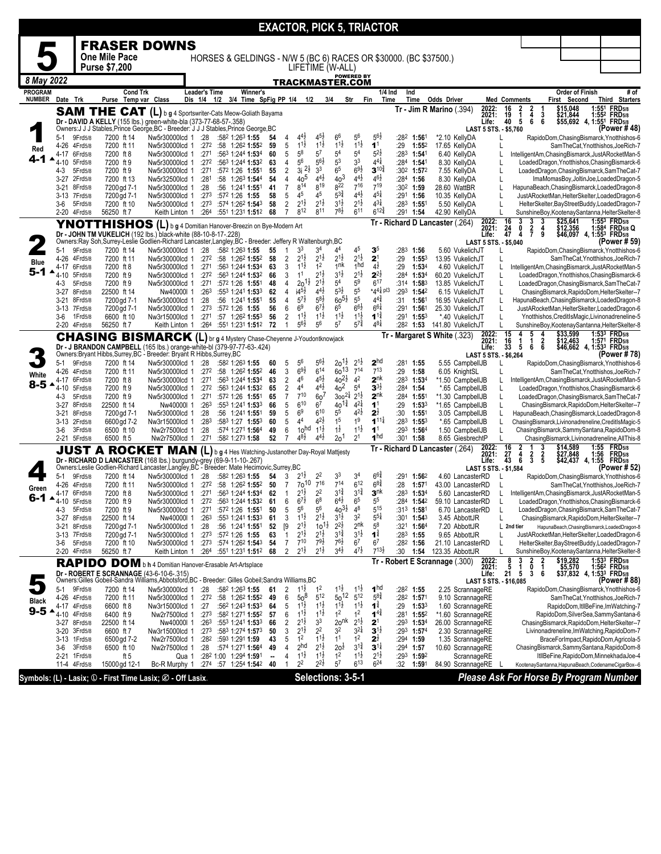|                                 |                     |                              |                                                                                                                                                                         |                                  |                                 |     |                                                                                  |                      |                                                                    |                                                                             | <b>EXACTOR, PICK 5, TRIACTOR</b>           |                                            |                                           |                     |                                         |                                                     |                         |                                                             |                                                                                                   |                                                                                       |                                            |
|---------------------------------|---------------------|------------------------------|-------------------------------------------------------------------------------------------------------------------------------------------------------------------------|----------------------------------|---------------------------------|-----|----------------------------------------------------------------------------------|----------------------|--------------------------------------------------------------------|-----------------------------------------------------------------------------|--------------------------------------------|--------------------------------------------|-------------------------------------------|---------------------|-----------------------------------------|-----------------------------------------------------|-------------------------|-------------------------------------------------------------|---------------------------------------------------------------------------------------------------|---------------------------------------------------------------------------------------|--------------------------------------------|
|                                 |                     |                              | <b>FRASER DOWNS</b>                                                                                                                                                     |                                  |                                 |     |                                                                                  |                      |                                                                    |                                                                             |                                            |                                            |                                           |                     |                                         |                                                     |                         |                                                             |                                                                                                   |                                                                                       |                                            |
|                                 |                     |                              | <b>One Mile Pace</b>                                                                                                                                                    |                                  |                                 |     | HORSES & GELDINGS - N/W 5 (BC 6) RACES OR \$30000. (BC \$37500.)                 |                      |                                                                    |                                                                             |                                            |                                            |                                           |                     |                                         |                                                     |                         |                                                             |                                                                                                   |                                                                                       |                                            |
|                                 |                     |                              | Purse \$7,200                                                                                                                                                           |                                  |                                 |     |                                                                                  |                      |                                                                    |                                                                             | LIFETIME (W-ALL)                           |                                            |                                           |                     |                                         |                                                     |                         |                                                             |                                                                                                   |                                                                                       |                                            |
| 8 May 2022                      |                     |                              |                                                                                                                                                                         |                                  |                                 |     |                                                                                  |                      |                                                                    |                                                                             | TRACKMASTER.COM                            | <b>POWERED BY</b>                          |                                           |                     |                                         |                                                     |                         |                                                             |                                                                                                   |                                                                                       |                                            |
| <b>PROGRAM</b><br><b>NUMBER</b> | Date Trk            |                              | <b>Cond Trk</b><br>Purse Temp var Class                                                                                                                                 |                                  | <b>Leader's Time</b><br>Dis 1/4 | 1/2 | <b>Winner's</b><br>3/4 Time SpFig PP 1/4 1/2                                     |                      |                                                                    |                                                                             | 3/4                                        | Str                                        | $1/4$ Ind<br>Fin<br>Time                  | Ind                 | Time                                    | <b>Odds Driver</b>                                  |                         | <b>Med Comments</b>                                         | <b>Order of Finish</b><br>First Second                                                            |                                                                                       | # of<br>Third Starters                     |
|                                 |                     |                              | <b>SAM THE CAT</b> (L) b g 4 Sportswriter-Cats Meow-Goliath Bayama                                                                                                      |                                  |                                 |     |                                                                                  |                      |                                                                    |                                                                             |                                            |                                            |                                           |                     |                                         | $Tr - Jim R$ Marino (.394)                          | 2022:<br>2021:          | $\frac{16}{19}$<br>$\frac{2}{4}$<br>$\frac{2}{1}$<br>3      | \$15,048<br>\$21,844                                                                              |                                                                                       | 1:551 FRD5/8<br>1:552 FRD5/8               |
|                                 |                     |                              | Dr - DAVID A KELLY (155 lbs.) green-white-bla (373-77-68-57-.358)<br>Owners: J J J Stables, Prince George, BC - Breeder: J J J Stables, Prince George, BC               |                                  |                                 |     |                                                                                  |                      |                                                                    |                                                                             |                                            |                                            |                                           |                     |                                         |                                                     | Life:                   | 40<br>5<br>6<br>6                                           |                                                                                                   | \$55,692 4, 1:55 <sup>1</sup> FRD5/8                                                  |                                            |
|                                 | 5-1                 | 9Frd5/8                      | 7200 ft 14                                                                                                                                                              | Nw5r30000lcd 1                   | :28                             |     | :582 1:263 1:55                                                                  | 54                   | $4^{4}$<br>4                                                       | $4^{5}\frac{1}{2}$                                                          | 66                                         | 5 <sup>6</sup>                             | $5^{6}$                                   | :282                | 1:561                                   | *2.10 KellyDA                                       |                         | LAST 5 STS. - \$5,760                                       | RapidoDom, Chasing Bismarck, Ynotthishos-6                                                        |                                                                                       | (Power #48)                                |
| Red                             | 4-26<br>4-17        | 4Frd5/8<br>6Frd5/8           | 7200 ft 11<br>7200 ft 8                                                                                                                                                 | Nw5r30000lcd 1<br>Nw5r30000lcd 1 | :271                            |     | $:272$ :58 1:262 1:552<br>:563 1:244 1:534                                       | 59<br>60             | 5<br>$11\frac{1}{2}$<br>$5^8$<br>5                                 | $11\frac{1}{2}$<br>$5^7$                                                    | $11\frac{1}{2}$<br>$5^4$                   | $11\frac{1}{2}$<br>5 <sup>4</sup>          | 1 <sup>1</sup><br>$5^{2}$                 | :29                 | 1:552<br>$:283$ 1:541                   | 17.65 KellyDA<br>6.40 KellvDA                       |                         | L                                                           | IntelligentAm, Chasing Bismarck, JustARocketMan-5                                                 |                                                                                       | SamTheCat, Ynotthishos, JoeRich-7          |
| 4-1                             | 4-10                | 5Frd5/8                      | 7200 ft 9                                                                                                                                                               | Nw5r30000lcd 1                   | :272                            |     | :563 1:244 1:532                                                                 | 63                   | 56<br>4                                                            | $56\frac{1}{2}$                                                             | 5 <sup>3</sup>                             | 3 <sup>3</sup>                             | $4^{4}$                                   |                     | :284 1:541                              | 8.30 KellyDA                                        |                         | L                                                           | LoadedDragon, Ynotthishos, ChasingBismarck-6                                                      |                                                                                       |                                            |
|                                 | $4 - 3$<br>$3 - 27$ | 5Frd5/8<br>2Frd5/8           | 7200 ft 9<br>7200 ft 13                                                                                                                                                 | Nw5r30000lcd 1<br>Nw5r32500lcd 1 | :271<br>:281                    |     | :572 1:26 1:551<br>:58 1:26 <sup>3</sup> 1:544                                   | 55<br>54             | 2<br>3i<br>4                                                       | $2\frac{1}{2}$<br>3 <sup>3</sup><br>$4^{4}$ <sub>2</sub><br>40 <sup>5</sup> | 6 <sup>5</sup><br>$40^{3}$                 | $69\frac{1}{2}$<br>$4^{4}$ <sub>2</sub>    | $3^{10\frac{3}{4}}$<br>$4^{6}\frac{1}{2}$ | $:284$ 1:56         | :30 <sup>2</sup> 1:57 <sup>2</sup>      | 7.55 KellyDA<br>8.30 KellyDA                        |                         | L<br>L                                                      | LoadedDragon, ChasingBismarck, SamTheCat-7<br>ImaMomasBoy, JoltinJoe, LoadedDragon-5              |                                                                                       |                                            |
|                                 | $3 - 21$            | 8Frd5/8                      | 7200 gd 7-1                                                                                                                                                             | Nw5r30000lcd 1                   | :28                             |     | :56 1:241 1:551                                                                  | 41                   | $\overline{7}$<br>814                                              | 819                                                                         | 822                                        | 716                                        | 719                                       | :302 1:59           |                                         | 28.60 WattBR                                        |                         |                                                             | HapunaBeach, ChasingBismarck, LoadedDragon-8                                                      |                                                                                       |                                            |
|                                 | 3-6                 | 3-13 7Frd5/8<br>5Frd5/8      | 7200 gd 7-1<br>7200 ft 10                                                                                                                                               | Nw5r30000lcd 1<br>Nw5r30000lcd 1 | :273                            |     | :572 1:26 1:55<br>$:273$ $:574$ 1:26 <sup>2</sup> 1:543                          | 58<br>58             | 45<br>5<br>$2^{1\frac{1}{2}}$<br>$\overline{c}$                    | 45<br>$2^{1\frac{1}{2}}$                                                    | $5^{3}\frac{3}{4}$<br>$3^{1\frac{1}{2}}$   | $4^{4}$ <sub>2</sub><br>$2^{1\frac{1}{2}}$ | $4^{51}$<br>$4^{3}\frac{1}{4}$            | $:29^1$ 1:56        | :283 1:551                              | 10.35 KellyDA<br>5.50 KellyDA                       |                         | L<br>L                                                      | JustARocketMan, HelterSkelter, LoadedDragon-6<br>HelterSkelter, BayStreetBuddy, LoadedDragon-7    |                                                                                       |                                            |
|                                 | $2 - 20$            | 4Frd5/8                      | 56250 ft 7                                                                                                                                                              | Keith Linton 1                   |                                 |     | $:264$ $:551$ 1:231 1:512                                                        | 68                   | 812<br>$\overline{7}$                                              | 811                                                                         | $7^{8}\frac{1}{2}$                         | 6 <sup>11</sup>                            | $6^{12\frac{3}{4}}$                       | $:29^1$ 1:54        |                                         | 42.90 KellyDA                                       |                         | L                                                           | SunshineBoy, Kootenay Santanna, Helter Skelter-8                                                  |                                                                                       |                                            |
|                                 |                     |                              | YNOTTHISHOS (L) b g 4 Domitian Hanover-Breezin on Bye-Modern Art                                                                                                        |                                  |                                 |     |                                                                                  |                      |                                                                    |                                                                             |                                            |                                            |                                           |                     |                                         | Tr - Richard D Lancaster (.264)                     | 2022:<br>2021:          | 16<br>3<br>$\frac{3}{2}$<br>$\frac{24}{47}$<br>0<br>4       | \$25,641<br>\$12,356                                                                              |                                                                                       | 1:553 FRD <sub>5/8</sub><br>1:584 FRD5/8 Q |
|                                 |                     |                              | Dr - JOHN TM VUKELICH (192 lbs.) black-white (88-10-8-17-.228)<br>Owners:Ray Soh,Surrey-Leslie Godlien-Richard Lancaster,Langley,BC - Breeder: Jeffery R Waltenburgh,BC |                                  |                                 |     |                                                                                  |                      |                                                                    |                                                                             |                                            |                                            |                                           |                     |                                         |                                                     | Life:                   | 4<br>9<br>LAST 5 STS. - \$5,040                             |                                                                                                   | \$46,097 4, 1:55 <sup>3</sup> FRD5/8                                                  | (Power # 59)                               |
|                                 | 5-1                 | 9Frd5/8                      | 7200 ft 14                                                                                                                                                              | Nw5r30000lcd 1                   | :28                             |     | :582 1:263 1:55                                                                  | 55                   | 3 <sup>3</sup><br>1                                                | 3 <sup>4</sup>                                                              | 44                                         | 45<br>$2^{1\frac{1}{2}}$                   | 3 <sup>5</sup>                            | :283                | 1:56                                    | 5.60 VukelichJT                                     |                         | L                                                           | RapidoDom, Chasing Bismarck, Ynotthishos-6                                                        |                                                                                       |                                            |
| Blue                            | 4-26<br>4-17        | 4Frd5/8<br>6Frd5/8           | 7200 ft 11<br>7200 ft 8                                                                                                                                                 | Nw5r30000lcd 1<br>Nw5r30000lcd 1 | :272<br>:271                    |     | :58 1:26 <sup>2</sup> 1:55 <sup>2</sup><br>:563 1:244 1:534                      | 58<br>63             | 2<br>$2^{1\frac{1}{2}}$<br>$1^{11}$<br>3                           | $2^{1\frac{1}{2}}$<br>1 <sup>2</sup>                                        | $2^{1\frac{1}{2}}$<br>1 <sup>nk</sup>      | 1 <sub>hd</sub>                            | 2 <sup>1</sup><br>$4\frac{1}{2}$          | :29<br>:29          | $1:55^{3}$<br>1:53 <sup>4</sup>         | 13.95 VukelichJT<br>4.60 VukelichJT                 |                         |                                                             | IntelligentAm, Chasing Bismarck, JustARocketMan-5                                                 |                                                                                       | SamTheCat, Ynotthishos, JoeRich-7          |
| 5-1                             | 4-10                | 5Frd5/8                      | 7200 ft 9                                                                                                                                                               | Nw5r30000lcd 1<br>Nw5r30000lcd 1 | :272                            |     | :563 1:244 1:532                                                                 | 66                   | 1 <sup>1</sup><br>3                                                | 21ż<br>$20^{11}$<br>$2^{1\frac{1}{2}}$                                      | $3^{1\frac{1}{2}}$<br>5 <sup>4</sup>       | $2^{1\frac{1}{2}}$<br>$5^9$                | $2^{2\frac{1}{2}}$<br>$6^{17}$            |                     | :284 1:534                              | 60.20 VukelichJT                                    |                         | L<br>L                                                      | LoadedDragon, Ynotthishos, ChasingBismarck-6                                                      |                                                                                       |                                            |
|                                 | 4-3<br>$3-27$       | 5Frd5/8<br>8Frd5/8           | 7200 ft 9<br>22500 ft 14                                                                                                                                                | Nw40000I 1                       | :271<br>:26 <sup>3</sup>        |     | :572 1:26 1:551<br>:553 1:241 1:533                                              | 48<br>62             | 4<br>$14^{51}$<br>4                                                | $4^{4}$ <sub>2</sub>                                                        | $5^{3\frac{1}{2}}$                         | $5^5\,$                                    | $*44\frac{1}{4}$ pl3                      |                     | $:314$ 1:583<br>:293 1:542              | 13.85 VukelichJT<br>6.15 VukelichJT                 |                         | L                                                           | LoadedDragon, ChasingBismarck, SamTheCat-7<br>ChasingBismarck, RapidoDom, HelterSkelter--7        |                                                                                       |                                            |
|                                 | 3-21                | 8Frd5/8<br>7Frd5/8           | 7200 gd 7-1                                                                                                                                                             | Nw5r30000lcd 1                   | :28                             |     | :56 1:241 1:551                                                                  | 55<br>56             | $5^{7\frac{1}{2}}$<br>4<br>6 <sup>9</sup><br>6                     | $5^{8}2$<br>$6^{7}\frac{1}{2}$                                              | $60^{51}$<br>6 <sup>5</sup>                | $5^5$<br>$6^{6}\frac{1}{2}$                | $4^{4^{3} }$<br>$66\frac{1}{4}$           | :31                 | 1:561<br>$:291$ 1:561                   | 16.95 VukelichJT<br>25.30 VukelichJT                |                         | L                                                           | HapunaBeach, ChasingBismarck, LoadedDragon-8                                                      |                                                                                       |                                            |
|                                 | $3 - 13$<br>3-6     | 1Frd5/8                      | 7200 gd 7-1<br>6600 ft 10                                                                                                                                               | Nw5r30000lcd 1<br>Nw3r15000lcd 1 | :273<br>:271                    |     | :572 1:26 1:55<br>$:57$ 1:26 <sup>2</sup> 1:55 <sup>3</sup>                      | 56                   | $11\frac{1}{2}$<br>2                                               | $1^{1\frac{1}{2}}$                                                          | $11\frac{1}{2}$                            | $11\frac{1}{2}$                            | $1^{1\frac{3}{4}}$                        |                     | :291 1:553                              | *.40 VukelichJT                                     |                         | L<br>L                                                      | JustARocketMan, HelterSkelter, LoadedDragon-6<br>Ynotthishos, CreditIsMagic, Livinonadreneline-5  |                                                                                       |                                            |
|                                 |                     | 2-20 4Frd5/8                 | 56250 ft 7                                                                                                                                                              | Keith Linton 1                   |                                 |     | $:264$ $:551$ 1:231 1:51 <sup>2</sup> 72                                         |                      | $5^{6}\frac{1}{2}$<br>$\overline{1}$                               | 5 <sup>6</sup>                                                              | $5^7$                                      | $5^{7\frac{3}{4}}$                         | $4^{8\frac{1}{4}}$                        |                     |                                         | :28 <sup>2</sup> 1:53 141.80 VukelichJT             |                         | L<br>15                                                     | SunshineBoy,KootenaySantanna,HelterSkelter-8<br>\$33,599                                          |                                                                                       | 1:533 FRD5/8                               |
|                                 |                     |                              | <b>CHASING BISMARCK (L)</b> br g 4 Mystery Chase-Cheyenne J-Youdontknowjack<br>Dr - J BRANDON CAMPBELL (165 lbs.) orange-white-bl (379-97-77-63-.424)                   |                                  |                                 |     |                                                                                  |                      |                                                                    |                                                                             |                                            |                                            |                                           |                     |                                         | Tr - Margaret S White (.323)                        | 2022:<br>2021:<br>Life: | 5<br>4<br>4<br>1<br>16<br>2<br>1<br>33<br>5<br>6<br>6       | \$12,463                                                                                          | \$46,662 4, 1:53 <sup>3</sup> FRD <sub>5/8</sub>                                      | 1:571 FRD5/8                               |
|                                 |                     |                              | Owners: Bryant Hibbs, Surrey, BC - Breeder: Bryant R Hibbs, Surrey, BC                                                                                                  |                                  |                                 |     |                                                                                  |                      |                                                                    |                                                                             |                                            |                                            |                                           |                     |                                         |                                                     |                         | LAST 5 STS. - \$6,264                                       |                                                                                                   |                                                                                       | (Power # 78)                               |
|                                 | 5-1<br>4-26         | 9Frd5/8<br>4Frd5/8           | 7200 ft 14<br>7200 ft 11                                                                                                                                                | Nw5r30000lcd 1<br>Nw5r30000lcd 1 | :28<br>$:27^2$                  |     | :582 1:263 1:55<br>$:58$ 1:26 <sup>2</sup> 1:55 <sup>2</sup>                     | 60<br>46             | 56<br>5<br>$69\frac{1}{2}$<br>3                                    | $5^{6}\frac{1}{2}$<br>$6^{14}$                                              | $20^{11}$<br>$60^{13}$                     | $2^{1\frac{1}{2}}$<br>$7^{14}$             | 2 <sup>hd</sup><br>$7^{13}$               | $:28^1$ 1:55<br>:29 | 1:58                                    | 5.55 CampbellJB<br>6.05 KnightSL                    |                         |                                                             | RapidoDom, Chasing Bismarck, Ynotthishos-6                                                        |                                                                                       | SamTheCat, Ynotthishos, JoeRich-7          |
| White<br>$8-5$ $\triangle$      | 4-17                | 6Frd5/8                      | 7200 ft 8                                                                                                                                                               | Nw5r30000lcd 1                   | :271                            |     | :563 1:244 1:534                                                                 | 63                   | 46<br>$\overline{c}$                                               | $4^{5}\frac{1}{2}$                                                          | $40^{21}$                                  | 4 <sup>2</sup>                             | 2 <sup>nk</sup>                           | :283                | 1:534                                   | *1.50 CampbellJB                                    |                         | L                                                           | IntelligentAm, Chasing Bismarck, JustARocketMan-5                                                 |                                                                                       |                                            |
|                                 | 4-10<br>4-3         | 5Frd5/8<br>5Frd5/8           | 7200 ft 9<br>7200 ft 9                                                                                                                                                  | Nw5r30000lcd 1<br>Nw5r30000lcd 1 | :271                            |     | :272 :563 1:244 1:532<br>:572 1:26 1:551                                         | 65<br>65             | 44<br>2<br>$7^{10}$<br>$\overline{7}$                              | $4^{4}\frac{1}{2}$<br>60'                                                   | 4 <sup>o</sup><br>$300^{21}$               | 5 <sup>4</sup><br>$2^{1\frac{1}{2}}$       | $3^{3}$<br>$2^{nk}$                       | :284 1:54           | $:284$ 1:551                            | *.65 CampbellJB<br>*1.30 CampbellJB                 |                         | L<br>L                                                      | LoadedDragon, Ynotthishos, ChasingBismarck-6<br>LoadedDragon, ChasingBismarck, SamTheCat-7        |                                                                                       |                                            |
|                                 | $3-27$              | 8Frd5/8                      | 22500 ft 14                                                                                                                                                             | Nw40000I 1                       | :263                            |     | :553 1:241 1:533                                                                 | 66                   | $6^{10}$<br>5                                                      | $6^7\,$                                                                     | 40 <sup>1</sup>                            | $4^{21}$                                   | 1 <sup>1</sup>                            | :29                 | 1:53 <sup>3</sup>                       | *1.65 CampbellJB                                    |                         | L                                                           | ChasingBismarck, RapidoDom, HelterSkelter--7                                                      |                                                                                       |                                            |
|                                 | $3 - 21$            | 8Frd5/8<br>3-13 2Frd5/8      | 7200 gd 7-1<br>6600 gd 7-2                                                                                                                                              | Nw5r30000lcd 1<br>Nw3r15000lcd 1 | :28<br>:283                     |     | :56 1:241 1:551<br>:583 1:27 1:553                                               | 59<br>60             | 6 <sup>9</sup><br>5<br>4 <sup>4</sup><br>5                         | 610<br>$4^{2}\frac{1}{2}$                                                   | 5 <sup>5</sup><br>1 <sup>5</sup>           | $4^{2}\frac{1}{2}$<br>1 <sup>9</sup>       | $2\frac{1}{2}$<br>$1^{11}$                | :30<br>:283         | 1:551<br>$1:55^{3}$                     | 3.05 CampbellJB<br>*.65 CampbellJB                  |                         | L<br>L                                                      | HapunaBeach, ChasingBismarck, LoadedDragon-8<br>ChasingBismarck,Livinonadreneline,CreditIsMagic-5 |                                                                                       |                                            |
|                                 | 3-6                 | 3Frd5/8                      | 6500 ft 10                                                                                                                                                              | Nw2r7500lcd 1                    | :28                             |     | :574 1:271 1:564                                                                 | 49                   | 6                                                                  | $11\frac{1}{2}$<br>1 <sub>0</sub> hd                                        | $1\frac{1}{2}$                             | $11\frac{1}{2}$                            | 1 <sup>1</sup>                            | :293                | 1:564                                   | 1.50 CampbellJB                                     |                         | Г                                                           | ChasingBismarck,SammySantana,RapidoDom-8                                                          |                                                                                       |                                            |
|                                 |                     | 2-21 5Frd5/8                 | 6500 ft 5                                                                                                                                                               | Nw2r7500lcd 1                    | :271                            |     | :582 1:273 1:58                                                                  | 52                   | $4^{8}\frac{1}{2}$<br>$\overline{7}$                               | $4^{4}$ <sub>2</sub>                                                        | 20 <sup>1</sup>                            | 2 <sup>1</sup>                             | 1 <sup>hd</sup>                           | :301                | 1:58                                    | 8.65 GiesbrechtP<br>Tr - Richard D Lancaster (.264) | 2022:                   | L<br>16<br>2<br>3                                           | ChasingBismarck,Livinonadreneline,AllThis-8<br>\$14,589                                           |                                                                                       | 1:55 FRD <sub>5/8</sub>                    |
|                                 |                     |                              | JUST A ROCKET MAN (L) b g 4 Hes Watching-Justanother Day-Royal Mattjesty                                                                                                |                                  |                                 |     |                                                                                  |                      |                                                                    |                                                                             |                                            |                                            |                                           |                     |                                         |                                                     | 2021:<br>Life:          | $\frac{27}{43}$<br>4<br>$\frac{2}{3}$<br>$\frac{2}{5}$<br>6 |                                                                                                   | \$27,848 1:56 FRD5/8<br>\$42,437 4, 1:55 FRD5/8                                       |                                            |
|                                 |                     |                              | Dr - RICHARD D LANCASTER (168 lbs.) burgundy-grey (69-9-11-10-.267)<br>Owners:Leslie Godlien-Richard Lancaster,Langley,BC - Breeder: Mate Hecimovic,Surrey,BC           |                                  |                                 |     |                                                                                  |                      |                                                                    |                                                                             | 33                                         | 3 <sup>4</sup>                             | 661                                       |                     |                                         |                                                     |                         | LAST 5 STS. - \$1,584                                       |                                                                                                   |                                                                                       | (Power # 52)                               |
| Green                           | 5-1<br>4-26         | 9Frd5/8<br>4Frd5/8           | 7200 ft 14<br>7200 ft 11                                                                                                                                                | Nw5r30000lcd 1<br>Nw5r30000lcd 1 | :28<br>:272                     |     | :582 1:263 1:55<br>$:58$ 1:26 <sup>2</sup> 1:55 <sup>2</sup>                     | 54<br>50             | $2^{1}$<br>3<br>$\overline{7}$                                     | 22<br>$70^{10}$<br>$7^{16}$                                                 | $7^{14}$                                   | $6^{12}$                                   | $6^{8}\frac{3}{4}$                        | :28                 | :291 1:562<br>1:57 <sup>1</sup>         | 4.60 LancasterRD<br>43.00 LancasterRD               |                         | L                                                           | RapidoDom, Chasing Bismarck, Ynotthishos-6                                                        |                                                                                       | SamTheCat, Ynotthishos, JoeRich-7          |
| $6 - 1$                         | ◢                   | 4-17 6Frd5/8                 | 7200 ft 8                                                                                                                                                               | Nw5r30000lcd 1                   | :271                            |     | :563 1:244 1:534                                                                 | 62                   | $2^{1\frac{1}{2}}$<br>$\overline{1}$<br>$6^{7}z$<br>- 6            | $2^2$<br>$6^8$                                                              | $3^{1\frac{3}{4}}$<br>$6^{4\frac{1}{2}}$   | $3^{1\frac{3}{4}}$<br>6 <sup>5</sup>       | 3 <sup>nk</sup><br>5 <sup>5</sup>         |                     | $:283$ 1:534                            | 5.60 LancasterRD                                    |                         | L                                                           | IntelligentAm, ChasingBismarck, JustARocketMan-5                                                  |                                                                                       |                                            |
|                                 | 4-3                 | 1-10 5Frd5/8<br>5Frd5/8      | 7200 ft 9<br>7200 ft 9                                                                                                                                                  | Nw5r30000lcd 1<br>Nw5r30000lcd 1 | :27 <sup>2</sup><br>:271        |     | :563 1:244 <b>1:53</b> 2<br>:572 1:26 1:551                                      | 61<br>50             | $5^6$<br>5                                                         | 5 <sup>6</sup>                                                              | $40^{31}$                                  | $4^8$                                      | $5^{15}$                                  | :284                | 1:542<br>$:313$ 1:581                   | 59.10 LancasterRD<br>6.70 LancasterRD               |                         | L                                                           | LoadedDragon, Ynotthishos, ChasingBismarck-6<br>LoadedDragon, ChasingBismarck, SamTheCat-7        |                                                                                       |                                            |
|                                 | 3-27                | 8Frd5/8                      | 22500 ft 14                                                                                                                                                             | Nw40000I 1<br>Nw5r30000lcd 1     | :263                            |     | :553 1:241 1:533                                                                 | 61                   | $1^{1}\frac{1}{2}$<br>3<br>$2^{1\frac{1}{2}}$                      | $2^{1\frac{1}{2}}$<br>$10^{11}$                                             | $3^{1\frac{1}{2}}$<br>$2^{2}\frac{1}{2}$   | 3 <sup>2</sup><br>2 <sup>nk</sup>          | $5^{5}$<br>$5^8$                          |                     | :301 1:543<br>$:32^1$ 1:56 <sup>4</sup> | 3.45 AbbottJR                                       |                         | L                                                           | ChasingBismarck, RapidoDom, HelterSkelter--7<br>HapunaBeach, ChasingBismarck, LoadedDragon-8      |                                                                                       |                                            |
|                                 | 3-21                | 8Frd5/8<br>3-13 7Frd5/8      | 7200 gd 7-1<br>7200 gd 7-1                                                                                                                                              | Nw5r30000lcd 1                   | :28<br>:273                     |     | :56 1:241 1:551<br>:572 1:26 1:55                                                | 52<br>63             | [9<br>$2^{1\frac{1}{2}}$<br>1                                      | $2^{1\frac{1}{2}}$                                                          | $3^{1\frac{3}{4}}$                         | $3^{11}$                                   | $1^{\frac{3}{4}}$                         | $:283$ 1:55         |                                         | 7.20 AbbottJR<br>9.65 AbbottJR                      |                         | L 2nd tier<br>L                                             | JustARocketMan, HelterSkelter, LoadedDragon-6                                                     |                                                                                       |                                            |
|                                 | 3-6                 | 5Frd5/8<br>2-20 4Frd5/8      | 7200 ft 10<br>56250 ft 7                                                                                                                                                | Nw5r30000lcd 1<br>Keith Linton 1 |                                 |     | $:273$ $:574$ 1:26 <sup>2</sup> 1:54 <sup>3</sup> 54<br>:264 :551 1:231 1:512 68 |                      | $7^{10}$<br>$\overline{7}$<br>$2^{1\frac{1}{2}}$<br>$\overline{2}$ | $7^{9}\frac{1}{2}$<br>$2^{1\frac{1}{2}}$                                    | $7^{6}\frac{1}{2}$<br>$3^{4}$ <sub>2</sub> | 6 <sup>7</sup><br>$4^{7}\frac{1}{2}$       | 6 <sup>7</sup><br>$7^{13}\frac{1}{2}$     | $:28^2$ 1:56<br>:30 |                                         | 21.10 LancasterRD<br>1:54 123.35 AbbottJR           |                         | L<br>L                                                      | HelterSkelter, BayStreetBuddy, LoadedDragon-7<br>SunshineBoy, Kootenay Santanna, Helter Skelter-8 |                                                                                       |                                            |
|                                 |                     |                              | RAPIDO DOM b h 4 Domitian Hanover-Erasable Art-Artsplace                                                                                                                |                                  |                                 |     |                                                                                  |                      |                                                                    |                                                                             |                                            |                                            |                                           |                     |                                         | Tr - Robert E Scrannage (.300)                      | 2022:<br>2021:          | $\frac{8}{5}$<br>3                                          |                                                                                                   |                                                                                       |                                            |
|                                 |                     |                              | Dr - ROBERT E SCRANNAGE (43-6-10-6-.315)                                                                                                                                |                                  |                                 |     |                                                                                  |                      |                                                                    |                                                                             |                                            |                                            |                                           |                     |                                         |                                                     | Life:                   | 1<br>0<br><b>21</b><br>5<br>3<br>-6                         |                                                                                                   | \$19,282 1:53 <sup>3</sup> FRD5/8<br>\$5,570 1:562 FRD5/8<br>\$37,832 4, 1:533 FRD5/8 |                                            |
|                                 | 5-1                 | 9Frd5/8                      | Owners:Gilles Gobeil-Sandra Williams,Abbotsford,BC - Breeder: Gilles Gobeil;Sandra Williams,BC<br>7200 ft 14                                                            | Nw5r30000lcd 1                   | :28                             |     | :582 1:263 1:55                                                                  | 61                   | 2<br>$1^{11}$                                                      | $1^2$                                                                       | $1^{1\frac{1}{2}}$                         | $1^{1\frac{1}{2}}$                         | 1 <sup>hd</sup>                           | $:28^2$ 1:55        |                                         | 2.25 ScrannageRE                                    |                         | LAST 5 STS. - \$16,085                                      | RapidoDom, Chasing Bismarck, Ynotthishos-6                                                        |                                                                                       | (Power # 88)                               |
| <b>Black</b>                    |                     | 4-26 4Frd5/8                 | 7200 ft 11                                                                                                                                                              | Nw5r30000lcd 1                   |                                 |     | $:27^2$ :58 1:26 <sup>2</sup> 1:55 <sup>2</sup> 49                               |                      | 6                                                                  | $5^{12}$<br>$50^8$                                                          | $50^{12}$                                  | $5^{12}$                                   | $5^{8}$                                   |                     | $:28^2$ 1:571                           | 9.10 ScrannageRE                                    |                         |                                                             |                                                                                                   |                                                                                       | SamTheCat, Ynotthishos, JoeRich-7          |
| $9 - 5$                         |                     | 4-17 4Frd5/8<br>4-10 4Frd5/8 | 6600 ft 8<br>6400 ft 9                                                                                                                                                  | Nw3r15000lcd 1<br>Nw2r7500lcd 1  | :27                             |     | :562 1:243 1:533<br>:273 :582 1:271 1:552 57                                     | 64                   | 5<br>$1^{11}$<br>$11\frac{1}{2}$<br>6                              | $1^{1\frac{1}{2}}$<br>$11\frac{1}{2}$                                       | $1^{1\frac{1}{2}}$<br>1 <sup>2</sup>       | $1^{1\frac{1}{2}}$<br>1 <sup>2</sup>       | $1^{\frac{3}{4}}$<br>$1^{4}$              | :29                 | 1:53 <sup>3</sup><br>$:281$ 1:552       | 1.60 ScrannageRE<br>*1.60 ScrannageRE               |                         |                                                             | RapidoDom, SilverSea, Sammy Santana-6                                                             |                                                                                       | RapidoDom, ItllBeFine, ImWatching-7        |
|                                 |                     | 3-27 8Frd5/8                 | 22500 ft 14                                                                                                                                                             | Nw40000I 1                       |                                 |     | $:26^3$ $:55^3$ 1:24 <sup>1</sup> 1:53 <sup>3</sup>                              | 66                   | $2^{1\frac{1}{2}}$<br>2                                            | 3 <sup>3</sup>                                                              | 2o <sup>nk</sup>                           | $2^{1\frac{1}{2}}$                         | 2 <sup>1</sup>                            |                     | :293 1:534                              | 26.00 ScrannageRE                                   |                         |                                                             | ChasingBismarck, RapidoDom, HelterSkelter--7                                                      |                                                                                       |                                            |
|                                 |                     | 3-20 3Frd5/8<br>3-13 1Frd5/8 | 6600 ft 7<br>6500 gd 7-2                                                                                                                                                | Nw3r15000lcd 1<br>Nw2r7500lcd 1  |                                 |     | $:273$ $:583$ 1:274 1:573<br>$:28^2$ :59 <sup>3</sup> 1:29 <sup>1</sup> 1:59     | 50<br>43             | 3<br>$2^{1\frac{1}{2}}$<br>1 <sup>2</sup><br>5                     | 2 <sup>2</sup><br>$1^{1\frac{1}{2}}$                                        | 32<br>1 <sup>1</sup>                       | $3^{2}$<br>1 <sup>2</sup>                  | $3^{1}$<br>$2^{\frac{1}{2}}$              |                     | :293 1:574<br>:294 1:59                 | 2.30 ScrannageRE<br>1.35 ScrannageRE                |                         |                                                             | Livinonadreneline, ImWatching, RapidoDom-7<br>BraceForImpact,RapidoDom,Agricola-5                 |                                                                                       |                                            |
|                                 | 3-6                 | 3Frd5/8                      | 6500 ft 10                                                                                                                                                              | Nw2r7500lcd 1                    | :28                             |     | :574 1:271 1:564                                                                 | 49                   | 2 <sub>hd</sub><br>4                                               | $2^{1\frac{1}{2}}$                                                          | $2o\overline{z}$<br>1 <sup>2</sup>         | $3^{1\frac{3}{4}}$                         | $3^{1}$                                   | :294 1:57           |                                         | 10.60 ScrannageRE                                   |                         |                                                             | ChasingBismarck,SammySantana,RapidoDom-8                                                          |                                                                                       |                                            |
|                                 |                     | 2-21 1Frd5/8<br>11-4 4Frd5/8 | ft 5<br>15000gd 12-1                                                                                                                                                    | Bc-R Murphy 1                    | Qua 1                           |     | :282 1:00 1:294 1:591<br>$:274$ :57 1:254 1:54 <sup>2</sup> 40                   | $\ddot{\phantom{a}}$ | $1^{1}\frac{1}{2}$<br>4<br>2 <sup>2</sup><br>$\mathbf{1}$          | $1^{1\frac{1}{2}}$<br>$2^{2}\frac{1}{2}$                                    | $5^7$                                      | $1^{1\frac{1}{2}}$<br>$6^{13}$             | $2^{1}$<br>$6^{24}$                       |                     | :293 1:592<br>:32 $1:591$               | ScrannageRE<br>84.90 ScrannageRE                    |                         |                                                             | ItllBeFine, RapidoDom, MinnekhadaJoe-4<br>KootenaySantanna,HapunaBeach,CodenameCigarBox--6        |                                                                                       |                                            |
|                                 |                     |                              | Symbols: (L) - Lasix; (D - First Time Lasix; Ø - Off Lasix.                                                                                                             |                                  |                                 |     |                                                                                  |                      |                                                                    |                                                                             | Selections: 3-5-1                          |                                            |                                           |                     |                                         |                                                     |                         | <b>Please Ask For Horse By Program Number</b>               |                                                                                                   |                                                                                       |                                            |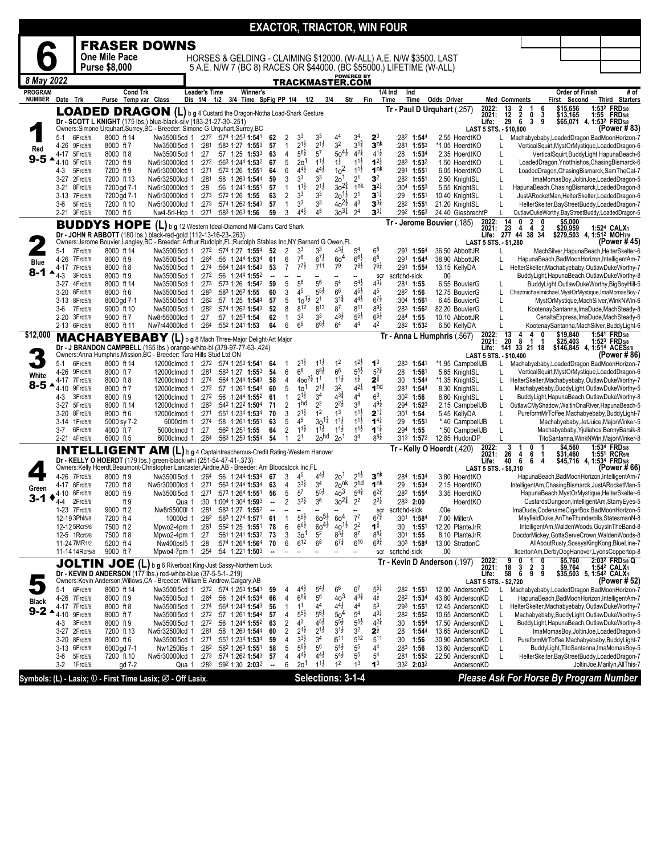|                                 |                                 |                    |                                         |                                                                                                                                                                            |                                     |                                                            |                                                          |                          |                   |                                       |                                      |                                      |                                      |                                          | <b>EXACTOR, TRIACTOR, WIN FOUR</b>                                   |                                              |                                                                                   |                                                                                             |                                                |                                        |
|---------------------------------|---------------------------------|--------------------|-----------------------------------------|----------------------------------------------------------------------------------------------------------------------------------------------------------------------------|-------------------------------------|------------------------------------------------------------|----------------------------------------------------------|--------------------------|-------------------|---------------------------------------|--------------------------------------|--------------------------------------|--------------------------------------|------------------------------------------|----------------------------------------------------------------------|----------------------------------------------|-----------------------------------------------------------------------------------|---------------------------------------------------------------------------------------------|------------------------------------------------|----------------------------------------|
|                                 |                                 |                    |                                         | <b>FRASER DOWNS</b>                                                                                                                                                        |                                     |                                                            |                                                          |                          |                   |                                       |                                      |                                      |                                      |                                          |                                                                      |                                              |                                                                                   |                                                                                             |                                                |                                        |
|                                 |                                 |                    | One Mile Pace                           |                                                                                                                                                                            |                                     |                                                            |                                                          |                          |                   |                                       |                                      |                                      |                                      |                                          | HORSES & GELDING - CLAIMING \$12000. (W-ALL) A.E. N/W \$3500. LAST   |                                              |                                                                                   |                                                                                             |                                                |                                        |
|                                 |                                 |                    | <b>Purse \$8,000</b>                    |                                                                                                                                                                            |                                     |                                                            |                                                          |                          |                   |                                       |                                      |                                      |                                      |                                          | 5 A.E. N/W 7 (BC 8) RACES OR \$44000. (BC \$55000.) LIFETIME (W-ALL) |                                              |                                                                                   |                                                                                             |                                                |                                        |
| 8 May 2022                      |                                 |                    |                                         |                                                                                                                                                                            |                                     |                                                            |                                                          |                          |                   |                                       |                                      | TRACKMASTER.COM                      | POWERED BY                           |                                          |                                                                      |                                              |                                                                                   |                                                                                             |                                                |                                        |
| <b>PROGRAM</b><br><b>NUMBER</b> | Date Trk                        |                    | <b>Cond Trk</b><br>Purse Temp var Class |                                                                                                                                                                            | <b>Leader's Time</b><br>Dis 1/4 1/2 |                                                            | Winner's<br>3/4 Time SpFig PP 1/4                        |                          |                   | 1/2                                   | 3/4                                  |                                      | Str<br>Fin                           |                                          | 1/4 Ind<br>Ind<br>Time<br>Time                                       | <b>Odds Driver</b>                           | <b>Med Comments</b>                                                               | Order of Finish<br>First Second                                                             |                                                | # of<br>Third Starters                 |
|                                 |                                 |                    |                                         | LOADED DRAGON (L) b g 4 Custard the Dragon-Notha Load-Shark Gesture                                                                                                        |                                     |                                                            |                                                          |                          |                   |                                       |                                      |                                      |                                      |                                          | Tr - Paul D Urquhart (.257)                                          | 2022:                                        | 6<br>13                                                                           | \$15,656<br>\$13,165                                                                        |                                                | 1:532 FRD5/8                           |
|                                 |                                 |                    |                                         | Dr - SCOTT L KNIGHT (175 lbs.) blue-black-silv (183-21-27-30-.251)                                                                                                         |                                     |                                                            |                                                          |                          |                   |                                       |                                      |                                      |                                      |                                          |                                                                      | 2021:<br>Life:                               | $\begin{array}{c} 2 \\ 2 \\ 6 \end{array}$<br>$\frac{12}{29}$<br>3<br>0<br>3<br>9 |                                                                                             | \$65,071 4, 1:532 FRD5/8                       | 1:55 FRD5/8                            |
|                                 | $5-1$                           | 6Frd5/8            | 8000 ft 14                              | Owners:Simone Urquhart,Surrey,BC - Breeder: Simone G Urquhart,Surrey,BC<br>Nw350015cd 1                                                                                    |                                     | $:27^2$ :574 1:253 1:541                                   |                                                          | 62                       | 2                 | 3 <sup>3</sup>                        | 3 <sup>3</sup>                       | 44                                   | 3 <sup>4</sup>                       | $\mathbf{2}^3$                           | :28 <sup>2</sup> 1:54 <sup>4</sup>                                   | 2.55 HoerdtKO                                | LAST 5 STS. - \$10,800<br>Machabyebaby, LoadedDragon, BadMoonHorizon-7<br>L       |                                                                                             |                                                | (Power #83)                            |
| Red                             | 4-26                            | 9Frd5/8            | 8000 ft 7                               | Nw350015cd 1                                                                                                                                                               | :281                                |                                                            | :583 1:27 1:553                                          | 57                       | $\mathbf{1}$      | $2^{1\frac{1}{2}}$                    | $2^{1\frac{1}{2}}$                   | 3 <sup>2</sup>                       | $3^{1\frac{3}{4}}$                   | 3 <sup>nk</sup>                          | :281 1:553                                                           | *1.05 HoerdtKO                               |                                                                                   | VerticalSquirt, MystOrMystique, LoadedDragon-6                                              |                                                |                                        |
| $9-5$                           | 4-17<br>4-10                    | 5Frd5/8<br>5Frd5/8 | 8000 ft 8<br>7200 ft 9                  | Nw350015cd 1<br>Nw5r30000lcd 1                                                                                                                                             | :27<br>:272                         |                                                            | $:57$ 1:25 1:53 <sup>3</sup><br>:563 1:244 1:532         | 63<br>67                 | 4<br>5            | $5^{6}$<br>$20^{\degree}$             | 5 <sup>7</sup><br>$1^{1\frac{1}{2}}$ | $50^{41}$<br>$1^{\frac{1}{2}}$       | $4^{2^{3}_{4}}$<br>$1^{11}$          | $4^{1\frac{1}{2}}$<br>$1^{2\frac{1}{2}}$ | :28<br>1:53 <sup>4</sup><br>$:28^3$ 1:53 <sup>2</sup>                | 2.35 HoerdtKO<br>1.50 HoerdtKO               | L<br>L                                                                            | VerticalSquirt,BuddyLight,HapunaBeach-6<br>LoadedDragon, Ynotthishos, ChasingBismarck-6     |                                                |                                        |
|                                 | 4-3                             | 5Frd5/8            | 7200 ft 9                               | Nw5r30000lcd 1                                                                                                                                                             | :271                                |                                                            | :572 1:26 1:551                                          | 64                       | 6                 | $4^{4}$                               | $4^{4}$                              | 10 <sup>2</sup>                      | $11\frac{1}{2}$                      | 1 <sup>nk</sup>                          | :291 1:551                                                           | 6.05 HoerdtKO                                | L                                                                                 | LoadedDragon, ChasingBismarck, SamTheCat-7                                                  |                                                |                                        |
|                                 | 3-27<br>$3 - 21$                | 2Frd5/8<br>8Frd5/8 | 7200 ft 13<br>7200 gd 7-1               | Nw5r32500lcd 1<br>Nw5r30000lcd 1                                                                                                                                           | :281<br>:28                         |                                                            | :58 $1:26^3$ 1:544<br>:56 1:241 1:551                    | 59<br>57                 | 3<br>$\mathbf{1}$ | 3 <sup>3</sup><br>$11\frac{1}{2}$     | 3 <sup>3</sup><br>$2^{1\frac{1}{2}}$ | 2 <sup>0</sup><br>$30^{23}$          | 2 <sup>1</sup><br>1 <sup>nk</sup>    | 3 <sup>2</sup><br>$3^{2\frac{1}{4}}$     | :28 <sup>2</sup> 1:551<br>$:30^4$ 1:553                              | 2.50 KnightSL<br>5.55 KnightSL               | L<br>L                                                                            | ImaMomasBoy, JoltinJoe, LoadedDragon-5<br>HapunaBeach, ChasingBismarck, LoadedDragon-8      |                                                |                                        |
|                                 | 3-13                            | 7Frd5/8            | 7200 gd 7-1                             | Nw5r30000lcd 1                                                                                                                                                             | :273                                | :572 1:26 1:55                                             |                                                          | 63                       | 2                 | 3 <sup>3</sup>                        | 3 <sup>3</sup>                       | $20^{11}$                            | 2 <sup>1</sup>                       | $3^{11}$                                 | :29<br>1:551                                                         | 10.40 KnightSL                               | L                                                                                 | JustARocketMan,HelterSkelter,LoadedDragon-6                                                 |                                                |                                        |
|                                 | 3-6                             | 5Frd5/8            | 7200 ft 10                              | Nw5r30000lcd 1                                                                                                                                                             | :27 <sup>3</sup>                    |                                                            | :574 1:262 1:543                                         | 57                       | $\mathbf{1}$      | 3 <sup>3</sup>                        | 3 <sup>3</sup>                       | $40^{21}$                            | 4 <sup>3</sup>                       | $3^{3\frac{1}{4}}$                       | $:28^2$ 1:551                                                        | 21.20 KnightSL                               | L                                                                                 | HelterSkelter, BayStreetBuddy, LoadedDragon-7                                               |                                                |                                        |
|                                 | 2-21                            | 3Frd5/8            | 7000 ft 5                               | Nw4-5rl-Hcp 1                                                                                                                                                              |                                     | :271 :583 1:263 1:56                                       |                                                          | 59                       | 3                 | $4^{4}\frac{1}{2}$                    | 45                                   | $30^{31}$                            | 2 <sup>4</sup>                       | $3^{3\frac{1}{4}}$                       | $:29^2$ 1:56 <sup>3</sup>                                            | 24.40 GiesbrechtP                            | $\mathsf{L}$<br>2<br>0                                                            | OutlawDukeWorthy,BayStreetBuddy,LoadedDragon-6<br>\$5,000                                   |                                                |                                        |
|                                 |                                 |                    | <b>BUDDYS HOPE</b>                      | (L) b g 12 Western Ideal-Diamond Mil-Cams Card Shark                                                                                                                       |                                     |                                                            |                                                          |                          |                   |                                       |                                      |                                      |                                      |                                          | Tr - Jerome Bouvier (.185)                                           |                                              | 2022: 14 0<br>2021: 23 4<br>Life: 277 44<br>4<br>$\overline{\mathbf{2}}$<br>38 34 | \$20,959 1:524 CALX1<br>\$279,503 4, 1:512 MOH7/8                                           |                                                |                                        |
|                                 |                                 |                    |                                         | Dr - JOHN R ABBOTT (180 lbs.) black-red-gold (112-13-16-23-.263)<br>Owners:Jerome Bouvier,Langley,BC - Breeder: Arthur Rudolph,FL;Rudolph Stables Inc,NY;Bernard G Owen,FL |                                     |                                                            |                                                          |                          |                   |                                       |                                      |                                      |                                      |                                          |                                                                      |                                              | LAST 5 STS. - \$1,280                                                             |                                                                                             |                                                | (Power # 45)                           |
|                                 | 5-1<br>4-26                     | 7Frd5/8<br>7Frd5/8 | 8000 ft 14<br>8000 ft 9                 | Nw350015cd 1 :272 :574 1:27 1:554<br>Nw3500I5cd 1                                                                                                                          | :264                                |                                                            | :56 1:244 1:534                                          | 52<br>61                 | 2<br>6            | 33<br>$7^8$                           | 33<br>$6^{7\frac{1}{2}}$             | 43}<br>60 <sup>4</sup>               | 5 <sup>4</sup><br>$6^{6}\frac{1}{2}$ | 65<br>6 <sup>5</sup>                     | :291 1:564<br>:291 1:544                                             | 36.50 AbbottJR<br>38.90 AbbottJR             | L                                                                                 | MachSilver, HapunaBeach, HelterSkelter-6<br>HapunaBeach,BadMoonHorizon,IntelligentAm-7      |                                                |                                        |
| <b>Blue</b>                     | 4-17                            | 7Frd5/8            | 8000 ft 8                               | Nw350015cd 1                                                                                                                                                               | :274                                |                                                            | :564 1:244 1:543                                         | 53                       | $\overline{7}$    | $7^{7}\frac{1}{2}$                    | 711                                  | 79                                   | $7^{8\frac{1}{2}}$                   | $76\frac{1}{4}$                          | :291 1:554                                                           | 13.15 KellyDA                                | HelterSkelter, Machabyebaby, OutlawDukeWorthy-7                                   |                                                                                             |                                                |                                        |
| $8 - 1$                         | 4-3                             | 3Frd5/8            | 8000 ft 9                               | Nw350015cd 1                                                                                                                                                               | :272                                |                                                            | :56 1:244 1:552                                          |                          |                   |                                       |                                      |                                      | Ξ.                                   | scr                                      | scrtchd-sick                                                         | .00                                          |                                                                                   | BuddyLight, HapunaBeach, OutlawDukeWorthy-8                                                 |                                                |                                        |
|                                 | $3-27$<br>$3 - 20$              | 4Frd5/8<br>6Frd5/8 | 8000 ft 14<br>8000 ft 6                 | Nw350015cd 1<br>Nw3500I5cd 1                                                                                                                                               | :273<br>:283                        | :583 1:262 1:55                                            | :573 1:26 1:542                                          | 59<br>60                 | 5<br>3            | 56<br>45                              | 56<br>$5^{51}$                       | 5 <sup>4</sup><br>$6^6$              | $5^{4}$<br>$4^{51}$                  | $4^{3}\frac{1}{4}$<br>4 <sup>5</sup>     | :281 1:55<br>:28 <sup>2</sup> 1:56                                   | 6.55 BouvierG<br>12.75 BouvierG              | L<br>Chazmichaelmichael, MystOrMystique, ImaMomasBoy-7                            | BuddyLight,OutlawDukeWorthy,BigBoyHill-5                                                    |                                                |                                        |
|                                 | 3-13                            | 8Frd5/8            | 8000 gd 7-1                             | Nw355015cd 1                                                                                                                                                               | :262                                |                                                            | :57 1:25 1:544                                           | 57                       | 5                 | $10^{11}$                             | 2 <sup>1</sup>                       | $3^{1\frac{3}{4}}$                   | $4^{41}$                             | $6^{7\frac{1}{2}}$                       | :304 1:56                                                            | 6.45 BouvierG                                | L                                                                                 | MystOrMystique, MachSilver, WinkNWin-6                                                      |                                                |                                        |
|                                 | 3-6                             | 7Frd5/8            | 9000 ft 10                              | Nw500015cd 1                                                                                                                                                               | :282                                | $:57$ 1:25 <sup>3</sup> 1:54                               | :574 1:26 <sup>2</sup> 1:54 <sup>3</sup>                 | 52                       | 8                 | 812<br>3 <sup>3</sup>                 | 813<br>3 <sup>3</sup>                | 87<br>$4^{3}\frac{1}{2}$             | 811<br>$5^{51}$                      | $8^{9\frac{1}{2}}$<br>$6^{51}$           | $:283$ 1:56 <sup>2</sup>                                             | 82.20 BouvierG                               |                                                                                   | KootenaySantanna,ImaDude,MachSteady-8                                                       |                                                |                                        |
|                                 | $2 - 20$<br>2-13 6Frd5/8        | 3Frd5/8            | 9000 ft 7<br>8000 ft 11                 | Nw8r55000lcd 1<br>Nw7r44000lcd 1                                                                                                                                           | :27<br>:26 <sup>4</sup>             | :552 1:241 1:53                                            |                                                          | 62<br>64                 | 1<br>6            | 6 <sup>6</sup>                        | $6^{6}\frac{1}{2}$                   | 6 <sup>4</sup>                       | 4 <sup>4</sup>                       | 4 <sup>2</sup>                           | $:284$ 1:55<br>:282 1:532                                            | 10.10 AbbottJR<br>6.50 KellyDA               | L                                                                                 | CenaltaExpress, ImaDude, MachSteady-6<br>KootenaySantanna,MachSilver,BuddyLight-6           |                                                |                                        |
| \$12,000                        |                                 |                    |                                         | MACHABYEBABY (L) b g 8 Mach Three-Major Delight-Art Major                                                                                                                  |                                     |                                                            |                                                          |                          |                   |                                       |                                      |                                      |                                      |                                          | Tr - Anna L Humphris (.567)                                          | 2022:<br>2021:                               | 13<br>8<br>1                                                                      | \$19,840                                                                                    |                                                | 1:541 FRD <sub>5/8</sub>               |
|                                 |                                 |                    |                                         | Dr - J BRANDON CAMPBELL (165 lbs.) orange-white-bl (379-97-77-63-.424)<br>Owners:Anna Humphris, Mission, BC - Breeder: Tara Hills Stud Ltd, ON                             |                                     |                                                            |                                                          |                          |                   |                                       |                                      |                                      |                                      |                                          |                                                                      | Life:                                        | 20<br>-1<br>$141$ $33$ $21$ $18$                                                  | \$25,403 1:52 <sup>3</sup> FRD5/8<br>\$146,845 4, 1:514 ACES5/8                             |                                                |                                        |
|                                 | $5 - 1$                         | 6Frd5/8            | 8000 ft 14                              | 12000clmcd 1                                                                                                                                                               |                                     | :272 :574 1:253 <b>1:54</b> 1                              |                                                          | 64                       | 1                 | $2^{1\frac{1}{2}}$                    | $1^{1\frac{1}{2}}$                   | 1 <sup>2</sup>                       | $1^{2}\frac{1}{2}$                   | 1 <sup>3</sup>                           | :283 1:541                                                           | *1.95 CampbellJB                             | LAST 5 STS. - \$10,400<br>Machabyebaby, LoadedDragon, BadMoonHorizon-7<br>L       |                                                                                             |                                                | (Power # 86)                           |
| White                           | 4-26                            | 9Frd5/8            | 8000 ft 7                               | 12000clmcd 1                                                                                                                                                               | :281                                |                                                            | :583 1:27 1:553                                          | 54                       | 6                 | 6 <sup>8</sup>                        | $6^{8}\frac{1}{2}$                   | 6 <sup>6</sup>                       | $5^{51}$                             | $5^{2^{3}_{4}}$                          | :28<br>1:56                                                          | 5.65 KnightSL                                |                                                                                   | VerticalSquirt, MystOrMystique, LoadedDragon-6                                              |                                                |                                        |
| $8 - 5$                         | 4-17<br>4-10                    | 7Frd5/8<br>9Frd5/8 | 8000 ft 8<br>8000 ft 7                  | 12000clmcd 1<br>12000clmcd 1                                                                                                                                               | :274<br>:27 <sup>2</sup>            |                                                            | :564 1:244 1:543<br>:57 1:261 1:544                      | 58<br>60                 | 4<br>5            | $400^{21}$<br>10 <sup>1</sup>         | 1 <sup>1</sup><br>$2^{1\frac{1}{2}}$ | $11\frac{1}{2}$<br>3 <sup>2</sup>    | $1\frac{1}{2}$<br>$4^{21}$           | $2^{\frac{3}{4}}$<br>1 <sup>hd</sup>     | :30<br>1:544<br>:281 1:544                                           | *1.35 KnightSL<br>8.30 KnightSL              | HelterSkelter, Machabyebaby, OutlawDukeWorthy-7<br>L<br>L                         | Machabyebaby, BuddyLight, OutlawDukeWorthy-5                                                |                                                |                                        |
|                                 | 4-3                             | 3Frd5/8            | 8000 ft 9                               | 12000clmcd 1                                                                                                                                                               | :272                                |                                                            | :56 1:244 1:552                                          | 61                       | 1                 | $2^{1\frac{1}{2}}$                    | 34                                   | $4^{3}\frac{3}{4}$                   | 44                                   | 6 <sup>3</sup>                           | :302 1:56                                                            | 8.60 KnightSL                                | L                                                                                 | BuddyLight, HapunaBeach, OutlawDukeWorthy-8                                                 |                                                |                                        |
|                                 | $3 - 27$                        | 5Frd5/8            | 8000 ft 14                              | 12000clmcd 1                                                                                                                                                               | :263                                |                                                            | :542 1:222 1:504                                         | 71                       | $\overline{c}$    | 1 <sub>hd</sub><br>$2^{1\frac{1}{2}}$ | 2 <sup>2</sup><br>1 <sup>2</sup>     | $2^{2\frac{1}{2}}$<br>1 <sup>3</sup> | 3 <sup>8</sup><br>$11\frac{1}{2}$    | $4^{9}\frac{1}{2}$<br>$2^{1\frac{1}{4}}$ | $:29^4$ 1:52 <sup>3</sup>                                            | 2.15 CampbellJB                              | L<br>OutlawCMyShadow,WaitinOnaRiver,HapunaBeach-5                                 |                                                                                             |                                                |                                        |
|                                 | 3-20<br>3-14                    | 8Frd5/8<br>1Frd5/8 | 8000 ft 6<br>5000 sy 7-2                | 12000clmcd 1<br>6000clm 1                                                                                                                                                  | :274                                | :271 :551 1:234 1:534                                      | :58 $1:26^1$ 1:551                                       | 70<br>63                 | 3<br>5            | 45                                    | $30^{14}$                            | $1^{1\frac{1}{2}}$                   | $1^{1\frac{1}{2}}$                   | $1^{4}$                                  | :301 1:54<br>:29<br>$1:55^{\circ}$                                   | 5.45 KellyDA<br>*.40 CampbellJB              | L                                                                                 | PureformMrToffee,Machabyebaby,BuddyLight-7<br>Machabyebaby, JetJuice, MajorWinker-5         |                                                |                                        |
|                                 | 3-7                             | 6Frd5/8            | 4000 ft 7                               | 5000clmcd 1                                                                                                                                                                | :27                                 | :562 1:251 1:55                                            |                                                          | 64                       | 2                 | $1^{1\frac{1}{2}}$                    | $1^{1\frac{1}{2}}$                   | $1^{1\frac{1}{2}}$                   | $1^{1\frac{1}{2}}$                   | $1^{11}$                                 | $:294$ 1:55                                                          | *.50 CampbellJB                              |                                                                                   | Machabyebaby, Yjuliahos, Benny Barsik-8                                                     |                                                |                                        |
|                                 | 2-21 4Frd5/8                    |                    | 6000 ft 5                               | 6000clmcd 1                                                                                                                                                                |                                     | :264 :563 1:253 1:554                                      |                                                          | 54                       | 1                 | 2 <sup>1</sup>                        | 20 <sup>hd</sup>                     | 2 <sup>0</sup>                       | 3 <sup>4</sup>                       | $8^{8}\frac{1}{2}$                       | :313 1:572                                                           | 12.85 HudonDP                                | 3<br>0                                                                            | TitoSantanna, WinkNWin, MajorWinker-8<br>\$4,560                                            |                                                | 1:534 FRD5/8                           |
|                                 |                                 |                    | <b>INTELLIGENT</b>                      | <b>AM</b>                                                                                                                                                                  |                                     | (L) b g 4 Captaintreacherous-Credit Rating-Western Hanover |                                                          |                          |                   |                                       |                                      |                                      |                                      |                                          |                                                                      | Tr - Kelly O Hoerdt (.420)<br>2022:<br>2021: | 26<br>$\frac{4}{6}$<br>6                                                          | \$31,460                                                                                    | 1:551                                          | <b>RCR5/8</b>                          |
|                                 |                                 |                    |                                         | Dr - KELLY O HOERDT (179 lbs.) green-black-whi (251-54-47-41-.373)<br>Owners:Kelly Hoerdt, Beaumont-Christopher Lancaster, Airdrie, AB - Breeder: Am Bloodstock Inc, FL    |                                     |                                                            |                                                          |                          |                   |                                       |                                      |                                      |                                      |                                          |                                                                      | Life:                                        | 40<br>6<br>4<br>LAST 5 STS. - \$8,310                                             | \$45,716                                                                                    | 4, 1:534 FRD5/8                                | (Power # 66)                           |
|                                 | 4-26                            | 7Frd5/8            | 8000 ft 9                               | Nw350015cd 1                                                                                                                                                               | :26 <sup>4</sup>                    |                                                            | :56 1:244 1:534                                          | 67                       | 3                 | 4 <sup>5</sup>                        | $4^{4}$                              | 2o <sup>1</sup>                      | $2^{1\frac{1}{2}}$                   | 3 <sup>nk</sup><br>1 <sup>nk</sup>       | :284<br>1:53 <sup>4</sup>                                            | 3.80 HoerdtKO                                |                                                                                   | HapunaBeach,BadMoonHorizon,IntelligentAm-7                                                  |                                                |                                        |
| Green                           | 4-17<br>4-10                    | 6Frd5/8<br>6Frd5/8 | 7200 ft 8<br>8000 ft 9                  | Nw5r30000lcd 1<br>Nw350015cd 1                                                                                                                                             | :271                                | :271:5731:2641:551                                         | :563 1:244 1:534                                         | 63<br>56                 | 4<br>5            | $3^{3}\frac{1}{2}$<br>5 <sup>7</sup>  | 3 <sup>4</sup><br>$5^{5}\frac{1}{2}$ | 20 <sup>nk</sup><br>$40^{3}$         | 2hd<br>$5^{4^{\frac{3}{4}}}$         | $6^{2^{3}_{4}}$                          | :29<br>1:534<br>:28 <sup>2</sup> 1:55 <sup>4</sup>                   | 2.15 HoerdtKO<br>3.35 HoerdtKO               | IntelligentAm, Chasing Bismarck, JustARocketMan-5                                 | HapunaBeach, MystOrMystique, HelterSkelter-6                                                |                                                |                                        |
| $3 - 1$                         | $4 - 4$                         | 2Frd5/8            | ft 9                                    | Qua 1                                                                                                                                                                      |                                     | :30 1:004 1:304 1:593                                      |                                                          | $\ddot{\phantom{a}}$     | $\overline{2}$    | $3^{3}\frac{1}{2}$                    | 3 <sup>6</sup>                       | $30^{23}$                            | 2 <sup>2</sup>                       | $2^{2\frac{1}{2}}$                       | $:28^3$ 2:00                                                         | HoerdtKO                                     |                                                                                   | CustardsDungeon,IntelligentAm,StarryEyes-5                                                  |                                                |                                        |
|                                 | 1-23 7Frd5/8                    |                    | 9000 ft 2<br>7200 ft 4                  | Nw8r55000I 1                                                                                                                                                               | :281                                |                                                            | :583 1:27 1:552                                          | ۰.<br>61                 | $\mathbf{1}$      | $5^{6}$                               | $60^{51}$                            | 60 <sup>4</sup>                      | --<br>$7^7$                          | sçr<br>$6^{7\frac{3}{4}}$                | scrtchd-sick<br>:30 <sup>1</sup> 1: <b>58</b> <sup>4</sup>           | .00e                                         | ImaDude,CodenameCigarBox,BadMoonHorizon-5                                         | MayfieldDuke,AnTheThunderolls,StatesmanN-8                                                  |                                                |                                        |
|                                 | 12-19 3Phl5/8<br>12-12 5Rcr5/8  |                    | 7500 ft 2                               | 10000cl 1<br>Mpwo2-4pm 1                                                                                                                                                   | :282<br>:261                        |                                                            | :58 <sup>3</sup> 1:274 <b>1:57</b> 1<br>:552 1:25 1:551  | 78                       | 6                 | $66\frac{1}{2}$                       | $60^{41}$                            | $40^{11}_{8^{31}_{7}}$               | 2 <sup>2</sup>                       | $1^{\frac{3}{4}}$                        | 1:551<br>:30                                                         | 7.00 MillerA<br>12.20 PlanteJrR              |                                                                                   | IntelligentAm, WaldenWoods, GuysInTheBand-8                                                 |                                                |                                        |
|                                 | 12-5 1 R cr 5/8                 |                    | 7500 ft 8                               | Mpwo2-4pm 1                                                                                                                                                                | :27                                 |                                                            | :561 1:241 1:532                                         | 73                       | 3                 | 3 <sub>o</sub>                        | 5 <sup>2</sup>                       |                                      | 8 <sup>7</sup>                       | $8^{8\frac{1}{4}}$                       | :301 1:55                                                            | 8.10 PlanteJrR                               | DocdorMickey, GottaServeCrown, WaldenWoods-8                                      |                                                                                             |                                                |                                        |
|                                 | 11-24 7MR1/2<br>11-14 14 Rcr5/8 |                    | 5200 ft 4<br>9000 ft 7                  | Nw400psl5 1<br>Mpwo4-7pm 1                                                                                                                                                 | :28<br>:254                         |                                                            | :574 1:264 1:564<br>:54 1:221 1:503                      | 70                       | 6<br>--           | $6^{12}$                              | 6 <sup>8</sup>                       | $6^{7\frac{1}{4}}$                   | $6^{10}$<br>--                       | $6^{9\frac{3}{4}}$<br>scr                | :303 1:584<br>scrtchd-sick                                           | 13.00 StrattonC<br>.00                       |                                                                                   | AllAboutRusty, SossysKingKong, BlueLine-7<br>IldertonAm,DerbyDogHanover,LyonsCoppertop-8    |                                                |                                        |
|                                 |                                 |                    |                                         | JOLTIN JOE (L) b g 6 Riverboat King-Just Sassy-Northern Luck                                                                                                               |                                     |                                                            |                                                          |                          |                   |                                       |                                      |                                      |                                      |                                          | Tr - Kevin D Anderson (.197)                                         | 2022:<br>2021:                               |                                                                                   | \$5,760                                                                                     |                                                | 2:03 <sup>2</sup> FRD <sub>5/8</sub> Q |
|                                 |                                 |                    |                                         | Dr - KEVIN D ANDERSON (177 lbs.) red-white-blue (37-5-5-1-.219)                                                                                                            |                                     |                                                            |                                                          |                          |                   |                                       |                                      |                                      |                                      |                                          |                                                                      | Life:                                        | 18<br>$\frac{2}{9}$<br>$\frac{3}{6}$<br>3<br>58<br>9                              |                                                                                             | \$9,764 1:542 CALX1<br>\$35,503 5, 1:542 CALX1 | 1:54 <sup>2</sup> CALX <sub>1</sub>    |
|                                 | $5-1$                           | 6Frd5/8            | 8000 ft 14                              | Owners: Kevin Anderson, Willows, CA - Breeder: William E Andrew, Calgary, AB                                                                                               |                                     | $:27^2$ :574 1:253 1:541                                   |                                                          |                          | 4                 | $4^{4}$ <sub>2</sub>                  | $5^{4}$                              | 6 <sup>6</sup>                       | 6 <sup>7</sup>                       | $5^{51}$                                 | :28 <sup>2</sup> 1:551                                               | 12.00 AndersonKD                             | LAST 5 STS. - \$2,720<br>Machabyebaby, LoadedDragon, BadMoonHorizon-7             |                                                                                             |                                                | (Power # 52)                           |
| <b>Black</b>                    | 4-26                            | 7Frd5/8            | 8000 ft 9                               | Nw350015cd 1<br>Nw3500l5cd 1                                                                                                                                               |                                     | $:264$ :56 1:244 1:534                                     |                                                          | 59<br>66                 | 4                 | $6^{61}$                              | $5^6$                                | $40^{3}$                             | $4^{3}\frac{3}{4}$                   | $4^{1/2}$                                | :282 1:534                                                           | 43.80 AndersonKD                             | L<br>L                                                                            | HapunaBeach, BadMoonHorizon, IntelligentAm-7                                                |                                                |                                        |
| $9-2$ $\triangle$               | 4-17 7Frd5/8                    |                    | 8000 ft 8                               | Nw350015cd 1                                                                                                                                                               | :274                                |                                                            | :564 1:244 1:543                                         | 56                       | $\mathbf{1}$      | 1 <sup>1</sup>                        | 4 <sup>4</sup>                       | $4^{41}$                             | 4 <sup>4</sup>                       | 5 <sup>3</sup>                           | $:293$ 1:551                                                         | 12.45 AndersonKD                             | HelterSkelter, Machabyebaby, OutlawDukeWorthy-7                                   |                                                                                             |                                                |                                        |
|                                 | 4-10<br>4-3                     | 9Frd5/8<br>3Frd5/8 | 8000 ft 7<br>8000 ft 9                  | Nw350015cd 1<br>Nw3500l5cd 1                                                                                                                                               | :272                                | :272 :57 1:261 1:544                                       | :56 1:244 1:552                                          | 57<br>63                 | 4<br>$\sqrt{2}$   | $5^{5}$<br>4 <sup>3</sup>             | $56\frac{1}{2}$<br>$4^{51}$          | $\frac{50^4}{5^5^{\frac{1}{2}}}$     | 5 <sup>4</sup>                       | $4^{3}\frac{1}{4}$<br>$4^{21}$           | :282 1:552<br>:30<br>$1:55^{4}$                                      | 10.65 AndersonKD<br>17.50 AndersonKD         | L<br>L                                                                            | Machabyebaby, BuddyLight, OutlawDukeWorthy-5<br>BuddyLight, HapunaBeach, OutlawDukeWorthy-8 |                                                |                                        |
|                                 | $3-27$                          | 2Frd5/8            | 7200 ft 13                              | Nw5r32500lcd 1                                                                                                                                                             | :281                                |                                                            | :58 1:263 1:544                                          | 60                       | $\overline{c}$    | $2^{1\frac{1}{2}}$                    | $2^{1\frac{1}{2}}$                   | $3^{1\frac{1}{2}}$                   | $\frac{5^{5\frac{1}{2}}}{3^{2}}$     | $2^{\frac{1}{2}}$                        | :28<br>1:544                                                         | 13.65 AndersonKD                             | Г                                                                                 | ImaMomasBoy, JoltinJoe, LoadedDragon-5                                                      |                                                |                                        |
|                                 | 3-20                            | 8Frd5/8            | 8000 ft 6                               | Nw350015cd 1                                                                                                                                                               | :271                                |                                                            | :551 1:234 1:534                                         | 59                       | 4                 | $3^{3}\frac{1}{2}$<br>$5^{6}2$        | 3 <sup>4</sup><br>56                 | i5 <sup>11</sup><br>$5^{4}$          | 5 <sup>12</sup><br>$5^5\,$           | 5 <sup>11</sup>                          | :30<br>1:56                                                          | 30.90 AndersonKD                             | L                                                                                 | PureformMrToffee,Machabyebaby,BuddyLight-7                                                  |                                                |                                        |
|                                 | 3-13<br>3-6                     | 6Frd5/8<br>5Frd5/8 | 6000 gd 7-1<br>7200 ft 10               | Nw125015s 1<br>Nw5r30000lcd 1                                                                                                                                              | :282<br>:273                        |                                                            | :582 1:263 1:551<br>:574 1:26 <sup>2</sup> <b>1:54</b> 3 | 58<br>57                 | 5<br>4            | $4^{4}$ <sub>2</sub>                  | $4^{41}$                             | $5^{4}$                              | 5 <sup>5</sup>                       | 44<br>5 <sup>4</sup>                     | :283 1:56<br>$:28^1$ 1:55 <sup>2</sup>                               | 13.60 AndersonKD<br>22.50 AndersonKD         | L<br>L                                                                            | BuddyLight, TitoSantanna, ImaMomasBoy-5<br>HelterSkelter, BayStreetBuddy, LoadedDragon-7    |                                                |                                        |
|                                 | $3-2$                           | 1Frd5/8            | gd 7-2                                  | Qua 1                                                                                                                                                                      |                                     | :283 :592 1:30 2:032                                       |                                                          | $\overline{\phantom{a}}$ | 6                 | 2 <sub>0</sub>                        | $1^{1\frac{1}{2}}$                   | 1 <sup>2</sup>                       | 1 <sup>3</sup>                       | 1 <sup>3</sup>                           | :332 2:032                                                           | AndersonKD                                   |                                                                                   |                                                                                             |                                                | JoltinJoe, Marilyn, AllThis-7          |
|                                 |                                 |                    |                                         | Symbols: (L) - Lasix; 10 - First Time Lasix; Ø - Off Lasix.                                                                                                                |                                     |                                                            |                                                          |                          |                   |                                       |                                      | Selections: 3-1-4                    |                                      |                                          |                                                                      |                                              | <b>Please Ask For Horse By Program Number</b>                                     |                                                                                             |                                                |                                        |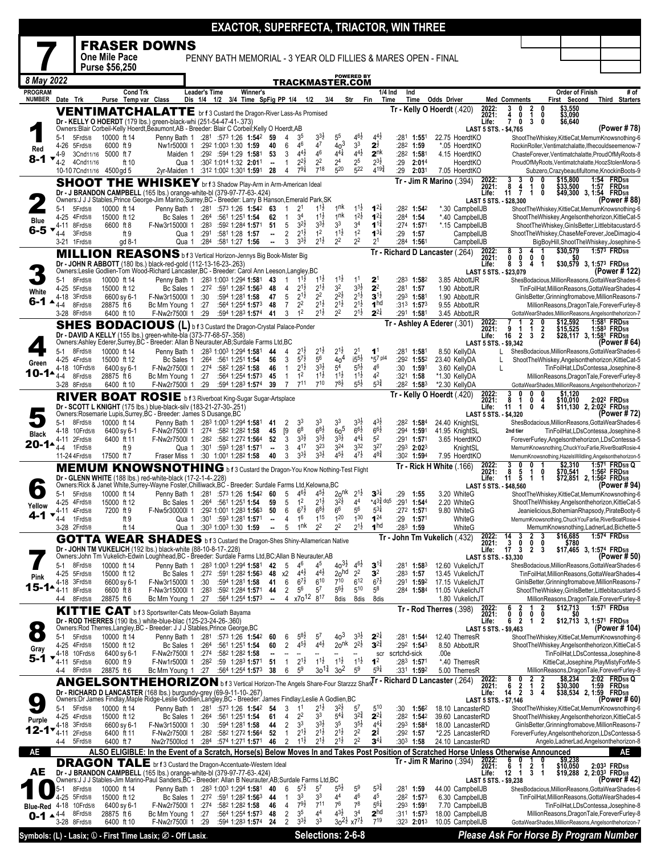|                                 |                            |                         |                                  |               |                                                                                                                                                                                                                        |                                     |                                                                      |                                   |                          |                              |                                                  |                                          |                                                            |                                                                 | <b>EXACTOR, SUPERFECTA, TRIACTOR, WIN THREE</b> |              |                                                 |                                                               |                                        |                                         |                                                         |                                          |                                        |              |                                                                                                         |
|---------------------------------|----------------------------|-------------------------|----------------------------------|---------------|------------------------------------------------------------------------------------------------------------------------------------------------------------------------------------------------------------------------|-------------------------------------|----------------------------------------------------------------------|-----------------------------------|--------------------------|------------------------------|--------------------------------------------------|------------------------------------------|------------------------------------------------------------|-----------------------------------------------------------------|-------------------------------------------------|--------------|-------------------------------------------------|---------------------------------------------------------------|----------------------------------------|-----------------------------------------|---------------------------------------------------------|------------------------------------------|----------------------------------------|--------------|---------------------------------------------------------------------------------------------------------|
|                                 |                            |                         | One Mile Pace                    |               | <b>FRASER DOWNS</b>                                                                                                                                                                                                    |                                     |                                                                      |                                   |                          |                              |                                                  |                                          |                                                            |                                                                 |                                                 |              |                                                 |                                                               |                                        |                                         |                                                         |                                          |                                        |              |                                                                                                         |
|                                 |                            |                         | Purse \$56,250                   |               |                                                                                                                                                                                                                        |                                     |                                                                      |                                   |                          |                              |                                                  |                                          |                                                            |                                                                 |                                                 |              |                                                 | PENNY BATH MEMORIAL - 3 YEAR OLD FILLIES & MARES OPEN - FINAL |                                        |                                         |                                                         |                                          |                                        |              |                                                                                                         |
| 8 May 2022                      |                            |                         |                                  |               |                                                                                                                                                                                                                        |                                     |                                                                      |                                   |                          |                              |                                                  |                                          | TRACKMASTER.COM                                            | <b>POWERED BY</b>                                               |                                                 |              |                                                 |                                                               |                                        |                                         |                                                         |                                          |                                        |              |                                                                                                         |
| <b>PROGRAM</b><br><b>NUMBER</b> |                            | Date Trk                |                                  | Cond Trk      | Purse Temp var Class                                                                                                                                                                                                   | <b>Leader's Time</b><br>Dis 1/4 1/2 |                                                                      | Winner's<br>3/4 Time SpFig PP 1/4 |                          |                              | 1/2                                              | 3/4                                      |                                                            | Str                                                             | $1/4$ Ind<br>Fin<br>Time                        |              | Ind<br>Time                                     | Odds Driver                                                   |                                        |                                         | <b>Med Comments</b>                                     |                                          | <b>Order of Finish</b><br>First Second |              | # of<br>Third Starters                                                                                  |
|                                 |                            |                         |                                  |               | <b>VENTIMATCHALATTE</b> br f 3 Custard the Dragon-River Lass-As Promised<br>Dr - KELLY O HOERDT (179 lbs.) green-black-whi (251-54-47-41-.373)                                                                         |                                     |                                                                      |                                   |                          |                              |                                                  |                                          |                                                            |                                                                 |                                                 |              |                                                 | Tr - Kelly O Hoerdt (.420)                                    |                                        | 2022:<br>2021:<br>Life:                 | 0<br>4<br>$\overline{7}$<br>0                           | $\frac{2}{1}$<br>0<br>0<br>3<br>0        | \$3,550<br>\$3,090<br>\$6,640          |              |                                                                                                         |
|                                 | 5-1                        | 5Frd5/8                 | 10000 ft 14                      |               | Owners:Blair Corbeil-Kelly Hoerdt,Beaumont,AB - Breeder: Blair C Corbeil;Kelly O Hoerdt,AB<br>Penny Bath 1                                                                                                             |                                     | $:28^1$ :57 <sup>3</sup> 1:26 1:54 <sup>2</sup>                      |                                   | 59                       | 4                            | 3 <sup>5</sup>                                   | $3^{3}$                                  | 5 <sup>5</sup>                                             | $4^{6}\frac{1}{2}$                                              | $4^{4}$                                         | :281         | 1:551                                           |                                                               | 22.75 HoerdtKO                         | LAST 5 STS. - \$4,765                   |                                                         |                                          |                                        |              | (Power # 78)<br>ShootTheWhiskey,KittieCat,MemumKnowsnothing-6                                           |
| Red                             | 4-26<br>4-9                | 5Frd5/8                 | 6000 ft 9<br>3Cnd11/16 5000 ft 7 |               | Nw1r5000l 1<br>Maiden 1                                                                                                                                                                                                |                                     | :292 1:003 1:30 1:59<br>:292 :594 1:29 1:581                         |                                   | 40<br>53                 | 6<br>3                       | 46<br>$4^{4}$ <sub>2</sub>                       | 47<br>46                                 | 40 <sup>3</sup><br>$4^{4}$                                 | 3 <sup>3</sup><br>$4^{4}$ <sub>2</sub>                          | $2^{\frac{1}{2}}$<br>2 <sup>nk</sup>            |              | :282 1:59<br>:282 1:581                         |                                                               | *.05 HoerdtKO<br>4.15 HoerdtKO         |                                         |                                                         |                                          |                                        |              | RockinRoller.Ventimatchalatte.Ifhecouldseemenow-7<br>ChasteForever,Ventimatchalatte,ProudOfMyRoots-8    |
| 8-1                             | 4-2                        | 4Cnd11/16               |                                  | ft 10         |                                                                                                                                                                                                                        | Qua 1                               | :30 <sup>2</sup> 1:01 <sup>4</sup> 1:32 <b>2:01</b> 1                |                                   | ۰.<br>28                 | $\mathbf{1}$<br>4            | $2^{2\frac{1}{2}}$<br>$79\frac{1}{4}$            | 2 <sup>2</sup><br>$7^{18}$               | 2 <sup>4</sup><br>520                                      | $\frac{2^5}{5^{22}}$                                            | $2^{3\frac{1}{2}}$<br>$4^{19\frac{3}{4}}$       | :29<br>:29   | 2:014<br>2:031                                  |                                                               | HoerdtKO                               |                                         |                                                         |                                          |                                        |              | ProudOfMyRoots,Ventimatchalatte,HoozStolenMona-5                                                        |
|                                 |                            | 10-107Cnd11/16          | 4500 gd 5<br>SHOOT THE           |               | 2yr-Maiden 1<br>WHISKEY br f 3 Shadow Play-Arm in Arm-American Ideal                                                                                                                                                   |                                     | :312 1:002 1:301 1:591                                               |                                   |                          |                              |                                                  |                                          |                                                            |                                                                 |                                                 |              |                                                 | $Tr - Jim R$ Marino (.394)                                    | 7.05 HoerdtKO                          | 2022:<br>2021:                          | 3<br>8<br>4                                             | 0<br>0<br>1<br>0                         | \$15,800<br>\$33,500                   | 1:54<br>1:57 | Subzero, Crazybeautifultome, KnockinBoots-9<br><b>FRD5/8</b><br><b>FRD5/8</b>                           |
|                                 |                            |                         |                                  |               | Dr - J BRANDON CAMPBELL (165 lbs.) orange-white-bl (379-97-77-63-.424)<br>Owners:J J J Stables, Prince George-Jim Marino, Surrey, BC - Breeder: Larry B Hanson, Emerald Park, SK                                       |                                     |                                                                      |                                   |                          |                              |                                                  |                                          |                                                            |                                                                 |                                                 |              |                                                 |                                                               |                                        | Life:                                   | 11<br>LAST 5 STS. - \$28,300                            | $\mathbf{1}$<br>0                        |                                        |              | \$49,300 3, 1:54 FRD5/8<br>(Power # 88)                                                                 |
|                                 | 5-1<br>$4 - 25$            | 5Frd5/8<br>4Frd5/8      | 10000 ft 14<br>15000 ft 12       |               | Penny Bath 1 :281 :573 1:26 1:542<br>Bc Sales 1                                                                                                                                                                        | :264                                | :561 1:251 1:54                                                      |                                   | 63<br>62                 | $\mathbf{1}$                 | 2 <sup>1</sup><br>3 <sup>4</sup>                 | $11\frac{1}{2}$<br>$1^{1\frac{1}{2}}$    | 1nk<br>1 <sup>nk</sup>                                     | $11\frac{1}{2}$<br>$1^{2\frac{1}{2}}$                           | $1^{2}$<br>$1^{2}$                              |              | :282 1:542<br>$:284$ 1:54                       |                                                               | *.30 CampbellJB<br>*.40 CampbellJB     |                                         |                                                         |                                          |                                        |              | ShootTheWhiskey,KittieCat,MemumKnowsnothing-6<br>ShootTheWhiskey,Angelsonthehorizon,KittieCat-5         |
| <b>Blue</b><br>6-5 ▼            | 4-11<br>4-4                | 8Frd5/8<br>3Frd5/8      | 6600 ft 8                        | ft 9          | F-Nw3r15000l 1                                                                                                                                                                                                         | :283<br>:291<br>Qua 1               | :592 1:284 1:571<br>:581 1:28 1:57                                   |                                   | 51<br>--                 | 5<br>$\overline{2}$          | $3^{2}\frac{1}{2}$<br>$2^{1\frac{1}{2}}$         | $3^{3}\frac{1}{2}$<br>1 <sup>2</sup>     | 3 <sup>3</sup><br>$1^{1\frac{1}{2}}$                       | 3 <sup>4</sup><br>1 <sup>2</sup>                                | $1^{1\frac{3}{4}}$<br>$1^{3}$                   | :29          | :274 1:571<br>1:57                              |                                                               | *.15 CampbellJB<br>CampbellJB          |                                         |                                                         |                                          |                                        |              | ShootTheWhiskey,GinIsBetter,Littlebitacustard-5<br>ShootTheWhiskey,ChaseMeForever,JoeDimagio-4          |
|                                 | 3-21                       | 1 Frd 5/8               |                                  | gd 8-1        |                                                                                                                                                                                                                        | Qua 1<br>:284                       | :581 1:27 1:56                                                       |                                   | ۰.                       | 3                            | $3^{3}\frac{1}{2}$                               | $2^{1\frac{1}{2}}$                       | 2 <sup>2</sup>                                             | 2 <sup>2</sup>                                                  | 2 <sup>1</sup>                                  |              | :284 1:561                                      | Tr - Richard D Lancaster (.264)                               | CampbellJB                             | 2022:                                   | 8<br>3                                                  |                                          | \$30,579                               |              | BigBoyHill, ShootTheWhiskey, Josephine-5<br>1:57 <sup>3</sup> FRD <sub>5/8</sub>                        |
|                                 |                            |                         |                                  |               | <b>MILLION REASONS</b> b f 3 Vertical Horizon-Jennys Big Book-Mister Big<br>Dr - JOHN R ABBOTT (180 lbs.) black-red-gold (112-13-16-23-.263)                                                                           |                                     |                                                                      |                                   |                          |                              |                                                  |                                          |                                                            |                                                                 |                                                 |              |                                                 |                                                               |                                        | 2021:<br>Life:                          | Ō<br>0<br>3<br>8                                        | 0<br>0<br>1<br>4                         |                                        |              | $$30,579$ 3, 1:57 <sup>3</sup> FRD <sub>5/8</sub>                                                       |
|                                 | $5-1$                      | 8Frd5/8                 | 10000 ft 14                      |               | Owners:Leslie Godlien-Tom Wood-Richard Lancaster, BC - Breeder: Carol Ann Leeson, Langley, BC<br>Penny Bath 1 :283 1:003 1:294 1:581                                                                                   |                                     |                                                                      |                                   | 43                       | 1                            | $1^{11}$                                         | $1^{11}$                                 | $1^{1\frac{1}{2}}$                                         | 1 <sup>1</sup>                                                  | $2^{\circ}$                                     | :283         | 1:582                                           |                                                               | 3.85 AbbottJR                          |                                         | LAST 5 STS. - \$23,079                                  |                                          |                                        |              | (Power # 122)<br>ShesBodacious, MillionReasons, GottaWearShades-6                                       |
| White                           | 4-25<br>4-18               | 5Frd5/8<br>3Frd5/8      | 15000 ft 12<br>6600 sy 6-1       |               | Bc Sales 1<br>F-Nw3r15000I 1                                                                                                                                                                                           | :30                                 | $:272$ $:591$ 1:282 1:563<br>:594 1:281 1:58                         |                                   | 48<br>47                 | 4<br>5                       | $2^{1\frac{1}{2}}$<br>$2^{1\frac{1}{2}}$         | $2^{1\frac{1}{2}}$<br>2 <sup>2</sup>     | 3 <sup>2</sup><br>$2^{2}\frac{1}{2}$                       | $3^{3}\frac{1}{2}$<br>$2^{1\frac{1}{2}}$                        | $2^2$<br>$3^{1\frac{1}{2}}$                     | :281<br>:293 | 1:57<br>1:581                                   |                                                               | 1.90 AbbottJR<br>1.90 AbbottJR         |                                         |                                                         |                                          |                                        |              | TinFoilHat, MillionReasons, GottaWearShades-4<br>GinIsBetter, Grinningfromabove, MillionReasons-7       |
| 6-1                             | 4-4                        | 8Frd5/8<br>3-28 8Frd5/8 | 28875 ft 6<br>6400 ft 10         |               | Bc Mrn Young 1<br>F-Nw2r7500l 1                                                                                                                                                                                        | :27<br>:29                          | :564 1:254 1:573<br>:594 1:283 1:574                                 |                                   | 48<br>41                 | $\overline{7}$<br>3          | 2 <sup>2</sup><br>1 <sup>2</sup>                 | $2^{1\frac{1}{2}}$<br>$2^{1\frac{1}{2}}$ | $\frac{1}{2}$ <sup>1</sup> $\frac{1}{2}$<br>2 <sup>2</sup> | $\frac{1}{2}$ <sup>1</sup> / <sub>2</sub><br>$2^{1\frac{1}{2}}$ | 1 <sup>hd</sup><br>$2^{2\frac{1}{4}}$           |              | $:31^3$ 1:57 <sup>3</sup><br>:291 <b>1:58</b> 1 |                                                               | 9.55 AbbottJR<br>3.45 AbbottJR         |                                         |                                                         |                                          |                                        |              | MillionReasons, DragonTale, ForeverFurley-8<br>GottaWearShades, MillionReasons, Angelsonthehorizon-7    |
|                                 |                            |                         |                                  |               | <b>SHES BODACIOUS (L)</b> b f 3 Custard the Dragon-Crystal Palace-Ponder                                                                                                                                               |                                     |                                                                      |                                   |                          |                              |                                                  |                                          |                                                            |                                                                 |                                                 |              |                                                 | Tr - Ashley A Ederer (.301)                                   |                                        | 2022:<br>2021:                          | 9                                                       | $\frac{2}{1}$<br>$\frac{2}{2}$           | \$12,592<br>\$15,525                   |              | 1:581 FRD5/8<br>1:583 FRD5/8                                                                            |
|                                 |                            |                         |                                  |               | Dr - DAVID A KELLY (155 lbs.) green-white-bla (373-77-68-57-.358)<br>Owners:Ashley Ederer,Surrey,BC - Breeder: Allan B Neurauter,AB;Surdale Farms Ltd,BC                                                               |                                     |                                                                      |                                   |                          |                              |                                                  |                                          |                                                            |                                                                 |                                                 |              |                                                 |                                                               |                                        | Life:<br>LAST 5 STS. - \$9,342          | $\overline{2}$<br>16                                    | 3                                        |                                        |              | \$28,117 3, 1:581 FRD5/8<br>(Power # 64)                                                                |
| Green                           | $5-1$<br>4-25              | 8Frd5/8<br>4Frd5/8      | 10000 ft 14<br>15000 ft 12       |               | Penny Bath 1<br>Bc Sales 1                                                                                                                                                                                             | :264                                | :283 1:003 1:294 1:581<br>:561 1:251 <b>1:54</b>                     |                                   | 44<br>56                 | 4<br>3                       | $2^{1\frac{1}{2}}$<br>$\frac{1}{5}$ <sup>7</sup> | $2^{1\frac{1}{2}}$<br>56                 | $2^{1\frac{1}{2}}$<br>40 <sup>4</sup>                      | 2 <sup>1</sup><br>$15^{51}$                                     | 1 <sup>1</sup><br>*57 pl4                       | :281         | 1:581<br>:292 1:552                             |                                                               | 8.50 KellyDA<br>23.40 KellyDA          |                                         |                                                         |                                          |                                        |              | ShesBodacious, MillionReasons, GottaWearShades-6<br>ShootTheWhiskey,Angelsonthehorizon,KittieCat-5      |
| 10-1▲                           | 4-18<br>4-4                | 10Frd5/8<br>8Frd5/8     | 6400 sy 6-1<br>28875 ft 6        |               | F-Nw2r7500l 1<br>Bc Mrn Young 1                                                                                                                                                                                        | :274<br>:27                         | :582 1:282 1:58<br>:564 1:254 1:573                                  |                                   | 46<br>45                 | $\mathbf{1}$<br>$\mathbf{1}$ | $2^{1\frac{1}{2}}$<br>1 <sup>2</sup>             | $3^{3}\frac{1}{2}$<br>$1^{1\frac{1}{2}}$ | 5 <sup>4</sup><br>$1^{1\frac{1}{2}}$                       | $5^{5}\frac{1}{2}$<br>$1^{1\frac{1}{2}}$                        | 46<br>4 <sup>2</sup>                            | :30<br>:321  | 1:591<br>1:58                                   |                                                               | 3.60 KellyDA<br>*1.30 KellyDA          |                                         | L                                                       |                                          |                                        |              | TinFoilHat,LDsContessa,Josephine-8<br>MillionReasons, DragonTale, ForeverFurley-8                       |
|                                 | 3-28                       | 8Frd5/8                 | 6400 ft 10                       |               | F-Nw2r7500l 1<br>RIVER BOAT ROSIE b f 3 Riverboat King-Sugar Sugar-Artsplace                                                                                                                                           | :29                                 | :594 1:283 1:574                                                     |                                   | 39                       | 7                            | $7^{11}$                                         | 710                                      | $7^{8}\frac{1}{2}$                                         | $5^{51}$                                                        | $5^{3\frac{3}{4}}$                              |              | $:28^2$ 1:58 <sup>3</sup>                       | Tr - Kelly O Hoerdt (.420)                                    | *2.30 KellyDA                          | 2022:                                   | 3                                                       | 0<br>0                                   | $\overline{51,120}$                    |              | GottaWearShades, MillionReasons, Angelsonthehorizon-7                                                   |
|                                 |                            |                         |                                  |               | Dr - SCOTT L KNIGHT (175 lbs.) blue-black-silv (183-21-27-30-.251)<br>Owners:Rosemarie Lupis,Surrey,BC - Breeder: James S Dusange,BC                                                                                   |                                     |                                                                      |                                   |                          |                              |                                                  |                                          |                                                            |                                                                 |                                                 |              |                                                 |                                                               |                                        | 2021:<br>Life:<br>LAST 5 STS. - \$4,320 | 8<br>1<br>11<br>-1                                      | 0<br>4<br>0<br>4                         |                                        |              | \$10,010 2:02 <sup>2</sup> FRD5/8<br>\$11,130 2, 2:02 <sup>2</sup> FRD5/8<br>(Power # 72)               |
|                                 | $5-1$<br>4-18              | 8Frd5/8<br>10Frd5/8     | 10000 ft 14<br>6400 sy 6-1       |               | Penny Bath 1<br>F-Nw2r7500l 1                                                                                                                                                                                          | :274                                | :283 1:003 1:294 1:581<br>:582 1:282 1:58                            |                                   | 41<br>45                 | 2<br>[9                      | 33<br>6 <sup>8</sup>                             | 33<br>$6^{8\frac{1}{2}}$                 | 3 <sup>3</sup><br>60 <sup>5</sup>                          | $3^{3}\frac{1}{2}$<br>$66\overline{1}$                          | $4^{3}\frac{1}{2}$<br>$6^{6}\frac{1}{2}$        | :282<br>:294 | 1:584<br>1:591                                  |                                                               | 24.40 KnightSL<br>41.95 KnightSL       |                                         | 2nd tier                                                |                                          |                                        |              | ShesBodacious, Million Reasons, Gotta Wear Shades-6<br>TinFoilHat,LDsContessa,Josephine-8               |
| <b>Black</b><br>20-1▲           | 4-4                        | 4-11 2Frd5/8<br>1Frd5/8 | 6400 ft 11                       | ft 9          | F-Nw2r7500l 1                                                                                                                                                                                                          | :282<br>:301<br>Qua 1               | :582 1:272 1:564<br>:59 <sup>3</sup> 1:28 <sup>1</sup> <b>1:57</b> 1 |                                   | 52<br>۰.                 | 3<br>3                       | $3^{3}\frac{1}{2}$<br>417                        | $3^{3}\frac{1}{2}$<br>323                | $3^{3}\frac{1}{2}$<br>3 <sup>24</sup>                      | $4^{4}$<br>3 <sup>32</sup>                                      | 5 <sup>2</sup><br>3 <sup>27</sup>               |              | :291 1:571<br>$:29^3$ 2:02 <sup>3</sup>         |                                                               | 3.65 HoerdtKO<br>KnightSL              |                                         |                                                         |                                          |                                        |              | ForeverFurley, Angelsonthehorizon, LDsContessa-5<br>MemumKnowsnothing, ChuckYouFarlie, RiverBoatRosie-4 |
|                                 |                            | 11-24 4 Frd 5/8         | 17500 ft 7                       |               | Fraser Miss 1                                                                                                                                                                                                          |                                     | :30 1:001 1:282 1:58                                                 |                                   | 40                       | 3                            | $3^{3}\frac{1}{2}$                               | $3^{3}\frac{1}{2}$                       | $4^{51}$                                                   | $47\frac{1}{2}$                                                 | $48\frac{3}{4}$                                 |              | :302 1:594                                      |                                                               | 7.95 HoerdtKO                          |                                         | 3<br>n                                                  | 0                                        |                                        |              | MemumKnowsnothing, HazelsWildling, Angelsonthehorizon-5<br>1:57 <sup>1</sup> FRD <sub>5/8</sub> Q       |
|                                 |                            |                         |                                  |               | <b>MEMUM KNOWSNOTHING</b> b f 3 Custard the Dragon-You Know Nothing-Test Flight<br><b>Dr - GLENN WHITE</b> (188 lbs.) red-white-black (17-2-1-4-.228)                                                                  |                                     |                                                                      |                                   |                          |                              |                                                  |                                          |                                                            |                                                                 |                                                 |              |                                                 | Tr - Rick H White (.166)                                      |                                        | 2022:<br>2021:<br>Life:                 | 8<br>5<br>11<br>5                                       | 1<br>0<br>-1<br>-1                       | \$2,310<br>\$70,541                    |              | 1:56 <sup>2</sup> FRD <sub>5/8</sub><br>\$72,851 2, 1:56 <sup>2</sup> FRD5/8                            |
|                                 | 5-1                        | 5Frd5/8                 | 10000 ft 14                      |               | Owners:Rick & Janet White,Surrey-Wayne Foster,Chilliwack,BC - Breeder: Surdale Farms Ltd,Kelowna,BC<br>Penny Bath 1 :281 :573 1:26 1:542 60                                                                            |                                     |                                                                      |                                   |                          | 5                            | $4^{6}\frac{1}{2}$                               | $4^{5}\frac{1}{2}$                       | 20 <sup>nk</sup>                                           | $2^{1\frac{1}{2}}$                                              | $3^{3}\frac{1}{4}$                              | :29          | 1:55                                            |                                                               | 3.20 WhiteG                            |                                         | LAST 5 STS. - \$48,560                                  |                                          |                                        |              | (Power # 94)<br>ShootTheWhiskey,KittieCat,MemumKnowsnothing-6                                           |
| Yellow                          | 4-11                       | 4-25 4Frd5/8<br>4Frd5/8 | 15000 ft 12<br>7200 ft 9         |               | F-Nw5r30000l 1                                                                                                                                                                                                         | Bc Sales 1 :264 :561 1:251 1:54     | :292 1:001 1:283 1:563                                               |                                   | 59<br>50                 | 5<br>6                       | 1 <sup>2</sup><br>6 <sup>1</sup>                 | $2^{1\frac{1}{2}}$<br>$6^{8}\frac{1}{2}$ | $3^{2}\frac{1}{2}$<br>6 <sup>6</sup>                       | 44<br>$5^6$                                                     | $*43\frac{3}{4}$ dq5<br>$5^{31}$                |              | :291 1:544<br>:27 <sup>2</sup> 1:571            |                                                               | 2.20 WhiteG<br>9.80 WhiteG             |                                         |                                                         |                                          |                                        |              | ShootTheWhiskey,Angelsonthehorizon,KittieCat-5<br>Jeanielicious,BohemianRhapsody,PirateBooty-6          |
| 4-1                             | 4-4                        | 1Frd5/8<br>3-28 2Frd5/8 |                                  | ft 9<br>ft 14 |                                                                                                                                                                                                                        | Qua 1<br>Qua 1                      | :301 :593 1:281 1:571<br>:303 1:003 1:30 1:59                        |                                   |                          | 4<br>5                       | 1 <sup>6</sup><br>1 <sup>nk</sup>                | 115<br>2 <sup>2</sup>                    | 1 <sup>20</sup><br>2 <sup>2</sup>                          | 130<br>$2^{1\frac{1}{2}}$                                       | $1^{24}$<br>1 <sup>hd</sup>                     | :29          | 1:571<br>$:283$ 1:59                            |                                                               | WhiteG<br>WhiteG                       |                                         |                                                         |                                          |                                        |              | MemumKnowsnothing, ChuckYouFarlie, RiverBoatRosie-4<br>MemumKnowsnothing,LadnerLad,Bichette-5           |
|                                 |                            |                         |                                  |               | <b>GOTTA WEAR SHADES</b> b f 3 Custard the Dragon-Shes Shiny-Allamerican Native                                                                                                                                        |                                     |                                                                      |                                   |                          |                              |                                                  |                                          |                                                            |                                                                 |                                                 |              |                                                 | Tr - John Tm Vukelich (432)                                   |                                        | 2022:<br>2021:                          | 14<br>3<br>3<br>0                                       | $\frac{2}{0}$<br>3<br>0                  | $$16,685$<br>$$780$                    |              | 1:574 FRD5/8                                                                                            |
|                                 |                            |                         |                                  |               | Dr - JOHN TM VUKELICH (192 lbs.) black-white (88-10-8-17-.228)<br>Owners: John Tm Vukelich-Edwin Loughhead, BC - Breeder: Surdale Farms Ltd, BC; Allan B Neurauter, AB                                                 |                                     |                                                                      |                                   |                          |                              |                                                  |                                          |                                                            |                                                                 |                                                 |              |                                                 |                                                               |                                        | Life:<br>LAST 5 STS. - \$3,330          | 17<br>3                                                 | 2<br>3                                   |                                        |              | \$17,465 3, 1:574 FRD5/8<br>(Power # 50)                                                                |
| Pink                            | 5-1<br>4-25                | 8Frd5/8<br>5Frd5/8      | 10000 ft 14<br>15000 ft 12       |               | Penny Bath 1 :283 1:003 1:294 1:581<br>Bc Sales 1                                                                                                                                                                      |                                     | $:27^2$ :591 1:28 <sup>2</sup> 1:56 <sup>3</sup>                     |                                   | 42<br>48                 | 5<br>х2                      | $4^{6}$<br>$4^{4}$ <sub>2</sub>                  | 45<br>$4^{4}$ <sub>2</sub>               | $40^{31}$<br>20 <sup>hd</sup>                              | $46\frac{1}{2}$<br>$2^2$                                        | $3^{14}$<br>3 <sup>2</sup>                      | :281<br>:283 | 1:583<br>1:57                                   |                                                               | 12.60 VukelichJT<br>13.45 VukelichJT   |                                         |                                                         |                                          |                                        |              | ShesBodacious, MillionReasons, GottaWearShades-6<br>TinFoilHat, MillionReasons, GottaWearShades-4       |
| 15-1▲                           | 4-18<br>4-11               | 3Frd5/8<br>8Frd5/8      | 6600 sy 6-1<br>6600 ft 8         |               | F-Nw3r15000l 1<br>F-Nw3r15000l 1                                                                                                                                                                                       | :30<br>:283                         | :594 1:281 1:58<br>:592 1:284 1:571                                  |                                   | 41<br>44                 | 6<br>2                       | $6^{7\frac{1}{2}}$<br>$5^6$                      | $6^{10}$<br>$5^7$                        | 710<br>$5^{6}\frac{1}{2}$                                  | $6^{12}$<br>510                                                 | $6^{7}$<br>$5^8$                                |              | :291 1:592<br>$:284$ 1:584                      |                                                               | 17.15 VukelichJT<br>11.05 VukelichJT   |                                         |                                                         |                                          |                                        |              | GinIsBetter, Grinningfromabove, MillionReasons-7<br>ShootTheWhiskey,GinIsBetter,Littlebitacustard-5     |
|                                 | 4-4                        | 8Frd5/8                 | 28875 ft 6                       |               | Bc Mrn Young 1<br>KITTIE CAT b f 3 Sportswriter-Cats Meow-Goliath Bayama                                                                                                                                               | :27                                 | :564 1:254 1:573                                                     |                                   | $\overline{\phantom{a}}$ | 4                            | x70 <sup>12</sup> 8 <sup>17</sup>                |                                          | 8dis                                                       | 8dis                                                            | 8dis                                            |              |                                                 | Tr - Rod Therres (.398)                                       | 1.80 VukelichJT                        | 2022:<br>2021:                          | 6<br>$\frac{2}{0}$                                      |                                          | \$12,713                               |              | MillionReasons, DragonTale, ForeverFurley-8<br>1:571 FRD <sub>5/8</sub>                                 |
|                                 |                            |                         |                                  |               | Dr - ROD THERRES (190 lbs.) white-blue-blac (125-23-24-26-.360)<br>Owners:Rod Therres,Langley,BC - Breeder: J J J Stables, Prince George, BC                                                                           |                                     |                                                                      |                                   |                          |                              |                                                  |                                          |                                                            |                                                                 |                                                 |              |                                                 |                                                               |                                        | Life:<br>LAST 5 STS. - \$9,463          | 0<br>$\overline{2}$<br>6                                | 0<br>0<br>$\mathbf{1}$<br>$\overline{2}$ | \$0                                    |              | \$12,713 3, 1:57 <sup>1</sup> FRD <sub>5/8</sub><br>(Power # 104)                                       |
|                                 | $5-1$                      | 5Frd5/8<br>4-25 4Frd5/8 | 10000 ft 14<br>15000 ft 12       |               | 1:542 1:26 573 1:26 Penny Bath 1: 281 :573 1:26                                                                                                                                                                        |                                     |                                                                      |                                   | 60<br>60                 | 6<br>$\overline{2}$          | $5^{8}$<br>$4^{51}$                              | 5 <sup>7</sup><br>$4^{4}\frac{1}{2}$     | 40 <sup>3</sup><br>20 <sup>nk</sup>                        | $3^{3}\frac{1}{2}$<br>$2^{2\frac{1}{2}}$                        | $2^{2}$<br>$3^{24}$                             |              | :281 1:544<br>:292 1:543                        |                                                               | 12.40 TherresR<br>8.50 AbbottJR        |                                         |                                                         |                                          |                                        |              | ShootTheWhiskey,KittieCat,MemumKnowsnothing-6<br>ShootTheWhiskey,Angelsonthehorizon,KittieCat-5         |
| Gray<br>5-1<br>▼                | 4-18                       | 10Frd5/8                | 6400 sy 6-1                      |               | Bc Sales 1<br>F-Nw2r7500l 1                                                                                                                                                                                            | :264                                | :561 1:251 1:54<br>:274 :582 1:282 1:58                              |                                   |                          |                              | $2^{1\frac{1}{2}}$                               | $1^{1\frac{1}{2}}$                       | $1^{1\frac{1}{2}}$                                         | $1^{1\frac{1}{2}}$                                              | scr<br>1 <sup>2</sup>                           | scrtchd-sick |                                                 | .00e                                                          |                                        |                                         |                                                         |                                          |                                        |              | TinFoilHat,LDsContessa,Josephine-8                                                                      |
|                                 | 4-11<br>4-4                | 5Frd5/8<br>8Frd5/8      | 6000 ft 9<br>28875 ft 6          |               | F-Nw1r5000l 1<br>Bc Mrn Young 1                                                                                                                                                                                        | :282<br>:27                         | :59 1:28 <sup>3</sup> 1:571<br>:564 1:254 1:573                      |                                   | 51<br>38                 | $\mathbf{1}$<br>6            | 5 <sup>9</sup>                                   | $30^{13}$                                | 3 <sup>2</sup>                                             | 5 <sup>9</sup>                                                  | $59\frac{1}{4}$                                 |              | $:28^3$ 1:571<br>:331 1:592                     |                                                               | *.40 TherresR<br>5.00 TherresR         |                                         |                                                         |                                          |                                        |              | KittieCat, Josephine, PlayMistyForMe-5<br>MillionReasons, DragonTale, ForeverFurley-8                   |
|                                 |                            |                         |                                  |               | ANGELSONTHEHORIZON b f 3 Vertical Horizon-The Angels Share-Four Starzzz ShariTr - Richard D Lancaster (.264)                                                                                                           |                                     |                                                                      |                                   |                          |                              |                                                  |                                          |                                                            |                                                                 |                                                 |              |                                                 |                                                               |                                        | 2022:<br>2021:<br>Life:                 | 8<br>0<br>$\begin{matrix} 6 & 2 \\ 14 & 2 \end{matrix}$ | 2<br>$\mathbf{1}$<br>$\frac{2}{4}$<br>3  | \$8,234<br>\$30,300                    | 2:02<br>1:59 | <b>FRD5/8 Q</b><br><b>FRD</b> 5/8<br>$$38,534$ 2, 1:59 FRD5/8                                           |
|                                 | 5-1                        | 5Frd5/8                 | 10000 ft 14                      |               | Dr - RICHARD D LANCASTER (168 lbs.) burgundy-grey (69-9-11-10-.267)<br>Owners:Dr James Findlay,Maple Ridge-Leslie Godlien,Langley,BC - Breeder: James Findlay;Leslie A Godlien,BC<br>Penny Bath 1 :281 :573 1:26 1:542 |                                     |                                                                      |                                   | 54                       | 3                            | 1 <sup>1</sup>                                   | $2^{1\frac{1}{2}}$                       | $3^{2}\frac{1}{2}$                                         | $5^7$                                                           | 510                                             | :30          | 1:562                                           |                                                               | 18.10 LancasterRD                      | LAST 5 STS. - \$7,146                   |                                                         |                                          |                                        |              | (Power # 60)<br>ShootTheWhiskey,KittieCat,MemumKnowsnothing-6                                           |
| Purple                          | 4-18                       | 4-25 4Frd5/8<br>3Frd5/8 | 15000 ft 12<br>6600 sy 6-1       |               | Bc Sales 1<br>F-Nw3r15000l 1                                                                                                                                                                                           | :264<br>:30                         | :561 1:251 1:54<br>:594 1:281 1:58                                   |                                   | 61<br>44                 | $\overline{4}$<br>2          | 2 <sup>2</sup><br>3 <sup>3</sup>                 | 33<br>$3^{3}\frac{1}{2}$                 | $5^{4}$<br>3 <sup>5</sup>                                  | $3^{24}$<br>$3^{5}\frac{1}{2}$                                  | $2^{2\frac{1}{4}}$<br>$4^{4}$                   |              | :282 1:542<br>$:29^3$ 1:584                     |                                                               | 39.60 LancasterRD<br>18.00 LancasterRD |                                         |                                                         |                                          |                                        |              | ShootTheWhiskey,Angelsonthehorizon,KittieCat-5<br>GinIsBetter, Grinningfromabove, MillionReasons-7      |
| 12-17                           | 4-4                        | 4-11 2Frd5/8<br>5Frd5/8 | 6400 ft 11<br>6400 ft 7          |               | F-Nw2r7500l 1<br>Nw2r7500lcd 1                                                                                                                                                                                         | :282                                | :582 1:272 1:564<br>$:284$ $:574$ 1:271 <b>1:57</b> 1                |                                   | 52<br>46                 | 1<br>$\overline{2}$          | $2^{1\frac{1}{2}}$<br>$1^{11}$                   | $2^{1\frac{1}{2}}$<br>$2^{1\frac{1}{2}}$ | $2^{1\frac{1}{2}}$<br>$2^{1\frac{1}{2}}$                   | 2 <sup>2</sup><br>2 <sup>2</sup>                                | $2^{\frac{3}{4}}$<br>$3^{4}$                    |              | :292 1:57<br>$:30^3$ 1:58                       |                                                               | *2.25 LancasterRD<br>24.10 LancasterRD |                                         |                                                         |                                          |                                        |              | ForeverFurley, Angelsonthehorizon, LDsContessa-5<br>Angelo, LadnerLad, Angelsonthehorizon-8             |
| AE                              |                            |                         |                                  |               | ALSO ELIGIBLE: In the Event of a Scratch, Horse(s) Below Moves In and Takes Post Position of Scratched Horse Unless Otherwise Announced                                                                                |                                     |                                                                      |                                   |                          |                              |                                                  |                                          |                                                            |                                                                 |                                                 |              |                                                 |                                                               |                                        |                                         | 6<br>0                                                  |                                          |                                        |              | AE                                                                                                      |
| <b>AE</b>                       |                            |                         | <b>DRAGON TALE</b>               |               | br f 3 Custard the Dragon-Accentuate-Western Ideal<br>Dr - J BRANDON CAMPBELL (165 lbs.) orange-white-bl (379-97-77-63-.424)                                                                                           |                                     |                                                                      |                                   |                          |                              |                                                  |                                          |                                                            |                                                                 |                                                 |              |                                                 | <b>Tr - Jim R Marino</b> (.394)                               |                                        | 2022:<br>2021:<br>Life:                 | 6<br>12<br>-1                                           | $\frac{2}{3}$<br>-1                      | \$9,238<br>\$10,050<br>\$19,288        |              | 2:033 FRD5/8<br>2, 2:033 FRD5/8                                                                         |
|                                 | 5-1                        | 8Frd5/8                 | 10000 ft 14                      |               | Owners: J J J Stables-Jim Marino-Paul Sanders, BC - Breeder: Allan B Neurauter, AB; Surdale Farms Ltd, BC<br>Penny Bath 1 :283 1:003 1:294 1:581                                                                       |                                     |                                                                      |                                   | 40                       | 6                            | $5^{7}z$                                         | 5 <sup>′</sup>                           | $5^{5}$                                                    | 5 <sup>9</sup>                                                  | $5^{3}$                                         |              | :281 1:59                                       |                                                               | 44.00 CampbellJB                       | LAST 5 STS. - \$9,238                   |                                                         |                                          |                                        |              | (Power # 42)<br>ShesBodacious, MillionReasons, GottaWearShades-6                                        |
| <b>Blue-Red</b>                 | 4-25<br>4-18               | 5Frd5/8<br>10Frd5/8     | 15000 ft 12<br>6400 sy 6-1       |               | Bc Sales 1<br>F-Nw2r7500l 1                                                                                                                                                                                            | :274                                | $:272$ $:591$ 1:282 1:563<br>:582 1:282 1:58                         |                                   | 44<br>46                 | $\mathbf{1}$<br>4            | 3 <sup>3</sup><br>$7^{9}\frac{1}{2}$             | 33<br>$7^{11}$                           | 44<br>76                                                   | 46<br>$7^8$                                                     | 45<br>$5^{61}$                                  |              | :282 1:573<br>$:293$ 1:591                      |                                                               | 6.30 CampbellJB<br>7.70 CampbellJB     |                                         |                                                         |                                          |                                        |              | TinFoilHat, MillionReasons, GottaWearShades-4<br>TinFoilHat,LDsContessa,Josephine-8                     |
| $0 - 1$                         | $\triangle$ <sup>4-4</sup> | 8Frd5/8<br>3-28 8Frd5/8 | 28875 ft 6<br>6400 ft 10         |               | Bc Mrn Young 1<br>F-Nw2r7500l 1                                                                                                                                                                                        | :27<br>:29                          | :564 1:254 1:573<br>:594 1:283 1:574                                 |                                   | 48<br>24                 | $\overline{2}$<br>$\sqrt{2}$ | 3 <sup>5</sup><br>$3^{31}$                       | 44<br>3 <sup>3</sup>                     | $4^{3}\frac{1}{2}$<br>$30^{21}$ $x7^{71}$                  | 3 <sup>4</sup>                                                  | 2 <sup>hd</sup><br>$7^{19}$                     |              | :311 1:573<br>:323 2:013                        |                                                               | 18.00 CampbellJB<br>10.05 CampbellJB   |                                         |                                                         |                                          |                                        |              | MillionReasons, DragonTale, ForeverFurley-8<br>GottaWearShades, MillionReasons, Angelsonthehorizon-7    |
|                                 |                            |                         |                                  |               | Symbols: (L) - Lasix; (D - First Time Lasix; Ø - Off Lasix.                                                                                                                                                            |                                     |                                                                      |                                   |                          |                              |                                                  |                                          | Selections: 2-6-8                                          |                                                                 |                                                 |              |                                                 |                                                               |                                        |                                         |                                                         |                                          |                                        |              | Please Ask For Horse By Program Number                                                                  |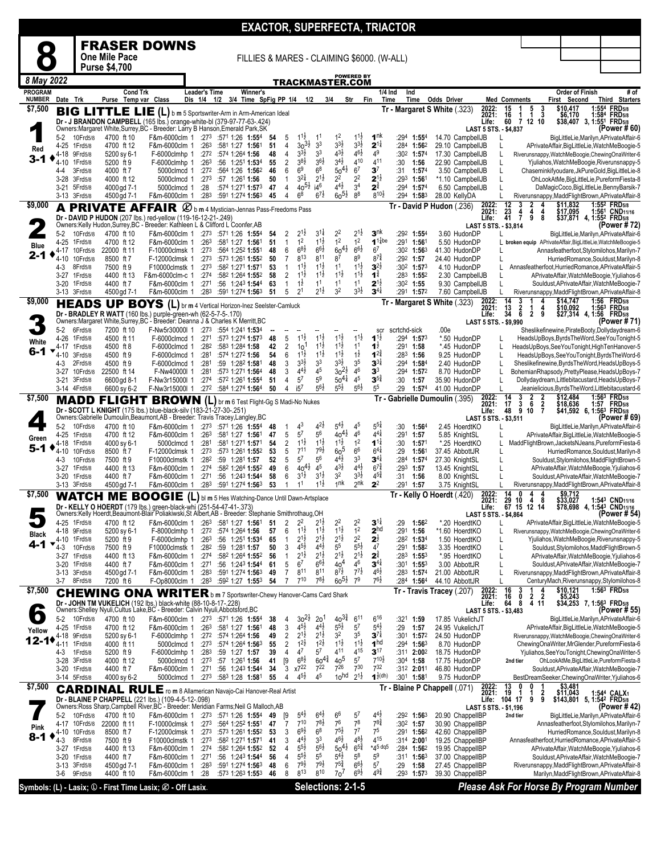|                          |                              |                            |                            |                                                                                                                                                                            |                      |                                                                                    |                       |          |                     |                                                              |                                          |                                            |                                           |                                            | <b>EXACTOR, SUPERFECTA, TRIACTOR</b>                            |                    |                                      |                                          |                                                               |                              |                                                                                                           |
|--------------------------|------------------------------|----------------------------|----------------------------|----------------------------------------------------------------------------------------------------------------------------------------------------------------------------|----------------------|------------------------------------------------------------------------------------|-----------------------|----------|---------------------|--------------------------------------------------------------|------------------------------------------|--------------------------------------------|-------------------------------------------|--------------------------------------------|-----------------------------------------------------------------|--------------------|--------------------------------------|------------------------------------------|---------------------------------------------------------------|------------------------------|-----------------------------------------------------------------------------------------------------------|
|                          |                              |                            |                            | <b>FRASER DOWNS</b>                                                                                                                                                        |                      |                                                                                    |                       |          |                     |                                                              |                                          |                                            |                                           |                                            |                                                                 |                    |                                      |                                          |                                                               |                              |                                                                                                           |
|                          |                              |                            | One Mile Pace              |                                                                                                                                                                            |                      |                                                                                    |                       |          |                     |                                                              |                                          |                                            |                                           | FILLIES & MARES - CLAIMING \$6000. (W-ALL) |                                                                 |                    |                                      |                                          |                                                               |                              |                                                                                                           |
| 8 May 2022               |                              |                            | <b>Purse \$4,700</b>       |                                                                                                                                                                            |                      |                                                                                    |                       |          |                     |                                                              |                                          |                                            | <b>POWERED BY</b>                         |                                            |                                                                 |                    |                                      |                                          |                                                               |                              |                                                                                                           |
| <b>PROGRAM</b>           |                              |                            | Cond Trk                   |                                                                                                                                                                            | <b>Leader's Time</b> |                                                                                    | Winner's              |          |                     | TRACKMASTER.COM                                              |                                          |                                            |                                           | $1/4$ Ind                                  | Ind                                                             |                    |                                      |                                          |                                                               | <b>Order of Finish</b>       | # of                                                                                                      |
| <b>NUMBER</b><br>\$7,500 | Date Trk                     |                            | Purse Temp var Class       |                                                                                                                                                                            | Dis 1/4              | 1/2                                                                                | 3/4 Time SpFig PP 1/4 |          |                     | 1/2                                                          | 3/4                                      | Str                                        |                                           | Fin<br>Time                                | Time                                                            | <b>Odds Driver</b> |                                      | <b>Med Comments</b><br>2022:<br>15       | 5<br>3<br>1                                                   | First Second<br>\$10,417     | <b>Third Starters</b><br>1:554 FRD5/8                                                                     |
|                          |                              |                            | <b>BIG LITTLE LIE</b>      | Dr - J BRANDON CAMPBELL (165 lbs.) orange-white-bl (379-97-77-63-.424)                                                                                                     |                      | (L) b m 5 Sportswriter-Arm in Arm-American Ideal                                   |                       |          |                     |                                                              |                                          |                                            |                                           |                                            | Tr - Margaret S White (.323)                                    |                    |                                      | 2021:<br>16<br>Life:<br>60               | 3<br>1<br>$\mathbf{1}$<br>7 12 10                             | \$6,170<br>\$38,407 3, 1:551 | 1:584 FRD5/8<br><b>FRD</b> 5/8                                                                            |
|                          | $5-2$                        | 10Frd5/8                   | 4700 ft 10                 | Owners: Margaret White, Surrey, BC - Breeder: Larry B Hanson, Emerald Park, SK<br>F&m-6000clm 1 :273 :571 1:26 1:554                                                       |                      |                                                                                    |                       | 54       | 5                   | $1^{1}$<br>1 <sup>1</sup>                                    |                                          | 1 <sup>2</sup>                             | $11\frac{1}{2}$                           | 1 <sup>nk</sup>                            | :294 1:554                                                      |                    | 14.70 CampbellJB                     | LAST 5 STS. - \$4,837                    |                                                               |                              | (Power #60)<br>BigLittleLie,Marilyn,APrivateAffair-6                                                      |
| Red                      | 4-25                         | 1Frd5/8                    | 4700 ft 12                 | F&m-6000clm 1                                                                                                                                                              |                      | :263 :581 1:27 1:561                                                               |                       | 51       | 4                   | $30^{31}$<br>3 <sup>3</sup>                                  |                                          | $3^{3}\frac{1}{2}$                         | $3^{3}\frac{1}{2}$                        | $2^{1\frac{1}{4}}$                         | :284 1:562                                                      |                    | 29.10 CampbellJB                     | L                                        |                                                               |                              | APrivateAffair,BigLittleLie,WatchMeBoogie-5                                                               |
| $3 - 1$                  | 4-18<br>4-10                 | 9Frd5/8<br>1Frd5/8         | 5200 sy 6-1<br>5200 ft 9   | F-6000clmhp 1<br>F-6000clmhp 1                                                                                                                                             | :26 <sup>3</sup>     | :272 :574 1:264 1:56<br>:56 1:251 1:534                                            |                       | 48<br>55 | 4<br>2              | $3^{3}\frac{1}{2}$<br>3 <sup>3</sup><br>$3^{8}\frac{1}{2}$   | $36\frac{1}{2}$                          | $4^{3}\frac{1}{2}$<br>$3^{4}$ <sub>2</sub> | $4^{6}\frac{1}{2}$<br>410                 | 49<br>411                                  | :302 1:574<br>:30<br>1:56                                       |                    | 17.30 CampbellJB<br>22.90 CampbellJB | L<br>L                                   |                                                               |                              | Riverunsnappy, WatchMeBoogie, ChewingOnaWriter-6<br>Yjuliahos, WatchMeBoogie, Riverunsnappy-5             |
|                          | 4-4<br>3-28 3Frd5/8          | 3Frd5/8                    | 4000 ft 7<br>4000 ft 12    | 5000clmcd 1<br>5000clmcd 1                                                                                                                                                 |                      | :272 :564 1:26 1:562<br>$:27^3$ :57 1:26 <sup>1</sup> 1:56                         |                       | 46<br>50 | 6<br>$\mathbf{1}$   | 6 <sup>9</sup><br>6 <sup>8</sup><br>$3^{2}\frac{1}{4}$       | $2^{1\frac{1}{2}}$                       | $50^{41}$<br>2 <sup>2</sup>                | 6 <sup>7</sup><br>2 <sup>2</sup>          | 3 <sup>7</sup><br>$2^{1\frac{1}{2}}$       | 1:57 <sup>4</sup><br>:31<br>$:293$ 1:561                        |                    | 3.50 CampbellJB<br>*1.10 CampbellJB  | L<br>L                                   |                                                               |                              | Chaseminkifyoudare, JkPureGold, BigLittleLie-8<br>OhLookAtMe,BigLittleLie,PureformFiesta-8                |
|                          | 3-21 5Frd5/8                 |                            | 4000 gd 7-1                | 5000clmcd 1                                                                                                                                                                | :28                  | :574 1:271 1:573                                                                   |                       | 47       | 4                   | $40^{51}_{2}$<br>j46                                         |                                          | $4^{4}$ <sub>2</sub>                       | 3 <sup>4</sup>                            | $2^{3}$                                    | :294 1:574                                                      |                    | 6.50 CampbellJB                      |                                          |                                                               |                              | DaMagicCoco, BigLittleLie, Benny Barsik-7                                                                 |
| \$9,000                  | 3-13 3Frd5/8                 |                            | 4500 gd 7-1                | F&m-6000clm 1<br><b>A PRIVATE AFFAIR</b> $\emptyset$ b m 4 Mystician-Jennas Pass-Freedoms Pass                                                                             |                      | $:28^3$ $:59^1$ 1:274 1:56 <sup>3</sup>                                            |                       | 45       | 4                   | 6 <sup>8</sup>                                               | $6^{7\frac{1}{2}}$                       | $60^{51}$                                  | 8 <sup>8</sup>                            | $8^{10\frac{1}{2}}$                        | :29 <sup>4</sup> 1:58 <sup>3</sup><br>Tr - David P Hudon (.236) |                    | 28.00 KellyDA                        | L<br>12<br>2022:                         | 2<br>4<br>3                                                   | \$11,832                     | Riverunsnappy, Madd Flight Brown, APrivate Affair-8<br>1:552 FRD5/8                                       |
|                          |                              |                            |                            | Dr - DAVID P HUDON (207 lbs.) red-yellow (119-16-12-21-.249)                                                                                                               |                      |                                                                                    |                       |          |                     |                                                              |                                          |                                            |                                           |                                            |                                                                 |                    |                                      | 2021:<br>23<br>41<br>Life:               | $\frac{4}{7}$<br>4<br>4<br>9<br>8                             | \$17,095                     | 1:561 CND <sub>11/16</sub><br>\$37,871 4, 1:552 FRD5/8                                                    |
|                          | $5-2$                        | 10Frd5/8                   | 4700 ft 10                 | Owners: Kelly Hudon, Surrey, BC - Breeder: Kathleen L & Clifford L Coonfer, AB<br>F&m-6000clm 1 :273 :571 1:26 1:554                                                       |                      |                                                                                    |                       | 54       | 2                   | $2^{1}$                                                      | $3^{11}$                                 | 2 <sup>2</sup>                             | $2^{1\frac{1}{2}}$                        | 3 <sup>nk</sup>                            | :292 1:554                                                      |                    | 3.60 HudonDP                         | LAST 5 STS. - \$3,814                    |                                                               |                              | (Power # 72)<br>BigLittleLie, Marilyn, APrivateAffair-6                                                   |
| <b>Blue</b>              | $4 - 25$<br>4-17             | 1Frd5/8<br>10Frd5/8        | 4700 ft 12<br>22000 ft 11  | F&m-6000clm 1<br>F-10000clmsk 1                                                                                                                                            | :263<br>:273         | :581 1:27 1:561<br>:564 1:252 1:551                                                |                       | 51<br>48 | $\mathbf{1}$<br>6   | 1 <sup>2</sup><br>$68\frac{1}{2}$                            | $1^{1\frac{1}{2}}$<br>$66\frac{1}{2}$    | 1 <sup>2</sup><br>$60^{41}$                | 1 <sup>2</sup><br>$6^{6}\frac{1}{2}$      | $11$ abe<br>6 <sup>7</sup>                 | :291 1:561<br>:302 1:563                                        |                    | 5.50 HudonDP<br>41.30 HudonDP        |                                          |                                                               |                              | L broken equip APrivateAffair, BigLittleLie, WatchMeBoogie-5<br>Annasfeatherfoot, Stylomilohos, Marilyn-7 |
| 2-1                      | $4 - 10$                     | 10Frd5/8                   | 8500 ft 7                  | F-12000clmsk 1                                                                                                                                                             |                      | $:27^3$ $:57^3$ 1:26 <sup>1</sup> 1:55 <sup>2</sup>                                |                       | 50       | 7                   | 813                                                          | 811                                      | 8 <sup>7</sup>                             | 8 <sup>9</sup>                            | $8^{7\frac{3}{4}}$                         | $:29^2$ 1:57                                                    |                    | 24.40 HudonDP                        |                                          |                                                               |                              | HurriedRomance,Souldust,Marilyn-8                                                                         |
|                          | 4-3<br>3-27 1Frd5/8          | 8Frd5/8                    | 7500 ft 9<br>4400 ft 13    | F10000clmstk 1<br>F&m-6000clm-c 1                                                                                                                                          | :273<br>:274         | :582 1:271 1:571<br>:582 1:264 1:552                                               |                       | 53<br>58 | $\mathbf{1}$<br>2   | $11\frac{1}{2}$<br>$1^{1\frac{1}{2}}$                        | $1^{1}\frac{1}{2}$<br>$1^{1\frac{1}{2}}$ | 1 <sup>1</sup><br>$1^{1}\frac{1}{2}$       | $1^{1\frac{1}{2}}$<br>$1^{1\overline{2}}$ | $3^{2}$<br>$1^{\frac{3}{4}}$               | :30 <sup>2</sup> 1:57 <sup>3</sup><br>$:28^3$ 1:55 <sup>2</sup> |                    | 4.10 HudonDP<br>2.30 CampbellJB      | L                                        |                                                               |                              | Annasfeatherfoot.HurriedRomance.APrivateAffair-5<br>APrivateAffair, WatchMeBoogie, Yjuliahos-6            |
|                          | $3 - 20$<br>3-13 3Frd5/8     | 1Frd5/8                    | 4400 ft 7<br>4500 gd 7-1   | F&m-6000clm 1<br>F&m-6000clm 1                                                                                                                                             | :271                 | :56 1:24 <sup>3</sup> 1:54 <sup>4</sup><br>$:28^3$ $:59^1$ 1:274 1:56 <sup>3</sup> |                       | 63<br>51 | 1<br>5              | $1^{\frac{1}{2}}$<br>2 <sup>1</sup>                          | 1 <sup>1</sup><br>$2^{1\frac{1}{2}}$     | 1 <sup>1</sup><br>3 <sup>2</sup>           | 1 <sup>1</sup><br>$3^{3}\frac{1}{2}$      | $2^{1\frac{1}{2}}$<br>$3^{4}$              | :30 <sup>2</sup> 1:55<br>:291 1:572                             |                    | 9.30 CampbellJB<br>7.60 CampbellJB   | L                                        |                                                               |                              | Souldust, APrivate Affair, Watch MeBoogie-7<br>Riverunsnappy, MaddFlightBrown, APrivateAffair-8           |
| \$9,000                  |                              |                            |                            | <b>HEADS UP BOYS (L)</b> br m 4 Vertical Horizon-Inez Seelster-Camluck                                                                                                     |                      |                                                                                    |                       |          |                     |                                                              |                                          |                                            |                                           |                                            | Tr - Margaret S White (.323)                                    |                    |                                      | 14<br>2022:                              | 3<br>4                                                        | \$14,747                     | 1:56 FRD <sub>5/8</sub>                                                                                   |
|                          |                              |                            |                            | Dr - BRADLEY R WATT (160 lbs.) purple-green-wh (62-5-7-5-.170)<br>Owners: Margaret White, Surrey, BC - Breeder: Deanna J & Charles K Merritt, BC                           |                      |                                                                                    |                       |          |                     |                                                              |                                          |                                            |                                           |                                            |                                                                 |                    |                                      | 2021:<br>$\frac{13}{34}$<br>Life:        | $\frac{2}{6}$<br>$\mathbf 1$<br>$\frac{4}{9}$<br>$\mathbf{2}$ | \$10,092                     | 1:56 <sup>3</sup> FRD <sub>5/8</sub><br>\$27,314 4, 1:56 FRD5/8<br>(Power # 71)                           |
|                          | $5-2$                        | 6Frd5/8                    | 7200 ft 10                 | F-Nw5r30000I 1                                                                                                                                                             |                      | $:273$ $:554$ 1:241 <b>1:53</b> 4                                                  |                       |          |                     |                                                              |                                          |                                            |                                           | scr                                        | scrtchd-sick                                                    | .00e               |                                      | <b>LAST 5 STS. - \$9,990</b>             |                                                               |                              | Sheslikefinewine, PirateBooty, Dollydaydream-6                                                            |
| White                    | 4-26<br>4-17                 | 1Frd5/8<br>1 Frd 5/8       | 4500 ft 11<br>4500 ft 8    | F-6000clmcd 1<br>F-6000clmcd 1                                                                                                                                             | :271<br>:282         | :573 1:274 1:573<br>:583 1:284 1:58                                                |                       | 48<br>42 | 5<br>2              | $1^{1}$<br>10                                                | $1^{1}\frac{1}{2}$<br>$11\frac{1}{2}$    | $11\frac{1}{2}$<br>$11\frac{1}{2}$         | $11\frac{1}{2}$<br>11                     | $1^{1\frac{1}{2}}$<br>1 ż                  | $:294$ 1:573<br>:291 1:58                                       |                    | *.50 HudonDP<br>*.45 HudonDP         | L<br>L                                   |                                                               |                              | HeadsUpBoys, ByrdsTheWord, See YouTonight-5<br>HeadsUpBoys, See YouTonight, High Ten Hanover-5            |
| 6-1                      | 4-10                         | 3Frd5/8                    | 4500 ft 9                  | F-6000clmcd 1                                                                                                                                                              | :281                 | :574 1:272 1:56                                                                    |                       | 54       | 6                   | $11\frac{1}{2}$<br>$3^{3}\frac{1}{2}$                        | $1^{1\frac{1}{2}}$                       | $1^{1\frac{1}{2}}$<br>$3^{3}\frac{1}{2}$   | $1^{\frac{1}{2}}$<br>3 <sup>5</sup>       | $1^{2^3}$<br>$3^{3\frac{1}{4}}$            | $:28^3$ 1:56                                                    |                    | 9.25 HudonDP                         | L                                        |                                                               |                              | HeadsUpBoys, See YouTonight, Byrds The Word-6                                                             |
|                          | 4-3                          | 2Frd5/8<br>3-27 10 Frd 5/8 | 4500 ft 9<br>22500 ft 14   | F-6000clmcd 1<br>F-Nw40000I 1                                                                                                                                              | :281<br>:281         | :59 1:28 <sup>2</sup> 1:581<br>:573 1:271 1:564                                    |                       | 48<br>48 | 3<br>3              | 3 <sup>3</sup><br>$4^{4}$ <sub>2</sub><br>45                 |                                          | $30^{21}$                                  | 46                                        | 3 <sup>3</sup>                             | :29 <sup>4</sup> 1:58 <sup>4</sup><br>:294 1:572                |                    | 2.40 HudonDP<br>8.70 HudonDP         | L<br>L                                   |                                                               |                              | Sheslikefinewine, Byrds The Word, Heads UpBoys-5<br>BohemianRhapsody,PrettyPlease,HeadsUpBoys-7           |
|                          | 3-21 3Frd5/8<br>3-14 4Frd5/8 |                            | 6600 gd 8-1<br>6600 sy 6-2 | F-Nw3r15000l 1<br>F-Nw3r15000l 1                                                                                                                                           | :274                 | :572 1:261 1:554<br>:272 :584 1:274 1:564                                          |                       | 51<br>50 | 4<br>4              | $5^7$<br>5 <sup>9</sup><br>i5 <sup>7</sup>                   | $56\frac{1}{2}$                          | $50^{41}$<br>$5^{5}\frac{1}{2}$            | 4 <sup>5</sup><br>$56\frac{1}{2}$         | $3^{5^{\frac{3}{4}}}$<br>5 <sup>5</sup>    | :30<br>1:57<br>:29<br>1:574                                     |                    | 35.90 HudonDP<br>41.00 HudonDP       | L<br>L                                   |                                                               |                              | Dollydaydream, Littlebitacustard, HeadsUpBoys-7<br>Jeanielicious, Byrds The Word, Littlebitacustard-6     |
| \$7,500                  |                              | MADD                       |                            | FLIGHT BROWN (L) br m 6 Test Flight-Gg S Madi-No Nukes                                                                                                                     |                      |                                                                                    |                       |          |                     |                                                              |                                          |                                            |                                           |                                            | Tr - Gabrielle Dumoulin (.395)                                  |                    |                                      | 14<br>2022:<br>2021:<br>17               | $\frac{3}{3}$<br>$\frac{2}{6}$<br>$\frac{2}{7}$               | \$12,484<br>\$18,636         | 1:56 <sup>3</sup> FRD <sub>5/8</sub><br>1:57 FRD5/8                                                       |
|                          |                              |                            |                            | Dr - SCOTT L KNIGHT (175 lbs.) blue-black-silv (183-21-27-30-.251)<br>Owners: Gabrielle Dumoulin, Beaumont, AB - Breeder: Travis Tracey, Langley, BC                       |                      |                                                                                    |                       |          |                     |                                                              |                                          |                                            |                                           |                                            |                                                                 |                    |                                      | 48<br>Life:<br>LAST 5 STS. - \$3,511     | 9<br>10                                                       |                              | \$41,592 6, 1:56 <sup>3</sup> FRD5/8<br>(Power # 69)                                                      |
|                          | $5-2$                        | 10Frd5/8                   | 4700 ft 10                 | F&m-6000clm 1                                                                                                                                                              |                      | $:27^3$ $:57^1$ 1:26 1:55 <sup>4</sup>                                             |                       | 48       | -1                  | 4 <sup>3</sup>                                               | $4^{2}\frac{1}{2}$                       | $5^{41}$                                   | 4 <sup>5</sup>                            | $5^{5\frac{1}{4}}$                         | :30<br>$1:56^4$                                                 |                    | 2.45 HoerdtKO                        | L                                        |                                                               |                              | BigLittleLie, Marilyn, APrivateAffair-6                                                                   |
| Green                    | 4-25<br>4-18                 | 1Frd5/8<br>1Frd5/8         | 4700 ft 12<br>4000 sy 6-1  | F&m-6000clm 1<br>5000clmcd 1                                                                                                                                               | :263<br>:281         | :581 1:27 1:561<br>:581 1:271 1:571                                                |                       | 47<br>54 | 5<br>$\overline{2}$ | $5^7$<br>$5^6$<br>$1^{1\frac{1}{2}}$                         | $1^{1}\frac{1}{2}$                       | $40^{41}$<br>$1^{1\frac{1}{2}}$            | 46<br>1 <sup>2</sup>                      | $4^{41}$<br>$1^{1\frac{1}{4}}$             | :291<br>1:57<br>:30<br>1:57'                                    |                    | 5.85 KnightSL<br>*.25 HoerdtKO       |                                          |                                                               |                              | APrivateAffair,BigLittleLie,WatchMeBoogie-5<br>MaddFlightBrown,JacketsNJeans,PureformFiesta-6             |
| 5-1                      | 4-10                         | 10Frd5/8                   | 8500 ft 7                  | F-12000clmsk 1                                                                                                                                                             | :273<br>:282         | :573 1:261 1:552                                                                   |                       | 53<br>52 | 5<br>5              | 711<br>5 <sup>7</sup><br>$5^6$                               | $79\frac{1}{2}$                          | 60 <sup>5</sup><br>$4^{41}$                | 6 <sup>6</sup><br>3 <sup>3</sup>          | $6^{4}$<br>$3^{4}$                         | :29<br>1:561                                                    |                    | 37.45 AbbottJR                       | L                                        |                                                               |                              | HurriedRomance,Souldust,Marilyn-8<br>Souldust, Stylomilohos, MaddFlightBrown-5                            |
|                          | 4-3<br>3-27 1Frd5/8          | 10Frd5/8                   | 7500 ft 9<br>4400 ft 13    | F10000clmstk 1<br>F&m-6000clm 1                                                                                                                                            | :274                 | :59 1:281 1:57<br>:582 1:264 1:552                                                 |                       | 49       | 6                   | $40^{41}$<br>45                                              |                                          | 43}                                        | $4^{4}$ <sub>2</sub>                      | $6^{7\frac{3}{4}}$                         | $:284$ 1:574<br>:293 1:57                                       |                    | 27.30 KnightSL<br>13.45 KnightSL     |                                          |                                                               |                              | APrivateAffair, WatchMeBoogie, Yjuliahos-6                                                                |
|                          | 3-20 1Frd5/8<br>3-13 3Frd5/8 |                            | 4400 ft 7<br>4500 gd 7-1   | F&m-6000clm 1<br>F&m-6000clm 1                                                                                                                                             | :271                 | :56 1:243 1:544<br>:283 :591 1:274 1:563                                           |                       | 58<br>53 | 6<br>1              | $3^{1\frac{1}{2}}$<br>1 <sup>1</sup>                         | $3^{1\frac{1}{2}}$<br>$1^{1\frac{1}{2}}$ | 3 <sup>2</sup><br>1 <sup>nk</sup>          | $3^{3}\frac{1}{2}$<br>2 <sup>nk</sup>     | $4^{5}\frac{3}{4}$<br>2 <sup>2</sup>       | :31<br>1:56<br>:291 1:57                                        |                    | 8.00 KnightSL<br>3.75 KnightSL       |                                          |                                                               |                              | Souldust, APrivate Affair, Watch MeBoogie-7<br>Riverunsnappy, Madd Flight Brown, APrivate Affair-8        |
| \$7,500                  |                              |                            |                            | WATCH ME BOOGIE (L) bl m 5 Hes Watching-Dance Until Dawn-Artsplace                                                                                                         |                      |                                                                                    |                       |          |                     |                                                              |                                          |                                            |                                           |                                            | Tr Kelly O Hoerdt (.420)                                        |                    |                                      | 14<br>2022:<br>2021:<br>29               | 0<br>4<br>8<br>10<br>4                                        | \$9,712                      |                                                                                                           |
|                          |                              |                            |                            | Dr - KELLY O HOERDT (179 lbs.) green-black-whi (251-54-47-41-.373)<br>Owners:Kelly Hoerdt, Beaumont-Blair Poliakiwski, St Albert, AB - Breeder: Stephanie Smithrothaug, OH |                      |                                                                                    |                       |          |                     |                                                              |                                          |                                            |                                           |                                            |                                                                 |                    |                                      | Life:<br>LAST 5 STS. - \$4,864           | 67 15 12 14                                                   |                              | \$33,027 1:543 CND11/16<br>\$78,698 4, 1:543 CND11/16<br>(Power # 54)                                     |
|                          | 4-25 1Frd5/8                 |                            | 4700 ft 12                 | F&m-6000clm 1 :263 :581 1:27 1:561                                                                                                                                         |                      |                                                                                    |                       | 51       | 2                   | $2^2$                                                        | $2^{1}$ ż                                | $2^2$                                      | 2 <sup>2</sup>                            | $3^{11}$                                   | 1:562<br>:29                                                    |                    | *.20 HoerdtKO                        | L                                        |                                                               |                              | APrivateAffair,BigLittleLie,WatchMeBoogie-5                                                               |
| Black                    | 4-18 9Frd5/8<br>4-10         | 1 Frd 5/8                  | 5200 sy 6-1<br>5200 ft 9   | F-8000clmhp 1<br>F-6000clmhp 1                                                                                                                                             |                      | :272 :574 1:264 1:56<br>$:26^3$ :56 1:25 <sup>1</sup> 1:53 <sup>4</sup>            |                       | 57<br>65 | 6<br>1              | $1^{1}\frac{1}{2}$<br>$2^{1\frac{1}{2}}$                     | $11\frac{1}{2}$<br>$2^{1\frac{1}{2}}$    | $11\frac{1}{2}$<br>$2^{1\frac{1}{2}}$      | 1 <sup>2</sup><br>2 <sup>2</sup>          | 2 <sup>hd</sup><br>$2^{\frac{1}{2}}$       | :291 1:56<br>:282 1:534                                         |                    | *1.60 HoerdtKO<br>1.50 HoerdtKO      | L                                        |                                                               |                              | Riverunsnappy, WatchMeBoogie, ChewingOnaWriter-6<br>Yjuliahos, WatchMeBoogie, Riverunsnappy-5             |
| 4-1                      | 4-3<br>3-27                  | 10Frd5/8<br>1 Frd 5/8      | 7500 ft 9<br>4400 ft 13    | F10000clmstk 1<br>F&m-6000clm 1                                                                                                                                            |                      | :282 :59 1:281 1:57<br>$:274$ $:582$ 1:264 1:552                                   |                       | 50<br>56 | 3<br>$\mathbf{1}$   | $4^{5}2$<br>$2^{1\frac{1}{2}}$                               | $4^{4}$<br>$2^{1\frac{1}{2}}$            | 5 <sup>5</sup><br>$2^{1\frac{1}{2}}$       | $5^{51}$<br>$2^{1\frac{1}{2}}$            | 4 <sup>7</sup><br>$2^{\frac{3}{4}}$        | :291 1:582<br>$:283$ 1:553                                      |                    | 3.35 HoerdtKO<br>*.95 HoerdtKO       | L<br>L                                   |                                                               |                              | Souldust, Stylomilohos, MaddFlightBrown-5<br>APrivateAffair, WatchMeBoogie, Yjuliahos-6                   |
|                          | 3-20                         | 1Frd5/8                    | 4400 ft 7                  | F&m-6000clm 1                                                                                                                                                              | :271                 | :56 1:243 1:544                                                                    |                       | 61       | 5                   | 67                                                           | $66\frac{1}{2}$                          | 40 <sup>4</sup>                            | 46                                        | $3^{4}$                                    | $:301$ 1:553                                                    |                    | 3.00 AbbottJR                        | L                                        |                                                               |                              | Souldust, APrivate Affair, Watch MeBoogie-7                                                               |
|                          | 3-13 3Frd5/8<br>3-7          | 8Frd5/8                    | 4500 gd 7-1<br>7200 ft 6   | F&m-6000clm 1<br>F-Op8000clm 1                                                                                                                                             |                      | $:28^3$ $:59^1$ 1:274 1:56 <sup>3</sup><br>:283 :592 1:27 1:553                    |                       | 49<br>54 | 7<br>$\overline{7}$ | $8^{11}$<br>$7^{10}$                                         | 811<br>$7^{8}\frac{1}{2}$                | $8^{7\frac{1}{2}}$<br>$60^{51}$            | $7^{7}$ <sub>2</sub><br>7 <sup>9</sup>    | $4^{6}\frac{1}{2}$<br>$76\frac{1}{2}$      | $:28^3$ 1:574<br>:284 1:564                                     |                    | 21.00 AbbottJR<br>44.10 AbbottJR     |                                          |                                                               |                              | Riverunsnappy, MaddFlightBrown, APrivateAffair-8<br>CenturyMach, Riverunsnappy, Stylomilohos-8            |
| \$7,500                  |                              |                            |                            | <b>CHEWING ONA WRITER</b> b m 7 Sportswriter-Chewy Hanover-Cams Card Shark                                                                                                 |                      |                                                                                    |                       |          |                     |                                                              |                                          |                                            |                                           |                                            | Tr - Travis Tracey (.207)                                       |                    |                                      | 2022:<br>2021:<br>16<br>16               | 0<br>2<br>2                                                   | \$10,121<br>\$5,243          | 1:563 FRD5/8                                                                                              |
|                          |                              |                            |                            | Dr - JOHN TM VUKELICH (192 lbs.) black-white (88-10-8-17-.228)<br>Owners: Shelley Nyuli, Cultus Lake, BC - Breeder: Calvin Nyuli, Abbotsford, BC                           |                      |                                                                                    |                       |          |                     |                                                              |                                          |                                            |                                           |                                            |                                                                 |                    |                                      | 64<br>Life:<br>LAST 5 STS. - \$3.483     | 8<br>4 11                                                     |                              | \$34,253 7, 1:56 <sup>3</sup> FRD <sub>5/8</sub><br>(Power # 55)                                          |
| $\bullet$                | $5-2$                        | 10Frd5/8                   | 4700 ft 10                 | F&m-6000clm 1 :273 :571 1:26 1:554                                                                                                                                         |                      |                                                                                    |                       | 38       | 4                   | $30^{21}$                                                    | 20 <sup>1</sup>                          | $40^{3\frac{3}{4}}$                        | $6^{11}$                                  | $6^{16}$                                   | :321 1:59                                                       |                    | 17.85 VukelichJT                     |                                          |                                                               |                              | BigLittleLie, Marilyn, APrivateAffair-6                                                                   |
| Yellow                   | 4-25<br>4-18                 | 1Frd5/8<br>9Frd5/8         | 4700 ft 12<br>5200 sy 6-1  | F&m-6000clm 1<br>F-6000clmhp 1                                                                                                                                             |                      | $:26^3$ :58 <sup>1</sup> 1:27 <b>1:56</b> <sup>1</sup><br>:272 :574 1:264 1:56     |                       | 48<br>49 | 3<br>2              | $4^{51}$<br>$2^{1\frac{1}{2}}$                               | $4^{41}$<br>$2^{1\frac{1}{2}}$           | $5^{51}$<br>32                             | 5 <sup>7</sup><br>3 <sup>5</sup>          | $5^{4}$ <sub>2</sub><br>$3^{7}$            | :29<br>1:57<br>:301 1:572                                       |                    | 24.95 VukelichJT<br>24.50 HudonDP    |                                          |                                                               |                              | APrivateAffair,BigLittleLie,WatchMeBoogie-5<br>Riverunsnappy, WatchMeBoogie, ChewingOnaWriter-6           |
| $12 - 1$                 | 4-11                         | 1Frd5/8                    | 4000 ft 11                 | 5000clmcd 1                                                                                                                                                                |                      | $:27^3$ $:57^4$ 1:26 <sup>4</sup> 1:56 <sup>3</sup>                                |                       | 55<br>39 | 2<br>4              | $1^{21}$<br>47<br>5 <sup>7</sup>                             | $1^{2}\frac{1}{2}$                       | $1^{1\frac{1}{2}}$<br>$4^{11}$             | $1^{1\frac{1}{2}}$<br>415                 | 1 <sup>hd</sup><br>3 <sup>17</sup>         | $:294$ 1:563                                                    |                    | 8.70 HudonDP                         |                                          |                                                               |                              | ChewingOnaWriter, MrGlender, PureformFiesta-6                                                             |
|                          | 4-3<br>3-28                  | 1Frd5/8<br>3Frd5/8         | 5200 ft 9<br>4000 ft 12    | F-6000clmhp 1<br>5000clmcd 1                                                                                                                                               | :273                 | :283 :59 1:27 1:57<br>$:57$ 1:26 <sup>1</sup> 1:56                                 |                       | 41       | [9]                 | $6^{8}\frac{1}{2}$                                           | $60^{4\frac{3}{4}}$                      | 40 <sup>5</sup>                            | $5^7$                                     | $7^{10\frac{1}{2}}$                        | :311 <b>2:00</b> 2<br>$:30^4$ 1:58                              |                    | 18.75 HudonDP<br>17.75 HudonDP       | 2nd tier                                 |                                                               |                              | Yjuliahos, See You Tonight, Chewing Ona Writer-5<br>OhLookAtMe, BigLittleLie, PureformFiesta-8            |
|                          | 3-20 1Frd5/8<br>3-14 5Frd5/8 |                            | 4400 ft 7<br>4000 sy 6-2   | F&m-6000clm 1<br>5000clmcd 1                                                                                                                                               | :271                 | :56 1:243 1:544<br>$:27^3$ $:58^3$ 1:28 1:581                                      |                       | 34<br>55 | 3<br>4              | x722<br>4 <sup>5</sup><br>$4^{5}\frac{1}{2}$                 | 722                                      | 726<br>10 <sup>hd</sup>                    | 730<br>$2^{1\frac{1}{2}}$                 | $7^{32}$<br>$1^{\frac{1}{2}(\text{dh})}$   | :312 2:011<br>:30 <sup>1</sup> 1:58 <sup>1</sup>                |                    | 46.80 HudonDP<br>9.75 HudonDP        |                                          |                                                               |                              | Souldust, APrivate Affair, Watch MeBoogie-7<br>BestDreamSeeker, ChewingOnaWriter, Yjuliahos-6             |
| \$7,500                  |                              |                            |                            | <b>CARDINAL RULE</b> ro m 8 Allamerican Navajo-Cai Hanover-Real Artist                                                                                                     |                      |                                                                                    |                       |          |                     |                                                              |                                          |                                            |                                           |                                            | Tr - Blaine P Chappell (.071)                                   |                    |                                      | 2022:<br>13<br>2021:<br>19               | 0<br>0<br>-1                                                  | \$3,481<br>\$11,043          | 1:544 CALX1                                                                                               |
|                          |                              |                            |                            | Dr - BLAINE P CHAPPELL (221 lbs.) (109-4-5-12-.098)<br>Owners:Ross Sharp,Campbell River,BC - Breeder: Meridian Farms;Neil G Malloch,AB                                     |                      |                                                                                    |                       |          |                     |                                                              |                                          |                                            |                                           |                                            |                                                                 |                    |                                      | Life:<br>104 17<br>LAST 5 STS. - \$1,196 | $\begin{matrix} 1 & 2 \\ 9 & 9 \end{matrix}$                  |                              | \$143,801 5, 1:542 FRD5/8<br>(Power # 42)                                                                 |
|                          | $5-2$                        | 10Frd5/8                   | 4700 ft 10                 | F&m-6000clm 1                                                                                                                                                              |                      | :273 :571 1:26 1:554                                                               |                       | 49       | [9                  | $5^{4}$                                                      | $64\frac{1}{2}$                          | 66                                         | 5 <sup>7</sup>                            | $4^{4}$                                    | :292 1:563                                                      |                    | 20.90 ChappelIBP                     | 2nd tier                                 |                                                               |                              | BigLittleLie, Marilyn, APrivateAffair-6                                                                   |
| Pink                     | 4-17<br>4-10                 | 10Frd5/8<br>10Frd5/8       | 22000 ft 11<br>8500 ft 7   | F-10000clmsk 1<br>F-12000clmsk 1                                                                                                                                           | :273                 | :564 1:252 1:551<br>$:273$ $:573$ 1:261 <b>1:55</b> 2                              |                       | 47<br>53 | 7<br>3              | $7^{10}$<br>$69\frac{1}{2}$<br>6 <sup>8</sup>                | $7^{8}\frac{1}{2}$                       | 76<br>$7^{5}\frac{1}{2}$                   | $7^8$<br>$7^7$                            | $7^{8}$<br>75                              | $:30^2$ 1:57<br>:291 1:562                                      |                    | 30.90 ChappelIBP<br>42.60 ChappellBP |                                          |                                                               |                              | Annasfeatherfoot, Stylomilohos, Marilyn-7<br>HurriedRomance,Souldust,Marilyn-8                            |
| 8-1                      | $4 - 3$<br>3-27              | 8Frd5/8<br>1Frd5/8         | 7500 ft 9<br>4400 ft 13    | F10000clmstk 1<br>F&m-6000clm 1                                                                                                                                            | :274                 | $:27^3$ $:58^2$ 1:27 <sup>1</sup> 1:57 <sup>1</sup><br>:582 1:264 1:552            |                       | 41<br>52 | 3<br>4              | $4^{4}$ <sub>2</sub><br>3 <sup>3</sup><br>$5^{5}\frac{1}{2}$ | $56\frac{1}{2}$                          | $4^{6}\frac{1}{2}$<br>$50^{41}$            | $4^{8}\frac{1}{2}$<br>$6^{5\frac{3}{4}}$  | 415<br>*45 dq5                             | $:314$ 2:001<br>:284 1:562                                      |                    | 19.25 ChappelIBP<br>19.95 ChappelIBP |                                          |                                                               |                              | Annasfeatherfoot, HurriedRomance, APrivateAffair-5<br>APrivateAffair, WatchMeBoogie, Yjuliahos-6          |
|                          | $3-20$                       | 1Frd5/8                    | 4400 ft 7                  | F&m-6000clm 1                                                                                                                                                              | :271                 | :56 1:243 1:544                                                                    |                       | 56       | 4                   | $5^{5}\frac{1}{2}$<br>5 <sup>5</sup>                         |                                          | $5^{4\frac{1}{2}}$                         | $5^8$                                     | 5 <sup>9</sup>                             | $:31^1$ 1:56 <sup>3</sup>                                       |                    | 37.00 ChappelIBP                     |                                          |                                                               |                              | Souldust, APrivate Affair, Watch MeBoogie-7                                                               |
|                          | 3-13 3Frd5/8<br>$3-6$        | 9Frd5/8                    | 4500 gd 7-1<br>4400 ft 10  | F&m-6000clm 1<br>F&m-6000clm 1                                                                                                                                             | :283<br>:28          | :591 1:274 1:563<br>:573 1:263 1:553                                               |                       | 48<br>46 | 6<br>8              | $79\frac{1}{2}$<br>813                                       | $79\frac{1}{2}$<br>810                   | $7^{5\frac{3}{4}}$<br>7 <sub>0</sub>       | $66\frac{1}{2}$<br>$69\frac{1}{2}$        | 5 <sup>7</sup><br>$4^{9\frac{3}{4}}$       | :29<br>1:58<br>:293 1:573                                       |                    | 27.45 ChappelIBP<br>39.30 ChappelIBP |                                          |                                                               |                              | Riverunsnappy, MaddFlightBrown, APrivateAffair-8<br>Marilyn, Madd Flight Brown, APrivate Affair-8         |
|                          |                              |                            |                            | Symbols: (L) - Lasix; 1 - First Time Lasix; 2 - Off Lasix.                                                                                                                 |                      |                                                                                    |                       |          |                     | Selections: 2-1-5                                            |                                          |                                            |                                           |                                            |                                                                 |                    |                                      |                                          |                                                               |                              | <b>Please Ask For Horse By Program Number</b>                                                             |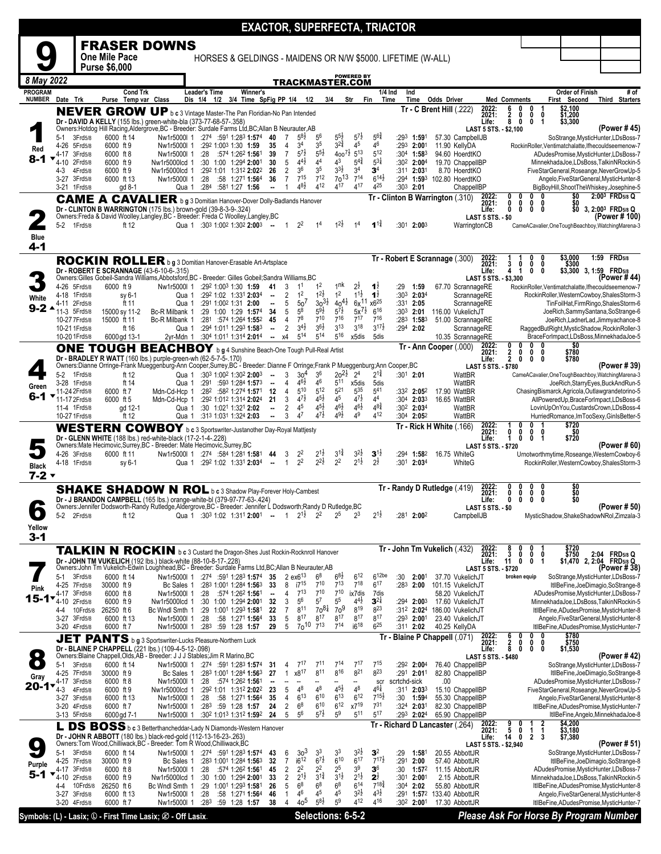| <b>FRASER DOWNS</b><br>One Mile Pace<br>HORSES & GELDINGS - MAIDENS OR N/W \$5000. LIFETIME (W-ALL)<br><b>Purse \$6,000</b><br><b>POWERED BY</b><br>8 May 2022<br>TRACKMASTER.COM<br># of<br><b>PROGRAM</b><br><b>Cond Trk</b><br><b>Leader's Time</b><br>Winner's<br>1/4 Ind<br>Ind<br>Order of Finish<br><b>NUMBER</b><br>Purse Temp var Class<br>Dis 1/4 1/2 3/4 Time SpFig PP 1/4 1/2<br>3/4<br>Str<br>Time<br>First Second<br>Third Starters<br>Date Trk<br>Fin<br>Time<br>Odds Driver<br>Med Comments<br>\$2,100<br>\$1,200<br>2022:<br>0<br>6<br>$Tr - C$ Brent Hill $(.222)$<br>0<br>NEVER GROW UP b c 3 Vintage Master-The Pan Floridian-No Pan Intended<br>2021:<br>$\frac{2}{8}$<br>0<br>0<br>0<br>Dr - DAVID A KELLY (155 lbs.) green-white-bla (373-77-68-57-.358)<br>0<br>0<br>1<br>\$3,300<br>Life:<br>Owners: Hotdog Hill Racing, Aldergrove, BC - Breeder: Surdale Farms Ltd, BC; Allan B Neurauter, AB<br>(Power # 45)<br>LAST 5 STS. - \$2,100<br>$5^{5}\frac{1}{2}$<br>$5^{7}$ <sub>2</sub><br>$5^{64}$<br>58½<br>$5^6$<br>3Frd5/8<br>$:274$ :591 1:283 1:574<br>7<br>:293 1:591<br>57.30 CampbellJB<br>SoStrange, MysticHunter, LDsBoss-7<br>5-1<br>6000 ft 14<br>Nw1r5000l 1<br>40<br>$3^{2^{3}_{4}}$<br>45<br>34<br>46<br>3 <sup>5</sup><br>4-26 5Frd5/8<br>6000 ft 9<br>:292 1:003 1:30 1:59<br>35<br>$\overline{4}$<br>:293 2:001<br>11.90 KellyDA<br>RockinRoller.Ventimatchalatte.Ifhecouldseemenow-7<br>Nw1r5000l 1<br>Red<br>$400^{7\frac{1}{2}}$ 5 <sup>13</sup><br>$5^{7}$<br>$5^{5}\frac{1}{2}$<br>$5^{12}$<br>:574 1:262 1:561<br>$\overline{7}$<br>:304 $1:58^3$<br>4-17 3Frd5/8<br>6000 ft 8<br>Nw1r5000l 1<br>:28<br>39<br>94.60 HoerdtKO<br>ADudesPromise, MysticHunter, LDsBoss-7<br>8-1<br>$5^{4}$<br>$5^{31}$<br>$4^{4}$ <sub>2</sub><br>44<br>43<br>5<br>6000 ft 9<br>:30 1:00 1:294 2:001<br>30<br>:302 2:004<br>19.70 ChappelIBP<br>4-10<br>2Frd5/8<br>Nw1r5000lcd 1<br>MinnekhadaJoe,LDsBoss,TalkinNRockin-5<br>$3^{3}\frac{1}{2}$<br>3 <sup>6</sup><br>3 <sup>4</sup><br>3 <sup>5</sup><br>3 <sup>4</sup><br>$\overline{2}$<br>4Frd5/8<br>6000 ft 9<br>Nw1r5000lcd 1<br>:292 1:01 1:312 2:022<br>26<br>:311 2:031<br>8.70 HoerdtKO<br>FiveStarGeneral,Roseange,NeverGrowUp-5<br>4-3<br>$7^{15}$<br>712<br>$70^{13}$<br>$7^{14}$<br>$6^{14}$<br>$\overline{7}$<br>36<br>:28<br>:58 1:271 1:564<br>:294 1:593 102.80 HoerdtKO<br>3-27 3Frd5/8<br>6000 ft 13<br>Nw1r5000l 1<br>Angelo, FiveStarGeneral, MysticHunter-8<br>$4^{8}\frac{1}{2}$<br>412<br>417<br>425<br>417<br>$:284$ $:581$ 1:27 1:56<br>$:30^3$ 2:01<br>BigBoyHill,ShootTheWhiskey,Josephine-5<br>3-21 1 Frd 5/8<br>gd 8-1<br>Qua 1<br>ChappelIBP<br>$\overline{\phantom{a}}$<br>2:003 FRD5/8 Q<br>\$0<br>2022:<br>2021:<br>0<br>0<br>0<br>$Tr - Clinton B Warrington (310)$<br><b>CAME A CAVALIER</b> b g 3 Domitian Hanover-Dover Dolly-Badlands Hanover<br>\$0<br>\$0<br>0<br>0<br>0<br>0<br>Dr - CLINTON B WARRINGTON (175 lbs.) brown-gold (39-8-3-9-.324)<br>0<br>3, 2:00 <sup>3</sup> FRD5/8 Q<br>Life:<br>0<br>0<br>0<br>Owners:Freda & David Woolley,Langley,BC - Breeder: Freda C Woolley,Langley,BC<br>(Power # 100)<br><b>LAST 5 STS. - \$0</b><br>5-2 1Frd5/8<br>Qua 1 :303 1:002 1:302 2:003 --<br>ft 12<br>$2^2$<br>$:301$ 2:003<br>WarringtonCB<br>$\overline{1}$<br>1 <sup>4</sup><br>CameACavalier,OneToughBeachboy,WatchingMarena-3<br><b>Blue</b><br>4-1<br>$$3,000$<br>$$300$<br>1:59 FRD <sub>5/8</sub><br>Tr - Robert E Scrannage (.300)<br>2022:<br>2021:<br>ROCKIN ROLLER b g 3 Domitian Hanover-Erasable Art-Artsplace<br>0<br>3<br>0<br>0<br>Dr - ROBERT E SCRANNAGE (43-6-10-6-.315)<br>$\mathbf 0$<br>\$3,300 3, 1:59 FRD5/8<br>Life:<br>4<br>1<br>0<br>Owners:Gilles Gobeil-Sandra Williams,Abbotsford,BC - Breeder: Gilles Gobeil;Sandra Williams,BC<br>(Power # 44)<br>LAST 5 STS. - \$3,300<br>1 <sup>nk</sup><br>$2\frac{1}{2}$<br>:292 1:003 1:30 1:59<br>1 <sup>2</sup><br>4-26 5Frd5/8<br>Nw1r5000I 1<br>3<br>1 <sup>1</sup><br>1 <sup>1</sup><br>:29<br>67.70 ScrannageRE<br>RockinRoller, Ventimatchalatte, Ifhecouldseemenow-7<br>6000 ft 9<br>41<br>1:59<br>1 <sup>2</sup><br>$1^{1\frac{1}{2}}$<br>1 <sup>2</sup><br>$1^{2}\frac{1}{2}$<br>2<br>$1\overline{2}$<br>:292 1:02 1:331 2:034<br>$:303$ 2:034<br>4-18 1Frd5/8<br>sy 6-1<br>Qua 1<br>ScrannageRE<br>RockinRoller, WesternCowboy, ShalesStorm-3<br>$\overline{\phantom{a}}$<br>White<br>$30^{31}$<br>$40^{41}$<br>$6x^{11}x6^{25}$<br>50 <sup>7</sup><br>5<br>4-11 2Frd5/8<br>ft 11<br>:291 1:002 1:31 2:00<br>$\overline{\phantom{a}}$<br>$:331$ 2:05<br>ScrannageRE<br>TinFoilHat,FirmRingo,ShalesStorm-6<br>Qua 1<br>9-2 ^<br>$5x^{7\frac{1}{2}}$ 6 <sup>16</sup><br>$5^8$<br>$5^{9}\frac{1}{2}$<br>$5^{7}$ <sub>2</sub><br>5<br>11-3 5Frd5/8<br>:29 1:00 1:29 1:574<br>34<br>:30 <sup>3</sup> 2:01<br>116.00 VukelichJT<br>JoeRich, Sammy Santana, SoStrange-6<br>15000 sy 11-2<br>Bc-R Milbank 1<br>78<br>717<br>710<br>716<br>716<br>15000 ft 11<br>:281 :574 1:264 1:552<br>45<br>$\overline{4}$<br>$:283$ 1:583<br>51.00 ScrannageRE<br>10-27 7 Frd 5/8<br>Bc-R Milbank 1<br>JoeRich,LadnerLad,Jimmyachance-8<br>$3^{4}$<br>$3^{6}\frac{1}{2}$<br>3 <sup>13</sup><br>318<br>$3^{17}\frac{1}{2}$<br>:294 1:011 1:293 1:583<br>$\overline{2}$<br>$:294$ 2:02<br>RaggedButRight, MysticShadow, RockinRoller-3<br>10-21 1 Frd5/8<br>ScrannageRE<br>ft 16<br>Qua 1<br>$\overline{\phantom{a}}$<br>514<br>514<br>516<br>10-20 1 Frd5/8<br>6000gd 13-1<br>2yr-Mdn 1<br>:304 1:011 1:314 2:014<br>x4<br>x5dis<br>5dis<br>10.35 ScrannageRE<br>BraceForImpact,LDsBoss,MinnekhadaJoe-5<br>$\blacksquare$<br>\$0<br>2022:<br>0<br>0<br>0<br>0<br>Tr - Ann Cooper (.000)<br>ONE TOUGH BEACHBOY b g 4 Sunshine Beach-One Tough Pull-Real Artist<br>2021:<br>\$780<br>$\frac{2}{2}$<br>0<br>0<br>0<br>Dr - BRADLEY R WATT (160 lbs.) purple-green-wh (62-5-7-5-.170)<br>Life:<br>0<br>0<br>0<br>\$780<br>Owners:Dianne Orringe-Frank Mueggenburg-Ann Cooper,Surrey,BC - Breeder: Dianne F Orringe;Frank P Mueggenburg;Ann Cooper,BC<br>(Power # 39)<br><b>LAST 5 STS. - \$780</b><br>$20^{21}$<br>$2^{1\frac{3}{4}}$<br>36<br>$2^4$<br>5-2 1Frd5/8<br>$:30^1$ 2:01<br>:303 1:002 1:302 2:003<br>3<br>30 <sup>4</sup><br>CameACavalier, OneToughBeachboy, WatchingMarena-3<br>ft 12<br>Qua 1<br>WattBR<br>$46\frac{1}{2}$<br>46<br>511<br>:291 :593 1:284 1:573<br>x5dis<br>WattBR<br>3-28 1Frd5/8<br>ft 14<br>Qua 1<br>4<br>5dis<br>JoeRich, Starry Eyes, Buck And Run-5<br>$\sim$<br>Green<br>$5^{21}$<br>$5^{10}$<br>$5^{12}$<br>535<br>541<br>11-24 2Frd5/8<br>6000 ft 7<br>$:28^2$ :58 <sup>2</sup> 1:274 <b>1:57</b> <sup>1</sup><br>- 12<br>$\overline{4}$<br>:33 <sup>2</sup> 2:05 <sup>2</sup><br>17.90 WattBR<br>ChasingBismarck,Agricola,Outlawgrandetorino-5<br>Mdn-Cd-Hcp 1<br>6-1<br>$4^{7\frac{1}{2}}$<br>$4^{5}\frac{1}{2}$<br>$4^{7}\frac{1}{2}$<br>45<br>44<br>11-17 2Frd5/8<br>6000 ft 5<br>:292 1:012 1:314 2:024<br>21<br>3<br>:304 2:033<br>16.65 WattBR<br>AllPoweredUp, BraceForImpact, LDsBoss-6<br>Mdn-Cd-Hcp 1<br>$4^{8^{3}_{4}}$<br>$4^{5}\frac{1}{2}$<br>$4^{6}\frac{1}{2}$<br>45<br>$4^{6}\frac{1}{2}$<br>$\overline{2}$<br>11-4 1Frd5/8<br>gd 12-1<br>:30 1:02 <sup>1</sup> 1:32 <sup>1</sup> <b>2:02</b><br>$:30^2$ 2:03 <sup>4</sup><br>WattBR<br>LovinUpOnYou,CustardsCrown,LDsBoss-4<br>Qua 1<br>۰.<br>$47\frac{1}{2}$<br>$49\frac{1}{2}$<br>49<br>412<br>3<br>47<br>10-27 1 Frd5/8<br>ft 12<br>:313 1:031 1:324 2:03<br>:304 2:052<br>WattBR<br>Qua 1<br>$\overline{\phantom{a}}$<br>HurriedRomance,ImTooSexy,GinIsBetter-5<br>\$720<br>Tr - Rick H White (.166)<br>2022:<br>WESTERN COWBOY b c 3 Sportswriter-Justanother Day-Royal Mattjesty<br>2021:<br>\$720<br>0<br>0<br>0<br>0<br>Dr - GLENN WHITE (188 lbs.) red-white-black (17-2-1-4-.228)<br>Life:<br>$\mathbf 0$<br>1<br>1<br>0<br>Owners:Mate Hecimovic,Surrey,BC - Breeder: Mate Hecimovic,Surrey,BC<br>(Power # 60)<br><b>LAST 5 STS. - \$720</b><br>$3^{1\frac{3}{4}}$<br>$3^{2}z$<br>Nw1r5000l 1 :274 :584 1:281 1:581<br>22<br>$2^{1}$<br>$3^{1}$<br>4-26 3Frd5/8<br>6000 ft 11<br>3<br>:294 1:582<br>16.75 WhiteG<br>Urnotworthmytime, Roseange, WesternCowboy-6<br>44<br>$2^{1\frac{1}{2}}$<br>2 <sup>2</sup><br>$2^{2}\frac{1}{2}$<br>2 <sup>2</sup><br>$2^{\frac{1}{2}}$<br>RockinRoller, WesternCowboy, ShalesStorm-3<br>4-18 1Frd5/8<br>:292 1:02 1:331 2:034<br>$\mathbf{1}$<br>$:30^1$ 2:03 <sup>4</sup><br>WhiteG<br>Qua 1<br>sy 6-1<br>$\overline{\phantom{a}}$<br><b>Black</b><br>$7 - 2$<br>\$0<br>\$0<br>Tr - Randy D Rutledge (.419)<br><b>SHAKE SHADOW N ROL</b> b c 3 Shadow Play-Forever Holy-Cambest<br>2021:<br>0<br>0<br>0<br>0<br>Dr - J BRANDON CAMPBELL (165 lbs.) orange-white-bl (379-97-77-63-.424)<br>\$0<br>0<br>Life:<br>0<br>$\mathbf 0$<br>0<br>Owners:Jennifer Dodsworth-Randy Rutledge,Aldergrove,BC - Breeder: Jennifer Ĺ Dodsworth;Randy D Rutledge,BC<br>(Power # 50)<br>LAST 5 STS. - \$0<br>$\bullet$<br>$2^3$<br>$2^{1\frac{1}{2}}$<br>$2^{1\frac{1}{2}}$<br>$2^5$<br>$2^2$<br>$5-2$<br>Qua 1 :30 <sup>3</sup> 1:02 1:31 <sup>1</sup> 2:00 <sup>1</sup> - 1<br>:281<br>2:002<br>CampbellJB<br>MysticShadow,ShakeShadowNRol,Zimzala-3<br>2Frd5/8<br>ft 12<br>Yellow<br>3-1<br>2022:<br>\$720<br>\$750<br>Tr - John Tm Vukelich (432)<br>TALKIN N ROCKIN b c 3 Custard the Dragon-Shes Just Rockin-Rocknroll Hanover<br>3<br>2021:<br>0<br>0<br>0<br>\$750 2:04 FRD5/8 Q<br>\$1,470 2, 2:04 FRD5/8 Q<br>Dr - JOHN TM VUKELICH (192 lbs.) black-white (88-10-8-17-.228)<br>11<br>Life:<br>0<br>0<br>1<br>Owners:John Tm Vukelich-Edwin Loughhead,BC - Breeder: Surdale Farms Ltd,BC;Allan B Neurauter,AB<br>(Power # 38)<br><b>LAST 5 STS. - \$720</b><br>$6^{12}$<br>6 <sup>12be</sup><br>$6^{8}$ <sub>2</sub><br>$6^8$<br>3Frd5/8<br>$:274$ :591 1:283 1:574<br>2 $ex6^{13}$<br>:30<br>37.70 VukelichJT<br>SoStrange, MysticHunter, LDsBoss-7<br>5-1<br>6000 ft 14<br>Nw1r5000l 1<br>35<br>2:00 <sup>1</sup><br>broken equip<br>$7^{18}$<br>$7^{13}$<br>$6^{17}$<br>i7 <sup>15</sup><br>$7^{10}$<br>30000 ft 9<br>:283 1:001 1:284 1:563<br>33<br>8<br>:283<br>2:00<br>101.15 VukelichJT<br>ItllBeFine,JoeDimagio,SoStrange-8<br>4-25 7Frd5/8<br>Bc Sales 1<br>Pink<br>$7^{13}$<br>$7^{10}$<br>$7^{10}$<br>:574 1:262 1:561<br>3Frd5/8<br>Nw1r5000I 1<br>:28<br>ix7dis<br>58.20 VukelichJT<br>ADudesPromise, MysticHunter, LDsBoss-7<br>4-17<br>6000 ft 8<br>$\overline{4}$<br>$\blacksquare$<br>7dis<br>15-1*<br>5 <sup>6</sup><br>5 <sup>7</sup><br>$5^5$<br>$4^{4}$ <sub>2</sub><br>$3^{2\frac{1}{4}}$<br>:30 1:00 1:294 2:001 32<br>6000 ft 9<br>3<br>$:294$ 2:003<br>17.60 VukelichJT<br>MinnekhadaJoe,LDsBoss,TalkinNRockin-5<br>4-10<br>2Frd5/8<br>Nw1r5000lcd 1<br>70 <sup>9</sup><br>$70^{81}$<br>819<br>$8^{23}$<br>1:001 1:293 1:581<br>$\overline{7}$<br>811<br>10Frd5/8<br>26250 ft 6<br>:29<br>22<br>:31 <sup>2</sup> 2:02 <sup>4</sup><br>186.00 VukelichJT<br>ItllBeFine, ADudesPromise, MysticHunter-8<br>Bc Wndl Smth 1<br>4-4<br>817<br>817<br>817<br>5<br>817<br>817<br>:28<br>33<br>3-27 3Frd5/8<br>6000 ft 13<br>:58 1:271 1:564<br>$:293$ 2:001<br>23.40 VukelichJT<br>Angelo, FiveStarGeneral, MysticHunter-8<br>Nw1r5000l 1<br>$70^{10}$<br>$7^{13}$<br>i6 <sup>18</sup><br>$6^{25}$<br>714<br>5<br>:28 <sup>3</sup><br>:59 1:28 1:57<br>29<br>40.25 KellyDA<br>ItllBeFine, ADudesPromise, MysticHunter-7<br>3-20 4Frd5/8<br>6000 ft 7<br>Nw1r5000I 1<br>:31 <sup>1</sup> 2:02<br>$$780$<br>$$750$<br>6<br>0<br>2022:<br>0<br>0<br>- Blaine P Chappell (.071)<br>Tr<br>JET PANTS b g 3 Sportswriter-Lucks Pleasure-Northern Luck<br>2021:<br>$\frac{2}{8}$<br>0<br>0<br>0<br>\$1,530<br>Dr - BLAINE P CHAPPELL (221 lbs.) (109-4-5-12-.098)<br>Owners:Blaine Chappell, Olds, AB - Breeder: J J J Stables; Jim R Marino, BC<br>0<br>Life:<br>0<br>0<br>(Power # 42)<br><b>LAST 5 STS. - \$480</b><br>$\bullet$<br>714<br>$7^{17}$<br>715<br>:274 :591 1:283 1:574<br>711<br>76.40 ChappelIBP<br>5-1<br>3Frd5/8<br>6000 ft 14<br>Nw1r5000l 1<br>$7^{11}$<br>$:292$ 2:004<br>SoStrange, MysticHunter, LDsBoss-7<br>31<br>4<br>$8^{16}$<br>821<br>823<br>$8^{11}$<br>x8 <sup>17</sup><br>:291 2:011<br>4-25 7Frd5/8<br>:283 1:001 1:284 1:563<br>27<br>1<br>82.80 ChappelIBP<br>ItllBeFine,JoeDimagio,SoStrange-8<br>30000 ft 9<br>Bc Sales 1<br>Gray<br>:574 1:262 1:561<br>ADudesPromise, MysticHunter, LDsBoss-7<br>6000 ft 8<br>Nw1r5000l 1<br>:28<br>scrtchd-sick<br>.00<br>4-17 3Frd5/8<br>--<br>scr<br>--<br>20-1<br>$4^{5}\frac{1}{2}$<br>$4^{6}\frac{1}{4}$<br>$4^8$<br>$4^8$<br>$4^8$<br>5<br>4Frd5/8<br>:292 1:01 1:312 2:022<br>23<br>15.10 ChappelIBP<br>FiveStarGeneral, Roseange, NeverGrowUp-5<br>4-3<br>6000 ft 9<br>Nw1r5000lcd 1<br>$:31^1$ 2:03 <sup>3</sup><br>610<br>$6^{13}$<br>$6^{12}$<br>$7^{15}\frac{1}{2}$<br>$6^{13}$<br>:28<br>:58 1:271 1:564<br>35<br>$\overline{4}$<br>:30 1:594<br>55.30 ChappelIBP<br>3-27 3Frd5/8<br>6000 ft 13<br>Nw1r5000l 1<br>Angelo, FiveStarGeneral, MysticHunter-8<br>$6^{10}$<br>$\mathsf{x}7^{19}$<br>6 <sup>8</sup><br>$6^{12}$<br>731<br>3-20 4Frd5/8<br>24<br>2<br>$:324$ 2:031<br>82.30 ChappelIBP<br>ItllBeFine, ADudesPromise, MysticHunter-7<br>6000 ft 7<br>Nw1r5000I 1<br>$:28^3$ :59 1:28 1:57<br>$5^{7\frac{1}{2}}$<br>56<br>511<br>517<br>5<br>5 <sup>9</sup><br>Nw1r5000I 1<br>:302 1:013 1:312 1:592<br>24<br>:293 2:024<br>65.90 ChappelIBP<br>3-13 5Frd5/8<br>6000 gd 7-1<br>ItllBeFine, Angelo, MinnekhadaJoe-8<br>\$4,200<br>$\frac{2}{1}$<br>2022:<br>9<br>0<br>Tr - Richard D Lancaster (.264)<br>1<br>L DS BOSS b c 3 Betterthancheddar-Lady N Diamonds-Western Hanover<br>5<br>\$3,180<br>\$7,380<br>2021:<br>0<br>$\frac{1}{2}$<br>Dr - JOHN R ABBOTT (180 lbs.) black-red-gold (112-13-16-23-.263)<br>Owners:Tom Wood,Chilliwack,BC - Breeder: Tom R Wood,Chilliwack,BC<br>14<br>3<br>Life:<br>0<br>(Power # 51)<br>LAST 5 STS. - \$2,940<br>3 <sup>3</sup><br>$3^{2}\frac{1}{2}$<br>3 <sup>3</sup><br>3 <sup>2</sup><br>33<br>5-1<br>3Frd5/8<br>6000 ft 14<br>Nw1r5000l 1<br>:274 :591 1:283 1:574<br>6<br>:29<br>1:581<br>20.55 AbbottJR<br>SoStrange, MysticHunter, LDsBoss-7<br>43<br>$67\frac{1}{2}$<br>$6^{17}$<br>$7^{17}\frac{1}{2}$<br>i6 <sup>12</sup><br>610<br>$\overline{7}$<br>:291<br>32<br>2:00<br>4-25 7Frd5/8<br>30000 ft 9<br>Bc Sales 1<br>:283 1:001 1:284 1:563<br>57.40 AbbottJR<br>ItllBeFine,JoeDimagio,SoStrange-8<br>Purple<br>2 <sup>2</sup><br>3 <sup>9</sup><br>2 <sup>2</sup><br>$2^5$<br>3 <sup>6</sup><br>$\overline{2}$<br>3Frd5/8<br>6000 ft 8<br>Nw1r5000l 1<br>:28<br>:574 1:262 1:561<br>45<br>:30<br>1:57 <sup>2</sup><br>11.15 AbbottJR<br>ADudesPromise, MysticHunter, LDsBoss-7<br>4-17<br>5-1<br>$3^{1\frac{3}{4}}$<br>$2^{1\frac{1}{2}}$<br>$3^{1\frac{1}{2}}$<br>$2^{\frac{1}{2}}$<br>$\overline{2}$<br>$2^{1\frac{1}{2}}$<br>6000 ft 9<br>:30 1:00 1:294 2:001<br>33<br>$:301$ 2:001<br>4-10 2Frd5/8<br>Nw1r5000lcd 1<br>2.15 AbbottJR<br>MinnekhadaJoe,LDsBoss,TalkinNRockin-5<br>6 <sup>8</sup><br>6 <sup>8</sup><br>6 <sup>8</sup><br>$6^{14}$<br>$7^{18\frac{3}{4}}$<br>1:001 1:293 1:581<br>5<br>10Frd5/8<br>26250 ft 6<br>:29<br>26<br>:30 <sup>4</sup> 2:02<br>55.80 AbbottJR<br>ItllBeFine, ADudesPromise, MysticHunter-8<br>Bc Wndl Smth 1<br>4-4<br>$3^{21}$<br>$4^{3}\frac{1}{2}$<br>46<br>4 <sup>5</sup><br>45<br>3-27 3Frd5/8<br>Nw1r5000I 1<br>:28<br>:58 1:271 1:564<br>46<br>:291 1:572<br>133.40 AbbottJR<br>6000 ft 13<br>1<br>Angelo, FiveStarGeneral, MysticHunter-8<br>40 <sup>5</sup><br>$5^{8\frac{1}{2}}$<br>5 <sup>9</sup><br>412<br>416<br>ItllBeFine, ADudesPromise, MysticHunter-7<br>3-20 4Frd5/8<br>6000 ft 7<br>:283<br>:59 1:28 1:57<br>38<br>4<br>:30 <sup>2</sup> 2:00 <sup>1</sup><br>17.30 AbbottJR<br>Nw1r5000I 1<br>Selections: 6-5-2<br><b>Please Ask For Horse By Program Number</b><br>Symbols: (L) - Lasix; (D - First Time Lasix; Ø - Off Lasix. |  |  |  |  |  |  |  | <b>EXACTOR, SUPERFECTA, TRIACTOR</b> |  |  |  |  |  |  |
|-----------------------------------------------------------------------------------------------------------------------------------------------------------------------------------------------------------------------------------------------------------------------------------------------------------------------------------------------------------------------------------------------------------------------------------------------------------------------------------------------------------------------------------------------------------------------------------------------------------------------------------------------------------------------------------------------------------------------------------------------------------------------------------------------------------------------------------------------------------------------------------------------------------------------------------------------------------------------------------------------------------------------------------------------------------------------------------------------------------------------------------------------------------------------------------------------------------------------------------------------------------------------------------------------------------------------------------------------------------------------------------------------------------------------------------------------------------------------------------------------------------------------------------------------------------------------------------------------------------------------------------------------------------------------------------------------------------------------------------------------------------------------------------------------------------------------------------------------------------------------------------------------------------------------------------------------------------------------------------------------------------------------------------------------------------------------------------------------------------------------------------------------------------------------------------------------------------------------------------------------------------------------------------------------------------------------------------------------------------------------------------------------------------------------------------------------------------------------------------------------------------------------------------------------------------------------------------------------------------------------------------------------------------------------------------------------------------------------------------------------------------------------------------------------------------------------------------------------------------------------------------------------------------------------------------------------------------------------------------------------------------------------------------------------------------------------------------------------------------------------------------------------------------------------------------------------------------------------------------------------------------------------------------------------------------------------------------------------------------------------------------------------------------------------------------------------------------------------------------------------------------------------------------------------------------------------------------------------------------------------------------------------------------------------------------------------------------------------------------------------------------------------------------------------------------------------------------------------------------------------------------------------------------------------------------------------------------------------------------------------------------------------------------------------------------------------------------------------------------------------------------------------------------------------------------------------------------------------------------------------------------------------------------------------------------------------------------------------------------------------------------------------------------------------------------------------------------------------------------------------------------------------------------------------------------------------------------------------------------------------------------------------------------------------------------------------------------------------------------------------------------------------------------------------------------------------------------------------------------------------------------------------------------------------------------------------------------------------------------------------------------------------------------------------------------------------------------------------------------------------------------------------------------------------------------------------------------------------------------------------------------------------------------------------------------------------------------------------------------------------------------------------------------------------------------------------------------------------------------------------------------------------------------------------------------------------------------------------------------------------------------------------------------------------------------------------------------------------------------------------------------------------------------------------------------------------------------------------------------------------------------------------------------------------------------------------------------------------------------------------------------------------------------------------------------------------------------------------------------------------------------------------------------------------------------------------------------------------------------------------------------------------------------------------------------------------------------------------------------------------------------------------------------------------------------------------------------------------------------------------------------------------------------------------------------------------------------------------------------------------------------------------------------------------------------------------------------------------------------------------------------------------------------------------------------------------------------------------------------------------------------------------------------------------------------------------------------------------------------------------------------------------------------------------------------------------------------------------------------------------------------------------------------------------------------------------------------------------------------------------------------------------------------------------------------------------------------------------------------------------------------------------------------------------------------------------------------------------------------------------------------------------------------------------------------------------------------------------------------------------------------------------------------------------------------------------------------------------------------------------------------------------------------------------------------------------------------------------------------------------------------------------------------------------------------------------------------------------------------------------------------------------------------------------------------------------------------------------------------------------------------------------------------------------------------------------------------------------------------------------------------------------------------------------------------------------------------------------------------------------------------------------------------------------------------------------------------------------------------------------------------------------------------------------------------------------------------------------------------------------------------------------------------------------------------------------------------------------------------------------------------------------------------------------------------------------------------------------------------------------------------------------------------------------------------------------------------------------------------------------------------------------------------------------------------------------------------------------------------------------------------------------------------------------------------------------------------------------------------------------------------------------------------------------------------------------------------------------------------------------------------------------------------------------------------------------------------------------------------------------------------------------------------------------------------------------------------------------------------------------------------------------------------------------------------------------------------------------------------------------------------------------------------------------------------------------------------------------------------------------------------------------------------------------------------------------------------------------------------------------------------------------------------------------------------------------------------------------------------------------------------------------------------------------------------------------------------------------------------------------------------------------------------------------------------------------------------------------------------------------------------------------------------------------------------------------------------------------------------------------------------------------------------------------------------------------------------------------------------------------------------------------------------------------------------------------------------------------------------------------------------------------------------------------------------------------------------------------------------------------------------------------------------------------------------------------------------------------------------------------------------------------------------------------------------------------------------------------------------------------------------------------------------------------------------------------------------------------------------------------------------------------------------------------------------------------------------------------------------------------------------------------------------------------------------------------------------------------------------------------------------------------------------------------------------------------------------------------------------------------------------------------------------------------------------------------------------------------------------------------------------------------------------------------------------------------------------------------------------------------------------------------------------------------------------------------------------------------------------------------------------------------------------------------------------------------------------------------------------------------------------------------------------------------------------------------------------------------------------------------------------------------------------------------------------------------------------------------------------------------------------------------------------------------------------------------------------------------------------------------------------------------------------------------------------------------------------------------------------------------------------------------------------------------------------------------------------------------------------------------------------------------------------------------------------------------------------------------------------------------------------------------------------------------------------------------------------------------------------------------------------------------------------------------------------------------------------------------------------------------------------------------------------------------------------------------------------------------------------------------------------------------------------------------------------------------------------------------------------------------------------------------------------------------------------------------------------------------------------------------------------------------------------------------------------------------------------------------------------------------------------------------------------------------------------------------------------------------------------------------------------------------------------------------------------------------------------------------------------------------------------------------------------------------------------------------------------------------------------------------------------------------------------------------------------------------------------------------------------------------------------------------------------------------------------------------------------------------------------------------------------------------------------------------------------------------------------------------------------------------------------------------------------------------------------------------------------------------------------------------------------------------------------------------------------------------------------------------------------------------------------------------------------------------------------------------------------------------------------------------------------------------------------------------------------------------------------------------------------------------------------------------------------------------------------------------------------------------------------------------------------------------------------------------------------------------------------------------------------------------------------------------------------------------------------------------------------------------------------------------------------------------------------------------------------------------------------------------------------------------------------------------------------------------------------------------------------------------------------------------------------------------------------------------------------------------------------------------------------------------------------------------------------------------------------------------------------------------------------------------------------------------------------------------------------------------------------------------------------------------------------------------------|--|--|--|--|--|--|--|--------------------------------------|--|--|--|--|--|--|
|                                                                                                                                                                                                                                                                                                                                                                                                                                                                                                                                                                                                                                                                                                                                                                                                                                                                                                                                                                                                                                                                                                                                                                                                                                                                                                                                                                                                                                                                                                                                                                                                                                                                                                                                                                                                                                                                                                                                                                                                                                                                                                                                                                                                                                                                                                                                                                                                                                                                                                                                                                                                                                                                                                                                                                                                                                                                                                                                                                                                                                                                                                                                                                                                                                                                                                                                                                                                                                                                                                                                                                                                                                                                                                                                                                                                                                                                                                                                                                                                                                                                                                                                                                                                                                                                                                                                                                                                                                                                                                                                                                                                                                                                                                                                                                                                                                                                                                                                                                                                                                                                                                                                                                                                                                                                                                                                                                                                                                                                                                                                                                                                                                                                                                                                                                                                                                                                                                                                                                                                                                                                                                                                                                                                                                                                                                                                                                                                                                                                                                                                                                                                                                                                                                                                                                                                                                                                                                                                                                                                                                                                                                                                                                                                                                                                                                                                                                                                                                                                                                                                                                                                                                                                                                                                                                                                                                                                                                                                                                                                                                                                                                                                                                                                                                                                                                                                                                                                                                                                                                                                                                                                                                                                                                                                                                                                                                                                                                                                                                                                                                                                                                                                                                                                                                                                                                                                                                                                                                                                                                                                                                                                                                                                                                                                                                                                                                                                                                                                                                                                                                                                                                                                                                                                                                                                                                                                                                                                                                                                                                                                                                                                                                                                                                                                                                                                                                                                                                                                                                                                                                                                                                                                                                                                                                                                                                                                                                                                                                                                                                                                                                                                                                                                                                                                                                                                                                                                                                                                                                                                                                                                                                                                                                                                                                                                                                                                                                                                                                                                                                                                                                                                                                                                                                                                                                                                                                                                                                                                                                                                                                                                                                                                                                                                                                                                                                                                                                                                                                                                                                                                                                                                                                                                                                                                                                                                                                                                                                                                                                                                                                                                                                                                                                                                                                                                                                                                                                                                                                                                                                                                                                                                                                                                                                                                                                                                                                                                                                                                                                                                                                                                                                                                                                                                                                                                                                                                                                                                                                                                                                                                                                                                                                                                                                                                                                                                                                                                                                     |  |  |  |  |  |  |  |                                      |  |  |  |  |  |  |
|                                                                                                                                                                                                                                                                                                                                                                                                                                                                                                                                                                                                                                                                                                                                                                                                                                                                                                                                                                                                                                                                                                                                                                                                                                                                                                                                                                                                                                                                                                                                                                                                                                                                                                                                                                                                                                                                                                                                                                                                                                                                                                                                                                                                                                                                                                                                                                                                                                                                                                                                                                                                                                                                                                                                                                                                                                                                                                                                                                                                                                                                                                                                                                                                                                                                                                                                                                                                                                                                                                                                                                                                                                                                                                                                                                                                                                                                                                                                                                                                                                                                                                                                                                                                                                                                                                                                                                                                                                                                                                                                                                                                                                                                                                                                                                                                                                                                                                                                                                                                                                                                                                                                                                                                                                                                                                                                                                                                                                                                                                                                                                                                                                                                                                                                                                                                                                                                                                                                                                                                                                                                                                                                                                                                                                                                                                                                                                                                                                                                                                                                                                                                                                                                                                                                                                                                                                                                                                                                                                                                                                                                                                                                                                                                                                                                                                                                                                                                                                                                                                                                                                                                                                                                                                                                                                                                                                                                                                                                                                                                                                                                                                                                                                                                                                                                                                                                                                                                                                                                                                                                                                                                                                                                                                                                                                                                                                                                                                                                                                                                                                                                                                                                                                                                                                                                                                                                                                                                                                                                                                                                                                                                                                                                                                                                                                                                                                                                                                                                                                                                                                                                                                                                                                                                                                                                                                                                                                                                                                                                                                                                                                                                                                                                                                                                                                                                                                                                                                                                                                                                                                                                                                                                                                                                                                                                                                                                                                                                                                                                                                                                                                                                                                                                                                                                                                                                                                                                                                                                                                                                                                                                                                                                                                                                                                                                                                                                                                                                                                                                                                                                                                                                                                                                                                                                                                                                                                                                                                                                                                                                                                                                                                                                                                                                                                                                                                                                                                                                                                                                                                                                                                                                                                                                                                                                                                                                                                                                                                                                                                                                                                                                                                                                                                                                                                                                                                                                                                                                                                                                                                                                                                                                                                                                                                                                                                                                                                                                                                                                                                                                                                                                                                                                                                                                                                                                                                                                                                                                                                                                                                                                                                                                                                                                                                                                                                                                                                                                                                     |  |  |  |  |  |  |  |                                      |  |  |  |  |  |  |
|                                                                                                                                                                                                                                                                                                                                                                                                                                                                                                                                                                                                                                                                                                                                                                                                                                                                                                                                                                                                                                                                                                                                                                                                                                                                                                                                                                                                                                                                                                                                                                                                                                                                                                                                                                                                                                                                                                                                                                                                                                                                                                                                                                                                                                                                                                                                                                                                                                                                                                                                                                                                                                                                                                                                                                                                                                                                                                                                                                                                                                                                                                                                                                                                                                                                                                                                                                                                                                                                                                                                                                                                                                                                                                                                                                                                                                                                                                                                                                                                                                                                                                                                                                                                                                                                                                                                                                                                                                                                                                                                                                                                                                                                                                                                                                                                                                                                                                                                                                                                                                                                                                                                                                                                                                                                                                                                                                                                                                                                                                                                                                                                                                                                                                                                                                                                                                                                                                                                                                                                                                                                                                                                                                                                                                                                                                                                                                                                                                                                                                                                                                                                                                                                                                                                                                                                                                                                                                                                                                                                                                                                                                                                                                                                                                                                                                                                                                                                                                                                                                                                                                                                                                                                                                                                                                                                                                                                                                                                                                                                                                                                                                                                                                                                                                                                                                                                                                                                                                                                                                                                                                                                                                                                                                                                                                                                                                                                                                                                                                                                                                                                                                                                                                                                                                                                                                                                                                                                                                                                                                                                                                                                                                                                                                                                                                                                                                                                                                                                                                                                                                                                                                                                                                                                                                                                                                                                                                                                                                                                                                                                                                                                                                                                                                                                                                                                                                                                                                                                                                                                                                                                                                                                                                                                                                                                                                                                                                                                                                                                                                                                                                                                                                                                                                                                                                                                                                                                                                                                                                                                                                                                                                                                                                                                                                                                                                                                                                                                                                                                                                                                                                                                                                                                                                                                                                                                                                                                                                                                                                                                                                                                                                                                                                                                                                                                                                                                                                                                                                                                                                                                                                                                                                                                                                                                                                                                                                                                                                                                                                                                                                                                                                                                                                                                                                                                                                                                                                                                                                                                                                                                                                                                                                                                                                                                                                                                                                                                                                                                                                                                                                                                                                                                                                                                                                                                                                                                                                                                                                                                                                                                                                                                                                                                                                                                                                                                                                                                                                     |  |  |  |  |  |  |  |                                      |  |  |  |  |  |  |
|                                                                                                                                                                                                                                                                                                                                                                                                                                                                                                                                                                                                                                                                                                                                                                                                                                                                                                                                                                                                                                                                                                                                                                                                                                                                                                                                                                                                                                                                                                                                                                                                                                                                                                                                                                                                                                                                                                                                                                                                                                                                                                                                                                                                                                                                                                                                                                                                                                                                                                                                                                                                                                                                                                                                                                                                                                                                                                                                                                                                                                                                                                                                                                                                                                                                                                                                                                                                                                                                                                                                                                                                                                                                                                                                                                                                                                                                                                                                                                                                                                                                                                                                                                                                                                                                                                                                                                                                                                                                                                                                                                                                                                                                                                                                                                                                                                                                                                                                                                                                                                                                                                                                                                                                                                                                                                                                                                                                                                                                                                                                                                                                                                                                                                                                                                                                                                                                                                                                                                                                                                                                                                                                                                                                                                                                                                                                                                                                                                                                                                                                                                                                                                                                                                                                                                                                                                                                                                                                                                                                                                                                                                                                                                                                                                                                                                                                                                                                                                                                                                                                                                                                                                                                                                                                                                                                                                                                                                                                                                                                                                                                                                                                                                                                                                                                                                                                                                                                                                                                                                                                                                                                                                                                                                                                                                                                                                                                                                                                                                                                                                                                                                                                                                                                                                                                                                                                                                                                                                                                                                                                                                                                                                                                                                                                                                                                                                                                                                                                                                                                                                                                                                                                                                                                                                                                                                                                                                                                                                                                                                                                                                                                                                                                                                                                                                                                                                                                                                                                                                                                                                                                                                                                                                                                                                                                                                                                                                                                                                                                                                                                                                                                                                                                                                                                                                                                                                                                                                                                                                                                                                                                                                                                                                                                                                                                                                                                                                                                                                                                                                                                                                                                                                                                                                                                                                                                                                                                                                                                                                                                                                                                                                                                                                                                                                                                                                                                                                                                                                                                                                                                                                                                                                                                                                                                                                                                                                                                                                                                                                                                                                                                                                                                                                                                                                                                                                                                                                                                                                                                                                                                                                                                                                                                                                                                                                                                                                                                                                                                                                                                                                                                                                                                                                                                                                                                                                                                                                                                                                                                                                                                                                                                                                                                                                                                                                                                                                                                                                     |  |  |  |  |  |  |  |                                      |  |  |  |  |  |  |
|                                                                                                                                                                                                                                                                                                                                                                                                                                                                                                                                                                                                                                                                                                                                                                                                                                                                                                                                                                                                                                                                                                                                                                                                                                                                                                                                                                                                                                                                                                                                                                                                                                                                                                                                                                                                                                                                                                                                                                                                                                                                                                                                                                                                                                                                                                                                                                                                                                                                                                                                                                                                                                                                                                                                                                                                                                                                                                                                                                                                                                                                                                                                                                                                                                                                                                                                                                                                                                                                                                                                                                                                                                                                                                                                                                                                                                                                                                                                                                                                                                                                                                                                                                                                                                                                                                                                                                                                                                                                                                                                                                                                                                                                                                                                                                                                                                                                                                                                                                                                                                                                                                                                                                                                                                                                                                                                                                                                                                                                                                                                                                                                                                                                                                                                                                                                                                                                                                                                                                                                                                                                                                                                                                                                                                                                                                                                                                                                                                                                                                                                                                                                                                                                                                                                                                                                                                                                                                                                                                                                                                                                                                                                                                                                                                                                                                                                                                                                                                                                                                                                                                                                                                                                                                                                                                                                                                                                                                                                                                                                                                                                                                                                                                                                                                                                                                                                                                                                                                                                                                                                                                                                                                                                                                                                                                                                                                                                                                                                                                                                                                                                                                                                                                                                                                                                                                                                                                                                                                                                                                                                                                                                                                                                                                                                                                                                                                                                                                                                                                                                                                                                                                                                                                                                                                                                                                                                                                                                                                                                                                                                                                                                                                                                                                                                                                                                                                                                                                                                                                                                                                                                                                                                                                                                                                                                                                                                                                                                                                                                                                                                                                                                                                                                                                                                                                                                                                                                                                                                                                                                                                                                                                                                                                                                                                                                                                                                                                                                                                                                                                                                                                                                                                                                                                                                                                                                                                                                                                                                                                                                                                                                                                                                                                                                                                                                                                                                                                                                                                                                                                                                                                                                                                                                                                                                                                                                                                                                                                                                                                                                                                                                                                                                                                                                                                                                                                                                                                                                                                                                                                                                                                                                                                                                                                                                                                                                                                                                                                                                                                                                                                                                                                                                                                                                                                                                                                                                                                                                                                                                                                                                                                                                                                                                                                                                                                                                                                                                                                     |  |  |  |  |  |  |  |                                      |  |  |  |  |  |  |
|                                                                                                                                                                                                                                                                                                                                                                                                                                                                                                                                                                                                                                                                                                                                                                                                                                                                                                                                                                                                                                                                                                                                                                                                                                                                                                                                                                                                                                                                                                                                                                                                                                                                                                                                                                                                                                                                                                                                                                                                                                                                                                                                                                                                                                                                                                                                                                                                                                                                                                                                                                                                                                                                                                                                                                                                                                                                                                                                                                                                                                                                                                                                                                                                                                                                                                                                                                                                                                                                                                                                                                                                                                                                                                                                                                                                                                                                                                                                                                                                                                                                                                                                                                                                                                                                                                                                                                                                                                                                                                                                                                                                                                                                                                                                                                                                                                                                                                                                                                                                                                                                                                                                                                                                                                                                                                                                                                                                                                                                                                                                                                                                                                                                                                                                                                                                                                                                                                                                                                                                                                                                                                                                                                                                                                                                                                                                                                                                                                                                                                                                                                                                                                                                                                                                                                                                                                                                                                                                                                                                                                                                                                                                                                                                                                                                                                                                                                                                                                                                                                                                                                                                                                                                                                                                                                                                                                                                                                                                                                                                                                                                                                                                                                                                                                                                                                                                                                                                                                                                                                                                                                                                                                                                                                                                                                                                                                                                                                                                                                                                                                                                                                                                                                                                                                                                                                                                                                                                                                                                                                                                                                                                                                                                                                                                                                                                                                                                                                                                                                                                                                                                                                                                                                                                                                                                                                                                                                                                                                                                                                                                                                                                                                                                                                                                                                                                                                                                                                                                                                                                                                                                                                                                                                                                                                                                                                                                                                                                                                                                                                                                                                                                                                                                                                                                                                                                                                                                                                                                                                                                                                                                                                                                                                                                                                                                                                                                                                                                                                                                                                                                                                                                                                                                                                                                                                                                                                                                                                                                                                                                                                                                                                                                                                                                                                                                                                                                                                                                                                                                                                                                                                                                                                                                                                                                                                                                                                                                                                                                                                                                                                                                                                                                                                                                                                                                                                                                                                                                                                                                                                                                                                                                                                                                                                                                                                                                                                                                                                                                                                                                                                                                                                                                                                                                                                                                                                                                                                                                                                                                                                                                                                                                                                                                                                                                                                                                                                                                                                     |  |  |  |  |  |  |  |                                      |  |  |  |  |  |  |
|                                                                                                                                                                                                                                                                                                                                                                                                                                                                                                                                                                                                                                                                                                                                                                                                                                                                                                                                                                                                                                                                                                                                                                                                                                                                                                                                                                                                                                                                                                                                                                                                                                                                                                                                                                                                                                                                                                                                                                                                                                                                                                                                                                                                                                                                                                                                                                                                                                                                                                                                                                                                                                                                                                                                                                                                                                                                                                                                                                                                                                                                                                                                                                                                                                                                                                                                                                                                                                                                                                                                                                                                                                                                                                                                                                                                                                                                                                                                                                                                                                                                                                                                                                                                                                                                                                                                                                                                                                                                                                                                                                                                                                                                                                                                                                                                                                                                                                                                                                                                                                                                                                                                                                                                                                                                                                                                                                                                                                                                                                                                                                                                                                                                                                                                                                                                                                                                                                                                                                                                                                                                                                                                                                                                                                                                                                                                                                                                                                                                                                                                                                                                                                                                                                                                                                                                                                                                                                                                                                                                                                                                                                                                                                                                                                                                                                                                                                                                                                                                                                                                                                                                                                                                                                                                                                                                                                                                                                                                                                                                                                                                                                                                                                                                                                                                                                                                                                                                                                                                                                                                                                                                                                                                                                                                                                                                                                                                                                                                                                                                                                                                                                                                                                                                                                                                                                                                                                                                                                                                                                                                                                                                                                                                                                                                                                                                                                                                                                                                                                                                                                                                                                                                                                                                                                                                                                                                                                                                                                                                                                                                                                                                                                                                                                                                                                                                                                                                                                                                                                                                                                                                                                                                                                                                                                                                                                                                                                                                                                                                                                                                                                                                                                                                                                                                                                                                                                                                                                                                                                                                                                                                                                                                                                                                                                                                                                                                                                                                                                                                                                                                                                                                                                                                                                                                                                                                                                                                                                                                                                                                                                                                                                                                                                                                                                                                                                                                                                                                                                                                                                                                                                                                                                                                                                                                                                                                                                                                                                                                                                                                                                                                                                                                                                                                                                                                                                                                                                                                                                                                                                                                                                                                                                                                                                                                                                                                                                                                                                                                                                                                                                                                                                                                                                                                                                                                                                                                                                                                                                                                                                                                                                                                                                                                                                                                                                                                                                                                                                     |  |  |  |  |  |  |  |                                      |  |  |  |  |  |  |
|                                                                                                                                                                                                                                                                                                                                                                                                                                                                                                                                                                                                                                                                                                                                                                                                                                                                                                                                                                                                                                                                                                                                                                                                                                                                                                                                                                                                                                                                                                                                                                                                                                                                                                                                                                                                                                                                                                                                                                                                                                                                                                                                                                                                                                                                                                                                                                                                                                                                                                                                                                                                                                                                                                                                                                                                                                                                                                                                                                                                                                                                                                                                                                                                                                                                                                                                                                                                                                                                                                                                                                                                                                                                                                                                                                                                                                                                                                                                                                                                                                                                                                                                                                                                                                                                                                                                                                                                                                                                                                                                                                                                                                                                                                                                                                                                                                                                                                                                                                                                                                                                                                                                                                                                                                                                                                                                                                                                                                                                                                                                                                                                                                                                                                                                                                                                                                                                                                                                                                                                                                                                                                                                                                                                                                                                                                                                                                                                                                                                                                                                                                                                                                                                                                                                                                                                                                                                                                                                                                                                                                                                                                                                                                                                                                                                                                                                                                                                                                                                                                                                                                                                                                                                                                                                                                                                                                                                                                                                                                                                                                                                                                                                                                                                                                                                                                                                                                                                                                                                                                                                                                                                                                                                                                                                                                                                                                                                                                                                                                                                                                                                                                                                                                                                                                                                                                                                                                                                                                                                                                                                                                                                                                                                                                                                                                                                                                                                                                                                                                                                                                                                                                                                                                                                                                                                                                                                                                                                                                                                                                                                                                                                                                                                                                                                                                                                                                                                                                                                                                                                                                                                                                                                                                                                                                                                                                                                                                                                                                                                                                                                                                                                                                                                                                                                                                                                                                                                                                                                                                                                                                                                                                                                                                                                                                                                                                                                                                                                                                                                                                                                                                                                                                                                                                                                                                                                                                                                                                                                                                                                                                                                                                                                                                                                                                                                                                                                                                                                                                                                                                                                                                                                                                                                                                                                                                                                                                                                                                                                                                                                                                                                                                                                                                                                                                                                                                                                                                                                                                                                                                                                                                                                                                                                                                                                                                                                                                                                                                                                                                                                                                                                                                                                                                                                                                                                                                                                                                                                                                                                                                                                                                                                                                                                                                                                                                                                                                                                                                     |  |  |  |  |  |  |  |                                      |  |  |  |  |  |  |
|                                                                                                                                                                                                                                                                                                                                                                                                                                                                                                                                                                                                                                                                                                                                                                                                                                                                                                                                                                                                                                                                                                                                                                                                                                                                                                                                                                                                                                                                                                                                                                                                                                                                                                                                                                                                                                                                                                                                                                                                                                                                                                                                                                                                                                                                                                                                                                                                                                                                                                                                                                                                                                                                                                                                                                                                                                                                                                                                                                                                                                                                                                                                                                                                                                                                                                                                                                                                                                                                                                                                                                                                                                                                                                                                                                                                                                                                                                                                                                                                                                                                                                                                                                                                                                                                                                                                                                                                                                                                                                                                                                                                                                                                                                                                                                                                                                                                                                                                                                                                                                                                                                                                                                                                                                                                                                                                                                                                                                                                                                                                                                                                                                                                                                                                                                                                                                                                                                                                                                                                                                                                                                                                                                                                                                                                                                                                                                                                                                                                                                                                                                                                                                                                                                                                                                                                                                                                                                                                                                                                                                                                                                                                                                                                                                                                                                                                                                                                                                                                                                                                                                                                                                                                                                                                                                                                                                                                                                                                                                                                                                                                                                                                                                                                                                                                                                                                                                                                                                                                                                                                                                                                                                                                                                                                                                                                                                                                                                                                                                                                                                                                                                                                                                                                                                                                                                                                                                                                                                                                                                                                                                                                                                                                                                                                                                                                                                                                                                                                                                                                                                                                                                                                                                                                                                                                                                                                                                                                                                                                                                                                                                                                                                                                                                                                                                                                                                                                                                                                                                                                                                                                                                                                                                                                                                                                                                                                                                                                                                                                                                                                                                                                                                                                                                                                                                                                                                                                                                                                                                                                                                                                                                                                                                                                                                                                                                                                                                                                                                                                                                                                                                                                                                                                                                                                                                                                                                                                                                                                                                                                                                                                                                                                                                                                                                                                                                                                                                                                                                                                                                                                                                                                                                                                                                                                                                                                                                                                                                                                                                                                                                                                                                                                                                                                                                                                                                                                                                                                                                                                                                                                                                                                                                                                                                                                                                                                                                                                                                                                                                                                                                                                                                                                                                                                                                                                                                                                                                                                                                                                                                                                                                                                                                                                                                                                                                                                                                                                                                     |  |  |  |  |  |  |  |                                      |  |  |  |  |  |  |
|                                                                                                                                                                                                                                                                                                                                                                                                                                                                                                                                                                                                                                                                                                                                                                                                                                                                                                                                                                                                                                                                                                                                                                                                                                                                                                                                                                                                                                                                                                                                                                                                                                                                                                                                                                                                                                                                                                                                                                                                                                                                                                                                                                                                                                                                                                                                                                                                                                                                                                                                                                                                                                                                                                                                                                                                                                                                                                                                                                                                                                                                                                                                                                                                                                                                                                                                                                                                                                                                                                                                                                                                                                                                                                                                                                                                                                                                                                                                                                                                                                                                                                                                                                                                                                                                                                                                                                                                                                                                                                                                                                                                                                                                                                                                                                                                                                                                                                                                                                                                                                                                                                                                                                                                                                                                                                                                                                                                                                                                                                                                                                                                                                                                                                                                                                                                                                                                                                                                                                                                                                                                                                                                                                                                                                                                                                                                                                                                                                                                                                                                                                                                                                                                                                                                                                                                                                                                                                                                                                                                                                                                                                                                                                                                                                                                                                                                                                                                                                                                                                                                                                                                                                                                                                                                                                                                                                                                                                                                                                                                                                                                                                                                                                                                                                                                                                                                                                                                                                                                                                                                                                                                                                                                                                                                                                                                                                                                                                                                                                                                                                                                                                                                                                                                                                                                                                                                                                                                                                                                                                                                                                                                                                                                                                                                                                                                                                                                                                                                                                                                                                                                                                                                                                                                                                                                                                                                                                                                                                                                                                                                                                                                                                                                                                                                                                                                                                                                                                                                                                                                                                                                                                                                                                                                                                                                                                                                                                                                                                                                                                                                                                                                                                                                                                                                                                                                                                                                                                                                                                                                                                                                                                                                                                                                                                                                                                                                                                                                                                                                                                                                                                                                                                                                                                                                                                                                                                                                                                                                                                                                                                                                                                                                                                                                                                                                                                                                                                                                                                                                                                                                                                                                                                                                                                                                                                                                                                                                                                                                                                                                                                                                                                                                                                                                                                                                                                                                                                                                                                                                                                                                                                                                                                                                                                                                                                                                                                                                                                                                                                                                                                                                                                                                                                                                                                                                                                                                                                                                                                                                                                                                                                                                                                                                                                                                                                                                                                                                                                     |  |  |  |  |  |  |  |                                      |  |  |  |  |  |  |
|                                                                                                                                                                                                                                                                                                                                                                                                                                                                                                                                                                                                                                                                                                                                                                                                                                                                                                                                                                                                                                                                                                                                                                                                                                                                                                                                                                                                                                                                                                                                                                                                                                                                                                                                                                                                                                                                                                                                                                                                                                                                                                                                                                                                                                                                                                                                                                                                                                                                                                                                                                                                                                                                                                                                                                                                                                                                                                                                                                                                                                                                                                                                                                                                                                                                                                                                                                                                                                                                                                                                                                                                                                                                                                                                                                                                                                                                                                                                                                                                                                                                                                                                                                                                                                                                                                                                                                                                                                                                                                                                                                                                                                                                                                                                                                                                                                                                                                                                                                                                                                                                                                                                                                                                                                                                                                                                                                                                                                                                                                                                                                                                                                                                                                                                                                                                                                                                                                                                                                                                                                                                                                                                                                                                                                                                                                                                                                                                                                                                                                                                                                                                                                                                                                                                                                                                                                                                                                                                                                                                                                                                                                                                                                                                                                                                                                                                                                                                                                                                                                                                                                                                                                                                                                                                                                                                                                                                                                                                                                                                                                                                                                                                                                                                                                                                                                                                                                                                                                                                                                                                                                                                                                                                                                                                                                                                                                                                                                                                                                                                                                                                                                                                                                                                                                                                                                                                                                                                                                                                                                                                                                                                                                                                                                                                                                                                                                                                                                                                                                                                                                                                                                                                                                                                                                                                                                                                                                                                                                                                                                                                                                                                                                                                                                                                                                                                                                                                                                                                                                                                                                                                                                                                                                                                                                                                                                                                                                                                                                                                                                                                                                                                                                                                                                                                                                                                                                                                                                                                                                                                                                                                                                                                                                                                                                                                                                                                                                                                                                                                                                                                                                                                                                                                                                                                                                                                                                                                                                                                                                                                                                                                                                                                                                                                                                                                                                                                                                                                                                                                                                                                                                                                                                                                                                                                                                                                                                                                                                                                                                                                                                                                                                                                                                                                                                                                                                                                                                                                                                                                                                                                                                                                                                                                                                                                                                                                                                                                                                                                                                                                                                                                                                                                                                                                                                                                                                                                                                                                                                                                                                                                                                                                                                                                                                                                                                                                                                                                                                     |  |  |  |  |  |  |  |                                      |  |  |  |  |  |  |
|                                                                                                                                                                                                                                                                                                                                                                                                                                                                                                                                                                                                                                                                                                                                                                                                                                                                                                                                                                                                                                                                                                                                                                                                                                                                                                                                                                                                                                                                                                                                                                                                                                                                                                                                                                                                                                                                                                                                                                                                                                                                                                                                                                                                                                                                                                                                                                                                                                                                                                                                                                                                                                                                                                                                                                                                                                                                                                                                                                                                                                                                                                                                                                                                                                                                                                                                                                                                                                                                                                                                                                                                                                                                                                                                                                                                                                                                                                                                                                                                                                                                                                                                                                                                                                                                                                                                                                                                                                                                                                                                                                                                                                                                                                                                                                                                                                                                                                                                                                                                                                                                                                                                                                                                                                                                                                                                                                                                                                                                                                                                                                                                                                                                                                                                                                                                                                                                                                                                                                                                                                                                                                                                                                                                                                                                                                                                                                                                                                                                                                                                                                                                                                                                                                                                                                                                                                                                                                                                                                                                                                                                                                                                                                                                                                                                                                                                                                                                                                                                                                                                                                                                                                                                                                                                                                                                                                                                                                                                                                                                                                                                                                                                                                                                                                                                                                                                                                                                                                                                                                                                                                                                                                                                                                                                                                                                                                                                                                                                                                                                                                                                                                                                                                                                                                                                                                                                                                                                                                                                                                                                                                                                                                                                                                                                                                                                                                                                                                                                                                                                                                                                                                                                                                                                                                                                                                                                                                                                                                                                                                                                                                                                                                                                                                                                                                                                                                                                                                                                                                                                                                                                                                                                                                                                                                                                                                                                                                                                                                                                                                                                                                                                                                                                                                                                                                                                                                                                                                                                                                                                                                                                                                                                                                                                                                                                                                                                                                                                                                                                                                                                                                                                                                                                                                                                                                                                                                                                                                                                                                                                                                                                                                                                                                                                                                                                                                                                                                                                                                                                                                                                                                                                                                                                                                                                                                                                                                                                                                                                                                                                                                                                                                                                                                                                                                                                                                                                                                                                                                                                                                                                                                                                                                                                                                                                                                                                                                                                                                                                                                                                                                                                                                                                                                                                                                                                                                                                                                                                                                                                                                                                                                                                                                                                                                                                                                                                                                                                                                     |  |  |  |  |  |  |  |                                      |  |  |  |  |  |  |
|                                                                                                                                                                                                                                                                                                                                                                                                                                                                                                                                                                                                                                                                                                                                                                                                                                                                                                                                                                                                                                                                                                                                                                                                                                                                                                                                                                                                                                                                                                                                                                                                                                                                                                                                                                                                                                                                                                                                                                                                                                                                                                                                                                                                                                                                                                                                                                                                                                                                                                                                                                                                                                                                                                                                                                                                                                                                                                                                                                                                                                                                                                                                                                                                                                                                                                                                                                                                                                                                                                                                                                                                                                                                                                                                                                                                                                                                                                                                                                                                                                                                                                                                                                                                                                                                                                                                                                                                                                                                                                                                                                                                                                                                                                                                                                                                                                                                                                                                                                                                                                                                                                                                                                                                                                                                                                                                                                                                                                                                                                                                                                                                                                                                                                                                                                                                                                                                                                                                                                                                                                                                                                                                                                                                                                                                                                                                                                                                                                                                                                                                                                                                                                                                                                                                                                                                                                                                                                                                                                                                                                                                                                                                                                                                                                                                                                                                                                                                                                                                                                                                                                                                                                                                                                                                                                                                                                                                                                                                                                                                                                                                                                                                                                                                                                                                                                                                                                                                                                                                                                                                                                                                                                                                                                                                                                                                                                                                                                                                                                                                                                                                                                                                                                                                                                                                                                                                                                                                                                                                                                                                                                                                                                                                                                                                                                                                                                                                                                                                                                                                                                                                                                                                                                                                                                                                                                                                                                                                                                                                                                                                                                                                                                                                                                                                                                                                                                                                                                                                                                                                                                                                                                                                                                                                                                                                                                                                                                                                                                                                                                                                                                                                                                                                                                                                                                                                                                                                                                                                                                                                                                                                                                                                                                                                                                                                                                                                                                                                                                                                                                                                                                                                                                                                                                                                                                                                                                                                                                                                                                                                                                                                                                                                                                                                                                                                                                                                                                                                                                                                                                                                                                                                                                                                                                                                                                                                                                                                                                                                                                                                                                                                                                                                                                                                                                                                                                                                                                                                                                                                                                                                                                                                                                                                                                                                                                                                                                                                                                                                                                                                                                                                                                                                                                                                                                                                                                                                                                                                                                                                                                                                                                                                                                                                                                                                                                                                                                                                                                     |  |  |  |  |  |  |  |                                      |  |  |  |  |  |  |
|                                                                                                                                                                                                                                                                                                                                                                                                                                                                                                                                                                                                                                                                                                                                                                                                                                                                                                                                                                                                                                                                                                                                                                                                                                                                                                                                                                                                                                                                                                                                                                                                                                                                                                                                                                                                                                                                                                                                                                                                                                                                                                                                                                                                                                                                                                                                                                                                                                                                                                                                                                                                                                                                                                                                                                                                                                                                                                                                                                                                                                                                                                                                                                                                                                                                                                                                                                                                                                                                                                                                                                                                                                                                                                                                                                                                                                                                                                                                                                                                                                                                                                                                                                                                                                                                                                                                                                                                                                                                                                                                                                                                                                                                                                                                                                                                                                                                                                                                                                                                                                                                                                                                                                                                                                                                                                                                                                                                                                                                                                                                                                                                                                                                                                                                                                                                                                                                                                                                                                                                                                                                                                                                                                                                                                                                                                                                                                                                                                                                                                                                                                                                                                                                                                                                                                                                                                                                                                                                                                                                                                                                                                                                                                                                                                                                                                                                                                                                                                                                                                                                                                                                                                                                                                                                                                                                                                                                                                                                                                                                                                                                                                                                                                                                                                                                                                                                                                                                                                                                                                                                                                                                                                                                                                                                                                                                                                                                                                                                                                                                                                                                                                                                                                                                                                                                                                                                                                                                                                                                                                                                                                                                                                                                                                                                                                                                                                                                                                                                                                                                                                                                                                                                                                                                                                                                                                                                                                                                                                                                                                                                                                                                                                                                                                                                                                                                                                                                                                                                                                                                                                                                                                                                                                                                                                                                                                                                                                                                                                                                                                                                                                                                                                                                                                                                                                                                                                                                                                                                                                                                                                                                                                                                                                                                                                                                                                                                                                                                                                                                                                                                                                                                                                                                                                                                                                                                                                                                                                                                                                                                                                                                                                                                                                                                                                                                                                                                                                                                                                                                                                                                                                                                                                                                                                                                                                                                                                                                                                                                                                                                                                                                                                                                                                                                                                                                                                                                                                                                                                                                                                                                                                                                                                                                                                                                                                                                                                                                                                                                                                                                                                                                                                                                                                                                                                                                                                                                                                                                                                                                                                                                                                                                                                                                                                                                                                                                                                                                                                     |  |  |  |  |  |  |  |                                      |  |  |  |  |  |  |
|                                                                                                                                                                                                                                                                                                                                                                                                                                                                                                                                                                                                                                                                                                                                                                                                                                                                                                                                                                                                                                                                                                                                                                                                                                                                                                                                                                                                                                                                                                                                                                                                                                                                                                                                                                                                                                                                                                                                                                                                                                                                                                                                                                                                                                                                                                                                                                                                                                                                                                                                                                                                                                                                                                                                                                                                                                                                                                                                                                                                                                                                                                                                                                                                                                                                                                                                                                                                                                                                                                                                                                                                                                                                                                                                                                                                                                                                                                                                                                                                                                                                                                                                                                                                                                                                                                                                                                                                                                                                                                                                                                                                                                                                                                                                                                                                                                                                                                                                                                                                                                                                                                                                                                                                                                                                                                                                                                                                                                                                                                                                                                                                                                                                                                                                                                                                                                                                                                                                                                                                                                                                                                                                                                                                                                                                                                                                                                                                                                                                                                                                                                                                                                                                                                                                                                                                                                                                                                                                                                                                                                                                                                                                                                                                                                                                                                                                                                                                                                                                                                                                                                                                                                                                                                                                                                                                                                                                                                                                                                                                                                                                                                                                                                                                                                                                                                                                                                                                                                                                                                                                                                                                                                                                                                                                                                                                                                                                                                                                                                                                                                                                                                                                                                                                                                                                                                                                                                                                                                                                                                                                                                                                                                                                                                                                                                                                                                                                                                                                                                                                                                                                                                                                                                                                                                                                                                                                                                                                                                                                                                                                                                                                                                                                                                                                                                                                                                                                                                                                                                                                                                                                                                                                                                                                                                                                                                                                                                                                                                                                                                                                                                                                                                                                                                                                                                                                                                                                                                                                                                                                                                                                                                                                                                                                                                                                                                                                                                                                                                                                                                                                                                                                                                                                                                                                                                                                                                                                                                                                                                                                                                                                                                                                                                                                                                                                                                                                                                                                                                                                                                                                                                                                                                                                                                                                                                                                                                                                                                                                                                                                                                                                                                                                                                                                                                                                                                                                                                                                                                                                                                                                                                                                                                                                                                                                                                                                                                                                                                                                                                                                                                                                                                                                                                                                                                                                                                                                                                                                                                                                                                                                                                                                                                                                                                                                                                                                                                                                                                     |  |  |  |  |  |  |  |                                      |  |  |  |  |  |  |
|                                                                                                                                                                                                                                                                                                                                                                                                                                                                                                                                                                                                                                                                                                                                                                                                                                                                                                                                                                                                                                                                                                                                                                                                                                                                                                                                                                                                                                                                                                                                                                                                                                                                                                                                                                                                                                                                                                                                                                                                                                                                                                                                                                                                                                                                                                                                                                                                                                                                                                                                                                                                                                                                                                                                                                                                                                                                                                                                                                                                                                                                                                                                                                                                                                                                                                                                                                                                                                                                                                                                                                                                                                                                                                                                                                                                                                                                                                                                                                                                                                                                                                                                                                                                                                                                                                                                                                                                                                                                                                                                                                                                                                                                                                                                                                                                                                                                                                                                                                                                                                                                                                                                                                                                                                                                                                                                                                                                                                                                                                                                                                                                                                                                                                                                                                                                                                                                                                                                                                                                                                                                                                                                                                                                                                                                                                                                                                                                                                                                                                                                                                                                                                                                                                                                                                                                                                                                                                                                                                                                                                                                                                                                                                                                                                                                                                                                                                                                                                                                                                                                                                                                                                                                                                                                                                                                                                                                                                                                                                                                                                                                                                                                                                                                                                                                                                                                                                                                                                                                                                                                                                                                                                                                                                                                                                                                                                                                                                                                                                                                                                                                                                                                                                                                                                                                                                                                                                                                                                                                                                                                                                                                                                                                                                                                                                                                                                                                                                                                                                                                                                                                                                                                                                                                                                                                                                                                                                                                                                                                                                                                                                                                                                                                                                                                                                                                                                                                                                                                                                                                                                                                                                                                                                                                                                                                                                                                                                                                                                                                                                                                                                                                                                                                                                                                                                                                                                                                                                                                                                                                                                                                                                                                                                                                                                                                                                                                                                                                                                                                                                                                                                                                                                                                                                                                                                                                                                                                                                                                                                                                                                                                                                                                                                                                                                                                                                                                                                                                                                                                                                                                                                                                                                                                                                                                                                                                                                                                                                                                                                                                                                                                                                                                                                                                                                                                                                                                                                                                                                                                                                                                                                                                                                                                                                                                                                                                                                                                                                                                                                                                                                                                                                                                                                                                                                                                                                                                                                                                                                                                                                                                                                                                                                                                                                                                                                                                                                                                                                     |  |  |  |  |  |  |  |                                      |  |  |  |  |  |  |
|                                                                                                                                                                                                                                                                                                                                                                                                                                                                                                                                                                                                                                                                                                                                                                                                                                                                                                                                                                                                                                                                                                                                                                                                                                                                                                                                                                                                                                                                                                                                                                                                                                                                                                                                                                                                                                                                                                                                                                                                                                                                                                                                                                                                                                                                                                                                                                                                                                                                                                                                                                                                                                                                                                                                                                                                                                                                                                                                                                                                                                                                                                                                                                                                                                                                                                                                                                                                                                                                                                                                                                                                                                                                                                                                                                                                                                                                                                                                                                                                                                                                                                                                                                                                                                                                                                                                                                                                                                                                                                                                                                                                                                                                                                                                                                                                                                                                                                                                                                                                                                                                                                                                                                                                                                                                                                                                                                                                                                                                                                                                                                                                                                                                                                                                                                                                                                                                                                                                                                                                                                                                                                                                                                                                                                                                                                                                                                                                                                                                                                                                                                                                                                                                                                                                                                                                                                                                                                                                                                                                                                                                                                                                                                                                                                                                                                                                                                                                                                                                                                                                                                                                                                                                                                                                                                                                                                                                                                                                                                                                                                                                                                                                                                                                                                                                                                                                                                                                                                                                                                                                                                                                                                                                                                                                                                                                                                                                                                                                                                                                                                                                                                                                                                                                                                                                                                                                                                                                                                                                                                                                                                                                                                                                                                                                                                                                                                                                                                                                                                                                                                                                                                                                                                                                                                                                                                                                                                                                                                                                                                                                                                                                                                                                                                                                                                                                                                                                                                                                                                                                                                                                                                                                                                                                                                                                                                                                                                                                                                                                                                                                                                                                                                                                                                                                                                                                                                                                                                                                                                                                                                                                                                                                                                                                                                                                                                                                                                                                                                                                                                                                                                                                                                                                                                                                                                                                                                                                                                                                                                                                                                                                                                                                                                                                                                                                                                                                                                                                                                                                                                                                                                                                                                                                                                                                                                                                                                                                                                                                                                                                                                                                                                                                                                                                                                                                                                                                                                                                                                                                                                                                                                                                                                                                                                                                                                                                                                                                                                                                                                                                                                                                                                                                                                                                                                                                                                                                                                                                                                                                                                                                                                                                                                                                                                                                                                                                                                                                                                     |  |  |  |  |  |  |  |                                      |  |  |  |  |  |  |
|                                                                                                                                                                                                                                                                                                                                                                                                                                                                                                                                                                                                                                                                                                                                                                                                                                                                                                                                                                                                                                                                                                                                                                                                                                                                                                                                                                                                                                                                                                                                                                                                                                                                                                                                                                                                                                                                                                                                                                                                                                                                                                                                                                                                                                                                                                                                                                                                                                                                                                                                                                                                                                                                                                                                                                                                                                                                                                                                                                                                                                                                                                                                                                                                                                                                                                                                                                                                                                                                                                                                                                                                                                                                                                                                                                                                                                                                                                                                                                                                                                                                                                                                                                                                                                                                                                                                                                                                                                                                                                                                                                                                                                                                                                                                                                                                                                                                                                                                                                                                                                                                                                                                                                                                                                                                                                                                                                                                                                                                                                                                                                                                                                                                                                                                                                                                                                                                                                                                                                                                                                                                                                                                                                                                                                                                                                                                                                                                                                                                                                                                                                                                                                                                                                                                                                                                                                                                                                                                                                                                                                                                                                                                                                                                                                                                                                                                                                                                                                                                                                                                                                                                                                                                                                                                                                                                                                                                                                                                                                                                                                                                                                                                                                                                                                                                                                                                                                                                                                                                                                                                                                                                                                                                                                                                                                                                                                                                                                                                                                                                                                                                                                                                                                                                                                                                                                                                                                                                                                                                                                                                                                                                                                                                                                                                                                                                                                                                                                                                                                                                                                                                                                                                                                                                                                                                                                                                                                                                                                                                                                                                                                                                                                                                                                                                                                                                                                                                                                                                                                                                                                                                                                                                                                                                                                                                                                                                                                                                                                                                                                                                                                                                                                                                                                                                                                                                                                                                                                                                                                                                                                                                                                                                                                                                                                                                                                                                                                                                                                                                                                                                                                                                                                                                                                                                                                                                                                                                                                                                                                                                                                                                                                                                                                                                                                                                                                                                                                                                                                                                                                                                                                                                                                                                                                                                                                                                                                                                                                                                                                                                                                                                                                                                                                                                                                                                                                                                                                                                                                                                                                                                                                                                                                                                                                                                                                                                                                                                                                                                                                                                                                                                                                                                                                                                                                                                                                                                                                                                                                                                                                                                                                                                                                                                                                                                                                                                                                                                                                     |  |  |  |  |  |  |  |                                      |  |  |  |  |  |  |
|                                                                                                                                                                                                                                                                                                                                                                                                                                                                                                                                                                                                                                                                                                                                                                                                                                                                                                                                                                                                                                                                                                                                                                                                                                                                                                                                                                                                                                                                                                                                                                                                                                                                                                                                                                                                                                                                                                                                                                                                                                                                                                                                                                                                                                                                                                                                                                                                                                                                                                                                                                                                                                                                                                                                                                                                                                                                                                                                                                                                                                                                                                                                                                                                                                                                                                                                                                                                                                                                                                                                                                                                                                                                                                                                                                                                                                                                                                                                                                                                                                                                                                                                                                                                                                                                                                                                                                                                                                                                                                                                                                                                                                                                                                                                                                                                                                                                                                                                                                                                                                                                                                                                                                                                                                                                                                                                                                                                                                                                                                                                                                                                                                                                                                                                                                                                                                                                                                                                                                                                                                                                                                                                                                                                                                                                                                                                                                                                                                                                                                                                                                                                                                                                                                                                                                                                                                                                                                                                                                                                                                                                                                                                                                                                                                                                                                                                                                                                                                                                                                                                                                                                                                                                                                                                                                                                                                                                                                                                                                                                                                                                                                                                                                                                                                                                                                                                                                                                                                                                                                                                                                                                                                                                                                                                                                                                                                                                                                                                                                                                                                                                                                                                                                                                                                                                                                                                                                                                                                                                                                                                                                                                                                                                                                                                                                                                                                                                                                                                                                                                                                                                                                                                                                                                                                                                                                                                                                                                                                                                                                                                                                                                                                                                                                                                                                                                                                                                                                                                                                                                                                                                                                                                                                                                                                                                                                                                                                                                                                                                                                                                                                                                                                                                                                                                                                                                                                                                                                                                                                                                                                                                                                                                                                                                                                                                                                                                                                                                                                                                                                                                                                                                                                                                                                                                                                                                                                                                                                                                                                                                                                                                                                                                                                                                                                                                                                                                                                                                                                                                                                                                                                                                                                                                                                                                                                                                                                                                                                                                                                                                                                                                                                                                                                                                                                                                                                                                                                                                                                                                                                                                                                                                                                                                                                                                                                                                                                                                                                                                                                                                                                                                                                                                                                                                                                                                                                                                                                                                                                                                                                                                                                                                                                                                                                                                                                                                                                                                                                     |  |  |  |  |  |  |  |                                      |  |  |  |  |  |  |
|                                                                                                                                                                                                                                                                                                                                                                                                                                                                                                                                                                                                                                                                                                                                                                                                                                                                                                                                                                                                                                                                                                                                                                                                                                                                                                                                                                                                                                                                                                                                                                                                                                                                                                                                                                                                                                                                                                                                                                                                                                                                                                                                                                                                                                                                                                                                                                                                                                                                                                                                                                                                                                                                                                                                                                                                                                                                                                                                                                                                                                                                                                                                                                                                                                                                                                                                                                                                                                                                                                                                                                                                                                                                                                                                                                                                                                                                                                                                                                                                                                                                                                                                                                                                                                                                                                                                                                                                                                                                                                                                                                                                                                                                                                                                                                                                                                                                                                                                                                                                                                                                                                                                                                                                                                                                                                                                                                                                                                                                                                                                                                                                                                                                                                                                                                                                                                                                                                                                                                                                                                                                                                                                                                                                                                                                                                                                                                                                                                                                                                                                                                                                                                                                                                                                                                                                                                                                                                                                                                                                                                                                                                                                                                                                                                                                                                                                                                                                                                                                                                                                                                                                                                                                                                                                                                                                                                                                                                                                                                                                                                                                                                                                                                                                                                                                                                                                                                                                                                                                                                                                                                                                                                                                                                                                                                                                                                                                                                                                                                                                                                                                                                                                                                                                                                                                                                                                                                                                                                                                                                                                                                                                                                                                                                                                                                                                                                                                                                                                                                                                                                                                                                                                                                                                                                                                                                                                                                                                                                                                                                                                                                                                                                                                                                                                                                                                                                                                                                                                                                                                                                                                                                                                                                                                                                                                                                                                                                                                                                                                                                                                                                                                                                                                                                                                                                                                                                                                                                                                                                                                                                                                                                                                                                                                                                                                                                                                                                                                                                                                                                                                                                                                                                                                                                                                                                                                                                                                                                                                                                                                                                                                                                                                                                                                                                                                                                                                                                                                                                                                                                                                                                                                                                                                                                                                                                                                                                                                                                                                                                                                                                                                                                                                                                                                                                                                                                                                                                                                                                                                                                                                                                                                                                                                                                                                                                                                                                                                                                                                                                                                                                                                                                                                                                                                                                                                                                                                                                                                                                                                                                                                                                                                                                                                                                                                                                                                                                                                                                     |  |  |  |  |  |  |  |                                      |  |  |  |  |  |  |
|                                                                                                                                                                                                                                                                                                                                                                                                                                                                                                                                                                                                                                                                                                                                                                                                                                                                                                                                                                                                                                                                                                                                                                                                                                                                                                                                                                                                                                                                                                                                                                                                                                                                                                                                                                                                                                                                                                                                                                                                                                                                                                                                                                                                                                                                                                                                                                                                                                                                                                                                                                                                                                                                                                                                                                                                                                                                                                                                                                                                                                                                                                                                                                                                                                                                                                                                                                                                                                                                                                                                                                                                                                                                                                                                                                                                                                                                                                                                                                                                                                                                                                                                                                                                                                                                                                                                                                                                                                                                                                                                                                                                                                                                                                                                                                                                                                                                                                                                                                                                                                                                                                                                                                                                                                                                                                                                                                                                                                                                                                                                                                                                                                                                                                                                                                                                                                                                                                                                                                                                                                                                                                                                                                                                                                                                                                                                                                                                                                                                                                                                                                                                                                                                                                                                                                                                                                                                                                                                                                                                                                                                                                                                                                                                                                                                                                                                                                                                                                                                                                                                                                                                                                                                                                                                                                                                                                                                                                                                                                                                                                                                                                                                                                                                                                                                                                                                                                                                                                                                                                                                                                                                                                                                                                                                                                                                                                                                                                                                                                                                                                                                                                                                                                                                                                                                                                                                                                                                                                                                                                                                                                                                                                                                                                                                                                                                                                                                                                                                                                                                                                                                                                                                                                                                                                                                                                                                                                                                                                                                                                                                                                                                                                                                                                                                                                                                                                                                                                                                                                                                                                                                                                                                                                                                                                                                                                                                                                                                                                                                                                                                                                                                                                                                                                                                                                                                                                                                                                                                                                                                                                                                                                                                                                                                                                                                                                                                                                                                                                                                                                                                                                                                                                                                                                                                                                                                                                                                                                                                                                                                                                                                                                                                                                                                                                                                                                                                                                                                                                                                                                                                                                                                                                                                                                                                                                                                                                                                                                                                                                                                                                                                                                                                                                                                                                                                                                                                                                                                                                                                                                                                                                                                                                                                                                                                                                                                                                                                                                                                                                                                                                                                                                                                                                                                                                                                                                                                                                                                                                                                                                                                                                                                                                                                                                                                                                                                                                                                                                     |  |  |  |  |  |  |  |                                      |  |  |  |  |  |  |
|                                                                                                                                                                                                                                                                                                                                                                                                                                                                                                                                                                                                                                                                                                                                                                                                                                                                                                                                                                                                                                                                                                                                                                                                                                                                                                                                                                                                                                                                                                                                                                                                                                                                                                                                                                                                                                                                                                                                                                                                                                                                                                                                                                                                                                                                                                                                                                                                                                                                                                                                                                                                                                                                                                                                                                                                                                                                                                                                                                                                                                                                                                                                                                                                                                                                                                                                                                                                                                                                                                                                                                                                                                                                                                                                                                                                                                                                                                                                                                                                                                                                                                                                                                                                                                                                                                                                                                                                                                                                                                                                                                                                                                                                                                                                                                                                                                                                                                                                                                                                                                                                                                                                                                                                                                                                                                                                                                                                                                                                                                                                                                                                                                                                                                                                                                                                                                                                                                                                                                                                                                                                                                                                                                                                                                                                                                                                                                                                                                                                                                                                                                                                                                                                                                                                                                                                                                                                                                                                                                                                                                                                                                                                                                                                                                                                                                                                                                                                                                                                                                                                                                                                                                                                                                                                                                                                                                                                                                                                                                                                                                                                                                                                                                                                                                                                                                                                                                                                                                                                                                                                                                                                                                                                                                                                                                                                                                                                                                                                                                                                                                                                                                                                                                                                                                                                                                                                                                                                                                                                                                                                                                                                                                                                                                                                                                                                                                                                                                                                                                                                                                                                                                                                                                                                                                                                                                                                                                                                                                                                                                                                                                                                                                                                                                                                                                                                                                                                                                                                                                                                                                                                                                                                                                                                                                                                                                                                                                                                                                                                                                                                                                                                                                                                                                                                                                                                                                                                                                                                                                                                                                                                                                                                                                                                                                                                                                                                                                                                                                                                                                                                                                                                                                                                                                                                                                                                                                                                                                                                                                                                                                                                                                                                                                                                                                                                                                                                                                                                                                                                                                                                                                                                                                                                                                                                                                                                                                                                                                                                                                                                                                                                                                                                                                                                                                                                                                                                                                                                                                                                                                                                                                                                                                                                                                                                                                                                                                                                                                                                                                                                                                                                                                                                                                                                                                                                                                                                                                                                                                                                                                                                                                                                                                                                                                                                                                                                                                                                                                     |  |  |  |  |  |  |  |                                      |  |  |  |  |  |  |
|                                                                                                                                                                                                                                                                                                                                                                                                                                                                                                                                                                                                                                                                                                                                                                                                                                                                                                                                                                                                                                                                                                                                                                                                                                                                                                                                                                                                                                                                                                                                                                                                                                                                                                                                                                                                                                                                                                                                                                                                                                                                                                                                                                                                                                                                                                                                                                                                                                                                                                                                                                                                                                                                                                                                                                                                                                                                                                                                                                                                                                                                                                                                                                                                                                                                                                                                                                                                                                                                                                                                                                                                                                                                                                                                                                                                                                                                                                                                                                                                                                                                                                                                                                                                                                                                                                                                                                                                                                                                                                                                                                                                                                                                                                                                                                                                                                                                                                                                                                                                                                                                                                                                                                                                                                                                                                                                                                                                                                                                                                                                                                                                                                                                                                                                                                                                                                                                                                                                                                                                                                                                                                                                                                                                                                                                                                                                                                                                                                                                                                                                                                                                                                                                                                                                                                                                                                                                                                                                                                                                                                                                                                                                                                                                                                                                                                                                                                                                                                                                                                                                                                                                                                                                                                                                                                                                                                                                                                                                                                                                                                                                                                                                                                                                                                                                                                                                                                                                                                                                                                                                                                                                                                                                                                                                                                                                                                                                                                                                                                                                                                                                                                                                                                                                                                                                                                                                                                                                                                                                                                                                                                                                                                                                                                                                                                                                                                                                                                                                                                                                                                                                                                                                                                                                                                                                                                                                                                                                                                                                                                                                                                                                                                                                                                                                                                                                                                                                                                                                                                                                                                                                                                                                                                                                                                                                                                                                                                                                                                                                                                                                                                                                                                                                                                                                                                                                                                                                                                                                                                                                                                                                                                                                                                                                                                                                                                                                                                                                                                                                                                                                                                                                                                                                                                                                                                                                                                                                                                                                                                                                                                                                                                                                                                                                                                                                                                                                                                                                                                                                                                                                                                                                                                                                                                                                                                                                                                                                                                                                                                                                                                                                                                                                                                                                                                                                                                                                                                                                                                                                                                                                                                                                                                                                                                                                                                                                                                                                                                                                                                                                                                                                                                                                                                                                                                                                                                                                                                                                                                                                                                                                                                                                                                                                                                                                                                                                                                                                                                     |  |  |  |  |  |  |  |                                      |  |  |  |  |  |  |
|                                                                                                                                                                                                                                                                                                                                                                                                                                                                                                                                                                                                                                                                                                                                                                                                                                                                                                                                                                                                                                                                                                                                                                                                                                                                                                                                                                                                                                                                                                                                                                                                                                                                                                                                                                                                                                                                                                                                                                                                                                                                                                                                                                                                                                                                                                                                                                                                                                                                                                                                                                                                                                                                                                                                                                                                                                                                                                                                                                                                                                                                                                                                                                                                                                                                                                                                                                                                                                                                                                                                                                                                                                                                                                                                                                                                                                                                                                                                                                                                                                                                                                                                                                                                                                                                                                                                                                                                                                                                                                                                                                                                                                                                                                                                                                                                                                                                                                                                                                                                                                                                                                                                                                                                                                                                                                                                                                                                                                                                                                                                                                                                                                                                                                                                                                                                                                                                                                                                                                                                                                                                                                                                                                                                                                                                                                                                                                                                                                                                                                                                                                                                                                                                                                                                                                                                                                                                                                                                                                                                                                                                                                                                                                                                                                                                                                                                                                                                                                                                                                                                                                                                                                                                                                                                                                                                                                                                                                                                                                                                                                                                                                                                                                                                                                                                                                                                                                                                                                                                                                                                                                                                                                                                                                                                                                                                                                                                                                                                                                                                                                                                                                                                                                                                                                                                                                                                                                                                                                                                                                                                                                                                                                                                                                                                                                                                                                                                                                                                                                                                                                                                                                                                                                                                                                                                                                                                                                                                                                                                                                                                                                                                                                                                                                                                                                                                                                                                                                                                                                                                                                                                                                                                                                                                                                                                                                                                                                                                                                                                                                                                                                                                                                                                                                                                                                                                                                                                                                                                                                                                                                                                                                                                                                                                                                                                                                                                                                                                                                                                                                                                                                                                                                                                                                                                                                                                                                                                                                                                                                                                                                                                                                                                                                                                                                                                                                                                                                                                                                                                                                                                                                                                                                                                                                                                                                                                                                                                                                                                                                                                                                                                                                                                                                                                                                                                                                                                                                                                                                                                                                                                                                                                                                                                                                                                                                                                                                                                                                                                                                                                                                                                                                                                                                                                                                                                                                                                                                                                                                                                                                                                                                                                                                                                                                                                                                                                                                                                                                     |  |  |  |  |  |  |  |                                      |  |  |  |  |  |  |
|                                                                                                                                                                                                                                                                                                                                                                                                                                                                                                                                                                                                                                                                                                                                                                                                                                                                                                                                                                                                                                                                                                                                                                                                                                                                                                                                                                                                                                                                                                                                                                                                                                                                                                                                                                                                                                                                                                                                                                                                                                                                                                                                                                                                                                                                                                                                                                                                                                                                                                                                                                                                                                                                                                                                                                                                                                                                                                                                                                                                                                                                                                                                                                                                                                                                                                                                                                                                                                                                                                                                                                                                                                                                                                                                                                                                                                                                                                                                                                                                                                                                                                                                                                                                                                                                                                                                                                                                                                                                                                                                                                                                                                                                                                                                                                                                                                                                                                                                                                                                                                                                                                                                                                                                                                                                                                                                                                                                                                                                                                                                                                                                                                                                                                                                                                                                                                                                                                                                                                                                                                                                                                                                                                                                                                                                                                                                                                                                                                                                                                                                                                                                                                                                                                                                                                                                                                                                                                                                                                                                                                                                                                                                                                                                                                                                                                                                                                                                                                                                                                                                                                                                                                                                                                                                                                                                                                                                                                                                                                                                                                                                                                                                                                                                                                                                                                                                                                                                                                                                                                                                                                                                                                                                                                                                                                                                                                                                                                                                                                                                                                                                                                                                                                                                                                                                                                                                                                                                                                                                                                                                                                                                                                                                                                                                                                                                                                                                                                                                                                                                                                                                                                                                                                                                                                                                                                                                                                                                                                                                                                                                                                                                                                                                                                                                                                                                                                                                                                                                                                                                                                                                                                                                                                                                                                                                                                                                                                                                                                                                                                                                                                                                                                                                                                                                                                                                                                                                                                                                                                                                                                                                                                                                                                                                                                                                                                                                                                                                                                                                                                                                                                                                                                                                                                                                                                                                                                                                                                                                                                                                                                                                                                                                                                                                                                                                                                                                                                                                                                                                                                                                                                                                                                                                                                                                                                                                                                                                                                                                                                                                                                                                                                                                                                                                                                                                                                                                                                                                                                                                                                                                                                                                                                                                                                                                                                                                                                                                                                                                                                                                                                                                                                                                                                                                                                                                                                                                                                                                                                                                                                                                                                                                                                                                                                                                                                                                                                                                                                     |  |  |  |  |  |  |  |                                      |  |  |  |  |  |  |
|                                                                                                                                                                                                                                                                                                                                                                                                                                                                                                                                                                                                                                                                                                                                                                                                                                                                                                                                                                                                                                                                                                                                                                                                                                                                                                                                                                                                                                                                                                                                                                                                                                                                                                                                                                                                                                                                                                                                                                                                                                                                                                                                                                                                                                                                                                                                                                                                                                                                                                                                                                                                                                                                                                                                                                                                                                                                                                                                                                                                                                                                                                                                                                                                                                                                                                                                                                                                                                                                                                                                                                                                                                                                                                                                                                                                                                                                                                                                                                                                                                                                                                                                                                                                                                                                                                                                                                                                                                                                                                                                                                                                                                                                                                                                                                                                                                                                                                                                                                                                                                                                                                                                                                                                                                                                                                                                                                                                                                                                                                                                                                                                                                                                                                                                                                                                                                                                                                                                                                                                                                                                                                                                                                                                                                                                                                                                                                                                                                                                                                                                                                                                                                                                                                                                                                                                                                                                                                                                                                                                                                                                                                                                                                                                                                                                                                                                                                                                                                                                                                                                                                                                                                                                                                                                                                                                                                                                                                                                                                                                                                                                                                                                                                                                                                                                                                                                                                                                                                                                                                                                                                                                                                                                                                                                                                                                                                                                                                                                                                                                                                                                                                                                                                                                                                                                                                                                                                                                                                                                                                                                                                                                                                                                                                                                                                                                                                                                                                                                                                                                                                                                                                                                                                                                                                                                                                                                                                                                                                                                                                                                                                                                                                                                                                                                                                                                                                                                                                                                                                                                                                                                                                                                                                                                                                                                                                                                                                                                                                                                                                                                                                                                                                                                                                                                                                                                                                                                                                                                                                                                                                                                                                                                                                                                                                                                                                                                                                                                                                                                                                                                                                                                                                                                                                                                                                                                                                                                                                                                                                                                                                                                                                                                                                                                                                                                                                                                                                                                                                                                                                                                                                                                                                                                                                                                                                                                                                                                                                                                                                                                                                                                                                                                                                                                                                                                                                                                                                                                                                                                                                                                                                                                                                                                                                                                                                                                                                                                                                                                                                                                                                                                                                                                                                                                                                                                                                                                                                                                                                                                                                                                                                                                                                                                                                                                                                                                                                                                                                     |  |  |  |  |  |  |  |                                      |  |  |  |  |  |  |
|                                                                                                                                                                                                                                                                                                                                                                                                                                                                                                                                                                                                                                                                                                                                                                                                                                                                                                                                                                                                                                                                                                                                                                                                                                                                                                                                                                                                                                                                                                                                                                                                                                                                                                                                                                                                                                                                                                                                                                                                                                                                                                                                                                                                                                                                                                                                                                                                                                                                                                                                                                                                                                                                                                                                                                                                                                                                                                                                                                                                                                                                                                                                                                                                                                                                                                                                                                                                                                                                                                                                                                                                                                                                                                                                                                                                                                                                                                                                                                                                                                                                                                                                                                                                                                                                                                                                                                                                                                                                                                                                                                                                                                                                                                                                                                                                                                                                                                                                                                                                                                                                                                                                                                                                                                                                                                                                                                                                                                                                                                                                                                                                                                                                                                                                                                                                                                                                                                                                                                                                                                                                                                                                                                                                                                                                                                                                                                                                                                                                                                                                                                                                                                                                                                                                                                                                                                                                                                                                                                                                                                                                                                                                                                                                                                                                                                                                                                                                                                                                                                                                                                                                                                                                                                                                                                                                                                                                                                                                                                                                                                                                                                                                                                                                                                                                                                                                                                                                                                                                                                                                                                                                                                                                                                                                                                                                                                                                                                                                                                                                                                                                                                                                                                                                                                                                                                                                                                                                                                                                                                                                                                                                                                                                                                                                                                                                                                                                                                                                                                                                                                                                                                                                                                                                                                                                                                                                                                                                                                                                                                                                                                                                                                                                                                                                                                                                                                                                                                                                                                                                                                                                                                                                                                                                                                                                                                                                                                                                                                                                                                                                                                                                                                                                                                                                                                                                                                                                                                                                                                                                                                                                                                                                                                                                                                                                                                                                                                                                                                                                                                                                                                                                                                                                                                                                                                                                                                                                                                                                                                                                                                                                                                                                                                                                                                                                                                                                                                                                                                                                                                                                                                                                                                                                                                                                                                                                                                                                                                                                                                                                                                                                                                                                                                                                                                                                                                                                                                                                                                                                                                                                                                                                                                                                                                                                                                                                                                                                                                                                                                                                                                                                                                                                                                                                                                                                                                                                                                                                                                                                                                                                                                                                                                                                                                                                                                                                                                                                                                     |  |  |  |  |  |  |  |                                      |  |  |  |  |  |  |
|                                                                                                                                                                                                                                                                                                                                                                                                                                                                                                                                                                                                                                                                                                                                                                                                                                                                                                                                                                                                                                                                                                                                                                                                                                                                                                                                                                                                                                                                                                                                                                                                                                                                                                                                                                                                                                                                                                                                                                                                                                                                                                                                                                                                                                                                                                                                                                                                                                                                                                                                                                                                                                                                                                                                                                                                                                                                                                                                                                                                                                                                                                                                                                                                                                                                                                                                                                                                                                                                                                                                                                                                                                                                                                                                                                                                                                                                                                                                                                                                                                                                                                                                                                                                                                                                                                                                                                                                                                                                                                                                                                                                                                                                                                                                                                                                                                                                                                                                                                                                                                                                                                                                                                                                                                                                                                                                                                                                                                                                                                                                                                                                                                                                                                                                                                                                                                                                                                                                                                                                                                                                                                                                                                                                                                                                                                                                                                                                                                                                                                                                                                                                                                                                                                                                                                                                                                                                                                                                                                                                                                                                                                                                                                                                                                                                                                                                                                                                                                                                                                                                                                                                                                                                                                                                                                                                                                                                                                                                                                                                                                                                                                                                                                                                                                                                                                                                                                                                                                                                                                                                                                                                                                                                                                                                                                                                                                                                                                                                                                                                                                                                                                                                                                                                                                                                                                                                                                                                                                                                                                                                                                                                                                                                                                                                                                                                                                                                                                                                                                                                                                                                                                                                                                                                                                                                                                                                                                                                                                                                                                                                                                                                                                                                                                                                                                                                                                                                                                                                                                                                                                                                                                                                                                                                                                                                                                                                                                                                                                                                                                                                                                                                                                                                                                                                                                                                                                                                                                                                                                                                                                                                                                                                                                                                                                                                                                                                                                                                                                                                                                                                                                                                                                                                                                                                                                                                                                                                                                                                                                                                                                                                                                                                                                                                                                                                                                                                                                                                                                                                                                                                                                                                                                                                                                                                                                                                                                                                                                                                                                                                                                                                                                                                                                                                                                                                                                                                                                                                                                                                                                                                                                                                                                                                                                                                                                                                                                                                                                                                                                                                                                                                                                                                                                                                                                                                                                                                                                                                                                                                                                                                                                                                                                                                                                                                                                                                                                                                                                     |  |  |  |  |  |  |  |                                      |  |  |  |  |  |  |
|                                                                                                                                                                                                                                                                                                                                                                                                                                                                                                                                                                                                                                                                                                                                                                                                                                                                                                                                                                                                                                                                                                                                                                                                                                                                                                                                                                                                                                                                                                                                                                                                                                                                                                                                                                                                                                                                                                                                                                                                                                                                                                                                                                                                                                                                                                                                                                                                                                                                                                                                                                                                                                                                                                                                                                                                                                                                                                                                                                                                                                                                                                                                                                                                                                                                                                                                                                                                                                                                                                                                                                                                                                                                                                                                                                                                                                                                                                                                                                                                                                                                                                                                                                                                                                                                                                                                                                                                                                                                                                                                                                                                                                                                                                                                                                                                                                                                                                                                                                                                                                                                                                                                                                                                                                                                                                                                                                                                                                                                                                                                                                                                                                                                                                                                                                                                                                                                                                                                                                                                                                                                                                                                                                                                                                                                                                                                                                                                                                                                                                                                                                                                                                                                                                                                                                                                                                                                                                                                                                                                                                                                                                                                                                                                                                                                                                                                                                                                                                                                                                                                                                                                                                                                                                                                                                                                                                                                                                                                                                                                                                                                                                                                                                                                                                                                                                                                                                                                                                                                                                                                                                                                                                                                                                                                                                                                                                                                                                                                                                                                                                                                                                                                                                                                                                                                                                                                                                                                                                                                                                                                                                                                                                                                                                                                                                                                                                                                                                                                                                                                                                                                                                                                                                                                                                                                                                                                                                                                                                                                                                                                                                                                                                                                                                                                                                                                                                                                                                                                                                                                                                                                                                                                                                                                                                                                                                                                                                                                                                                                                                                                                                                                                                                                                                                                                                                                                                                                                                                                                                                                                                                                                                                                                                                                                                                                                                                                                                                                                                                                                                                                                                                                                                                                                                                                                                                                                                                                                                                                                                                                                                                                                                                                                                                                                                                                                                                                                                                                                                                                                                                                                                                                                                                                                                                                                                                                                                                                                                                                                                                                                                                                                                                                                                                                                                                                                                                                                                                                                                                                                                                                                                                                                                                                                                                                                                                                                                                                                                                                                                                                                                                                                                                                                                                                                                                                                                                                                                                                                                                                                                                                                                                                                                                                                                                                                                                                                                                                                                     |  |  |  |  |  |  |  |                                      |  |  |  |  |  |  |
|                                                                                                                                                                                                                                                                                                                                                                                                                                                                                                                                                                                                                                                                                                                                                                                                                                                                                                                                                                                                                                                                                                                                                                                                                                                                                                                                                                                                                                                                                                                                                                                                                                                                                                                                                                                                                                                                                                                                                                                                                                                                                                                                                                                                                                                                                                                                                                                                                                                                                                                                                                                                                                                                                                                                                                                                                                                                                                                                                                                                                                                                                                                                                                                                                                                                                                                                                                                                                                                                                                                                                                                                                                                                                                                                                                                                                                                                                                                                                                                                                                                                                                                                                                                                                                                                                                                                                                                                                                                                                                                                                                                                                                                                                                                                                                                                                                                                                                                                                                                                                                                                                                                                                                                                                                                                                                                                                                                                                                                                                                                                                                                                                                                                                                                                                                                                                                                                                                                                                                                                                                                                                                                                                                                                                                                                                                                                                                                                                                                                                                                                                                                                                                                                                                                                                                                                                                                                                                                                                                                                                                                                                                                                                                                                                                                                                                                                                                                                                                                                                                                                                                                                                                                                                                                                                                                                                                                                                                                                                                                                                                                                                                                                                                                                                                                                                                                                                                                                                                                                                                                                                                                                                                                                                                                                                                                                                                                                                                                                                                                                                                                                                                                                                                                                                                                                                                                                                                                                                                                                                                                                                                                                                                                                                                                                                                                                                                                                                                                                                                                                                                                                                                                                                                                                                                                                                                                                                                                                                                                                                                                                                                                                                                                                                                                                                                                                                                                                                                                                                                                                                                                                                                                                                                                                                                                                                                                                                                                                                                                                                                                                                                                                                                                                                                                                                                                                                                                                                                                                                                                                                                                                                                                                                                                                                                                                                                                                                                                                                                                                                                                                                                                                                                                                                                                                                                                                                                                                                                                                                                                                                                                                                                                                                                                                                                                                                                                                                                                                                                                                                                                                                                                                                                                                                                                                                                                                                                                                                                                                                                                                                                                                                                                                                                                                                                                                                                                                                                                                                                                                                                                                                                                                                                                                                                                                                                                                                                                                                                                                                                                                                                                                                                                                                                                                                                                                                                                                                                                                                                                                                                                                                                                                                                                                                                                                                                                                                                                                                                     |  |  |  |  |  |  |  |                                      |  |  |  |  |  |  |
|                                                                                                                                                                                                                                                                                                                                                                                                                                                                                                                                                                                                                                                                                                                                                                                                                                                                                                                                                                                                                                                                                                                                                                                                                                                                                                                                                                                                                                                                                                                                                                                                                                                                                                                                                                                                                                                                                                                                                                                                                                                                                                                                                                                                                                                                                                                                                                                                                                                                                                                                                                                                                                                                                                                                                                                                                                                                                                                                                                                                                                                                                                                                                                                                                                                                                                                                                                                                                                                                                                                                                                                                                                                                                                                                                                                                                                                                                                                                                                                                                                                                                                                                                                                                                                                                                                                                                                                                                                                                                                                                                                                                                                                                                                                                                                                                                                                                                                                                                                                                                                                                                                                                                                                                                                                                                                                                                                                                                                                                                                                                                                                                                                                                                                                                                                                                                                                                                                                                                                                                                                                                                                                                                                                                                                                                                                                                                                                                                                                                                                                                                                                                                                                                                                                                                                                                                                                                                                                                                                                                                                                                                                                                                                                                                                                                                                                                                                                                                                                                                                                                                                                                                                                                                                                                                                                                                                                                                                                                                                                                                                                                                                                                                                                                                                                                                                                                                                                                                                                                                                                                                                                                                                                                                                                                                                                                                                                                                                                                                                                                                                                                                                                                                                                                                                                                                                                                                                                                                                                                                                                                                                                                                                                                                                                                                                                                                                                                                                                                                                                                                                                                                                                                                                                                                                                                                                                                                                                                                                                                                                                                                                                                                                                                                                                                                                                                                                                                                                                                                                                                                                                                                                                                                                                                                                                                                                                                                                                                                                                                                                                                                                                                                                                                                                                                                                                                                                                                                                                                                                                                                                                                                                                                                                                                                                                                                                                                                                                                                                                                                                                                                                                                                                                                                                                                                                                                                                                                                                                                                                                                                                                                                                                                                                                                                                                                                                                                                                                                                                                                                                                                                                                                                                                                                                                                                                                                                                                                                                                                                                                                                                                                                                                                                                                                                                                                                                                                                                                                                                                                                                                                                                                                                                                                                                                                                                                                                                                                                                                                                                                                                                                                                                                                                                                                                                                                                                                                                                                                                                                                                                                                                                                                                                                                                                                                                                                                                                                                                                     |  |  |  |  |  |  |  |                                      |  |  |  |  |  |  |
|                                                                                                                                                                                                                                                                                                                                                                                                                                                                                                                                                                                                                                                                                                                                                                                                                                                                                                                                                                                                                                                                                                                                                                                                                                                                                                                                                                                                                                                                                                                                                                                                                                                                                                                                                                                                                                                                                                                                                                                                                                                                                                                                                                                                                                                                                                                                                                                                                                                                                                                                                                                                                                                                                                                                                                                                                                                                                                                                                                                                                                                                                                                                                                                                                                                                                                                                                                                                                                                                                                                                                                                                                                                                                                                                                                                                                                                                                                                                                                                                                                                                                                                                                                                                                                                                                                                                                                                                                                                                                                                                                                                                                                                                                                                                                                                                                                                                                                                                                                                                                                                                                                                                                                                                                                                                                                                                                                                                                                                                                                                                                                                                                                                                                                                                                                                                                                                                                                                                                                                                                                                                                                                                                                                                                                                                                                                                                                                                                                                                                                                                                                                                                                                                                                                                                                                                                                                                                                                                                                                                                                                                                                                                                                                                                                                                                                                                                                                                                                                                                                                                                                                                                                                                                                                                                                                                                                                                                                                                                                                                                                                                                                                                                                                                                                                                                                                                                                                                                                                                                                                                                                                                                                                                                                                                                                                                                                                                                                                                                                                                                                                                                                                                                                                                                                                                                                                                                                                                                                                                                                                                                                                                                                                                                                                                                                                                                                                                                                                                                                                                                                                                                                                                                                                                                                                                                                                                                                                                                                                                                                                                                                                                                                                                                                                                                                                                                                                                                                                                                                                                                                                                                                                                                                                                                                                                                                                                                                                                                                                                                                                                                                                                                                                                                                                                                                                                                                                                                                                                                                                                                                                                                                                                                                                                                                                                                                                                                                                                                                                                                                                                                                                                                                                                                                                                                                                                                                                                                                                                                                                                                                                                                                                                                                                                                                                                                                                                                                                                                                                                                                                                                                                                                                                                                                                                                                                                                                                                                                                                                                                                                                                                                                                                                                                                                                                                                                                                                                                                                                                                                                                                                                                                                                                                                                                                                                                                                                                                                                                                                                                                                                                                                                                                                                                                                                                                                                                                                                                                                                                                                                                                                                                                                                                                                                                                                                                                                                                                                                     |  |  |  |  |  |  |  |                                      |  |  |  |  |  |  |
|                                                                                                                                                                                                                                                                                                                                                                                                                                                                                                                                                                                                                                                                                                                                                                                                                                                                                                                                                                                                                                                                                                                                                                                                                                                                                                                                                                                                                                                                                                                                                                                                                                                                                                                                                                                                                                                                                                                                                                                                                                                                                                                                                                                                                                                                                                                                                                                                                                                                                                                                                                                                                                                                                                                                                                                                                                                                                                                                                                                                                                                                                                                                                                                                                                                                                                                                                                                                                                                                                                                                                                                                                                                                                                                                                                                                                                                                                                                                                                                                                                                                                                                                                                                                                                                                                                                                                                                                                                                                                                                                                                                                                                                                                                                                                                                                                                                                                                                                                                                                                                                                                                                                                                                                                                                                                                                                                                                                                                                                                                                                                                                                                                                                                                                                                                                                                                                                                                                                                                                                                                                                                                                                                                                                                                                                                                                                                                                                                                                                                                                                                                                                                                                                                                                                                                                                                                                                                                                                                                                                                                                                                                                                                                                                                                                                                                                                                                                                                                                                                                                                                                                                                                                                                                                                                                                                                                                                                                                                                                                                                                                                                                                                                                                                                                                                                                                                                                                                                                                                                                                                                                                                                                                                                                                                                                                                                                                                                                                                                                                                                                                                                                                                                                                                                                                                                                                                                                                                                                                                                                                                                                                                                                                                                                                                                                                                                                                                                                                                                                                                                                                                                                                                                                                                                                                                                                                                                                                                                                                                                                                                                                                                                                                                                                                                                                                                                                                                                                                                                                                                                                                                                                                                                                                                                                                                                                                                                                                                                                                                                                                                                                                                                                                                                                                                                                                                                                                                                                                                                                                                                                                                                                                                                                                                                                                                                                                                                                                                                                                                                                                                                                                                                                                                                                                                                                                                                                                                                                                                                                                                                                                                                                                                                                                                                                                                                                                                                                                                                                                                                                                                                                                                                                                                                                                                                                                                                                                                                                                                                                                                                                                                                                                                                                                                                                                                                                                                                                                                                                                                                                                                                                                                                                                                                                                                                                                                                                                                                                                                                                                                                                                                                                                                                                                                                                                                                                                                                                                                                                                                                                                                                                                                                                                                                                                                                                                                                                                                                                     |  |  |  |  |  |  |  |                                      |  |  |  |  |  |  |
|                                                                                                                                                                                                                                                                                                                                                                                                                                                                                                                                                                                                                                                                                                                                                                                                                                                                                                                                                                                                                                                                                                                                                                                                                                                                                                                                                                                                                                                                                                                                                                                                                                                                                                                                                                                                                                                                                                                                                                                                                                                                                                                                                                                                                                                                                                                                                                                                                                                                                                                                                                                                                                                                                                                                                                                                                                                                                                                                                                                                                                                                                                                                                                                                                                                                                                                                                                                                                                                                                                                                                                                                                                                                                                                                                                                                                                                                                                                                                                                                                                                                                                                                                                                                                                                                                                                                                                                                                                                                                                                                                                                                                                                                                                                                                                                                                                                                                                                                                                                                                                                                                                                                                                                                                                                                                                                                                                                                                                                                                                                                                                                                                                                                                                                                                                                                                                                                                                                                                                                                                                                                                                                                                                                                                                                                                                                                                                                                                                                                                                                                                                                                                                                                                                                                                                                                                                                                                                                                                                                                                                                                                                                                                                                                                                                                                                                                                                                                                                                                                                                                                                                                                                                                                                                                                                                                                                                                                                                                                                                                                                                                                                                                                                                                                                                                                                                                                                                                                                                                                                                                                                                                                                                                                                                                                                                                                                                                                                                                                                                                                                                                                                                                                                                                                                                                                                                                                                                                                                                                                                                                                                                                                                                                                                                                                                                                                                                                                                                                                                                                                                                                                                                                                                                                                                                                                                                                                                                                                                                                                                                                                                                                                                                                                                                                                                                                                                                                                                                                                                                                                                                                                                                                                                                                                                                                                                                                                                                                                                                                                                                                                                                                                                                                                                                                                                                                                                                                                                                                                                                                                                                                                                                                                                                                                                                                                                                                                                                                                                                                                                                                                                                                                                                                                                                                                                                                                                                                                                                                                                                                                                                                                                                                                                                                                                                                                                                                                                                                                                                                                                                                                                                                                                                                                                                                                                                                                                                                                                                                                                                                                                                                                                                                                                                                                                                                                                                                                                                                                                                                                                                                                                                                                                                                                                                                                                                                                                                                                                                                                                                                                                                                                                                                                                                                                                                                                                                                                                                                                                                                                                                                                                                                                                                                                                                                                                                                                                                                                                     |  |  |  |  |  |  |  |                                      |  |  |  |  |  |  |
|                                                                                                                                                                                                                                                                                                                                                                                                                                                                                                                                                                                                                                                                                                                                                                                                                                                                                                                                                                                                                                                                                                                                                                                                                                                                                                                                                                                                                                                                                                                                                                                                                                                                                                                                                                                                                                                                                                                                                                                                                                                                                                                                                                                                                                                                                                                                                                                                                                                                                                                                                                                                                                                                                                                                                                                                                                                                                                                                                                                                                                                                                                                                                                                                                                                                                                                                                                                                                                                                                                                                                                                                                                                                                                                                                                                                                                                                                                                                                                                                                                                                                                                                                                                                                                                                                                                                                                                                                                                                                                                                                                                                                                                                                                                                                                                                                                                                                                                                                                                                                                                                                                                                                                                                                                                                                                                                                                                                                                                                                                                                                                                                                                                                                                                                                                                                                                                                                                                                                                                                                                                                                                                                                                                                                                                                                                                                                                                                                                                                                                                                                                                                                                                                                                                                                                                                                                                                                                                                                                                                                                                                                                                                                                                                                                                                                                                                                                                                                                                                                                                                                                                                                                                                                                                                                                                                                                                                                                                                                                                                                                                                                                                                                                                                                                                                                                                                                                                                                                                                                                                                                                                                                                                                                                                                                                                                                                                                                                                                                                                                                                                                                                                                                                                                                                                                                                                                                                                                                                                                                                                                                                                                                                                                                                                                                                                                                                                                                                                                                                                                                                                                                                                                                                                                                                                                                                                                                                                                                                                                                                                                                                                                                                                                                                                                                                                                                                                                                                                                                                                                                                                                                                                                                                                                                                                                                                                                                                                                                                                                                                                                                                                                                                                                                                                                                                                                                                                                                                                                                                                                                                                                                                                                                                                                                                                                                                                                                                                                                                                                                                                                                                                                                                                                                                                                                                                                                                                                                                                                                                                                                                                                                                                                                                                                                                                                                                                                                                                                                                                                                                                                                                                                                                                                                                                                                                                                                                                                                                                                                                                                                                                                                                                                                                                                                                                                                                                                                                                                                                                                                                                                                                                                                                                                                                                                                                                                                                                                                                                                                                                                                                                                                                                                                                                                                                                                                                                                                                                                                                                                                                                                                                                                                                                                                                                                                                                                                                                                                                     |  |  |  |  |  |  |  |                                      |  |  |  |  |  |  |
|                                                                                                                                                                                                                                                                                                                                                                                                                                                                                                                                                                                                                                                                                                                                                                                                                                                                                                                                                                                                                                                                                                                                                                                                                                                                                                                                                                                                                                                                                                                                                                                                                                                                                                                                                                                                                                                                                                                                                                                                                                                                                                                                                                                                                                                                                                                                                                                                                                                                                                                                                                                                                                                                                                                                                                                                                                                                                                                                                                                                                                                                                                                                                                                                                                                                                                                                                                                                                                                                                                                                                                                                                                                                                                                                                                                                                                                                                                                                                                                                                                                                                                                                                                                                                                                                                                                                                                                                                                                                                                                                                                                                                                                                                                                                                                                                                                                                                                                                                                                                                                                                                                                                                                                                                                                                                                                                                                                                                                                                                                                                                                                                                                                                                                                                                                                                                                                                                                                                                                                                                                                                                                                                                                                                                                                                                                                                                                                                                                                                                                                                                                                                                                                                                                                                                                                                                                                                                                                                                                                                                                                                                                                                                                                                                                                                                                                                                                                                                                                                                                                                                                                                                                                                                                                                                                                                                                                                                                                                                                                                                                                                                                                                                                                                                                                                                                                                                                                                                                                                                                                                                                                                                                                                                                                                                                                                                                                                                                                                                                                                                                                                                                                                                                                                                                                                                                                                                                                                                                                                                                                                                                                                                                                                                                                                                                                                                                                                                                                                                                                                                                                                                                                                                                                                                                                                                                                                                                                                                                                                                                                                                                                                                                                                                                                                                                                                                                                                                                                                                                                                                                                                                                                                                                                                                                                                                                                                                                                                                                                                                                                                                                                                                                                                                                                                                                                                                                                                                                                                                                                                                                                                                                                                                                                                                                                                                                                                                                                                                                                                                                                                                                                                                                                                                                                                                                                                                                                                                                                                                                                                                                                                                                                                                                                                                                                                                                                                                                                                                                                                                                                                                                                                                                                                                                                                                                                                                                                                                                                                                                                                                                                                                                                                                                                                                                                                                                                                                                                                                                                                                                                                                                                                                                                                                                                                                                                                                                                                                                                                                                                                                                                                                                                                                                                                                                                                                                                                                                                                                                                                                                                                                                                                                                                                                                                                                                                                                                                                                                     |  |  |  |  |  |  |  |                                      |  |  |  |  |  |  |
|                                                                                                                                                                                                                                                                                                                                                                                                                                                                                                                                                                                                                                                                                                                                                                                                                                                                                                                                                                                                                                                                                                                                                                                                                                                                                                                                                                                                                                                                                                                                                                                                                                                                                                                                                                                                                                                                                                                                                                                                                                                                                                                                                                                                                                                                                                                                                                                                                                                                                                                                                                                                                                                                                                                                                                                                                                                                                                                                                                                                                                                                                                                                                                                                                                                                                                                                                                                                                                                                                                                                                                                                                                                                                                                                                                                                                                                                                                                                                                                                                                                                                                                                                                                                                                                                                                                                                                                                                                                                                                                                                                                                                                                                                                                                                                                                                                                                                                                                                                                                                                                                                                                                                                                                                                                                                                                                                                                                                                                                                                                                                                                                                                                                                                                                                                                                                                                                                                                                                                                                                                                                                                                                                                                                                                                                                                                                                                                                                                                                                                                                                                                                                                                                                                                                                                                                                                                                                                                                                                                                                                                                                                                                                                                                                                                                                                                                                                                                                                                                                                                                                                                                                                                                                                                                                                                                                                                                                                                                                                                                                                                                                                                                                                                                                                                                                                                                                                                                                                                                                                                                                                                                                                                                                                                                                                                                                                                                                                                                                                                                                                                                                                                                                                                                                                                                                                                                                                                                                                                                                                                                                                                                                                                                                                                                                                                                                                                                                                                                                                                                                                                                                                                                                                                                                                                                                                                                                                                                                                                                                                                                                                                                                                                                                                                                                                                                                                                                                                                                                                                                                                                                                                                                                                                                                                                                                                                                                                                                                                                                                                                                                                                                                                                                                                                                                                                                                                                                                                                                                                                                                                                                                                                                                                                                                                                                                                                                                                                                                                                                                                                                                                                                                                                                                                                                                                                                                                                                                                                                                                                                                                                                                                                                                                                                                                                                                                                                                                                                                                                                                                                                                                                                                                                                                                                                                                                                                                                                                                                                                                                                                                                                                                                                                                                                                                                                                                                                                                                                                                                                                                                                                                                                                                                                                                                                                                                                                                                                                                                                                                                                                                                                                                                                                                                                                                                                                                                                                                                                                                                                                                                                                                                                                                                                                                                                                                                                                                                                                                     |  |  |  |  |  |  |  |                                      |  |  |  |  |  |  |
|                                                                                                                                                                                                                                                                                                                                                                                                                                                                                                                                                                                                                                                                                                                                                                                                                                                                                                                                                                                                                                                                                                                                                                                                                                                                                                                                                                                                                                                                                                                                                                                                                                                                                                                                                                                                                                                                                                                                                                                                                                                                                                                                                                                                                                                                                                                                                                                                                                                                                                                                                                                                                                                                                                                                                                                                                                                                                                                                                                                                                                                                                                                                                                                                                                                                                                                                                                                                                                                                                                                                                                                                                                                                                                                                                                                                                                                                                                                                                                                                                                                                                                                                                                                                                                                                                                                                                                                                                                                                                                                                                                                                                                                                                                                                                                                                                                                                                                                                                                                                                                                                                                                                                                                                                                                                                                                                                                                                                                                                                                                                                                                                                                                                                                                                                                                                                                                                                                                                                                                                                                                                                                                                                                                                                                                                                                                                                                                                                                                                                                                                                                                                                                                                                                                                                                                                                                                                                                                                                                                                                                                                                                                                                                                                                                                                                                                                                                                                                                                                                                                                                                                                                                                                                                                                                                                                                                                                                                                                                                                                                                                                                                                                                                                                                                                                                                                                                                                                                                                                                                                                                                                                                                                                                                                                                                                                                                                                                                                                                                                                                                                                                                                                                                                                                                                                                                                                                                                                                                                                                                                                                                                                                                                                                                                                                                                                                                                                                                                                                                                                                                                                                                                                                                                                                                                                                                                                                                                                                                                                                                                                                                                                                                                                                                                                                                                                                                                                                                                                                                                                                                                                                                                                                                                                                                                                                                                                                                                                                                                                                                                                                                                                                                                                                                                                                                                                                                                                                                                                                                                                                                                                                                                                                                                                                                                                                                                                                                                                                                                                                                                                                                                                                                                                                                                                                                                                                                                                                                                                                                                                                                                                                                                                                                                                                                                                                                                                                                                                                                                                                                                                                                                                                                                                                                                                                                                                                                                                                                                                                                                                                                                                                                                                                                                                                                                                                                                                                                                                                                                                                                                                                                                                                                                                                                                                                                                                                                                                                                                                                                                                                                                                                                                                                                                                                                                                                                                                                                                                                                                                                                                                                                                                                                                                                                                                                                                                                                                                                                     |  |  |  |  |  |  |  |                                      |  |  |  |  |  |  |
|                                                                                                                                                                                                                                                                                                                                                                                                                                                                                                                                                                                                                                                                                                                                                                                                                                                                                                                                                                                                                                                                                                                                                                                                                                                                                                                                                                                                                                                                                                                                                                                                                                                                                                                                                                                                                                                                                                                                                                                                                                                                                                                                                                                                                                                                                                                                                                                                                                                                                                                                                                                                                                                                                                                                                                                                                                                                                                                                                                                                                                                                                                                                                                                                                                                                                                                                                                                                                                                                                                                                                                                                                                                                                                                                                                                                                                                                                                                                                                                                                                                                                                                                                                                                                                                                                                                                                                                                                                                                                                                                                                                                                                                                                                                                                                                                                                                                                                                                                                                                                                                                                                                                                                                                                                                                                                                                                                                                                                                                                                                                                                                                                                                                                                                                                                                                                                                                                                                                                                                                                                                                                                                                                                                                                                                                                                                                                                                                                                                                                                                                                                                                                                                                                                                                                                                                                                                                                                                                                                                                                                                                                                                                                                                                                                                                                                                                                                                                                                                                                                                                                                                                                                                                                                                                                                                                                                                                                                                                                                                                                                                                                                                                                                                                                                                                                                                                                                                                                                                                                                                                                                                                                                                                                                                                                                                                                                                                                                                                                                                                                                                                                                                                                                                                                                                                                                                                                                                                                                                                                                                                                                                                                                                                                                                                                                                                                                                                                                                                                                                                                                                                                                                                                                                                                                                                                                                                                                                                                                                                                                                                                                                                                                                                                                                                                                                                                                                                                                                                                                                                                                                                                                                                                                                                                                                                                                                                                                                                                                                                                                                                                                                                                                                                                                                                                                                                                                                                                                                                                                                                                                                                                                                                                                                                                                                                                                                                                                                                                                                                                                                                                                                                                                                                                                                                                                                                                                                                                                                                                                                                                                                                                                                                                                                                                                                                                                                                                                                                                                                                                                                                                                                                                                                                                                                                                                                                                                                                                                                                                                                                                                                                                                                                                                                                                                                                                                                                                                                                                                                                                                                                                                                                                                                                                                                                                                                                                                                                                                                                                                                                                                                                                                                                                                                                                                                                                                                                                                                                                                                                                                                                                                                                                                                                                                                                                                                                                                                                                                     |  |  |  |  |  |  |  |                                      |  |  |  |  |  |  |
|                                                                                                                                                                                                                                                                                                                                                                                                                                                                                                                                                                                                                                                                                                                                                                                                                                                                                                                                                                                                                                                                                                                                                                                                                                                                                                                                                                                                                                                                                                                                                                                                                                                                                                                                                                                                                                                                                                                                                                                                                                                                                                                                                                                                                                                                                                                                                                                                                                                                                                                                                                                                                                                                                                                                                                                                                                                                                                                                                                                                                                                                                                                                                                                                                                                                                                                                                                                                                                                                                                                                                                                                                                                                                                                                                                                                                                                                                                                                                                                                                                                                                                                                                                                                                                                                                                                                                                                                                                                                                                                                                                                                                                                                                                                                                                                                                                                                                                                                                                                                                                                                                                                                                                                                                                                                                                                                                                                                                                                                                                                                                                                                                                                                                                                                                                                                                                                                                                                                                                                                                                                                                                                                                                                                                                                                                                                                                                                                                                                                                                                                                                                                                                                                                                                                                                                                                                                                                                                                                                                                                                                                                                                                                                                                                                                                                                                                                                                                                                                                                                                                                                                                                                                                                                                                                                                                                                                                                                                                                                                                                                                                                                                                                                                                                                                                                                                                                                                                                                                                                                                                                                                                                                                                                                                                                                                                                                                                                                                                                                                                                                                                                                                                                                                                                                                                                                                                                                                                                                                                                                                                                                                                                                                                                                                                                                                                                                                                                                                                                                                                                                                                                                                                                                                                                                                                                                                                                                                                                                                                                                                                                                                                                                                                                                                                                                                                                                                                                                                                                                                                                                                                                                                                                                                                                                                                                                                                                                                                                                                                                                                                                                                                                                                                                                                                                                                                                                                                                                                                                                                                                                                                                                                                                                                                                                                                                                                                                                                                                                                                                                                                                                                                                                                                                                                                                                                                                                                                                                                                                                                                                                                                                                                                                                                                                                                                                                                                                                                                                                                                                                                                                                                                                                                                                                                                                                                                                                                                                                                                                                                                                                                                                                                                                                                                                                                                                                                                                                                                                                                                                                                                                                                                                                                                                                                                                                                                                                                                                                                                                                                                                                                                                                                                                                                                                                                                                                                                                                                                                                                                                                                                                                                                                                                                                                                                                                                                                                                                                                     |  |  |  |  |  |  |  |                                      |  |  |  |  |  |  |
|                                                                                                                                                                                                                                                                                                                                                                                                                                                                                                                                                                                                                                                                                                                                                                                                                                                                                                                                                                                                                                                                                                                                                                                                                                                                                                                                                                                                                                                                                                                                                                                                                                                                                                                                                                                                                                                                                                                                                                                                                                                                                                                                                                                                                                                                                                                                                                                                                                                                                                                                                                                                                                                                                                                                                                                                                                                                                                                                                                                                                                                                                                                                                                                                                                                                                                                                                                                                                                                                                                                                                                                                                                                                                                                                                                                                                                                                                                                                                                                                                                                                                                                                                                                                                                                                                                                                                                                                                                                                                                                                                                                                                                                                                                                                                                                                                                                                                                                                                                                                                                                                                                                                                                                                                                                                                                                                                                                                                                                                                                                                                                                                                                                                                                                                                                                                                                                                                                                                                                                                                                                                                                                                                                                                                                                                                                                                                                                                                                                                                                                                                                                                                                                                                                                                                                                                                                                                                                                                                                                                                                                                                                                                                                                                                                                                                                                                                                                                                                                                                                                                                                                                                                                                                                                                                                                                                                                                                                                                                                                                                                                                                                                                                                                                                                                                                                                                                                                                                                                                                                                                                                                                                                                                                                                                                                                                                                                                                                                                                                                                                                                                                                                                                                                                                                                                                                                                                                                                                                                                                                                                                                                                                                                                                                                                                                                                                                                                                                                                                                                                                                                                                                                                                                                                                                                                                                                                                                                                                                                                                                                                                                                                                                                                                                                                                                                                                                                                                                                                                                                                                                                                                                                                                                                                                                                                                                                                                                                                                                                                                                                                                                                                                                                                                                                                                                                                                                                                                                                                                                                                                                                                                                                                                                                                                                                                                                                                                                                                                                                                                                                                                                                                                                                                                                                                                                                                                                                                                                                                                                                                                                                                                                                                                                                                                                                                                                                                                                                                                                                                                                                                                                                                                                                                                                                                                                                                                                                                                                                                                                                                                                                                                                                                                                                                                                                                                                                                                                                                                                                                                                                                                                                                                                                                                                                                                                                                                                                                                                                                                                                                                                                                                                                                                                                                                                                                                                                                                                                                                                                                                                                                                                                                                                                                                                                                                                                                                                                                                                     |  |  |  |  |  |  |  |                                      |  |  |  |  |  |  |
|                                                                                                                                                                                                                                                                                                                                                                                                                                                                                                                                                                                                                                                                                                                                                                                                                                                                                                                                                                                                                                                                                                                                                                                                                                                                                                                                                                                                                                                                                                                                                                                                                                                                                                                                                                                                                                                                                                                                                                                                                                                                                                                                                                                                                                                                                                                                                                                                                                                                                                                                                                                                                                                                                                                                                                                                                                                                                                                                                                                                                                                                                                                                                                                                                                                                                                                                                                                                                                                                                                                                                                                                                                                                                                                                                                                                                                                                                                                                                                                                                                                                                                                                                                                                                                                                                                                                                                                                                                                                                                                                                                                                                                                                                                                                                                                                                                                                                                                                                                                                                                                                                                                                                                                                                                                                                                                                                                                                                                                                                                                                                                                                                                                                                                                                                                                                                                                                                                                                                                                                                                                                                                                                                                                                                                                                                                                                                                                                                                                                                                                                                                                                                                                                                                                                                                                                                                                                                                                                                                                                                                                                                                                                                                                                                                                                                                                                                                                                                                                                                                                                                                                                                                                                                                                                                                                                                                                                                                                                                                                                                                                                                                                                                                                                                                                                                                                                                                                                                                                                                                                                                                                                                                                                                                                                                                                                                                                                                                                                                                                                                                                                                                                                                                                                                                                                                                                                                                                                                                                                                                                                                                                                                                                                                                                                                                                                                                                                                                                                                                                                                                                                                                                                                                                                                                                                                                                                                                                                                                                                                                                                                                                                                                                                                                                                                                                                                                                                                                                                                                                                                                                                                                                                                                                                                                                                                                                                                                                                                                                                                                                                                                                                                                                                                                                                                                                                                                                                                                                                                                                                                                                                                                                                                                                                                                                                                                                                                                                                                                                                                                                                                                                                                                                                                                                                                                                                                                                                                                                                                                                                                                                                                                                                                                                                                                                                                                                                                                                                                                                                                                                                                                                                                                                                                                                                                                                                                                                                                                                                                                                                                                                                                                                                                                                                                                                                                                                                                                                                                                                                                                                                                                                                                                                                                                                                                                                                                                                                                                                                                                                                                                                                                                                                                                                                                                                                                                                                                                                                                                                                                                                                                                                                                                                                                                                                                                                                                                                                                                     |  |  |  |  |  |  |  |                                      |  |  |  |  |  |  |
|                                                                                                                                                                                                                                                                                                                                                                                                                                                                                                                                                                                                                                                                                                                                                                                                                                                                                                                                                                                                                                                                                                                                                                                                                                                                                                                                                                                                                                                                                                                                                                                                                                                                                                                                                                                                                                                                                                                                                                                                                                                                                                                                                                                                                                                                                                                                                                                                                                                                                                                                                                                                                                                                                                                                                                                                                                                                                                                                                                                                                                                                                                                                                                                                                                                                                                                                                                                                                                                                                                                                                                                                                                                                                                                                                                                                                                                                                                                                                                                                                                                                                                                                                                                                                                                                                                                                                                                                                                                                                                                                                                                                                                                                                                                                                                                                                                                                                                                                                                                                                                                                                                                                                                                                                                                                                                                                                                                                                                                                                                                                                                                                                                                                                                                                                                                                                                                                                                                                                                                                                                                                                                                                                                                                                                                                                                                                                                                                                                                                                                                                                                                                                                                                                                                                                                                                                                                                                                                                                                                                                                                                                                                                                                                                                                                                                                                                                                                                                                                                                                                                                                                                                                                                                                                                                                                                                                                                                                                                                                                                                                                                                                                                                                                                                                                                                                                                                                                                                                                                                                                                                                                                                                                                                                                                                                                                                                                                                                                                                                                                                                                                                                                                                                                                                                                                                                                                                                                                                                                                                                                                                                                                                                                                                                                                                                                                                                                                                                                                                                                                                                                                                                                                                                                                                                                                                                                                                                                                                                                                                                                                                                                                                                                                                                                                                                                                                                                                                                                                                                                                                                                                                                                                                                                                                                                                                                                                                                                                                                                                                                                                                                                                                                                                                                                                                                                                                                                                                                                                                                                                                                                                                                                                                                                                                                                                                                                                                                                                                                                                                                                                                                                                                                                                                                                                                                                                                                                                                                                                                                                                                                                                                                                                                                                                                                                                                                                                                                                                                                                                                                                                                                                                                                                                                                                                                                                                                                                                                                                                                                                                                                                                                                                                                                                                                                                                                                                                                                                                                                                                                                                                                                                                                                                                                                                                                                                                                                                                                                                                                                                                                                                                                                                                                                                                                                                                                                                                                                                                                                                                                                                                                                                                                                                                                                                                                                                                                                                                                                     |  |  |  |  |  |  |  |                                      |  |  |  |  |  |  |
|                                                                                                                                                                                                                                                                                                                                                                                                                                                                                                                                                                                                                                                                                                                                                                                                                                                                                                                                                                                                                                                                                                                                                                                                                                                                                                                                                                                                                                                                                                                                                                                                                                                                                                                                                                                                                                                                                                                                                                                                                                                                                                                                                                                                                                                                                                                                                                                                                                                                                                                                                                                                                                                                                                                                                                                                                                                                                                                                                                                                                                                                                                                                                                                                                                                                                                                                                                                                                                                                                                                                                                                                                                                                                                                                                                                                                                                                                                                                                                                                                                                                                                                                                                                                                                                                                                                                                                                                                                                                                                                                                                                                                                                                                                                                                                                                                                                                                                                                                                                                                                                                                                                                                                                                                                                                                                                                                                                                                                                                                                                                                                                                                                                                                                                                                                                                                                                                                                                                                                                                                                                                                                                                                                                                                                                                                                                                                                                                                                                                                                                                                                                                                                                                                                                                                                                                                                                                                                                                                                                                                                                                                                                                                                                                                                                                                                                                                                                                                                                                                                                                                                                                                                                                                                                                                                                                                                                                                                                                                                                                                                                                                                                                                                                                                                                                                                                                                                                                                                                                                                                                                                                                                                                                                                                                                                                                                                                                                                                                                                                                                                                                                                                                                                                                                                                                                                                                                                                                                                                                                                                                                                                                                                                                                                                                                                                                                                                                                                                                                                                                                                                                                                                                                                                                                                                                                                                                                                                                                                                                                                                                                                                                                                                                                                                                                                                                                                                                                                                                                                                                                                                                                                                                                                                                                                                                                                                                                                                                                                                                                                                                                                                                                                                                                                                                                                                                                                                                                                                                                                                                                                                                                                                                                                                                                                                                                                                                                                                                                                                                                                                                                                                                                                                                                                                                                                                                                                                                                                                                                                                                                                                                                                                                                                                                                                                                                                                                                                                                                                                                                                                                                                                                                                                                                                                                                                                                                                                                                                                                                                                                                                                                                                                                                                                                                                                                                                                                                                                                                                                                                                                                                                                                                                                                                                                                                                                                                                                                                                                                                                                                                                                                                                                                                                                                                                                                                                                                                                                                                                                                                                                                                                                                                                                                                                                                                                                                                                                                                                     |  |  |  |  |  |  |  |                                      |  |  |  |  |  |  |
|                                                                                                                                                                                                                                                                                                                                                                                                                                                                                                                                                                                                                                                                                                                                                                                                                                                                                                                                                                                                                                                                                                                                                                                                                                                                                                                                                                                                                                                                                                                                                                                                                                                                                                                                                                                                                                                                                                                                                                                                                                                                                                                                                                                                                                                                                                                                                                                                                                                                                                                                                                                                                                                                                                                                                                                                                                                                                                                                                                                                                                                                                                                                                                                                                                                                                                                                                                                                                                                                                                                                                                                                                                                                                                                                                                                                                                                                                                                                                                                                                                                                                                                                                                                                                                                                                                                                                                                                                                                                                                                                                                                                                                                                                                                                                                                                                                                                                                                                                                                                                                                                                                                                                                                                                                                                                                                                                                                                                                                                                                                                                                                                                                                                                                                                                                                                                                                                                                                                                                                                                                                                                                                                                                                                                                                                                                                                                                                                                                                                                                                                                                                                                                                                                                                                                                                                                                                                                                                                                                                                                                                                                                                                                                                                                                                                                                                                                                                                                                                                                                                                                                                                                                                                                                                                                                                                                                                                                                                                                                                                                                                                                                                                                                                                                                                                                                                                                                                                                                                                                                                                                                                                                                                                                                                                                                                                                                                                                                                                                                                                                                                                                                                                                                                                                                                                                                                                                                                                                                                                                                                                                                                                                                                                                                                                                                                                                                                                                                                                                                                                                                                                                                                                                                                                                                                                                                                                                                                                                                                                                                                                                                                                                                                                                                                                                                                                                                                                                                                                                                                                                                                                                                                                                                                                                                                                                                                                                                                                                                                                                                                                                                                                                                                                                                                                                                                                                                                                                                                                                                                                                                                                                                                                                                                                                                                                                                                                                                                                                                                                                                                                                                                                                                                                                                                                                                                                                                                                                                                                                                                                                                                                                                                                                                                                                                                                                                                                                                                                                                                                                                                                                                                                                                                                                                                                                                                                                                                                                                                                                                                                                                                                                                                                                                                                                                                                                                                                                                                                                                                                                                                                                                                                                                                                                                                                                                                                                                                                                                                                                                                                                                                                                                                                                                                                                                                                                                                                                                                                                                                                                                                                                                                                                                                                                                                                                                                                                                                                                                     |  |  |  |  |  |  |  |                                      |  |  |  |  |  |  |
|                                                                                                                                                                                                                                                                                                                                                                                                                                                                                                                                                                                                                                                                                                                                                                                                                                                                                                                                                                                                                                                                                                                                                                                                                                                                                                                                                                                                                                                                                                                                                                                                                                                                                                                                                                                                                                                                                                                                                                                                                                                                                                                                                                                                                                                                                                                                                                                                                                                                                                                                                                                                                                                                                                                                                                                                                                                                                                                                                                                                                                                                                                                                                                                                                                                                                                                                                                                                                                                                                                                                                                                                                                                                                                                                                                                                                                                                                                                                                                                                                                                                                                                                                                                                                                                                                                                                                                                                                                                                                                                                                                                                                                                                                                                                                                                                                                                                                                                                                                                                                                                                                                                                                                                                                                                                                                                                                                                                                                                                                                                                                                                                                                                                                                                                                                                                                                                                                                                                                                                                                                                                                                                                                                                                                                                                                                                                                                                                                                                                                                                                                                                                                                                                                                                                                                                                                                                                                                                                                                                                                                                                                                                                                                                                                                                                                                                                                                                                                                                                                                                                                                                                                                                                                                                                                                                                                                                                                                                                                                                                                                                                                                                                                                                                                                                                                                                                                                                                                                                                                                                                                                                                                                                                                                                                                                                                                                                                                                                                                                                                                                                                                                                                                                                                                                                                                                                                                                                                                                                                                                                                                                                                                                                                                                                                                                                                                                                                                                                                                                                                                                                                                                                                                                                                                                                                                                                                                                                                                                                                                                                                                                                                                                                                                                                                                                                                                                                                                                                                                                                                                                                                                                                                                                                                                                                                                                                                                                                                                                                                                                                                                                                                                                                                                                                                                                                                                                                                                                                                                                                                                                                                                                                                                                                                                                                                                                                                                                                                                                                                                                                                                                                                                                                                                                                                                                                                                                                                                                                                                                                                                                                                                                                                                                                                                                                                                                                                                                                                                                                                                                                                                                                                                                                                                                                                                                                                                                                                                                                                                                                                                                                                                                                                                                                                                                                                                                                                                                                                                                                                                                                                                                                                                                                                                                                                                                                                                                                                                                                                                                                                                                                                                                                                                                                                                                                                                                                                                                                                                                                                                                                                                                                                                                                                                                                                                                                                                                                                                                     |  |  |  |  |  |  |  |                                      |  |  |  |  |  |  |
|                                                                                                                                                                                                                                                                                                                                                                                                                                                                                                                                                                                                                                                                                                                                                                                                                                                                                                                                                                                                                                                                                                                                                                                                                                                                                                                                                                                                                                                                                                                                                                                                                                                                                                                                                                                                                                                                                                                                                                                                                                                                                                                                                                                                                                                                                                                                                                                                                                                                                                                                                                                                                                                                                                                                                                                                                                                                                                                                                                                                                                                                                                                                                                                                                                                                                                                                                                                                                                                                                                                                                                                                                                                                                                                                                                                                                                                                                                                                                                                                                                                                                                                                                                                                                                                                                                                                                                                                                                                                                                                                                                                                                                                                                                                                                                                                                                                                                                                                                                                                                                                                                                                                                                                                                                                                                                                                                                                                                                                                                                                                                                                                                                                                                                                                                                                                                                                                                                                                                                                                                                                                                                                                                                                                                                                                                                                                                                                                                                                                                                                                                                                                                                                                                                                                                                                                                                                                                                                                                                                                                                                                                                                                                                                                                                                                                                                                                                                                                                                                                                                                                                                                                                                                                                                                                                                                                                                                                                                                                                                                                                                                                                                                                                                                                                                                                                                                                                                                                                                                                                                                                                                                                                                                                                                                                                                                                                                                                                                                                                                                                                                                                                                                                                                                                                                                                                                                                                                                                                                                                                                                                                                                                                                                                                                                                                                                                                                                                                                                                                                                                                                                                                                                                                                                                                                                                                                                                                                                                                                                                                                                                                                                                                                                                                                                                                                                                                                                                                                                                                                                                                                                                                                                                                                                                                                                                                                                                                                                                                                                                                                                                                                                                                                                                                                                                                                                                                                                                                                                                                                                                                                                                                                                                                                                                                                                                                                                                                                                                                                                                                                                                                                                                                                                                                                                                                                                                                                                                                                                                                                                                                                                                                                                                                                                                                                                                                                                                                                                                                                                                                                                                                                                                                                                                                                                                                                                                                                                                                                                                                                                                                                                                                                                                                                                                                                                                                                                                                                                                                                                                                                                                                                                                                                                                                                                                                                                                                                                                                                                                                                                                                                                                                                                                                                                                                                                                                                                                                                                                                                                                                                                                                                                                                                                                                                                                                                                                                                                                                     |  |  |  |  |  |  |  |                                      |  |  |  |  |  |  |
|                                                                                                                                                                                                                                                                                                                                                                                                                                                                                                                                                                                                                                                                                                                                                                                                                                                                                                                                                                                                                                                                                                                                                                                                                                                                                                                                                                                                                                                                                                                                                                                                                                                                                                                                                                                                                                                                                                                                                                                                                                                                                                                                                                                                                                                                                                                                                                                                                                                                                                                                                                                                                                                                                                                                                                                                                                                                                                                                                                                                                                                                                                                                                                                                                                                                                                                                                                                                                                                                                                                                                                                                                                                                                                                                                                                                                                                                                                                                                                                                                                                                                                                                                                                                                                                                                                                                                                                                                                                                                                                                                                                                                                                                                                                                                                                                                                                                                                                                                                                                                                                                                                                                                                                                                                                                                                                                                                                                                                                                                                                                                                                                                                                                                                                                                                                                                                                                                                                                                                                                                                                                                                                                                                                                                                                                                                                                                                                                                                                                                                                                                                                                                                                                                                                                                                                                                                                                                                                                                                                                                                                                                                                                                                                                                                                                                                                                                                                                                                                                                                                                                                                                                                                                                                                                                                                                                                                                                                                                                                                                                                                                                                                                                                                                                                                                                                                                                                                                                                                                                                                                                                                                                                                                                                                                                                                                                                                                                                                                                                                                                                                                                                                                                                                                                                                                                                                                                                                                                                                                                                                                                                                                                                                                                                                                                                                                                                                                                                                                                                                                                                                                                                                                                                                                                                                                                                                                                                                                                                                                                                                                                                                                                                                                                                                                                                                                                                                                                                                                                                                                                                                                                                                                                                                                                                                                                                                                                                                                                                                                                                                                                                                                                                                                                                                                                                                                                                                                                                                                                                                                                                                                                                                                                                                                                                                                                                                                                                                                                                                                                                                                                                                                                                                                                                                                                                                                                                                                                                                                                                                                                                                                                                                                                                                                                                                                                                                                                                                                                                                                                                                                                                                                                                                                                                                                                                                                                                                                                                                                                                                                                                                                                                                                                                                                                                                                                                                                                                                                                                                                                                                                                                                                                                                                                                                                                                                                                                                                                                                                                                                                                                                                                                                                                                                                                                                                                                                                                                                                                                                                                                                                                                                                                                                                                                                                                                                                                                                                                                     |  |  |  |  |  |  |  |                                      |  |  |  |  |  |  |
|                                                                                                                                                                                                                                                                                                                                                                                                                                                                                                                                                                                                                                                                                                                                                                                                                                                                                                                                                                                                                                                                                                                                                                                                                                                                                                                                                                                                                                                                                                                                                                                                                                                                                                                                                                                                                                                                                                                                                                                                                                                                                                                                                                                                                                                                                                                                                                                                                                                                                                                                                                                                                                                                                                                                                                                                                                                                                                                                                                                                                                                                                                                                                                                                                                                                                                                                                                                                                                                                                                                                                                                                                                                                                                                                                                                                                                                                                                                                                                                                                                                                                                                                                                                                                                                                                                                                                                                                                                                                                                                                                                                                                                                                                                                                                                                                                                                                                                                                                                                                                                                                                                                                                                                                                                                                                                                                                                                                                                                                                                                                                                                                                                                                                                                                                                                                                                                                                                                                                                                                                                                                                                                                                                                                                                                                                                                                                                                                                                                                                                                                                                                                                                                                                                                                                                                                                                                                                                                                                                                                                                                                                                                                                                                                                                                                                                                                                                                                                                                                                                                                                                                                                                                                                                                                                                                                                                                                                                                                                                                                                                                                                                                                                                                                                                                                                                                                                                                                                                                                                                                                                                                                                                                                                                                                                                                                                                                                                                                                                                                                                                                                                                                                                                                                                                                                                                                                                                                                                                                                                                                                                                                                                                                                                                                                                                                                                                                                                                                                                                                                                                                                                                                                                                                                                                                                                                                                                                                                                                                                                                                                                                                                                                                                                                                                                                                                                                                                                                                                                                                                                                                                                                                                                                                                                                                                                                                                                                                                                                                                                                                                                                                                                                                                                                                                                                                                                                                                                                                                                                                                                                                                                                                                                                                                                                                                                                                                                                                                                                                                                                                                                                                                                                                                                                                                                                                                                                                                                                                                                                                                                                                                                                                                                                                                                                                                                                                                                                                                                                                                                                                                                                                                                                                                                                                                                                                                                                                                                                                                                                                                                                                                                                                                                                                                                                                                                                                                                                                                                                                                                                                                                                                                                                                                                                                                                                                                                                                                                                                                                                                                                                                                                                                                                                                                                                                                                                                                                                                                                                                                                                                                                                                                                                                                                                                                                                                                                                                                                                     |  |  |  |  |  |  |  |                                      |  |  |  |  |  |  |
|                                                                                                                                                                                                                                                                                                                                                                                                                                                                                                                                                                                                                                                                                                                                                                                                                                                                                                                                                                                                                                                                                                                                                                                                                                                                                                                                                                                                                                                                                                                                                                                                                                                                                                                                                                                                                                                                                                                                                                                                                                                                                                                                                                                                                                                                                                                                                                                                                                                                                                                                                                                                                                                                                                                                                                                                                                                                                                                                                                                                                                                                                                                                                                                                                                                                                                                                                                                                                                                                                                                                                                                                                                                                                                                                                                                                                                                                                                                                                                                                                                                                                                                                                                                                                                                                                                                                                                                                                                                                                                                                                                                                                                                                                                                                                                                                                                                                                                                                                                                                                                                                                                                                                                                                                                                                                                                                                                                                                                                                                                                                                                                                                                                                                                                                                                                                                                                                                                                                                                                                                                                                                                                                                                                                                                                                                                                                                                                                                                                                                                                                                                                                                                                                                                                                                                                                                                                                                                                                                                                                                                                                                                                                                                                                                                                                                                                                                                                                                                                                                                                                                                                                                                                                                                                                                                                                                                                                                                                                                                                                                                                                                                                                                                                                                                                                                                                                                                                                                                                                                                                                                                                                                                                                                                                                                                                                                                                                                                                                                                                                                                                                                                                                                                                                                                                                                                                                                                                                                                                                                                                                                                                                                                                                                                                                                                                                                                                                                                                                                                                                                                                                                                                                                                                                                                                                                                                                                                                                                                                                                                                                                                                                                                                                                                                                                                                                                                                                                                                                                                                                                                                                                                                                                                                                                                                                                                                                                                                                                                                                                                                                                                                                                                                                                                                                                                                                                                                                                                                                                                                                                                                                                                                                                                                                                                                                                                                                                                                                                                                                                                                                                                                                                                                                                                                                                                                                                                                                                                                                                                                                                                                                                                                                                                                                                                                                                                                                                                                                                                                                                                                                                                                                                                                                                                                                                                                                                                                                                                                                                                                                                                                                                                                                                                                                                                                                                                                                                                                                                                                                                                                                                                                                                                                                                                                                                                                                                                                                                                                                                                                                                                                                                                                                                                                                                                                                                                                                                                                                                                                                                                                                                                                                                                                                                                                                                                                                                                                                                                     |  |  |  |  |  |  |  |                                      |  |  |  |  |  |  |
|                                                                                                                                                                                                                                                                                                                                                                                                                                                                                                                                                                                                                                                                                                                                                                                                                                                                                                                                                                                                                                                                                                                                                                                                                                                                                                                                                                                                                                                                                                                                                                                                                                                                                                                                                                                                                                                                                                                                                                                                                                                                                                                                                                                                                                                                                                                                                                                                                                                                                                                                                                                                                                                                                                                                                                                                                                                                                                                                                                                                                                                                                                                                                                                                                                                                                                                                                                                                                                                                                                                                                                                                                                                                                                                                                                                                                                                                                                                                                                                                                                                                                                                                                                                                                                                                                                                                                                                                                                                                                                                                                                                                                                                                                                                                                                                                                                                                                                                                                                                                                                                                                                                                                                                                                                                                                                                                                                                                                                                                                                                                                                                                                                                                                                                                                                                                                                                                                                                                                                                                                                                                                                                                                                                                                                                                                                                                                                                                                                                                                                                                                                                                                                                                                                                                                                                                                                                                                                                                                                                                                                                                                                                                                                                                                                                                                                                                                                                                                                                                                                                                                                                                                                                                                                                                                                                                                                                                                                                                                                                                                                                                                                                                                                                                                                                                                                                                                                                                                                                                                                                                                                                                                                                                                                                                                                                                                                                                                                                                                                                                                                                                                                                                                                                                                                                                                                                                                                                                                                                                                                                                                                                                                                                                                                                                                                                                                                                                                                                                                                                                                                                                                                                                                                                                                                                                                                                                                                                                                                                                                                                                                                                                                                                                                                                                                                                                                                                                                                                                                                                                                                                                                                                                                                                                                                                                                                                                                                                                                                                                                                                                                                                                                                                                                                                                                                                                                                                                                                                                                                                                                                                                                                                                                                                                                                                                                                                                                                                                                                                                                                                                                                                                                                                                                                                                                                                                                                                                                                                                                                                                                                                                                                                                                                                                                                                                                                                                                                                                                                                                                                                                                                                                                                                                                                                                                                                                                                                                                                                                                                                                                                                                                                                                                                                                                                                                                                                                                                                                                                                                                                                                                                                                                                                                                                                                                                                                                                                                                                                                                                                                                                                                                                                                                                                                                                                                                                                                                                                                                                                                                                                                                                                                                                                                                                                                                                                                                                                                                                     |  |  |  |  |  |  |  |                                      |  |  |  |  |  |  |
|                                                                                                                                                                                                                                                                                                                                                                                                                                                                                                                                                                                                                                                                                                                                                                                                                                                                                                                                                                                                                                                                                                                                                                                                                                                                                                                                                                                                                                                                                                                                                                                                                                                                                                                                                                                                                                                                                                                                                                                                                                                                                                                                                                                                                                                                                                                                                                                                                                                                                                                                                                                                                                                                                                                                                                                                                                                                                                                                                                                                                                                                                                                                                                                                                                                                                                                                                                                                                                                                                                                                                                                                                                                                                                                                                                                                                                                                                                                                                                                                                                                                                                                                                                                                                                                                                                                                                                                                                                                                                                                                                                                                                                                                                                                                                                                                                                                                                                                                                                                                                                                                                                                                                                                                                                                                                                                                                                                                                                                                                                                                                                                                                                                                                                                                                                                                                                                                                                                                                                                                                                                                                                                                                                                                                                                                                                                                                                                                                                                                                                                                                                                                                                                                                                                                                                                                                                                                                                                                                                                                                                                                                                                                                                                                                                                                                                                                                                                                                                                                                                                                                                                                                                                                                                                                                                                                                                                                                                                                                                                                                                                                                                                                                                                                                                                                                                                                                                                                                                                                                                                                                                                                                                                                                                                                                                                                                                                                                                                                                                                                                                                                                                                                                                                                                                                                                                                                                                                                                                                                                                                                                                                                                                                                                                                                                                                                                                                                                                                                                                                                                                                                                                                                                                                                                                                                                                                                                                                                                                                                                                                                                                                                                                                                                                                                                                                                                                                                                                                                                                                                                                                                                                                                                                                                                                                                                                                                                                                                                                                                                                                                                                                                                                                                                                                                                                                                                                                                                                                                                                                                                                                                                                                                                                                                                                                                                                                                                                                                                                                                                                                                                                                                                                                                                                                                                                                                                                                                                                                                                                                                                                                                                                                                                                                                                                                                                                                                                                                                                                                                                                                                                                                                                                                                                                                                                                                                                                                                                                                                                                                                                                                                                                                                                                                                                                                                                                                                                                                                                                                                                                                                                                                                                                                                                                                                                                                                                                                                                                                                                                                                                                                                                                                                                                                                                                                                                                                                                                                                                                                                                                                                                                                                                                                                                                                                                                                                                                                                                                     |  |  |  |  |  |  |  |                                      |  |  |  |  |  |  |
|                                                                                                                                                                                                                                                                                                                                                                                                                                                                                                                                                                                                                                                                                                                                                                                                                                                                                                                                                                                                                                                                                                                                                                                                                                                                                                                                                                                                                                                                                                                                                                                                                                                                                                                                                                                                                                                                                                                                                                                                                                                                                                                                                                                                                                                                                                                                                                                                                                                                                                                                                                                                                                                                                                                                                                                                                                                                                                                                                                                                                                                                                                                                                                                                                                                                                                                                                                                                                                                                                                                                                                                                                                                                                                                                                                                                                                                                                                                                                                                                                                                                                                                                                                                                                                                                                                                                                                                                                                                                                                                                                                                                                                                                                                                                                                                                                                                                                                                                                                                                                                                                                                                                                                                                                                                                                                                                                                                                                                                                                                                                                                                                                                                                                                                                                                                                                                                                                                                                                                                                                                                                                                                                                                                                                                                                                                                                                                                                                                                                                                                                                                                                                                                                                                                                                                                                                                                                                                                                                                                                                                                                                                                                                                                                                                                                                                                                                                                                                                                                                                                                                                                                                                                                                                                                                                                                                                                                                                                                                                                                                                                                                                                                                                                                                                                                                                                                                                                                                                                                                                                                                                                                                                                                                                                                                                                                                                                                                                                                                                                                                                                                                                                                                                                                                                                                                                                                                                                                                                                                                                                                                                                                                                                                                                                                                                                                                                                                                                                                                                                                                                                                                                                                                                                                                                                                                                                                                                                                                                                                                                                                                                                                                                                                                                                                                                                                                                                                                                                                                                                                                                                                                                                                                                                                                                                                                                                                                                                                                                                                                                                                                                                                                                                                                                                                                                                                                                                                                                                                                                                                                                                                                                                                                                                                                                                                                                                                                                                                                                                                                                                                                                                                                                                                                                                                                                                                                                                                                                                                                                                                                                                                                                                                                                                                                                                                                                                                                                                                                                                                                                                                                                                                                                                                                                                                                                                                                                                                                                                                                                                                                                                                                                                                                                                                                                                                                                                                                                                                                                                                                                                                                                                                                                                                                                                                                                                                                                                                                                                                                                                                                                                                                                                                                                                                                                                                                                                                                                                                                                                                                                                                                                                                                                                                                                                                                                                                                                                                                                     |  |  |  |  |  |  |  |                                      |  |  |  |  |  |  |
|                                                                                                                                                                                                                                                                                                                                                                                                                                                                                                                                                                                                                                                                                                                                                                                                                                                                                                                                                                                                                                                                                                                                                                                                                                                                                                                                                                                                                                                                                                                                                                                                                                                                                                                                                                                                                                                                                                                                                                                                                                                                                                                                                                                                                                                                                                                                                                                                                                                                                                                                                                                                                                                                                                                                                                                                                                                                                                                                                                                                                                                                                                                                                                                                                                                                                                                                                                                                                                                                                                                                                                                                                                                                                                                                                                                                                                                                                                                                                                                                                                                                                                                                                                                                                                                                                                                                                                                                                                                                                                                                                                                                                                                                                                                                                                                                                                                                                                                                                                                                                                                                                                                                                                                                                                                                                                                                                                                                                                                                                                                                                                                                                                                                                                                                                                                                                                                                                                                                                                                                                                                                                                                                                                                                                                                                                                                                                                                                                                                                                                                                                                                                                                                                                                                                                                                                                                                                                                                                                                                                                                                                                                                                                                                                                                                                                                                                                                                                                                                                                                                                                                                                                                                                                                                                                                                                                                                                                                                                                                                                                                                                                                                                                                                                                                                                                                                                                                                                                                                                                                                                                                                                                                                                                                                                                                                                                                                                                                                                                                                                                                                                                                                                                                                                                                                                                                                                                                                                                                                                                                                                                                                                                                                                                                                                                                                                                                                                                                                                                                                                                                                                                                                                                                                                                                                                                                                                                                                                                                                                                                                                                                                                                                                                                                                                                                                                                                                                                                                                                                                                                                                                                                                                                                                                                                                                                                                                                                                                                                                                                                                                                                                                                                                                                                                                                                                                                                                                                                                                                                                                                                                                                                                                                                                                                                                                                                                                                                                                                                                                                                                                                                                                                                                                                                                                                                                                                                                                                                                                                                                                                                                                                                                                                                                                                                                                                                                                                                                                                                                                                                                                                                                                                                                                                                                                                                                                                                                                                                                                                                                                                                                                                                                                                                                                                                                                                                                                                                                                                                                                                                                                                                                                                                                                                                                                                                                                                                                                                                                                                                                                                                                                                                                                                                                                                                                                                                                                                                                                                                                                                                                                                                                                                                                                                                                                                                                                                                                                                                     |  |  |  |  |  |  |  |                                      |  |  |  |  |  |  |
|                                                                                                                                                                                                                                                                                                                                                                                                                                                                                                                                                                                                                                                                                                                                                                                                                                                                                                                                                                                                                                                                                                                                                                                                                                                                                                                                                                                                                                                                                                                                                                                                                                                                                                                                                                                                                                                                                                                                                                                                                                                                                                                                                                                                                                                                                                                                                                                                                                                                                                                                                                                                                                                                                                                                                                                                                                                                                                                                                                                                                                                                                                                                                                                                                                                                                                                                                                                                                                                                                                                                                                                                                                                                                                                                                                                                                                                                                                                                                                                                                                                                                                                                                                                                                                                                                                                                                                                                                                                                                                                                                                                                                                                                                                                                                                                                                                                                                                                                                                                                                                                                                                                                                                                                                                                                                                                                                                                                                                                                                                                                                                                                                                                                                                                                                                                                                                                                                                                                                                                                                                                                                                                                                                                                                                                                                                                                                                                                                                                                                                                                                                                                                                                                                                                                                                                                                                                                                                                                                                                                                                                                                                                                                                                                                                                                                                                                                                                                                                                                                                                                                                                                                                                                                                                                                                                                                                                                                                                                                                                                                                                                                                                                                                                                                                                                                                                                                                                                                                                                                                                                                                                                                                                                                                                                                                                                                                                                                                                                                                                                                                                                                                                                                                                                                                                                                                                                                                                                                                                                                                                                                                                                                                                                                                                                                                                                                                                                                                                                                                                                                                                                                                                                                                                                                                                                                                                                                                                                                                                                                                                                                                                                                                                                                                                                                                                                                                                                                                                                                                                                                                                                                                                                                                                                                                                                                                                                                                                                                                                                                                                                                                                                                                                                                                                                                                                                                                                                                                                                                                                                                                                                                                                                                                                                                                                                                                                                                                                                                                                                                                                                                                                                                                                                                                                                                                                                                                                                                                                                                                                                                                                                                                                                                                                                                                                                                                                                                                                                                                                                                                                                                                                                                                                                                                                                                                                                                                                                                                                                                                                                                                                                                                                                                                                                                                                                                                                                                                                                                                                                                                                                                                                                                                                                                                                                                                                                                                                                                                                                                                                                                                                                                                                                                                                                                                                                                                                                                                                                                                                                                                                                                                                                                                                                                                                                                                                                                                                                                                     |  |  |  |  |  |  |  |                                      |  |  |  |  |  |  |
|                                                                                                                                                                                                                                                                                                                                                                                                                                                                                                                                                                                                                                                                                                                                                                                                                                                                                                                                                                                                                                                                                                                                                                                                                                                                                                                                                                                                                                                                                                                                                                                                                                                                                                                                                                                                                                                                                                                                                                                                                                                                                                                                                                                                                                                                                                                                                                                                                                                                                                                                                                                                                                                                                                                                                                                                                                                                                                                                                                                                                                                                                                                                                                                                                                                                                                                                                                                                                                                                                                                                                                                                                                                                                                                                                                                                                                                                                                                                                                                                                                                                                                                                                                                                                                                                                                                                                                                                                                                                                                                                                                                                                                                                                                                                                                                                                                                                                                                                                                                                                                                                                                                                                                                                                                                                                                                                                                                                                                                                                                                                                                                                                                                                                                                                                                                                                                                                                                                                                                                                                                                                                                                                                                                                                                                                                                                                                                                                                                                                                                                                                                                                                                                                                                                                                                                                                                                                                                                                                                                                                                                                                                                                                                                                                                                                                                                                                                                                                                                                                                                                                                                                                                                                                                                                                                                                                                                                                                                                                                                                                                                                                                                                                                                                                                                                                                                                                                                                                                                                                                                                                                                                                                                                                                                                                                                                                                                                                                                                                                                                                                                                                                                                                                                                                                                                                                                                                                                                                                                                                                                                                                                                                                                                                                                                                                                                                                                                                                                                                                                                                                                                                                                                                                                                                                                                                                                                                                                                                                                                                                                                                                                                                                                                                                                                                                                                                                                                                                                                                                                                                                                                                                                                                                                                                                                                                                                                                                                                                                                                                                                                                                                                                                                                                                                                                                                                                                                                                                                                                                                                                                                                                                                                                                                                                                                                                                                                                                                                                                                                                                                                                                                                                                                                                                                                                                                                                                                                                                                                                                                                                                                                                                                                                                                                                                                                                                                                                                                                                                                                                                                                                                                                                                                                                                                                                                                                                                                                                                                                                                                                                                                                                                                                                                                                                                                                                                                                                                                                                                                                                                                                                                                                                                                                                                                                                                                                                                                                                                                                                                                                                                                                                                                                                                                                                                                                                                                                                                                                                                                                                                                                                                                                                                                                                                                                                                                                                                                                                                     |  |  |  |  |  |  |  |                                      |  |  |  |  |  |  |
|                                                                                                                                                                                                                                                                                                                                                                                                                                                                                                                                                                                                                                                                                                                                                                                                                                                                                                                                                                                                                                                                                                                                                                                                                                                                                                                                                                                                                                                                                                                                                                                                                                                                                                                                                                                                                                                                                                                                                                                                                                                                                                                                                                                                                                                                                                                                                                                                                                                                                                                                                                                                                                                                                                                                                                                                                                                                                                                                                                                                                                                                                                                                                                                                                                                                                                                                                                                                                                                                                                                                                                                                                                                                                                                                                                                                                                                                                                                                                                                                                                                                                                                                                                                                                                                                                                                                                                                                                                                                                                                                                                                                                                                                                                                                                                                                                                                                                                                                                                                                                                                                                                                                                                                                                                                                                                                                                                                                                                                                                                                                                                                                                                                                                                                                                                                                                                                                                                                                                                                                                                                                                                                                                                                                                                                                                                                                                                                                                                                                                                                                                                                                                                                                                                                                                                                                                                                                                                                                                                                                                                                                                                                                                                                                                                                                                                                                                                                                                                                                                                                                                                                                                                                                                                                                                                                                                                                                                                                                                                                                                                                                                                                                                                                                                                                                                                                                                                                                                                                                                                                                                                                                                                                                                                                                                                                                                                                                                                                                                                                                                                                                                                                                                                                                                                                                                                                                                                                                                                                                                                                                                                                                                                                                                                                                                                                                                                                                                                                                                                                                                                                                                                                                                                                                                                                                                                                                                                                                                                                                                                                                                                                                                                                                                                                                                                                                                                                                                                                                                                                                                                                                                                                                                                                                                                                                                                                                                                                                                                                                                                                                                                                                                                                                                                                                                                                                                                                                                                                                                                                                                                                                                                                                                                                                                                                                                                                                                                                                                                                                                                                                                                                                                                                                                                                                                                                                                                                                                                                                                                                                                                                                                                                                                                                                                                                                                                                                                                                                                                                                                                                                                                                                                                                                                                                                                                                                                                                                                                                                                                                                                                                                                                                                                                                                                                                                                                                                                                                                                                                                                                                                                                                                                                                                                                                                                                                                                                                                                                                                                                                                                                                                                                                                                                                                                                                                                                                                                                                                                                                                                                                                                                                                                                                                                                                                                                                                                                                                                                     |  |  |  |  |  |  |  |                                      |  |  |  |  |  |  |
|                                                                                                                                                                                                                                                                                                                                                                                                                                                                                                                                                                                                                                                                                                                                                                                                                                                                                                                                                                                                                                                                                                                                                                                                                                                                                                                                                                                                                                                                                                                                                                                                                                                                                                                                                                                                                                                                                                                                                                                                                                                                                                                                                                                                                                                                                                                                                                                                                                                                                                                                                                                                                                                                                                                                                                                                                                                                                                                                                                                                                                                                                                                                                                                                                                                                                                                                                                                                                                                                                                                                                                                                                                                                                                                                                                                                                                                                                                                                                                                                                                                                                                                                                                                                                                                                                                                                                                                                                                                                                                                                                                                                                                                                                                                                                                                                                                                                                                                                                                                                                                                                                                                                                                                                                                                                                                                                                                                                                                                                                                                                                                                                                                                                                                                                                                                                                                                                                                                                                                                                                                                                                                                                                                                                                                                                                                                                                                                                                                                                                                                                                                                                                                                                                                                                                                                                                                                                                                                                                                                                                                                                                                                                                                                                                                                                                                                                                                                                                                                                                                                                                                                                                                                                                                                                                                                                                                                                                                                                                                                                                                                                                                                                                                                                                                                                                                                                                                                                                                                                                                                                                                                                                                                                                                                                                                                                                                                                                                                                                                                                                                                                                                                                                                                                                                                                                                                                                                                                                                                                                                                                                                                                                                                                                                                                                                                                                                                                                                                                                                                                                                                                                                                                                                                                                                                                                                                                                                                                                                                                                                                                                                                                                                                                                                                                                                                                                                                                                                                                                                                                                                                                                                                                                                                                                                                                                                                                                                                                                                                                                                                                                                                                                                                                                                                                                                                                                                                                                                                                                                                                                                                                                                                                                                                                                                                                                                                                                                                                                                                                                                                                                                                                                                                                                                                                                                                                                                                                                                                                                                                                                                                                                                                                                                                                                                                                                                                                                                                                                                                                                                                                                                                                                                                                                                                                                                                                                                                                                                                                                                                                                                                                                                                                                                                                                                                                                                                                                                                                                                                                                                                                                                                                                                                                                                                                                                                                                                                                                                                                                                                                                                                                                                                                                                                                                                                                                                                                                                                                                                                                                                                                                                                                                                                                                                                                                                                                                                                                                                     |  |  |  |  |  |  |  |                                      |  |  |  |  |  |  |
|                                                                                                                                                                                                                                                                                                                                                                                                                                                                                                                                                                                                                                                                                                                                                                                                                                                                                                                                                                                                                                                                                                                                                                                                                                                                                                                                                                                                                                                                                                                                                                                                                                                                                                                                                                                                                                                                                                                                                                                                                                                                                                                                                                                                                                                                                                                                                                                                                                                                                                                                                                                                                                                                                                                                                                                                                                                                                                                                                                                                                                                                                                                                                                                                                                                                                                                                                                                                                                                                                                                                                                                                                                                                                                                                                                                                                                                                                                                                                                                                                                                                                                                                                                                                                                                                                                                                                                                                                                                                                                                                                                                                                                                                                                                                                                                                                                                                                                                                                                                                                                                                                                                                                                                                                                                                                                                                                                                                                                                                                                                                                                                                                                                                                                                                                                                                                                                                                                                                                                                                                                                                                                                                                                                                                                                                                                                                                                                                                                                                                                                                                                                                                                                                                                                                                                                                                                                                                                                                                                                                                                                                                                                                                                                                                                                                                                                                                                                                                                                                                                                                                                                                                                                                                                                                                                                                                                                                                                                                                                                                                                                                                                                                                                                                                                                                                                                                                                                                                                                                                                                                                                                                                                                                                                                                                                                                                                                                                                                                                                                                                                                                                                                                                                                                                                                                                                                                                                                                                                                                                                                                                                                                                                                                                                                                                                                                                                                                                                                                                                                                                                                                                                                                                                                                                                                                                                                                                                                                                                                                                                                                                                                                                                                                                                                                                                                                                                                                                                                                                                                                                                                                                                                                                                                                                                                                                                                                                                                                                                                                                                                                                                                                                                                                                                                                                                                                                                                                                                                                                                                                                                                                                                                                                                                                                                                                                                                                                                                                                                                                                                                                                                                                                                                                                                                                                                                                                                                                                                                                                                                                                                                                                                                                                                                                                                                                                                                                                                                                                                                                                                                                                                                                                                                                                                                                                                                                                                                                                                                                                                                                                                                                                                                                                                                                                                                                                                                                                                                                                                                                                                                                                                                                                                                                                                                                                                                                                                                                                                                                                                                                                                                                                                                                                                                                                                                                                                                                                                                                                                                                                                                                                                                                                                                                                                                                                                                                                                                                                                     |  |  |  |  |  |  |  |                                      |  |  |  |  |  |  |
|                                                                                                                                                                                                                                                                                                                                                                                                                                                                                                                                                                                                                                                                                                                                                                                                                                                                                                                                                                                                                                                                                                                                                                                                                                                                                                                                                                                                                                                                                                                                                                                                                                                                                                                                                                                                                                                                                                                                                                                                                                                                                                                                                                                                                                                                                                                                                                                                                                                                                                                                                                                                                                                                                                                                                                                                                                                                                                                                                                                                                                                                                                                                                                                                                                                                                                                                                                                                                                                                                                                                                                                                                                                                                                                                                                                                                                                                                                                                                                                                                                                                                                                                                                                                                                                                                                                                                                                                                                                                                                                                                                                                                                                                                                                                                                                                                                                                                                                                                                                                                                                                                                                                                                                                                                                                                                                                                                                                                                                                                                                                                                                                                                                                                                                                                                                                                                                                                                                                                                                                                                                                                                                                                                                                                                                                                                                                                                                                                                                                                                                                                                                                                                                                                                                                                                                                                                                                                                                                                                                                                                                                                                                                                                                                                                                                                                                                                                                                                                                                                                                                                                                                                                                                                                                                                                                                                                                                                                                                                                                                                                                                                                                                                                                                                                                                                                                                                                                                                                                                                                                                                                                                                                                                                                                                                                                                                                                                                                                                                                                                                                                                                                                                                                                                                                                                                                                                                                                                                                                                                                                                                                                                                                                                                                                                                                                                                                                                                                                                                                                                                                                                                                                                                                                                                                                                                                                                                                                                                                                                                                                                                                                                                                                                                                                                                                                                                                                                                                                                                                                                                                                                                                                                                                                                                                                                                                                                                                                                                                                                                                                                                                                                                                                                                                                                                                                                                                                                                                                                                                                                                                                                                                                                                                                                                                                                                                                                                                                                                                                                                                                                                                                                                                                                                                                                                                                                                                                                                                                                                                                                                                                                                                                                                                                                                                                                                                                                                                                                                                                                                                                                                                                                                                                                                                                                                                                                                                                                                                                                                                                                                                                                                                                                                                                                                                                                                                                                                                                                                                                                                                                                                                                                                                                                                                                                                                                                                                                                                                                                                                                                                                                                                                                                                                                                                                                                                                                                                                                                                                                                                                                                                                                                                                                                                                                                                                                                                                                                                                     |  |  |  |  |  |  |  |                                      |  |  |  |  |  |  |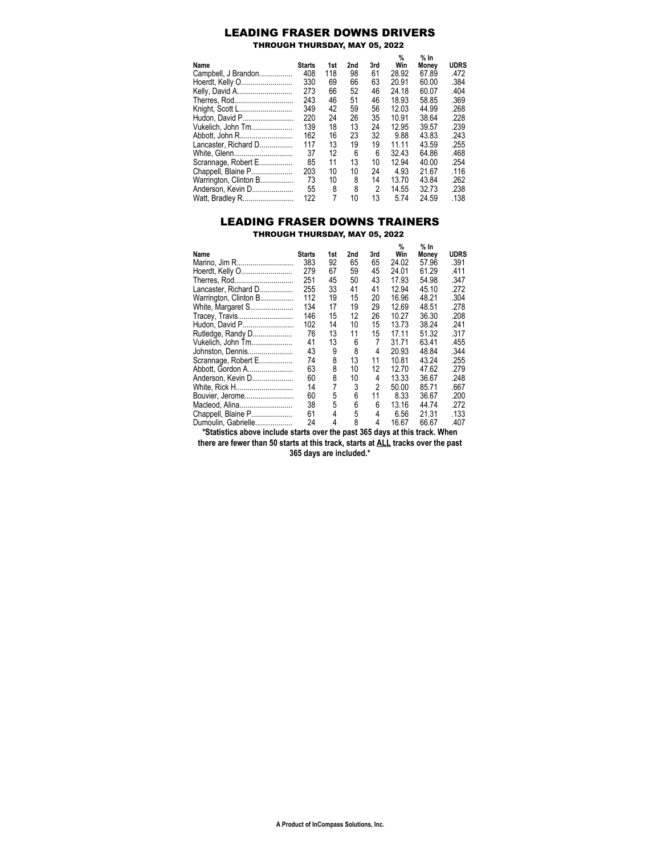# LEADING FRASER DOWNS DRIVERS

THROUGH THURSDAY, MAY 05, 2022

|                       |               |     |     | 3rd | %<br>Win | % In  |             |
|-----------------------|---------------|-----|-----|-----|----------|-------|-------------|
| Name                  | <b>Starts</b> | 1st | 2nd |     |          | Monev | <b>UDRS</b> |
| Campbell, J Brandon   | 408           | 118 | 98  | 61  | 28.92    | 67.89 | .472        |
| Hoerdt, Kelly O       | 330           | 69  | 66  | 63  | 20.91    | 60.00 | .384        |
| Kelly, David A        | 273           | 66  | 52  | 46  | 24.18    | 60.07 | .404        |
| Therres, Rod          | 243           | 46  | 51  | 46  | 18 93    | 58.85 | .369        |
| Knight, Scott L       | 349           | 42  | 59  | 56  | 12 03    | 44.99 | .268        |
| Hudon, David P        | 220           | 24  | 26  | 35  | 10 91    | 38.64 | .228        |
| Vukelich, John Tm     | 139           | 18  | 13  | 24  | 12 95    | 39.57 | .239        |
| Abbott, John R        | 162           | 16  | 23  | 32  | 9.88     | 43.83 | .243        |
| Lancaster, Richard D  | 117           | 13  | 19  | 19  | 11.11    | 43.59 | .255        |
| White, Glenn          | 37            | 12  | 6   | 6   | 32 43    | 64 86 | .468        |
| Scrannage, Robert E   | 85            | 11  | 13  | 10  | 12 94    | 40.00 | .254        |
| Chappell, Blaine P    | 203           | 10  | 10  | 24  | 4.93     | 21.67 | .116        |
| Warrington, Clinton B | 73            | 10  | 8   | 14  | 13.70    | 43.84 | .262        |
| Anderson, Kevin D     | 55            | 8   | 8   | 2   | 14.55    | 3273  | .238        |
| Watt, Bradley R       | 122           | 7   | 10  | 13  | 5.74     | 24.59 | .138        |

## LEADING FRASER DOWNS TRAINERS THROUGH THURSDAY, MAY 05, 2022

|                       |               |     |     |     | %     | % In  |             |
|-----------------------|---------------|-----|-----|-----|-------|-------|-------------|
| Name                  | <b>Starts</b> | 1st | 2nd | 3rd | Win   | Money | <b>UDRS</b> |
| Marino, Jim R         | 383           | 92  | 65  | 65  | 24.02 | 57.96 | .391        |
| Hoerdt, Kelly O       | 279           | 67  | 59  | 45  | 24.01 | 61.29 | .411        |
| Therres, Rod          | 251           | 45  | 50  | 43  | 17.93 | 54.98 | .347        |
| Lancaster, Richard D  | 255           | 33  | 41  | 41  | 12.94 | 45.10 | .272        |
| Warrington, Clinton B | 112           | 19  | 15  | 20  | 16.96 | 48.21 | .304        |
| White, Margaret S     | 134           | 17  | 19  | 29  | 12.69 | 48.51 | .278        |
| Tracey, Travis        | 146           | 15  | 12  | 26  | 10.27 | 36.30 | .208        |
| Hudon, David P        | 102           | 14  | 10  | 15  | 13.73 | 38.24 | .241        |
| Rutledge, Randy D     | 76            | 13  | 11  | 15  | 17.11 | 51.32 | .317        |
| Vukelich, John Tm     | 41            | 13  | 6   | 7   | 31.71 | 63.41 | .455        |
| Johnston, Dennis      | 43            | 9   | 8   | 4   | 20.93 | 48.84 | .344        |
| Scrannage, Robert E   | 74            | 8   | 13  | 11  | 10.81 | 43.24 | .255        |
| Abbott, Gordon A      | 63            | 8   | 10  | 12  | 12.70 | 47.62 | .279        |
| Anderson, Kevin D     | 60            | 8   | 10  | 4   | 13.33 | 36.67 | .248        |
| White, Rick H         | 14            | 7   | 3   | 2   | 50.00 | 85.71 | .667        |
| Bouvier, Jerome       | 60            | 5   | 6   | 11  | 8.33  | 36.67 | .200        |
| Macleod, Alina        | 38            | 5   | 6   | 6   | 13.16 | 44.74 | .272        |
| Chappell, Blaine P    | 61            | 4   | 5   | 4   | 6.56  | 21.31 | .133        |
| Dumoulin, Gabrielle   | 24            | 4   | 8   | 4   | 16.67 | 66.67 | .407        |

**\*Statistics above include starts over the past 365 days at this track. When there are fewer than 50 starts at this track, starts at ALL tracks over the past**

**365 days are included.\***